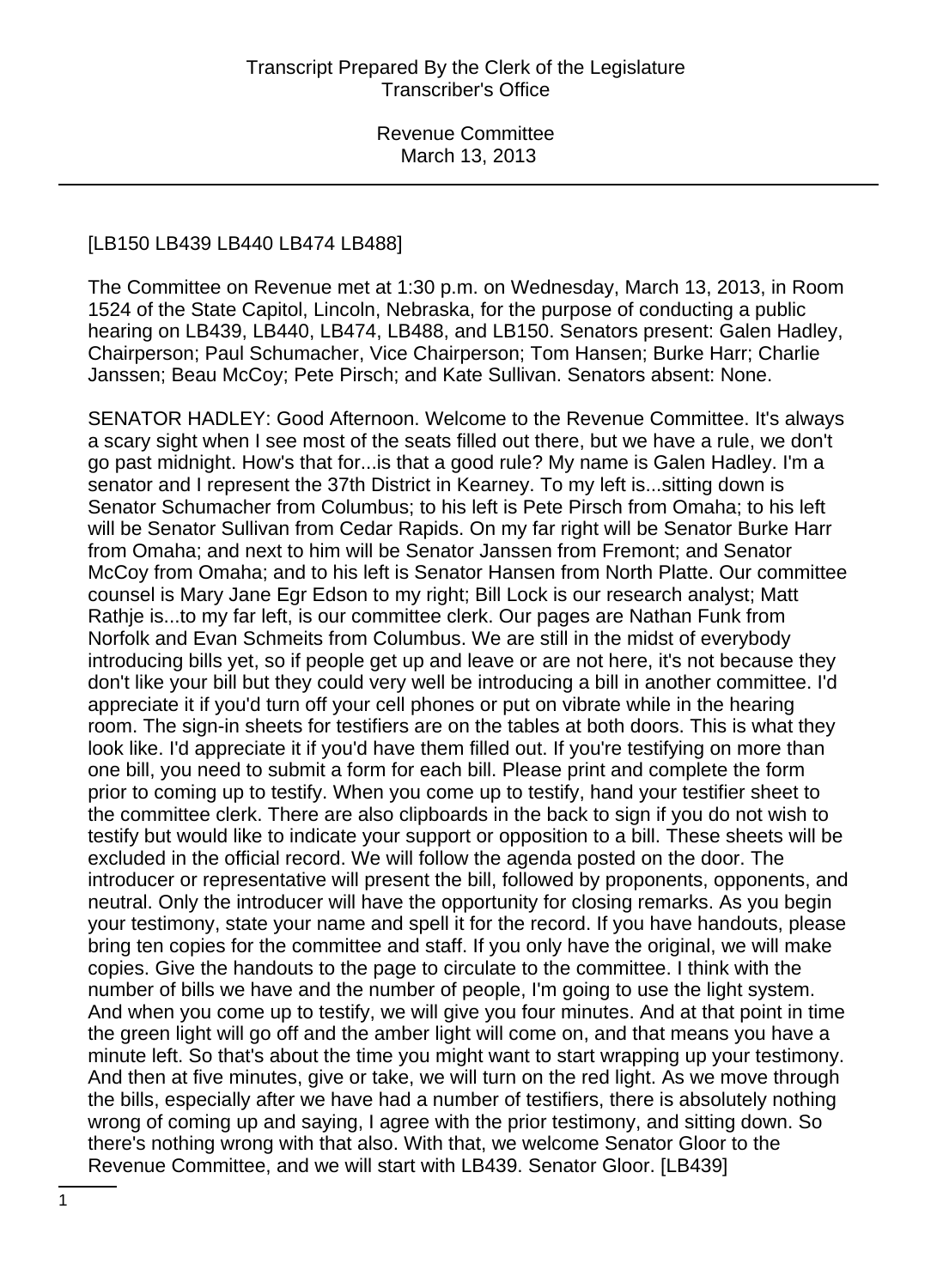#### [LB150 LB439 LB440 LB474 LB488]

The Committee on Revenue met at 1:30 p.m. on Wednesday, March 13, 2013, in Room 1524 of the State Capitol, Lincoln, Nebraska, for the purpose of conducting a public hearing on LB439, LB440, LB474, LB488, and LB150. Senators present: Galen Hadley, Chairperson; Paul Schumacher, Vice Chairperson; Tom Hansen; Burke Harr; Charlie Janssen; Beau McCoy; Pete Pirsch; and Kate Sullivan. Senators absent: None.

SENATOR HADLEY: Good Afternoon. Welcome to the Revenue Committee. It's always a scary sight when I see most of the seats filled out there, but we have a rule, we don't go past midnight. How's that for...is that a good rule? My name is Galen Hadley. I'm a senator and I represent the 37th District in Kearney. To my left is...sitting down is Senator Schumacher from Columbus; to his left is Pete Pirsch from Omaha; to his left will be Senator Sullivan from Cedar Rapids. On my far right will be Senator Burke Harr from Omaha; and next to him will be Senator Janssen from Fremont; and Senator McCoy from Omaha; and to his left is Senator Hansen from North Platte. Our committee counsel is Mary Jane Egr Edson to my right; Bill Lock is our research analyst; Matt Rathje is...to my far left, is our committee clerk. Our pages are Nathan Funk from Norfolk and Evan Schmeits from Columbus. We are still in the midst of everybody introducing bills yet, so if people get up and leave or are not here, it's not because they don't like your bill but they could very well be introducing a bill in another committee. I'd appreciate it if you'd turn off your cell phones or put on vibrate while in the hearing room. The sign-in sheets for testifiers are on the tables at both doors. This is what they look like. I'd appreciate it if you'd have them filled out. If you're testifying on more than one bill, you need to submit a form for each bill. Please print and complete the form prior to coming up to testify. When you come up to testify, hand your testifier sheet to the committee clerk. There are also clipboards in the back to sign if you do not wish to testify but would like to indicate your support or opposition to a bill. These sheets will be excluded in the official record. We will follow the agenda posted on the door. The introducer or representative will present the bill, followed by proponents, opponents, and neutral. Only the introducer will have the opportunity for closing remarks. As you begin your testimony, state your name and spell it for the record. If you have handouts, please bring ten copies for the committee and staff. If you only have the original, we will make copies. Give the handouts to the page to circulate to the committee. I think with the number of bills we have and the number of people, I'm going to use the light system. And when you come up to testify, we will give you four minutes. And at that point in time the green light will go off and the amber light will come on, and that means you have a minute left. So that's about the time you might want to start wrapping up your testimony. And then at five minutes, give or take, we will turn on the red light. As we move through the bills, especially after we have had a number of testifiers, there is absolutely nothing wrong of coming up and saying, I agree with the prior testimony, and sitting down. So there's nothing wrong with that also. With that, we welcome Senator Gloor to the Revenue Committee, and we will start with LB439. Senator Gloor. [LB439]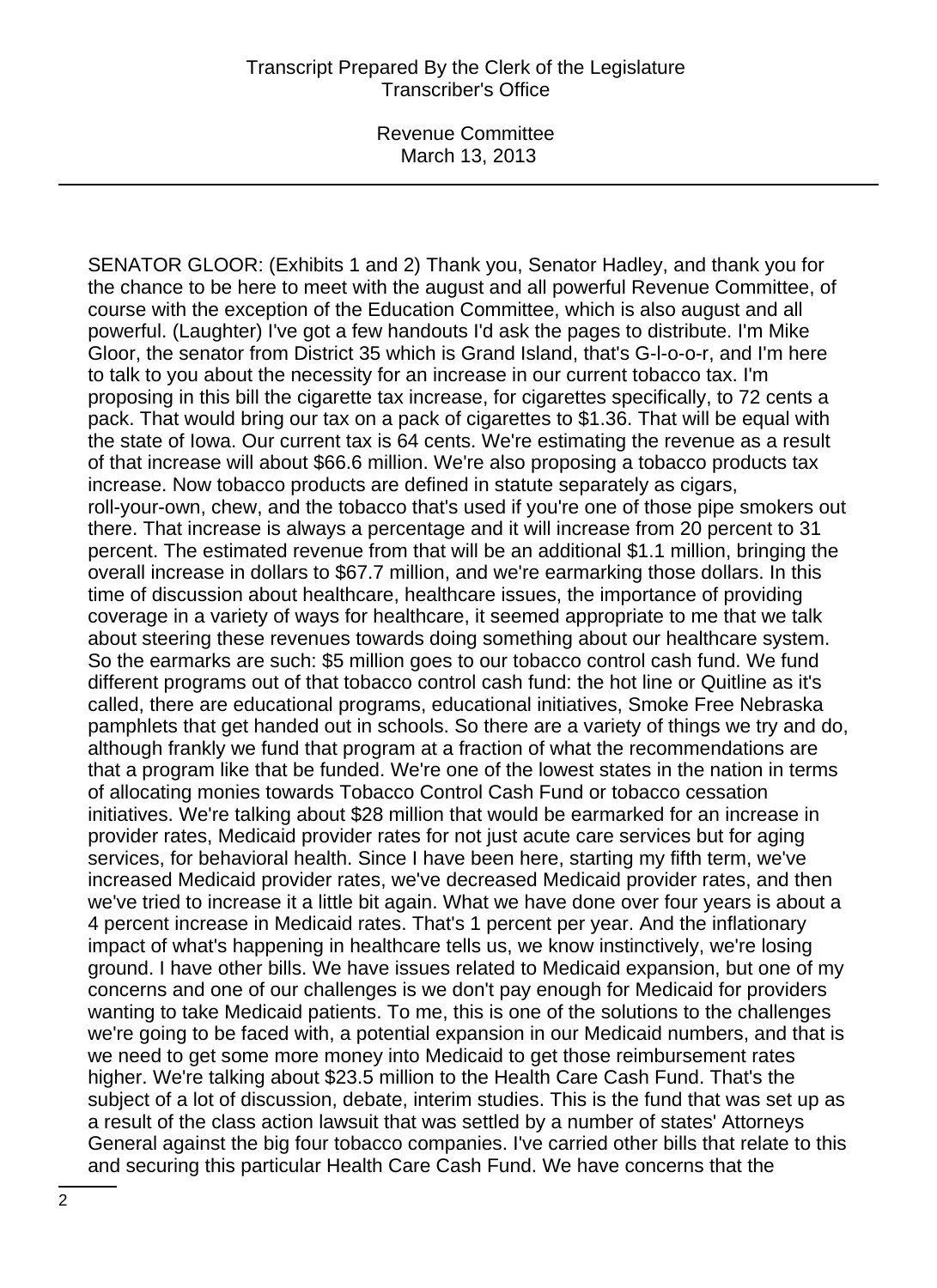SENATOR GLOOR: (Exhibits 1 and 2) Thank you, Senator Hadley, and thank you for the chance to be here to meet with the august and all powerful Revenue Committee, of course with the exception of the Education Committee, which is also august and all powerful. (Laughter) I've got a few handouts I'd ask the pages to distribute. I'm Mike Gloor, the senator from District 35 which is Grand Island, that's G-l-o-o-r, and I'm here to talk to you about the necessity for an increase in our current tobacco tax. I'm proposing in this bill the cigarette tax increase, for cigarettes specifically, to 72 cents a pack. That would bring our tax on a pack of cigarettes to \$1.36. That will be equal with the state of Iowa. Our current tax is 64 cents. We're estimating the revenue as a result of that increase will about \$66.6 million. We're also proposing a tobacco products tax increase. Now tobacco products are defined in statute separately as cigars, roll-your-own, chew, and the tobacco that's used if you're one of those pipe smokers out there. That increase is always a percentage and it will increase from 20 percent to 31 percent. The estimated revenue from that will be an additional \$1.1 million, bringing the overall increase in dollars to \$67.7 million, and we're earmarking those dollars. In this time of discussion about healthcare, healthcare issues, the importance of providing coverage in a variety of ways for healthcare, it seemed appropriate to me that we talk about steering these revenues towards doing something about our healthcare system. So the earmarks are such: \$5 million goes to our tobacco control cash fund. We fund different programs out of that tobacco control cash fund: the hot line or Quitline as it's called, there are educational programs, educational initiatives, Smoke Free Nebraska pamphlets that get handed out in schools. So there are a variety of things we try and do, although frankly we fund that program at a fraction of what the recommendations are that a program like that be funded. We're one of the lowest states in the nation in terms of allocating monies towards Tobacco Control Cash Fund or tobacco cessation initiatives. We're talking about \$28 million that would be earmarked for an increase in provider rates, Medicaid provider rates for not just acute care services but for aging services, for behavioral health. Since I have been here, starting my fifth term, we've increased Medicaid provider rates, we've decreased Medicaid provider rates, and then we've tried to increase it a little bit again. What we have done over four years is about a 4 percent increase in Medicaid rates. That's 1 percent per year. And the inflationary impact of what's happening in healthcare tells us, we know instinctively, we're losing ground. I have other bills. We have issues related to Medicaid expansion, but one of my concerns and one of our challenges is we don't pay enough for Medicaid for providers wanting to take Medicaid patients. To me, this is one of the solutions to the challenges we're going to be faced with, a potential expansion in our Medicaid numbers, and that is we need to get some more money into Medicaid to get those reimbursement rates higher. We're talking about \$23.5 million to the Health Care Cash Fund. That's the subject of a lot of discussion, debate, interim studies. This is the fund that was set up as a result of the class action lawsuit that was settled by a number of states' Attorneys General against the big four tobacco companies. I've carried other bills that relate to this and securing this particular Health Care Cash Fund. We have concerns that the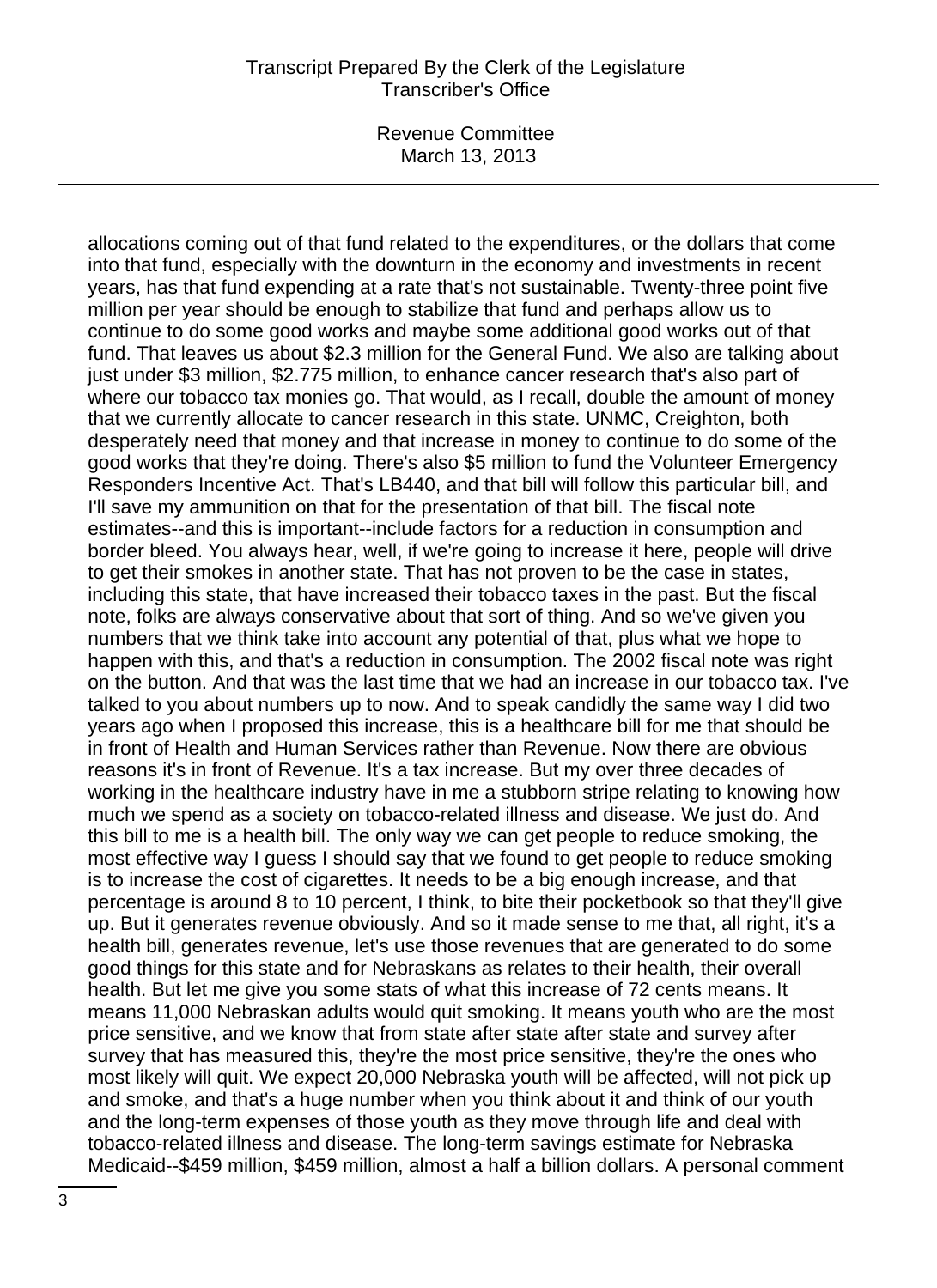Revenue Committee March 13, 2013

allocations coming out of that fund related to the expenditures, or the dollars that come into that fund, especially with the downturn in the economy and investments in recent years, has that fund expending at a rate that's not sustainable. Twenty-three point five million per year should be enough to stabilize that fund and perhaps allow us to continue to do some good works and maybe some additional good works out of that fund. That leaves us about \$2.3 million for the General Fund. We also are talking about just under \$3 million, \$2.775 million, to enhance cancer research that's also part of where our tobacco tax monies go. That would, as I recall, double the amount of money that we currently allocate to cancer research in this state. UNMC, Creighton, both desperately need that money and that increase in money to continue to do some of the good works that they're doing. There's also \$5 million to fund the Volunteer Emergency Responders Incentive Act. That's LB440, and that bill will follow this particular bill, and I'll save my ammunition on that for the presentation of that bill. The fiscal note estimates--and this is important--include factors for a reduction in consumption and border bleed. You always hear, well, if we're going to increase it here, people will drive to get their smokes in another state. That has not proven to be the case in states, including this state, that have increased their tobacco taxes in the past. But the fiscal note, folks are always conservative about that sort of thing. And so we've given you numbers that we think take into account any potential of that, plus what we hope to happen with this, and that's a reduction in consumption. The 2002 fiscal note was right on the button. And that was the last time that we had an increase in our tobacco tax. I've talked to you about numbers up to now. And to speak candidly the same way I did two years ago when I proposed this increase, this is a healthcare bill for me that should be in front of Health and Human Services rather than Revenue. Now there are obvious reasons it's in front of Revenue. It's a tax increase. But my over three decades of working in the healthcare industry have in me a stubborn stripe relating to knowing how much we spend as a society on tobacco-related illness and disease. We just do. And this bill to me is a health bill. The only way we can get people to reduce smoking, the most effective way I guess I should say that we found to get people to reduce smoking is to increase the cost of cigarettes. It needs to be a big enough increase, and that percentage is around 8 to 10 percent, I think, to bite their pocketbook so that they'll give up. But it generates revenue obviously. And so it made sense to me that, all right, it's a health bill, generates revenue, let's use those revenues that are generated to do some good things for this state and for Nebraskans as relates to their health, their overall health. But let me give you some stats of what this increase of 72 cents means. It means 11,000 Nebraskan adults would quit smoking. It means youth who are the most price sensitive, and we know that from state after state after state and survey after survey that has measured this, they're the most price sensitive, they're the ones who most likely will quit. We expect 20,000 Nebraska youth will be affected, will not pick up and smoke, and that's a huge number when you think about it and think of our youth and the long-term expenses of those youth as they move through life and deal with tobacco-related illness and disease. The long-term savings estimate for Nebraska Medicaid--\$459 million, \$459 million, almost a half a billion dollars. A personal comment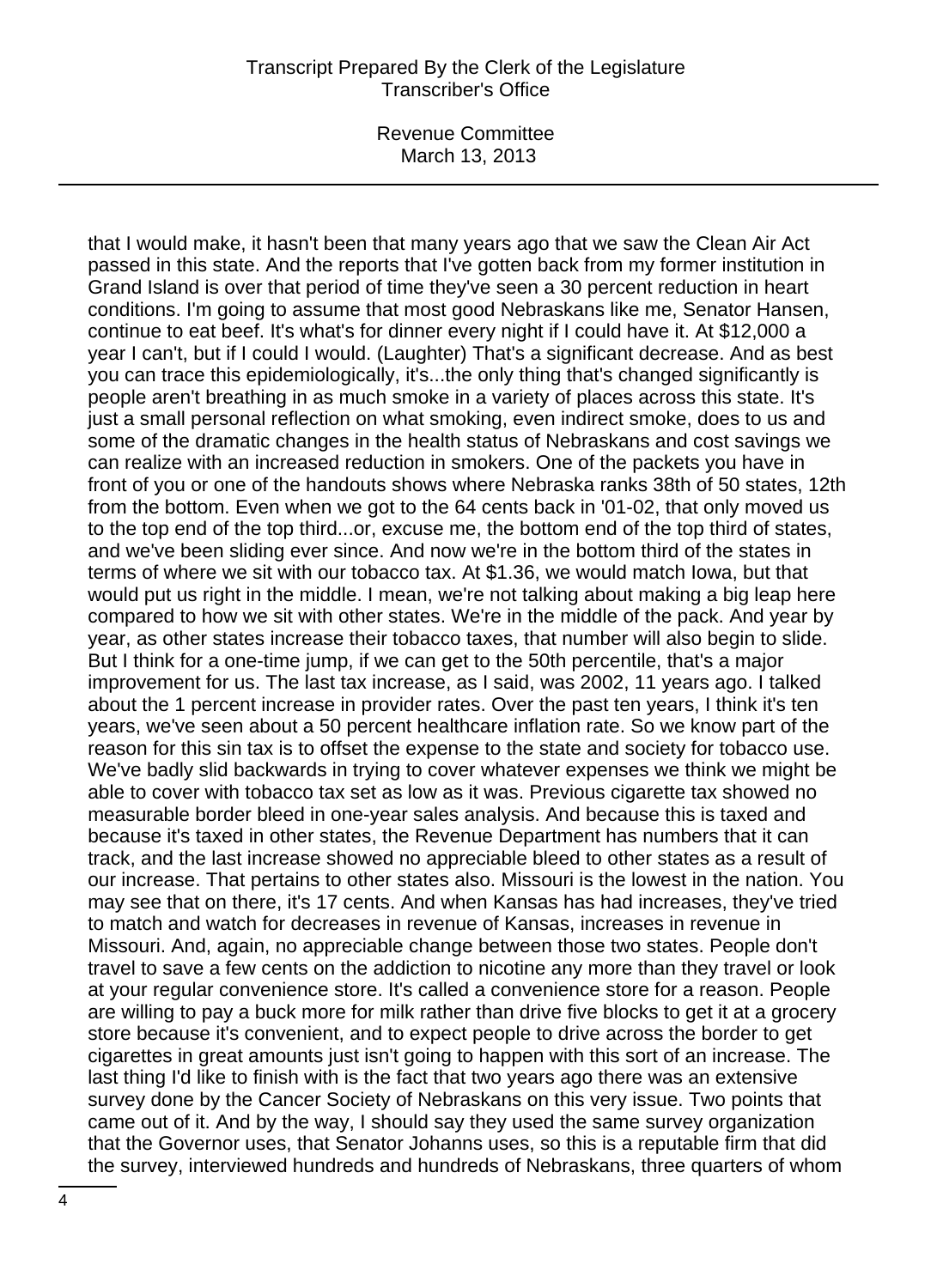Revenue Committee March 13, 2013

that I would make, it hasn't been that many years ago that we saw the Clean Air Act passed in this state. And the reports that I've gotten back from my former institution in Grand Island is over that period of time they've seen a 30 percent reduction in heart conditions. I'm going to assume that most good Nebraskans like me, Senator Hansen, continue to eat beef. It's what's for dinner every night if I could have it. At \$12,000 a year I can't, but if I could I would. (Laughter) That's a significant decrease. And as best you can trace this epidemiologically, it's...the only thing that's changed significantly is people aren't breathing in as much smoke in a variety of places across this state. It's just a small personal reflection on what smoking, even indirect smoke, does to us and some of the dramatic changes in the health status of Nebraskans and cost savings we can realize with an increased reduction in smokers. One of the packets you have in front of you or one of the handouts shows where Nebraska ranks 38th of 50 states, 12th from the bottom. Even when we got to the 64 cents back in '01-02, that only moved us to the top end of the top third...or, excuse me, the bottom end of the top third of states, and we've been sliding ever since. And now we're in the bottom third of the states in terms of where we sit with our tobacco tax. At \$1.36, we would match Iowa, but that would put us right in the middle. I mean, we're not talking about making a big leap here compared to how we sit with other states. We're in the middle of the pack. And year by year, as other states increase their tobacco taxes, that number will also begin to slide. But I think for a one-time jump, if we can get to the 50th percentile, that's a major improvement for us. The last tax increase, as I said, was 2002, 11 years ago. I talked about the 1 percent increase in provider rates. Over the past ten years, I think it's ten years, we've seen about a 50 percent healthcare inflation rate. So we know part of the reason for this sin tax is to offset the expense to the state and society for tobacco use. We've badly slid backwards in trying to cover whatever expenses we think we might be able to cover with tobacco tax set as low as it was. Previous cigarette tax showed no measurable border bleed in one-year sales analysis. And because this is taxed and because it's taxed in other states, the Revenue Department has numbers that it can track, and the last increase showed no appreciable bleed to other states as a result of our increase. That pertains to other states also. Missouri is the lowest in the nation. You may see that on there, it's 17 cents. And when Kansas has had increases, they've tried to match and watch for decreases in revenue of Kansas, increases in revenue in Missouri. And, again, no appreciable change between those two states. People don't travel to save a few cents on the addiction to nicotine any more than they travel or look at your regular convenience store. It's called a convenience store for a reason. People are willing to pay a buck more for milk rather than drive five blocks to get it at a grocery store because it's convenient, and to expect people to drive across the border to get cigarettes in great amounts just isn't going to happen with this sort of an increase. The last thing I'd like to finish with is the fact that two years ago there was an extensive survey done by the Cancer Society of Nebraskans on this very issue. Two points that came out of it. And by the way, I should say they used the same survey organization that the Governor uses, that Senator Johanns uses, so this is a reputable firm that did the survey, interviewed hundreds and hundreds of Nebraskans, three quarters of whom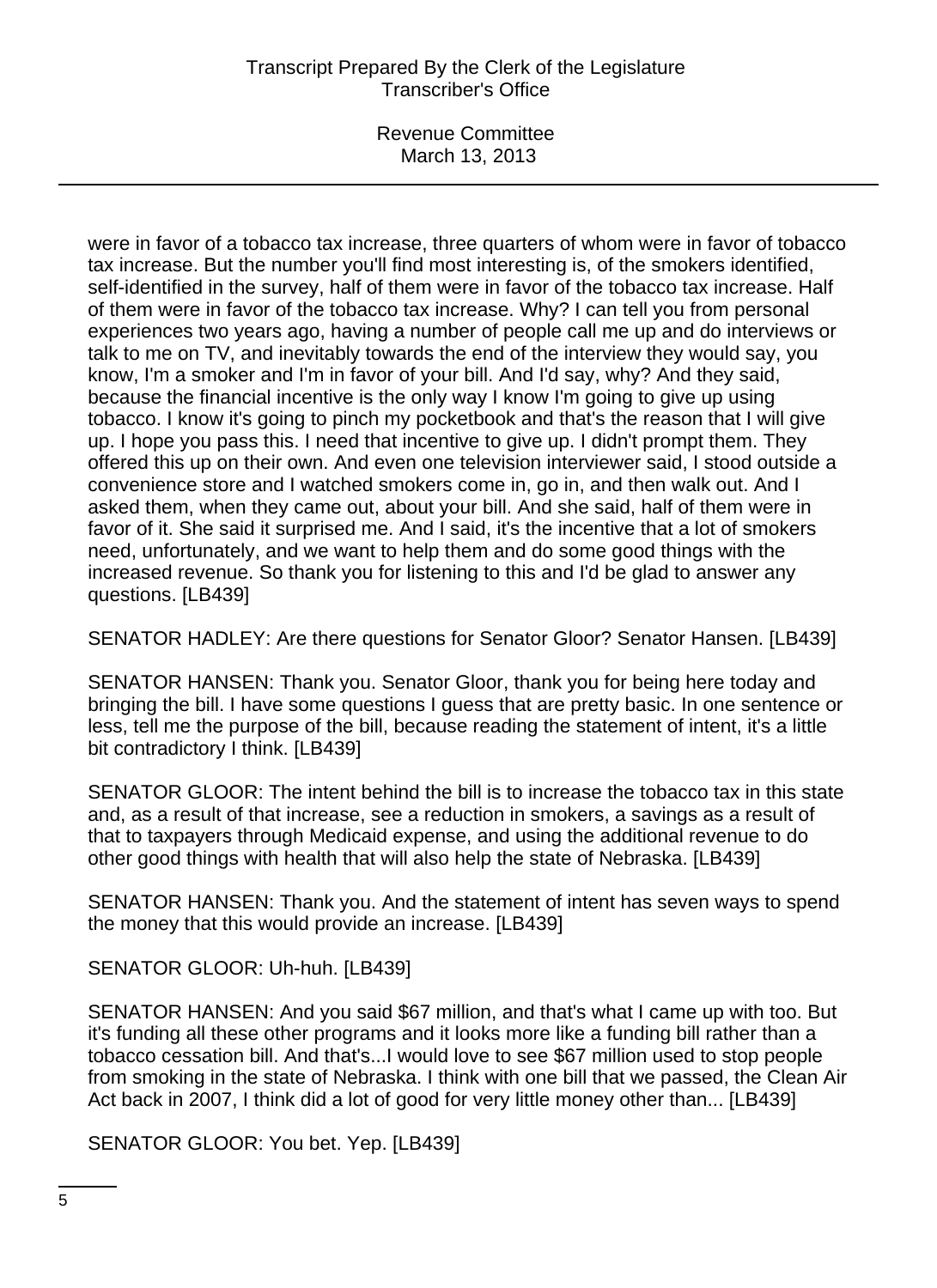Revenue Committee March 13, 2013

were in favor of a tobacco tax increase, three quarters of whom were in favor of tobacco tax increase. But the number you'll find most interesting is, of the smokers identified, self-identified in the survey, half of them were in favor of the tobacco tax increase. Half of them were in favor of the tobacco tax increase. Why? I can tell you from personal experiences two years ago, having a number of people call me up and do interviews or talk to me on TV, and inevitably towards the end of the interview they would say, you know, I'm a smoker and I'm in favor of your bill. And I'd say, why? And they said, because the financial incentive is the only way I know I'm going to give up using tobacco. I know it's going to pinch my pocketbook and that's the reason that I will give up. I hope you pass this. I need that incentive to give up. I didn't prompt them. They offered this up on their own. And even one television interviewer said, I stood outside a convenience store and I watched smokers come in, go in, and then walk out. And I asked them, when they came out, about your bill. And she said, half of them were in favor of it. She said it surprised me. And I said, it's the incentive that a lot of smokers need, unfortunately, and we want to help them and do some good things with the increased revenue. So thank you for listening to this and I'd be glad to answer any questions. [LB439]

SENATOR HADLEY: Are there questions for Senator Gloor? Senator Hansen. [LB439]

SENATOR HANSEN: Thank you. Senator Gloor, thank you for being here today and bringing the bill. I have some questions I guess that are pretty basic. In one sentence or less, tell me the purpose of the bill, because reading the statement of intent, it's a little bit contradictory I think. [LB439]

SENATOR GLOOR: The intent behind the bill is to increase the tobacco tax in this state and, as a result of that increase, see a reduction in smokers, a savings as a result of that to taxpayers through Medicaid expense, and using the additional revenue to do other good things with health that will also help the state of Nebraska. [LB439]

SENATOR HANSEN: Thank you. And the statement of intent has seven ways to spend the money that this would provide an increase. [LB439]

SENATOR GLOOR: Uh-huh. [LB439]

SENATOR HANSEN: And you said \$67 million, and that's what I came up with too. But it's funding all these other programs and it looks more like a funding bill rather than a tobacco cessation bill. And that's...I would love to see \$67 million used to stop people from smoking in the state of Nebraska. I think with one bill that we passed, the Clean Air Act back in 2007, I think did a lot of good for very little money other than... [LB439]

SENATOR GLOOR: You bet. Yep. [LB439]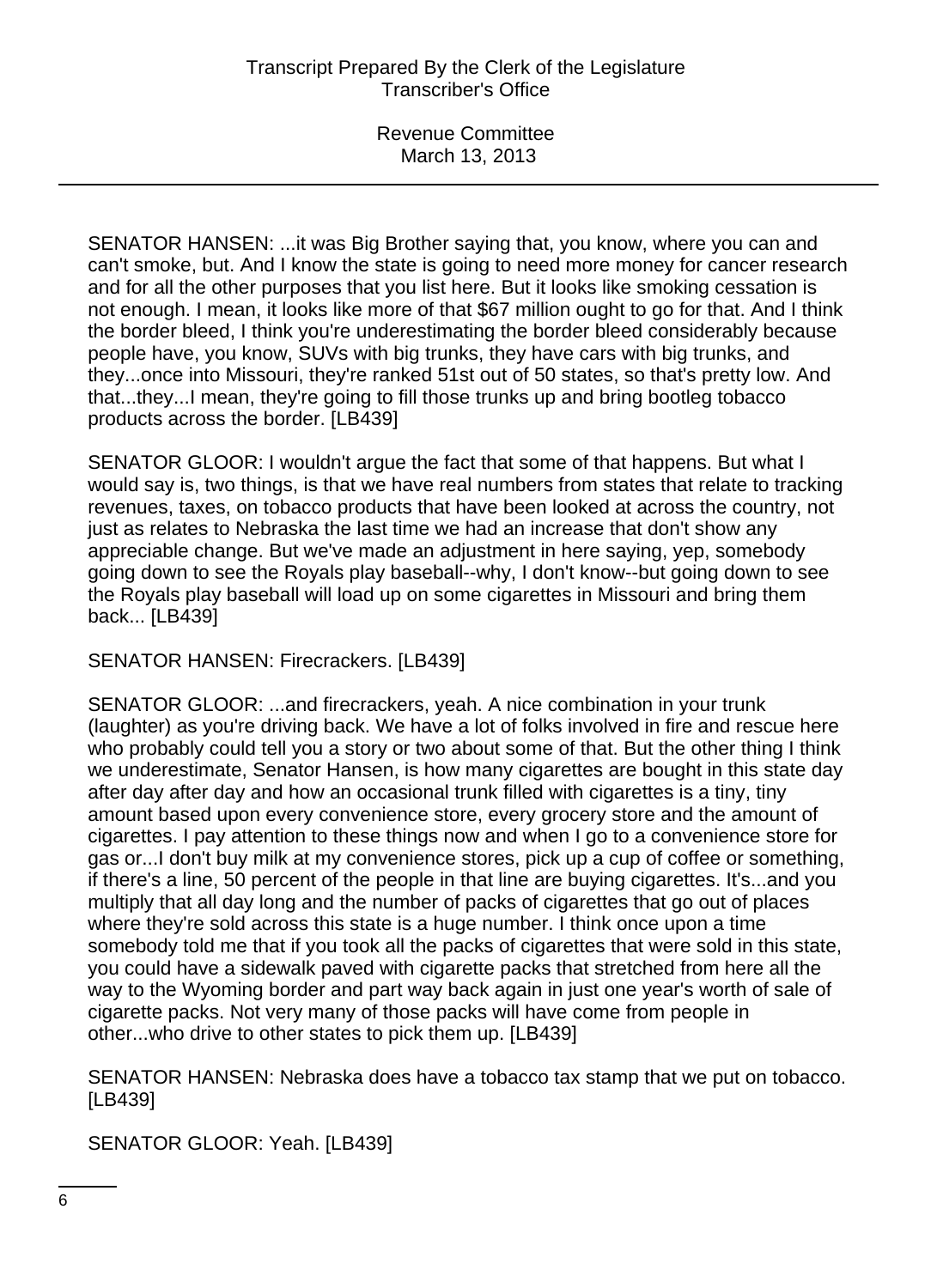SENATOR HANSEN: ...it was Big Brother saying that, you know, where you can and can't smoke, but. And I know the state is going to need more money for cancer research and for all the other purposes that you list here. But it looks like smoking cessation is not enough. I mean, it looks like more of that \$67 million ought to go for that. And I think the border bleed, I think you're underestimating the border bleed considerably because people have, you know, SUVs with big trunks, they have cars with big trunks, and they...once into Missouri, they're ranked 51st out of 50 states, so that's pretty low. And that...they...I mean, they're going to fill those trunks up and bring bootleg tobacco products across the border. [LB439]

SENATOR GLOOR: I wouldn't argue the fact that some of that happens. But what I would say is, two things, is that we have real numbers from states that relate to tracking revenues, taxes, on tobacco products that have been looked at across the country, not just as relates to Nebraska the last time we had an increase that don't show any appreciable change. But we've made an adjustment in here saying, yep, somebody going down to see the Royals play baseball--why, I don't know--but going down to see the Royals play baseball will load up on some cigarettes in Missouri and bring them back... [LB439]

SENATOR HANSEN: Firecrackers. [LB439]

SENATOR GLOOR: ...and firecrackers, yeah. A nice combination in your trunk (laughter) as you're driving back. We have a lot of folks involved in fire and rescue here who probably could tell you a story or two about some of that. But the other thing I think we underestimate, Senator Hansen, is how many cigarettes are bought in this state day after day after day and how an occasional trunk filled with cigarettes is a tiny, tiny amount based upon every convenience store, every grocery store and the amount of cigarettes. I pay attention to these things now and when I go to a convenience store for gas or...I don't buy milk at my convenience stores, pick up a cup of coffee or something, if there's a line, 50 percent of the people in that line are buying cigarettes. It's...and you multiply that all day long and the number of packs of cigarettes that go out of places where they're sold across this state is a huge number. I think once upon a time somebody told me that if you took all the packs of cigarettes that were sold in this state, you could have a sidewalk paved with cigarette packs that stretched from here all the way to the Wyoming border and part way back again in just one year's worth of sale of cigarette packs. Not very many of those packs will have come from people in other...who drive to other states to pick them up. [LB439]

SENATOR HANSEN: Nebraska does have a tobacco tax stamp that we put on tobacco. [LB439]

SENATOR GLOOR: Yeah. [LB439]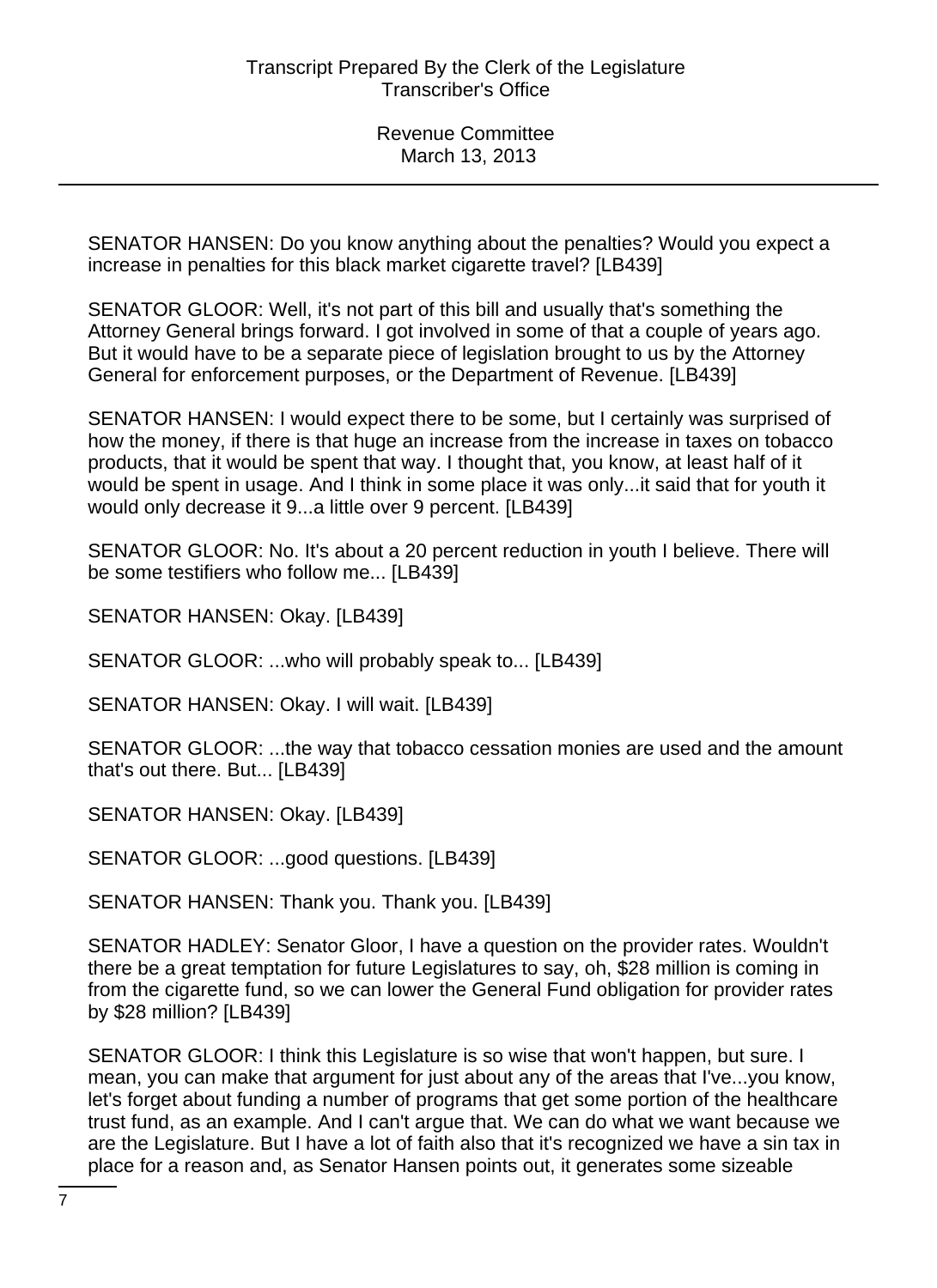SENATOR HANSEN: Do you know anything about the penalties? Would you expect a increase in penalties for this black market cigarette travel? [LB439]

SENATOR GLOOR: Well, it's not part of this bill and usually that's something the Attorney General brings forward. I got involved in some of that a couple of years ago. But it would have to be a separate piece of legislation brought to us by the Attorney General for enforcement purposes, or the Department of Revenue. [LB439]

SENATOR HANSEN: I would expect there to be some, but I certainly was surprised of how the money, if there is that huge an increase from the increase in taxes on tobacco products, that it would be spent that way. I thought that, you know, at least half of it would be spent in usage. And I think in some place it was only...it said that for youth it would only decrease it 9...a little over 9 percent. [LB439]

SENATOR GLOOR: No. It's about a 20 percent reduction in youth I believe. There will be some testifiers who follow me... [LB439]

SENATOR HANSEN: Okay. [LB439]

SENATOR GLOOR: ...who will probably speak to... [LB439]

SENATOR HANSEN: Okay. I will wait. [LB439]

SENATOR GLOOR: ...the way that tobacco cessation monies are used and the amount that's out there. But... [LB439]

SENATOR HANSEN: Okay. [LB439]

SENATOR GLOOR: ...good questions. [LB439]

SENATOR HANSEN: Thank you. Thank you. [LB439]

SENATOR HADLEY: Senator Gloor, I have a question on the provider rates. Wouldn't there be a great temptation for future Legislatures to say, oh, \$28 million is coming in from the cigarette fund, so we can lower the General Fund obligation for provider rates by \$28 million? [LB439]

SENATOR GLOOR: I think this Legislature is so wise that won't happen, but sure. I mean, you can make that argument for just about any of the areas that I've...you know, let's forget about funding a number of programs that get some portion of the healthcare trust fund, as an example. And I can't argue that. We can do what we want because we are the Legislature. But I have a lot of faith also that it's recognized we have a sin tax in place for a reason and, as Senator Hansen points out, it generates some sizeable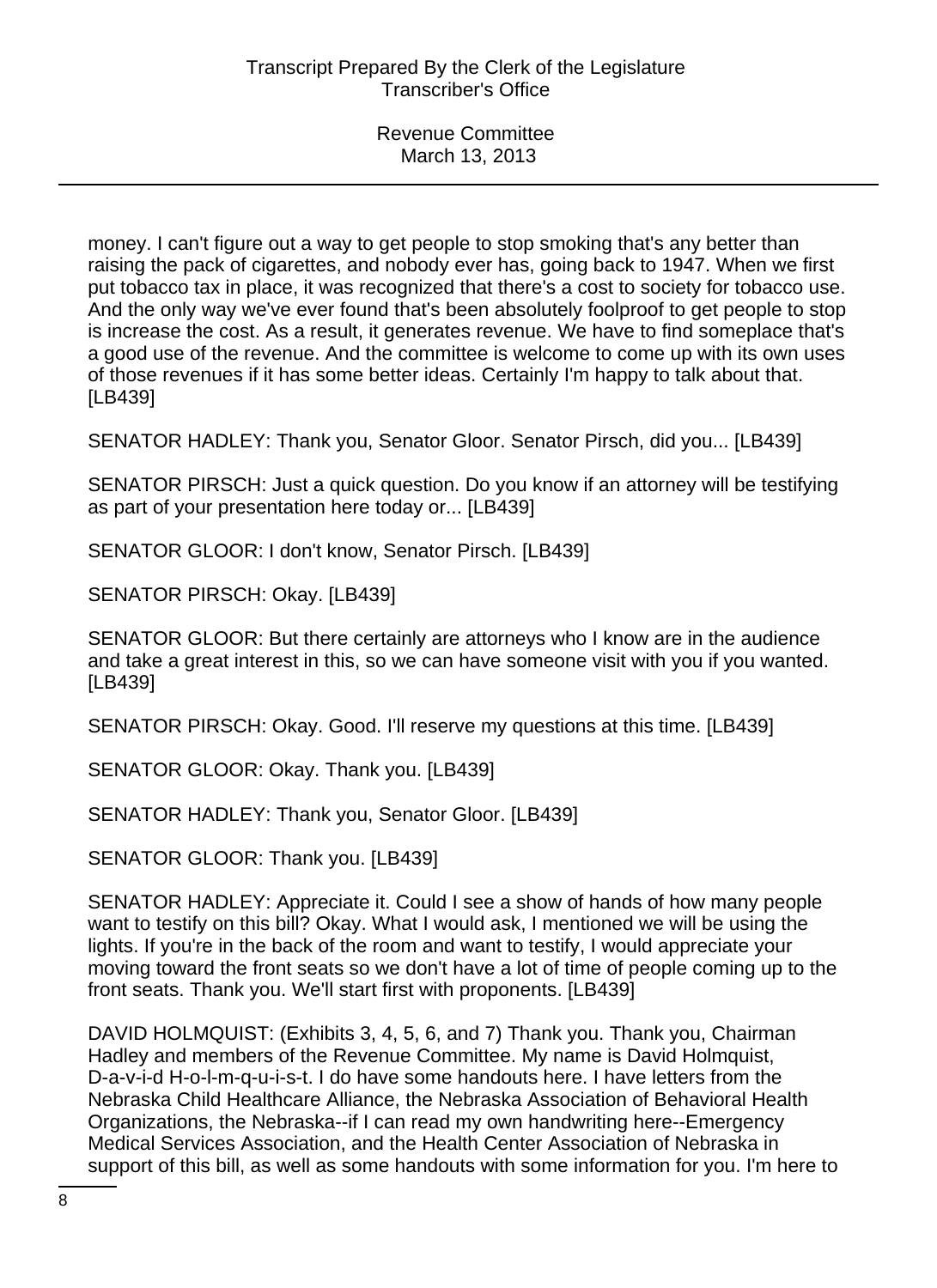money. I can't figure out a way to get people to stop smoking that's any better than raising the pack of cigarettes, and nobody ever has, going back to 1947. When we first put tobacco tax in place, it was recognized that there's a cost to society for tobacco use. And the only way we've ever found that's been absolutely foolproof to get people to stop is increase the cost. As a result, it generates revenue. We have to find someplace that's a good use of the revenue. And the committee is welcome to come up with its own uses of those revenues if it has some better ideas. Certainly I'm happy to talk about that. [LB439]

SENATOR HADLEY: Thank you, Senator Gloor. Senator Pirsch, did you... [LB439]

SENATOR PIRSCH: Just a quick question. Do you know if an attorney will be testifying as part of your presentation here today or... [LB439]

SENATOR GLOOR: I don't know, Senator Pirsch. [LB439]

SENATOR PIRSCH: Okay. [LB439]

SENATOR GLOOR: But there certainly are attorneys who I know are in the audience and take a great interest in this, so we can have someone visit with you if you wanted. [LB439]

SENATOR PIRSCH: Okay. Good. I'll reserve my questions at this time. [LB439]

SENATOR GLOOR: Okay. Thank you. [LB439]

SENATOR HADLEY: Thank you, Senator Gloor. [LB439]

SENATOR GLOOR: Thank you. [LB439]

SENATOR HADLEY: Appreciate it. Could I see a show of hands of how many people want to testify on this bill? Okay. What I would ask, I mentioned we will be using the lights. If you're in the back of the room and want to testify, I would appreciate your moving toward the front seats so we don't have a lot of time of people coming up to the front seats. Thank you. We'll start first with proponents. [LB439]

DAVID HOLMQUIST: (Exhibits 3, 4, 5, 6, and 7) Thank you. Thank you, Chairman Hadley and members of the Revenue Committee. My name is David Holmquist, D-a-v-i-d H-o-l-m-q-u-i-s-t. I do have some handouts here. I have letters from the Nebraska Child Healthcare Alliance, the Nebraska Association of Behavioral Health Organizations, the Nebraska--if I can read my own handwriting here--Emergency Medical Services Association, and the Health Center Association of Nebraska in support of this bill, as well as some handouts with some information for you. I'm here to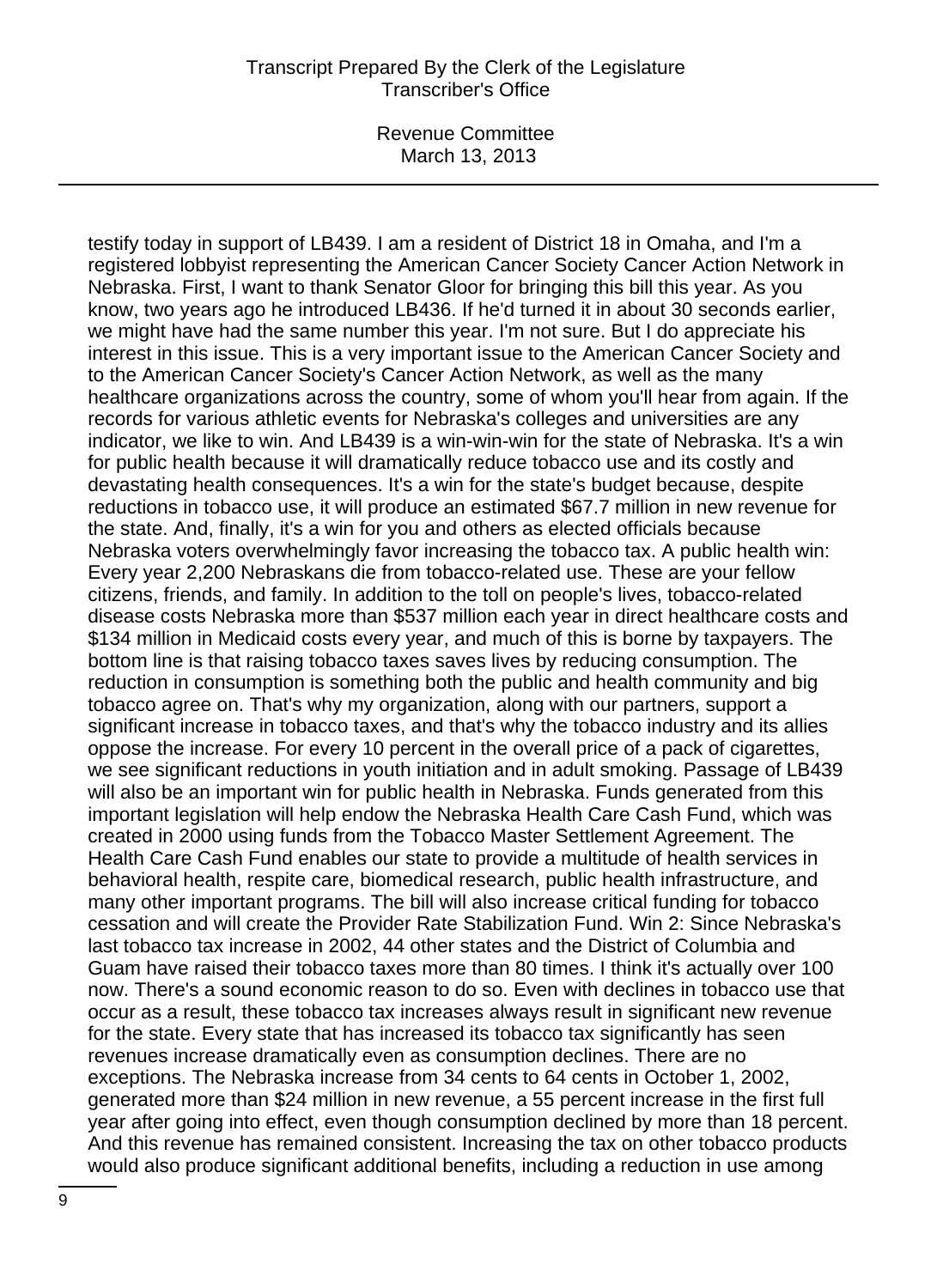Revenue Committee March 13, 2013

testify today in support of LB439. I am a resident of District 18 in Omaha, and I'm a registered lobbyist representing the American Cancer Society Cancer Action Network in Nebraska. First, I want to thank Senator Gloor for bringing this bill this year. As you know, two years ago he introduced LB436. If he'd turned it in about 30 seconds earlier, we might have had the same number this year. I'm not sure. But I do appreciate his interest in this issue. This is a very important issue to the American Cancer Society and to the American Cancer Society's Cancer Action Network, as well as the many healthcare organizations across the country, some of whom you'll hear from again. If the records for various athletic events for Nebraska's colleges and universities are any indicator, we like to win. And LB439 is a win-win-win for the state of Nebraska. It's a win for public health because it will dramatically reduce tobacco use and its costly and devastating health consequences. It's a win for the state's budget because, despite reductions in tobacco use, it will produce an estimated \$67.7 million in new revenue for the state. And, finally, it's a win for you and others as elected officials because Nebraska voters overwhelmingly favor increasing the tobacco tax. A public health win: Every year 2,200 Nebraskans die from tobacco-related use. These are your fellow citizens, friends, and family. In addition to the toll on people's lives, tobacco-related disease costs Nebraska more than \$537 million each year in direct healthcare costs and \$134 million in Medicaid costs every year, and much of this is borne by taxpayers. The bottom line is that raising tobacco taxes saves lives by reducing consumption. The reduction in consumption is something both the public and health community and big tobacco agree on. That's why my organization, along with our partners, support a significant increase in tobacco taxes, and that's why the tobacco industry and its allies oppose the increase. For every 10 percent in the overall price of a pack of cigarettes, we see significant reductions in youth initiation and in adult smoking. Passage of LB439 will also be an important win for public health in Nebraska. Funds generated from this important legislation will help endow the Nebraska Health Care Cash Fund, which was created in 2000 using funds from the Tobacco Master Settlement Agreement. The Health Care Cash Fund enables our state to provide a multitude of health services in behavioral health, respite care, biomedical research, public health infrastructure, and many other important programs. The bill will also increase critical funding for tobacco cessation and will create the Provider Rate Stabilization Fund. Win 2: Since Nebraska's last tobacco tax increase in 2002, 44 other states and the District of Columbia and Guam have raised their tobacco taxes more than 80 times. I think it's actually over 100 now. There's a sound economic reason to do so. Even with declines in tobacco use that occur as a result, these tobacco tax increases always result in significant new revenue for the state. Every state that has increased its tobacco tax significantly has seen revenues increase dramatically even as consumption declines. There are no exceptions. The Nebraska increase from 34 cents to 64 cents in October 1, 2002, generated more than \$24 million in new revenue, a 55 percent increase in the first full year after going into effect, even though consumption declined by more than 18 percent. And this revenue has remained consistent. Increasing the tax on other tobacco products would also produce significant additional benefits, including a reduction in use among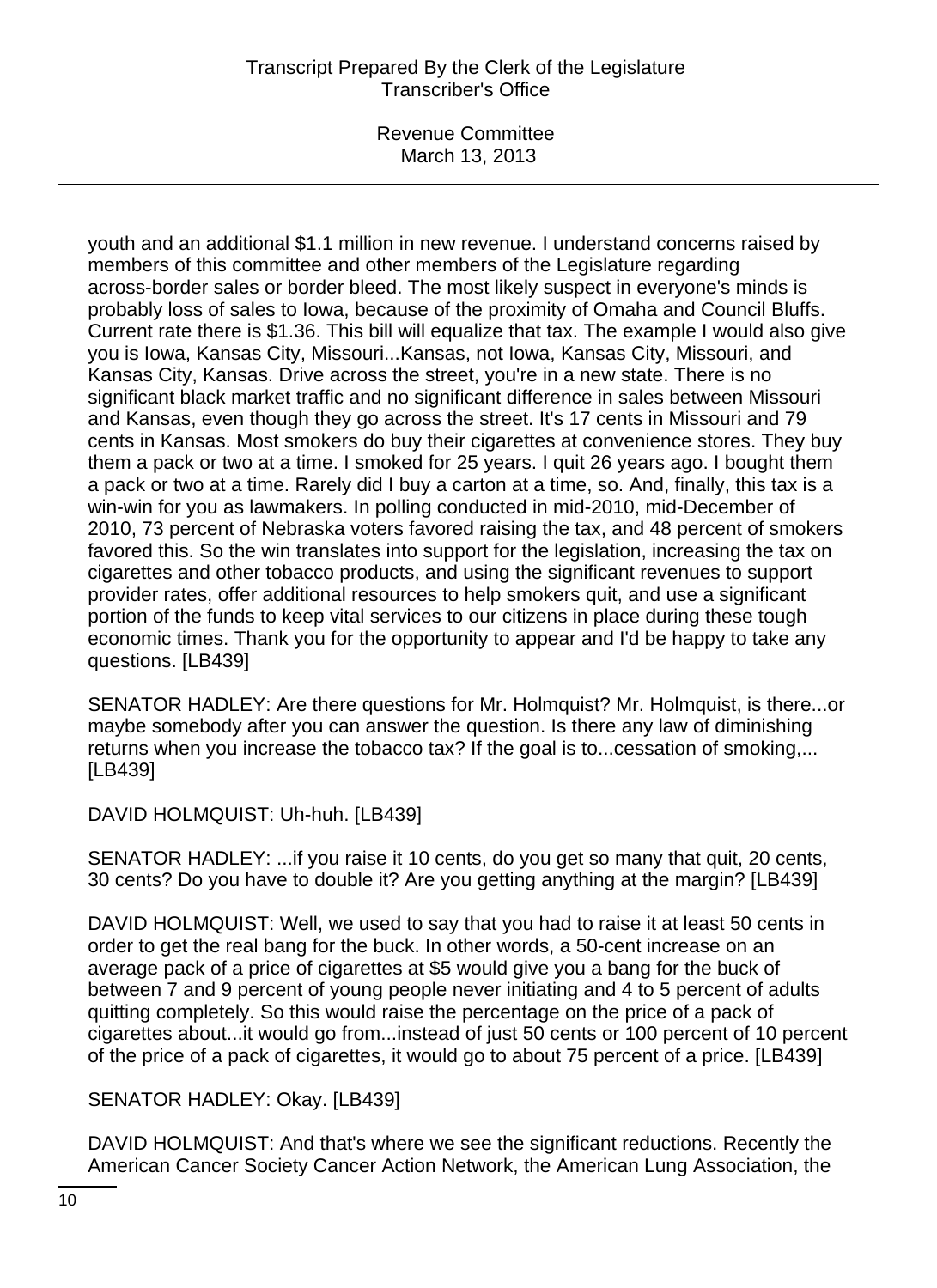Revenue Committee March 13, 2013

youth and an additional \$1.1 million in new revenue. I understand concerns raised by members of this committee and other members of the Legislature regarding across-border sales or border bleed. The most likely suspect in everyone's minds is probably loss of sales to Iowa, because of the proximity of Omaha and Council Bluffs. Current rate there is \$1.36. This bill will equalize that tax. The example I would also give you is Iowa, Kansas City, Missouri...Kansas, not Iowa, Kansas City, Missouri, and Kansas City, Kansas. Drive across the street, you're in a new state. There is no significant black market traffic and no significant difference in sales between Missouri and Kansas, even though they go across the street. It's 17 cents in Missouri and 79 cents in Kansas. Most smokers do buy their cigarettes at convenience stores. They buy them a pack or two at a time. I smoked for 25 years. I quit 26 years ago. I bought them a pack or two at a time. Rarely did I buy a carton at a time, so. And, finally, this tax is a win-win for you as lawmakers. In polling conducted in mid-2010, mid-December of 2010, 73 percent of Nebraska voters favored raising the tax, and 48 percent of smokers favored this. So the win translates into support for the legislation, increasing the tax on cigarettes and other tobacco products, and using the significant revenues to support provider rates, offer additional resources to help smokers quit, and use a significant portion of the funds to keep vital services to our citizens in place during these tough economic times. Thank you for the opportunity to appear and I'd be happy to take any questions. [LB439]

SENATOR HADLEY: Are there questions for Mr. Holmquist? Mr. Holmquist, is there...or maybe somebody after you can answer the question. Is there any law of diminishing returns when you increase the tobacco tax? If the goal is to...cessation of smoking,... [LB439]

DAVID HOLMQUIST: Uh-huh. [LB439]

SENATOR HADLEY: ...if you raise it 10 cents, do you get so many that quit, 20 cents, 30 cents? Do you have to double it? Are you getting anything at the margin? [LB439]

DAVID HOLMQUIST: Well, we used to say that you had to raise it at least 50 cents in order to get the real bang for the buck. In other words, a 50-cent increase on an average pack of a price of cigarettes at \$5 would give you a bang for the buck of between 7 and 9 percent of young people never initiating and 4 to 5 percent of adults quitting completely. So this would raise the percentage on the price of a pack of cigarettes about...it would go from...instead of just 50 cents or 100 percent of 10 percent of the price of a pack of cigarettes, it would go to about 75 percent of a price. [LB439]

SENATOR HADLEY: Okay. [LB439]

DAVID HOLMQUIST: And that's where we see the significant reductions. Recently the American Cancer Society Cancer Action Network, the American Lung Association, the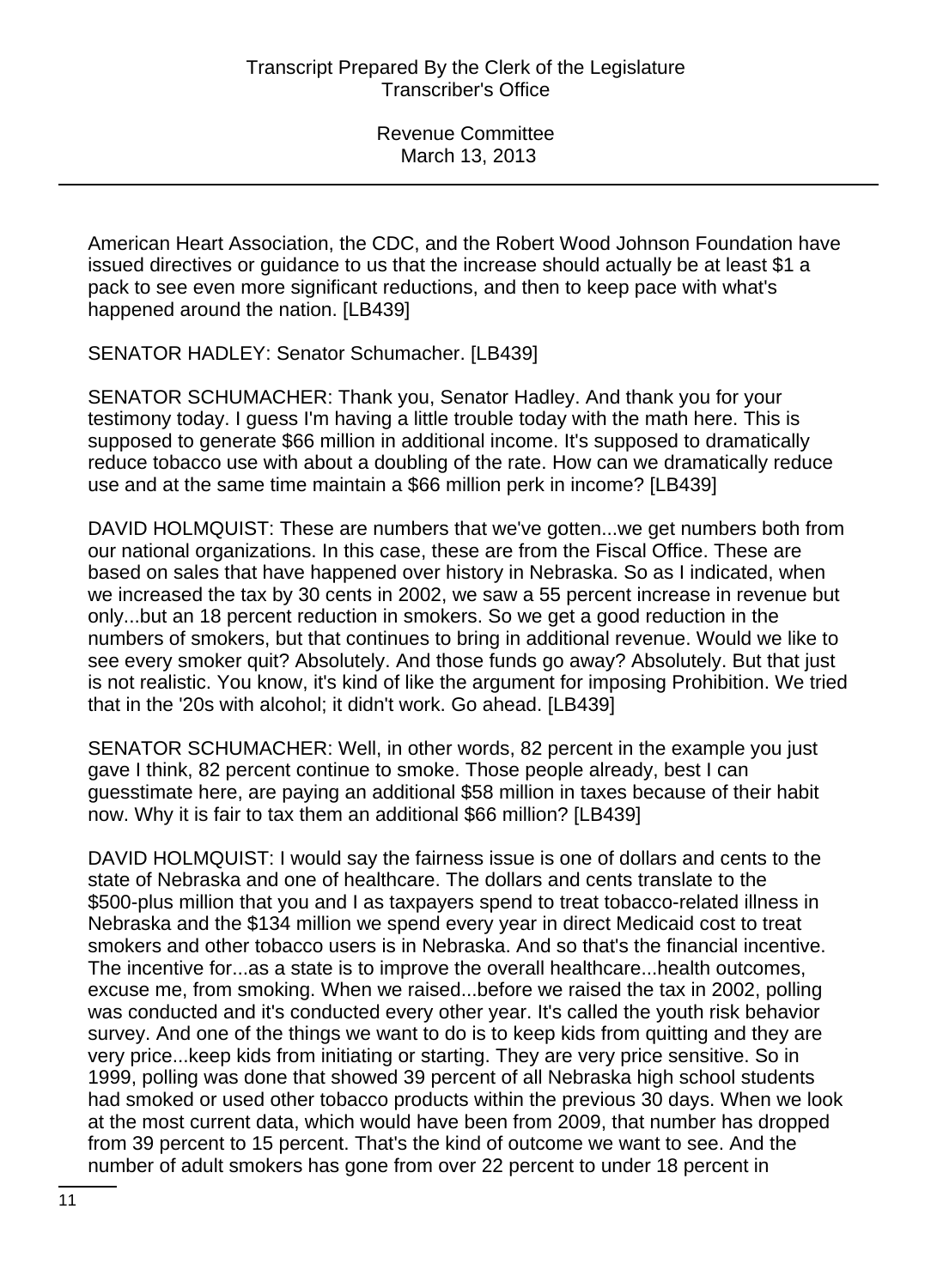American Heart Association, the CDC, and the Robert Wood Johnson Foundation have issued directives or guidance to us that the increase should actually be at least \$1 a pack to see even more significant reductions, and then to keep pace with what's happened around the nation. [LB439]

SENATOR HADLEY: Senator Schumacher. [LB439]

SENATOR SCHUMACHER: Thank you, Senator Hadley. And thank you for your testimony today. I guess I'm having a little trouble today with the math here. This is supposed to generate \$66 million in additional income. It's supposed to dramatically reduce tobacco use with about a doubling of the rate. How can we dramatically reduce use and at the same time maintain a \$66 million perk in income? [LB439]

DAVID HOLMQUIST: These are numbers that we've gotten...we get numbers both from our national organizations. In this case, these are from the Fiscal Office. These are based on sales that have happened over history in Nebraska. So as I indicated, when we increased the tax by 30 cents in 2002, we saw a 55 percent increase in revenue but only...but an 18 percent reduction in smokers. So we get a good reduction in the numbers of smokers, but that continues to bring in additional revenue. Would we like to see every smoker quit? Absolutely. And those funds go away? Absolutely. But that just is not realistic. You know, it's kind of like the argument for imposing Prohibition. We tried that in the '20s with alcohol; it didn't work. Go ahead. [LB439]

SENATOR SCHUMACHER: Well, in other words, 82 percent in the example you just gave I think, 82 percent continue to smoke. Those people already, best I can guesstimate here, are paying an additional \$58 million in taxes because of their habit now. Why it is fair to tax them an additional \$66 million? [LB439]

DAVID HOLMQUIST: I would say the fairness issue is one of dollars and cents to the state of Nebraska and one of healthcare. The dollars and cents translate to the \$500-plus million that you and I as taxpayers spend to treat tobacco-related illness in Nebraska and the \$134 million we spend every year in direct Medicaid cost to treat smokers and other tobacco users is in Nebraska. And so that's the financial incentive. The incentive for...as a state is to improve the overall healthcare...health outcomes, excuse me, from smoking. When we raised...before we raised the tax in 2002, polling was conducted and it's conducted every other year. It's called the youth risk behavior survey. And one of the things we want to do is to keep kids from quitting and they are very price...keep kids from initiating or starting. They are very price sensitive. So in 1999, polling was done that showed 39 percent of all Nebraska high school students had smoked or used other tobacco products within the previous 30 days. When we look at the most current data, which would have been from 2009, that number has dropped from 39 percent to 15 percent. That's the kind of outcome we want to see. And the number of adult smokers has gone from over 22 percent to under 18 percent in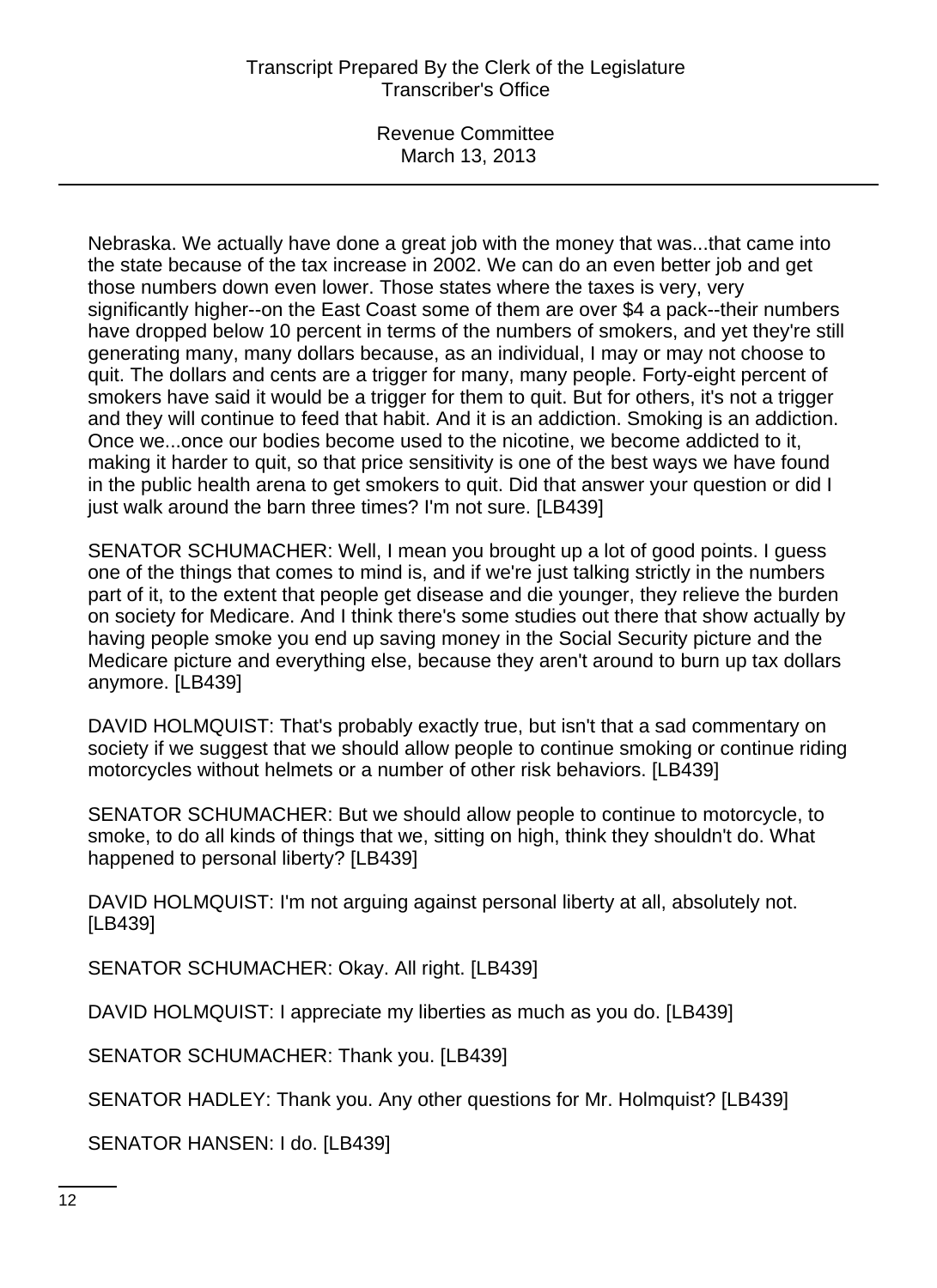Revenue Committee March 13, 2013

Nebraska. We actually have done a great job with the money that was...that came into the state because of the tax increase in 2002. We can do an even better job and get those numbers down even lower. Those states where the taxes is very, very significantly higher--on the East Coast some of them are over \$4 a pack--their numbers have dropped below 10 percent in terms of the numbers of smokers, and yet they're still generating many, many dollars because, as an individual, I may or may not choose to quit. The dollars and cents are a trigger for many, many people. Forty-eight percent of smokers have said it would be a trigger for them to quit. But for others, it's not a trigger and they will continue to feed that habit. And it is an addiction. Smoking is an addiction. Once we...once our bodies become used to the nicotine, we become addicted to it, making it harder to quit, so that price sensitivity is one of the best ways we have found in the public health arena to get smokers to quit. Did that answer your question or did I just walk around the barn three times? I'm not sure. [LB439]

SENATOR SCHUMACHER: Well, I mean you brought up a lot of good points. I guess one of the things that comes to mind is, and if we're just talking strictly in the numbers part of it, to the extent that people get disease and die younger, they relieve the burden on society for Medicare. And I think there's some studies out there that show actually by having people smoke you end up saving money in the Social Security picture and the Medicare picture and everything else, because they aren't around to burn up tax dollars anymore. [LB439]

DAVID HOLMQUIST: That's probably exactly true, but isn't that a sad commentary on society if we suggest that we should allow people to continue smoking or continue riding motorcycles without helmets or a number of other risk behaviors. [LB439]

SENATOR SCHUMACHER: But we should allow people to continue to motorcycle, to smoke, to do all kinds of things that we, sitting on high, think they shouldn't do. What happened to personal liberty? [LB439]

DAVID HOLMQUIST: I'm not arguing against personal liberty at all, absolutely not. [LB439]

SENATOR SCHUMACHER: Okay. All right. [LB439]

DAVID HOLMQUIST: I appreciate my liberties as much as you do. [LB439]

SENATOR SCHUMACHER: Thank you. [LB439]

SENATOR HADLEY: Thank you. Any other questions for Mr. Holmquist? [LB439]

SENATOR HANSEN: I do. [LB439]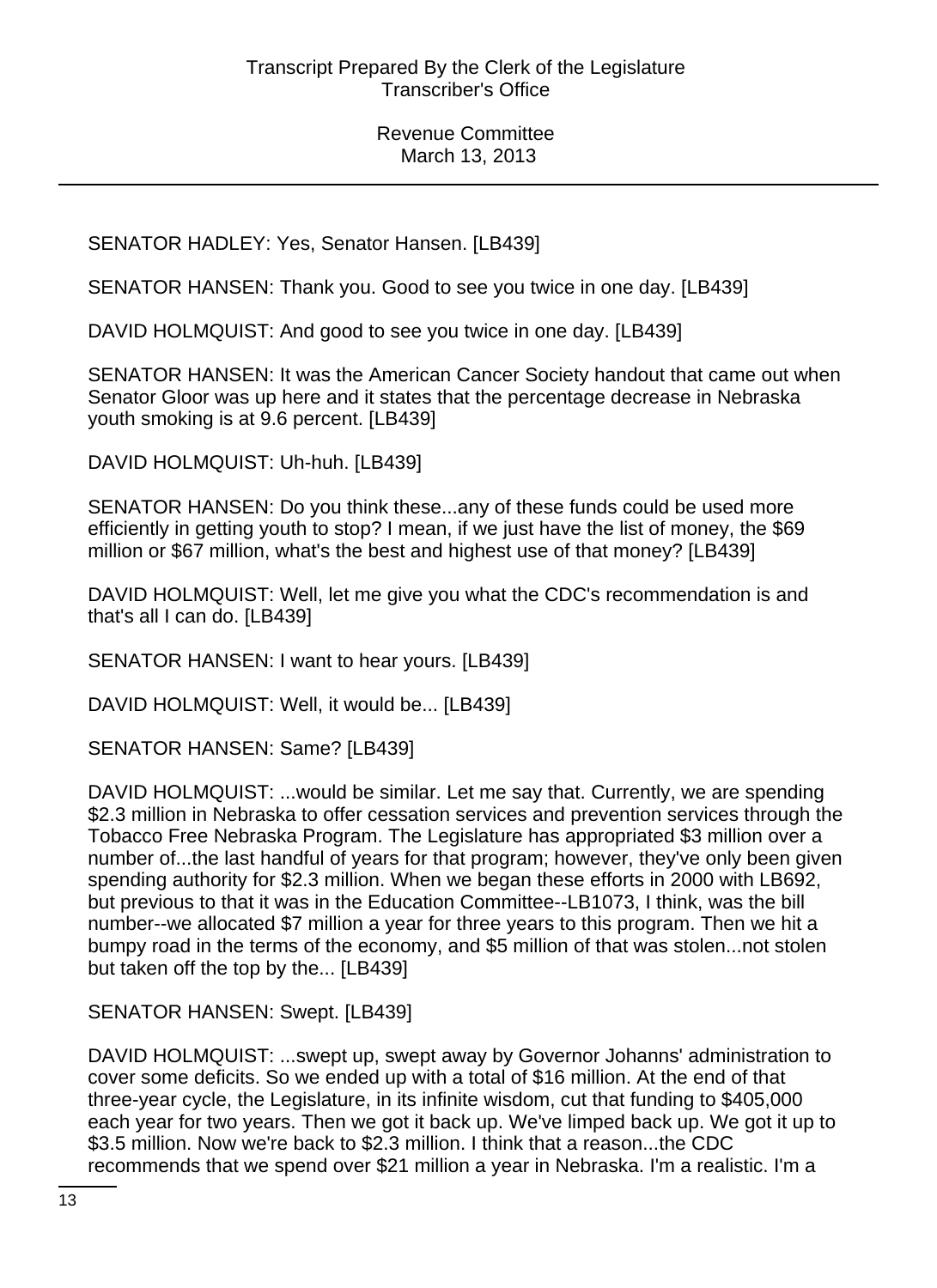SENATOR HADLEY: Yes, Senator Hansen. [LB439]

SENATOR HANSEN: Thank you. Good to see you twice in one day. [LB439]

DAVID HOLMQUIST: And good to see you twice in one day. [LB439]

SENATOR HANSEN: It was the American Cancer Society handout that came out when Senator Gloor was up here and it states that the percentage decrease in Nebraska youth smoking is at 9.6 percent. [LB439]

DAVID HOLMQUIST: Uh-huh. [LB439]

SENATOR HANSEN: Do you think these...any of these funds could be used more efficiently in getting youth to stop? I mean, if we just have the list of money, the \$69 million or \$67 million, what's the best and highest use of that money? [LB439]

DAVID HOLMQUIST: Well, let me give you what the CDC's recommendation is and that's all I can do. [LB439]

SENATOR HANSEN: I want to hear yours. [LB439]

DAVID HOLMQUIST: Well, it would be... [LB439]

SENATOR HANSEN: Same? [LB439]

DAVID HOLMQUIST: ...would be similar. Let me say that. Currently, we are spending \$2.3 million in Nebraska to offer cessation services and prevention services through the Tobacco Free Nebraska Program. The Legislature has appropriated \$3 million over a number of...the last handful of years for that program; however, they've only been given spending authority for \$2.3 million. When we began these efforts in 2000 with LB692, but previous to that it was in the Education Committee--LB1073, I think, was the bill number--we allocated \$7 million a year for three years to this program. Then we hit a bumpy road in the terms of the economy, and \$5 million of that was stolen...not stolen but taken off the top by the... [LB439]

SENATOR HANSEN: Swept. [LB439]

DAVID HOLMQUIST: ...swept up, swept away by Governor Johanns' administration to cover some deficits. So we ended up with a total of \$16 million. At the end of that three-year cycle, the Legislature, in its infinite wisdom, cut that funding to \$405,000 each year for two years. Then we got it back up. We've limped back up. We got it up to \$3.5 million. Now we're back to \$2.3 million. I think that a reason...the CDC recommends that we spend over \$21 million a year in Nebraska. I'm a realistic. I'm a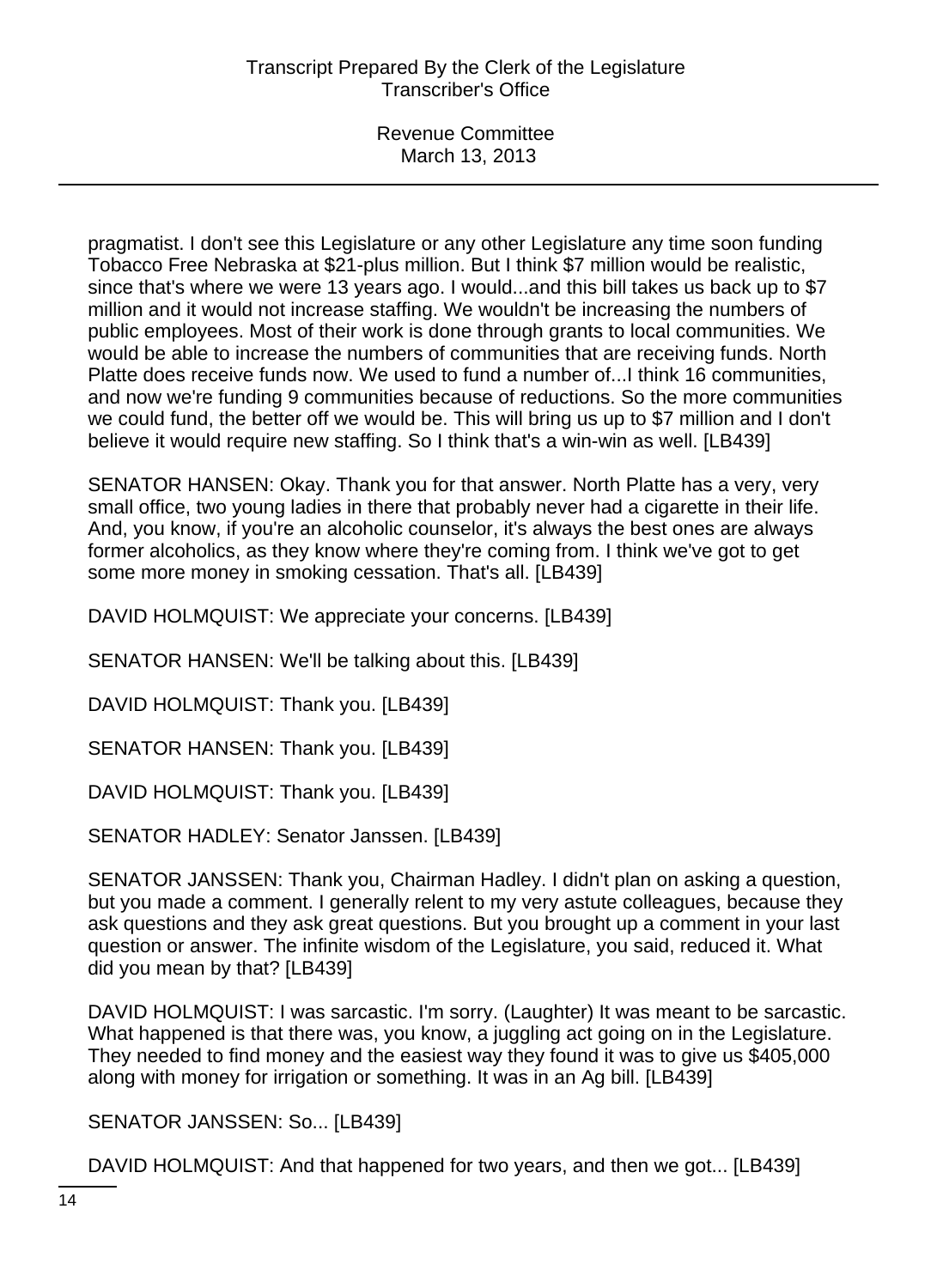pragmatist. I don't see this Legislature or any other Legislature any time soon funding Tobacco Free Nebraska at \$21-plus million. But I think \$7 million would be realistic, since that's where we were 13 years ago. I would...and this bill takes us back up to \$7 million and it would not increase staffing. We wouldn't be increasing the numbers of public employees. Most of their work is done through grants to local communities. We would be able to increase the numbers of communities that are receiving funds. North Platte does receive funds now. We used to fund a number of...I think 16 communities, and now we're funding 9 communities because of reductions. So the more communities we could fund, the better off we would be. This will bring us up to \$7 million and I don't believe it would require new staffing. So I think that's a win-win as well. [LB439]

SENATOR HANSEN: Okay. Thank you for that answer. North Platte has a very, very small office, two young ladies in there that probably never had a cigarette in their life. And, you know, if you're an alcoholic counselor, it's always the best ones are always former alcoholics, as they know where they're coming from. I think we've got to get some more money in smoking cessation. That's all. [LB439]

DAVID HOLMQUIST: We appreciate your concerns. [LB439]

SENATOR HANSEN: We'll be talking about this. [LB439]

DAVID HOLMQUIST: Thank you. [LB439]

SENATOR HANSEN: Thank you. [LB439]

DAVID HOLMQUIST: Thank you. [LB439]

SENATOR HADLEY: Senator Janssen. [LB439]

SENATOR JANSSEN: Thank you, Chairman Hadley. I didn't plan on asking a question, but you made a comment. I generally relent to my very astute colleagues, because they ask questions and they ask great questions. But you brought up a comment in your last question or answer. The infinite wisdom of the Legislature, you said, reduced it. What did you mean by that? [LB439]

DAVID HOLMQUIST: I was sarcastic. I'm sorry. (Laughter) It was meant to be sarcastic. What happened is that there was, you know, a juggling act going on in the Legislature. They needed to find money and the easiest way they found it was to give us \$405,000 along with money for irrigation or something. It was in an Ag bill. [LB439]

SENATOR JANSSEN: So... [LB439]

DAVID HOLMQUIST: And that happened for two years, and then we got... [LB439]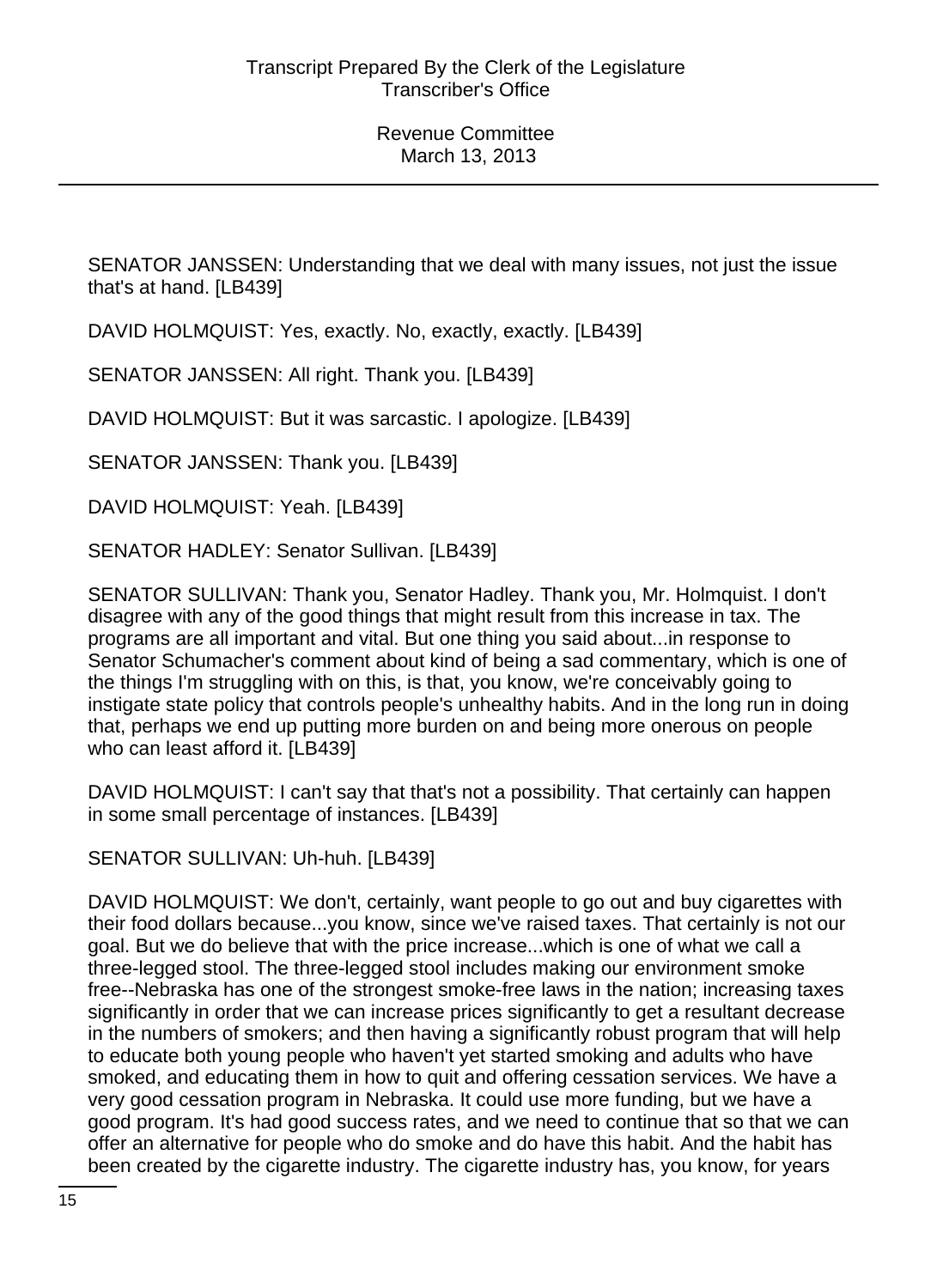SENATOR JANSSEN: Understanding that we deal with many issues, not just the issue that's at hand. [LB439]

DAVID HOLMQUIST: Yes, exactly. No, exactly, exactly. [LB439]

SENATOR JANSSEN: All right. Thank you. [LB439]

DAVID HOLMQUIST: But it was sarcastic. I apologize. [LB439]

SENATOR JANSSEN: Thank you. [LB439]

DAVID HOLMQUIST: Yeah. [LB439]

SENATOR HADLEY: Senator Sullivan. [LB439]

SENATOR SULLIVAN: Thank you, Senator Hadley. Thank you, Mr. Holmquist. I don't disagree with any of the good things that might result from this increase in tax. The programs are all important and vital. But one thing you said about...in response to Senator Schumacher's comment about kind of being a sad commentary, which is one of the things I'm struggling with on this, is that, you know, we're conceivably going to instigate state policy that controls people's unhealthy habits. And in the long run in doing that, perhaps we end up putting more burden on and being more onerous on people who can least afford it. [LB439]

DAVID HOLMQUIST: I can't say that that's not a possibility. That certainly can happen in some small percentage of instances. [LB439]

SENATOR SULLIVAN: Uh-huh. [LB439]

DAVID HOLMQUIST: We don't, certainly, want people to go out and buy cigarettes with their food dollars because...you know, since we've raised taxes. That certainly is not our goal. But we do believe that with the price increase...which is one of what we call a three-legged stool. The three-legged stool includes making our environment smoke free--Nebraska has one of the strongest smoke-free laws in the nation; increasing taxes significantly in order that we can increase prices significantly to get a resultant decrease in the numbers of smokers; and then having a significantly robust program that will help to educate both young people who haven't yet started smoking and adults who have smoked, and educating them in how to quit and offering cessation services. We have a very good cessation program in Nebraska. It could use more funding, but we have a good program. It's had good success rates, and we need to continue that so that we can offer an alternative for people who do smoke and do have this habit. And the habit has been created by the cigarette industry. The cigarette industry has, you know, for years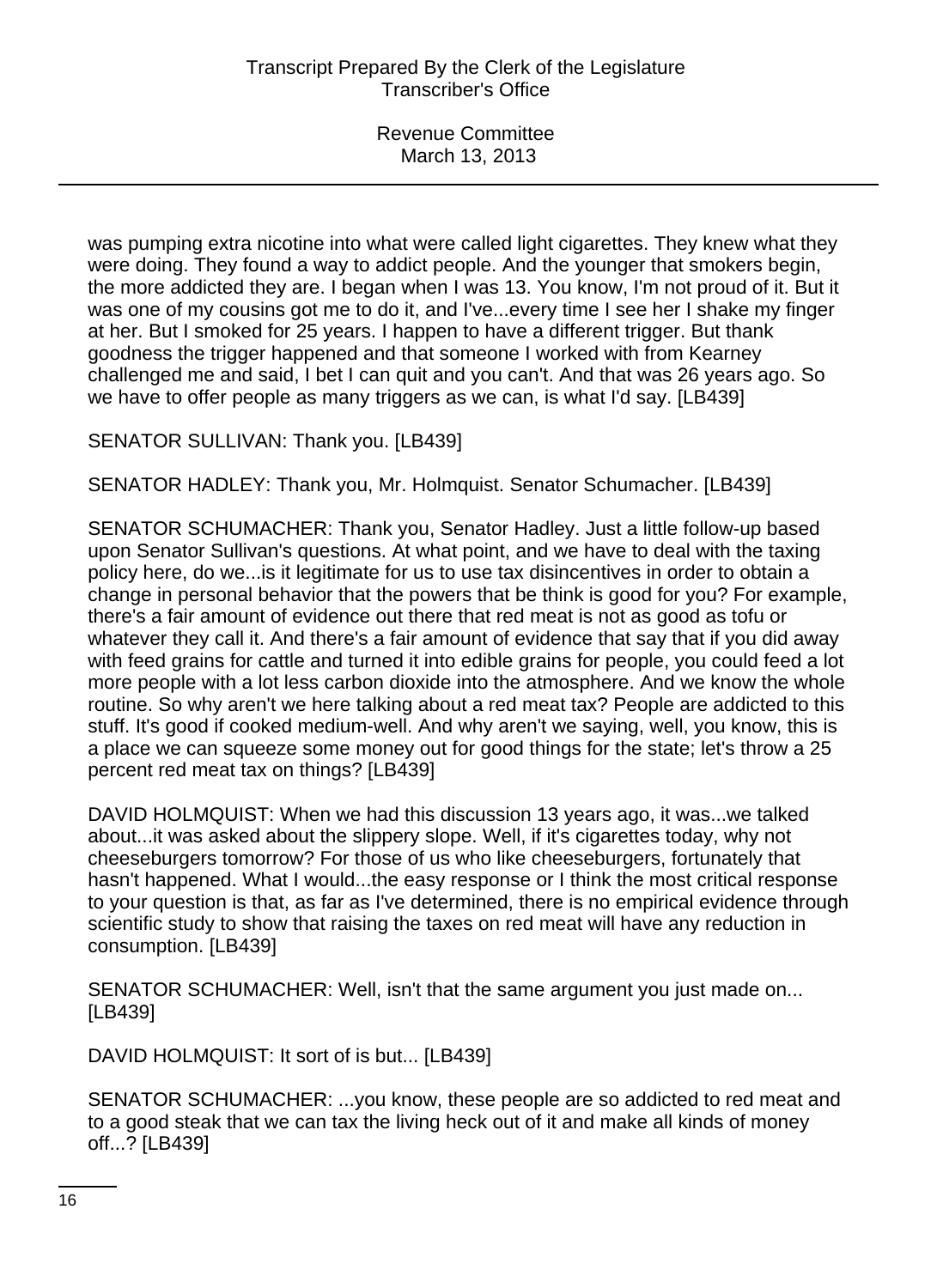was pumping extra nicotine into what were called light cigarettes. They knew what they were doing. They found a way to addict people. And the younger that smokers begin, the more addicted they are. I began when I was 13. You know, I'm not proud of it. But it was one of my cousins got me to do it, and I've...every time I see her I shake my finger at her. But I smoked for 25 years. I happen to have a different trigger. But thank goodness the trigger happened and that someone I worked with from Kearney challenged me and said, I bet I can quit and you can't. And that was 26 years ago. So we have to offer people as many triggers as we can, is what I'd say. [LB439]

SENATOR SULLIVAN: Thank you. [LB439]

SENATOR HADLEY: Thank you, Mr. Holmquist. Senator Schumacher. [LB439]

SENATOR SCHUMACHER: Thank you, Senator Hadley. Just a little follow-up based upon Senator Sullivan's questions. At what point, and we have to deal with the taxing policy here, do we...is it legitimate for us to use tax disincentives in order to obtain a change in personal behavior that the powers that be think is good for you? For example, there's a fair amount of evidence out there that red meat is not as good as tofu or whatever they call it. And there's a fair amount of evidence that say that if you did away with feed grains for cattle and turned it into edible grains for people, you could feed a lot more people with a lot less carbon dioxide into the atmosphere. And we know the whole routine. So why aren't we here talking about a red meat tax? People are addicted to this stuff. It's good if cooked medium-well. And why aren't we saying, well, you know, this is a place we can squeeze some money out for good things for the state; let's throw a 25 percent red meat tax on things? [LB439]

DAVID HOLMQUIST: When we had this discussion 13 years ago, it was...we talked about...it was asked about the slippery slope. Well, if it's cigarettes today, why not cheeseburgers tomorrow? For those of us who like cheeseburgers, fortunately that hasn't happened. What I would...the easy response or I think the most critical response to your question is that, as far as I've determined, there is no empirical evidence through scientific study to show that raising the taxes on red meat will have any reduction in consumption. [LB439]

SENATOR SCHUMACHER: Well, isn't that the same argument you just made on... [LB439]

DAVID HOLMQUIST: It sort of is but... [LB439]

SENATOR SCHUMACHER: ...you know, these people are so addicted to red meat and to a good steak that we can tax the living heck out of it and make all kinds of money off...? [LB439]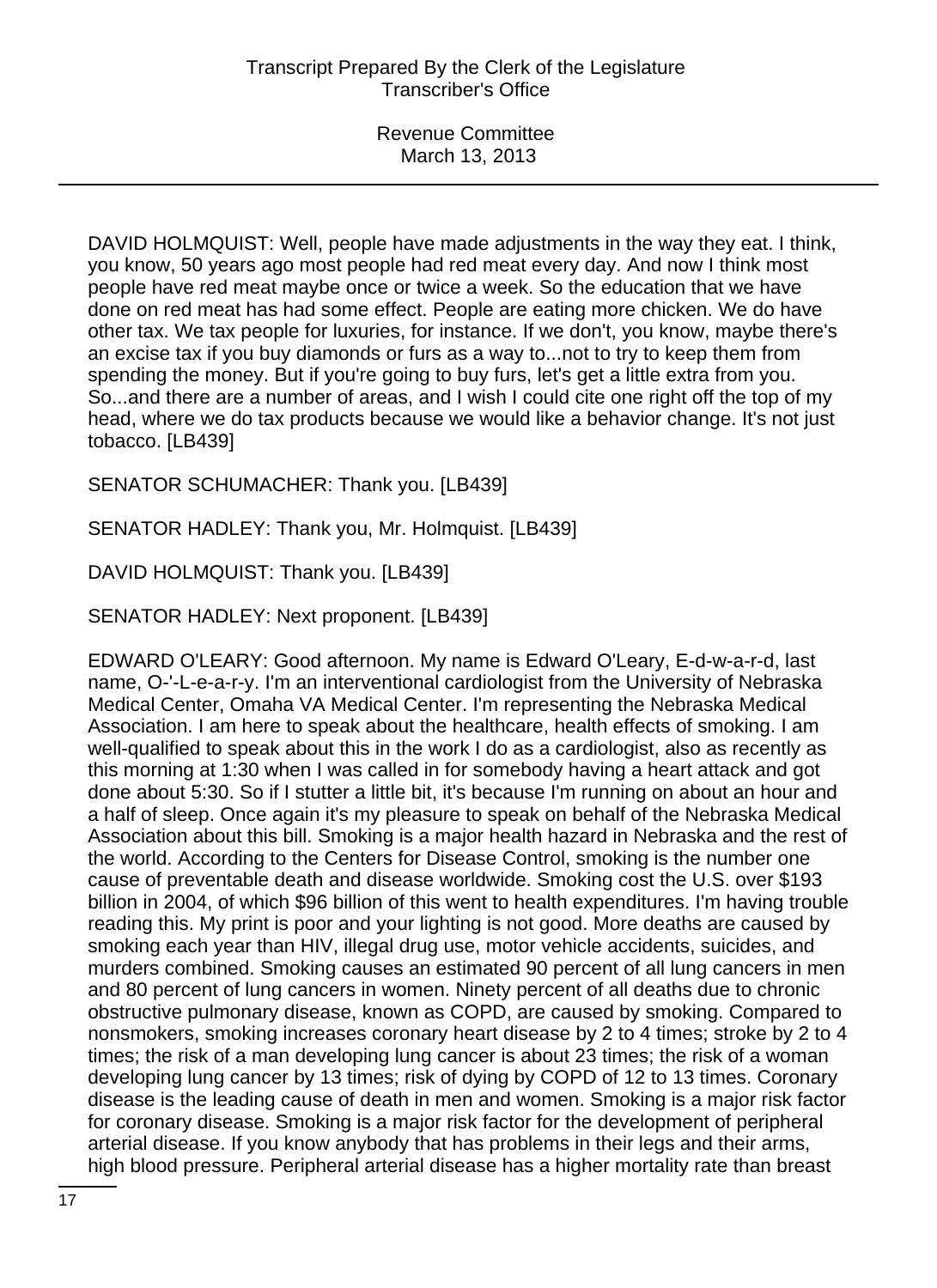DAVID HOLMQUIST: Well, people have made adjustments in the way they eat. I think, you know, 50 years ago most people had red meat every day. And now I think most people have red meat maybe once or twice a week. So the education that we have done on red meat has had some effect. People are eating more chicken. We do have other tax. We tax people for luxuries, for instance. If we don't, you know, maybe there's an excise tax if you buy diamonds or furs as a way to...not to try to keep them from spending the money. But if you're going to buy furs, let's get a little extra from you. So...and there are a number of areas, and I wish I could cite one right off the top of my head, where we do tax products because we would like a behavior change. It's not just tobacco. [LB439]

SENATOR SCHUMACHER: Thank you. [LB439]

SENATOR HADLEY: Thank you, Mr. Holmquist. [LB439]

DAVID HOLMQUIST: Thank you. [LB439]

SENATOR HADLEY: Next proponent. [LB439]

EDWARD O'LEARY: Good afternoon. My name is Edward O'Leary, E-d-w-a-r-d, last name, O-'-L-e-a-r-y. I'm an interventional cardiologist from the University of Nebraska Medical Center, Omaha VA Medical Center. I'm representing the Nebraska Medical Association. I am here to speak about the healthcare, health effects of smoking. I am well-qualified to speak about this in the work I do as a cardiologist, also as recently as this morning at 1:30 when I was called in for somebody having a heart attack and got done about 5:30. So if I stutter a little bit, it's because I'm running on about an hour and a half of sleep. Once again it's my pleasure to speak on behalf of the Nebraska Medical Association about this bill. Smoking is a major health hazard in Nebraska and the rest of the world. According to the Centers for Disease Control, smoking is the number one cause of preventable death and disease worldwide. Smoking cost the U.S. over \$193 billion in 2004, of which \$96 billion of this went to health expenditures. I'm having trouble reading this. My print is poor and your lighting is not good. More deaths are caused by smoking each year than HIV, illegal drug use, motor vehicle accidents, suicides, and murders combined. Smoking causes an estimated 90 percent of all lung cancers in men and 80 percent of lung cancers in women. Ninety percent of all deaths due to chronic obstructive pulmonary disease, known as COPD, are caused by smoking. Compared to nonsmokers, smoking increases coronary heart disease by 2 to 4 times; stroke by 2 to 4 times; the risk of a man developing lung cancer is about 23 times; the risk of a woman developing lung cancer by 13 times; risk of dying by COPD of 12 to 13 times. Coronary disease is the leading cause of death in men and women. Smoking is a major risk factor for coronary disease. Smoking is a major risk factor for the development of peripheral arterial disease. If you know anybody that has problems in their legs and their arms, high blood pressure. Peripheral arterial disease has a higher mortality rate than breast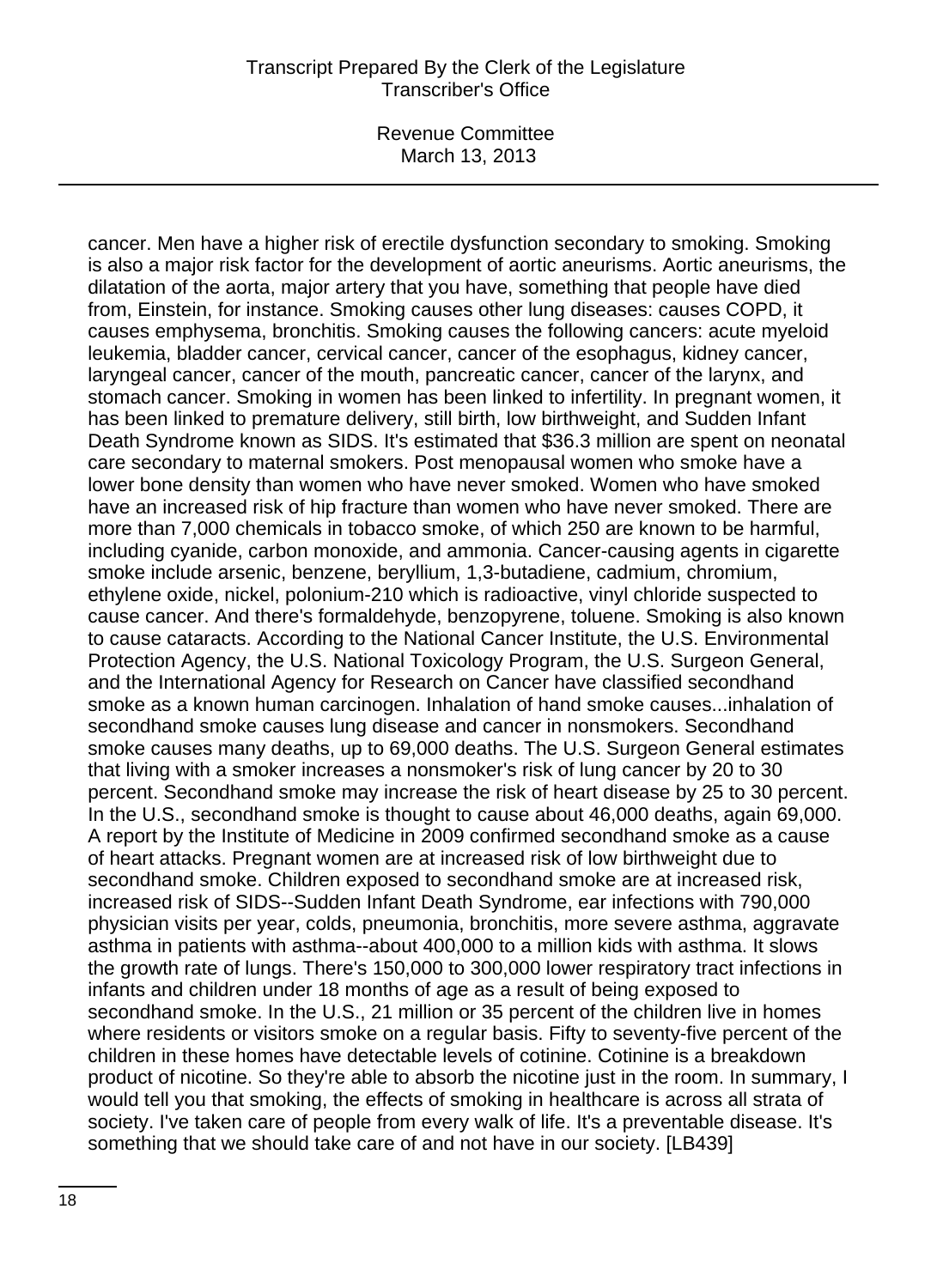Revenue Committee March 13, 2013

cancer. Men have a higher risk of erectile dysfunction secondary to smoking. Smoking is also a major risk factor for the development of aortic aneurisms. Aortic aneurisms, the dilatation of the aorta, major artery that you have, something that people have died from, Einstein, for instance. Smoking causes other lung diseases: causes COPD, it causes emphysema, bronchitis. Smoking causes the following cancers: acute myeloid leukemia, bladder cancer, cervical cancer, cancer of the esophagus, kidney cancer, laryngeal cancer, cancer of the mouth, pancreatic cancer, cancer of the larynx, and stomach cancer. Smoking in women has been linked to infertility. In pregnant women, it has been linked to premature delivery, still birth, low birthweight, and Sudden Infant Death Syndrome known as SIDS. It's estimated that \$36.3 million are spent on neonatal care secondary to maternal smokers. Post menopausal women who smoke have a lower bone density than women who have never smoked. Women who have smoked have an increased risk of hip fracture than women who have never smoked. There are more than 7,000 chemicals in tobacco smoke, of which 250 are known to be harmful, including cyanide, carbon monoxide, and ammonia. Cancer-causing agents in cigarette smoke include arsenic, benzene, beryllium, 1,3-butadiene, cadmium, chromium, ethylene oxide, nickel, polonium-210 which is radioactive, vinyl chloride suspected to cause cancer. And there's formaldehyde, benzopyrene, toluene. Smoking is also known to cause cataracts. According to the National Cancer Institute, the U.S. Environmental Protection Agency, the U.S. National Toxicology Program, the U.S. Surgeon General, and the International Agency for Research on Cancer have classified secondhand smoke as a known human carcinogen. Inhalation of hand smoke causes...inhalation of secondhand smoke causes lung disease and cancer in nonsmokers. Secondhand smoke causes many deaths, up to 69,000 deaths. The U.S. Surgeon General estimates that living with a smoker increases a nonsmoker's risk of lung cancer by 20 to 30 percent. Secondhand smoke may increase the risk of heart disease by 25 to 30 percent. In the U.S., secondhand smoke is thought to cause about 46,000 deaths, again 69,000. A report by the Institute of Medicine in 2009 confirmed secondhand smoke as a cause of heart attacks. Pregnant women are at increased risk of low birthweight due to secondhand smoke. Children exposed to secondhand smoke are at increased risk, increased risk of SIDS--Sudden Infant Death Syndrome, ear infections with 790,000 physician visits per year, colds, pneumonia, bronchitis, more severe asthma, aggravate asthma in patients with asthma--about 400,000 to a million kids with asthma. It slows the growth rate of lungs. There's 150,000 to 300,000 lower respiratory tract infections in infants and children under 18 months of age as a result of being exposed to secondhand smoke. In the U.S., 21 million or 35 percent of the children live in homes where residents or visitors smoke on a regular basis. Fifty to seventy-five percent of the children in these homes have detectable levels of cotinine. Cotinine is a breakdown product of nicotine. So they're able to absorb the nicotine just in the room. In summary, I would tell you that smoking, the effects of smoking in healthcare is across all strata of society. I've taken care of people from every walk of life. It's a preventable disease. It's something that we should take care of and not have in our society. [LB439]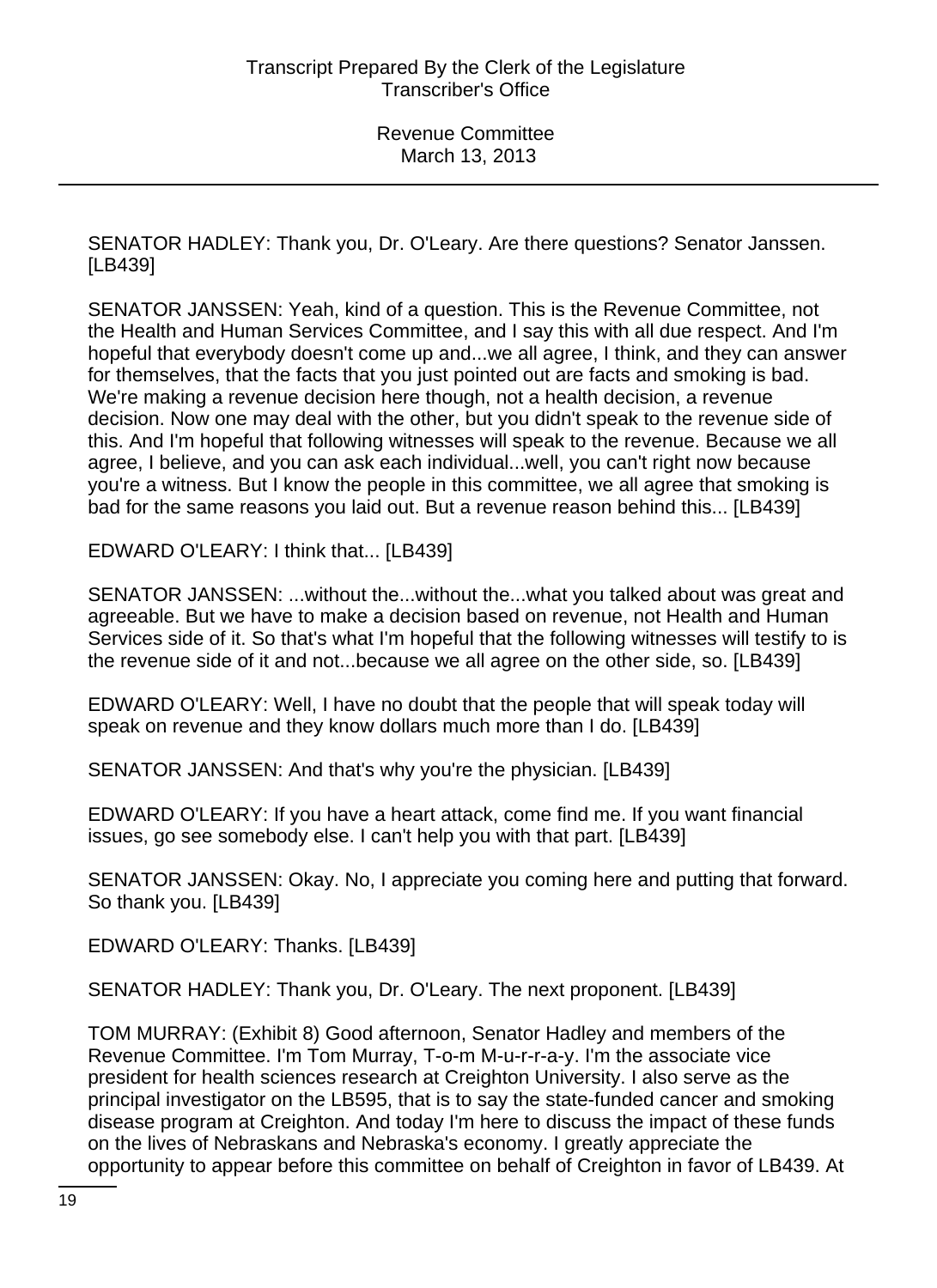SENATOR HADLEY: Thank you, Dr. O'Leary. Are there questions? Senator Janssen. [LB439]

SENATOR JANSSEN: Yeah, kind of a question. This is the Revenue Committee, not the Health and Human Services Committee, and I say this with all due respect. And I'm hopeful that everybody doesn't come up and...we all agree, I think, and they can answer for themselves, that the facts that you just pointed out are facts and smoking is bad. We're making a revenue decision here though, not a health decision, a revenue decision. Now one may deal with the other, but you didn't speak to the revenue side of this. And I'm hopeful that following witnesses will speak to the revenue. Because we all agree, I believe, and you can ask each individual...well, you can't right now because you're a witness. But I know the people in this committee, we all agree that smoking is bad for the same reasons you laid out. But a revenue reason behind this... [LB439]

EDWARD O'LEARY: I think that... [LB439]

SENATOR JANSSEN: ...without the...without the...what you talked about was great and agreeable. But we have to make a decision based on revenue, not Health and Human Services side of it. So that's what I'm hopeful that the following witnesses will testify to is the revenue side of it and not...because we all agree on the other side, so. [LB439]

EDWARD O'LEARY: Well, I have no doubt that the people that will speak today will speak on revenue and they know dollars much more than I do. [LB439]

SENATOR JANSSEN: And that's why you're the physician. [LB439]

EDWARD O'LEARY: If you have a heart attack, come find me. If you want financial issues, go see somebody else. I can't help you with that part. [LB439]

SENATOR JANSSEN: Okay. No, I appreciate you coming here and putting that forward. So thank you. [LB439]

EDWARD O'LEARY: Thanks. [LB439]

SENATOR HADLEY: Thank you, Dr. O'Leary. The next proponent. [LB439]

TOM MURRAY: (Exhibit 8) Good afternoon, Senator Hadley and members of the Revenue Committee. I'm Tom Murray, T-o-m M-u-r-r-a-y. I'm the associate vice president for health sciences research at Creighton University. I also serve as the principal investigator on the LB595, that is to say the state-funded cancer and smoking disease program at Creighton. And today I'm here to discuss the impact of these funds on the lives of Nebraskans and Nebraska's economy. I greatly appreciate the opportunity to appear before this committee on behalf of Creighton in favor of LB439. At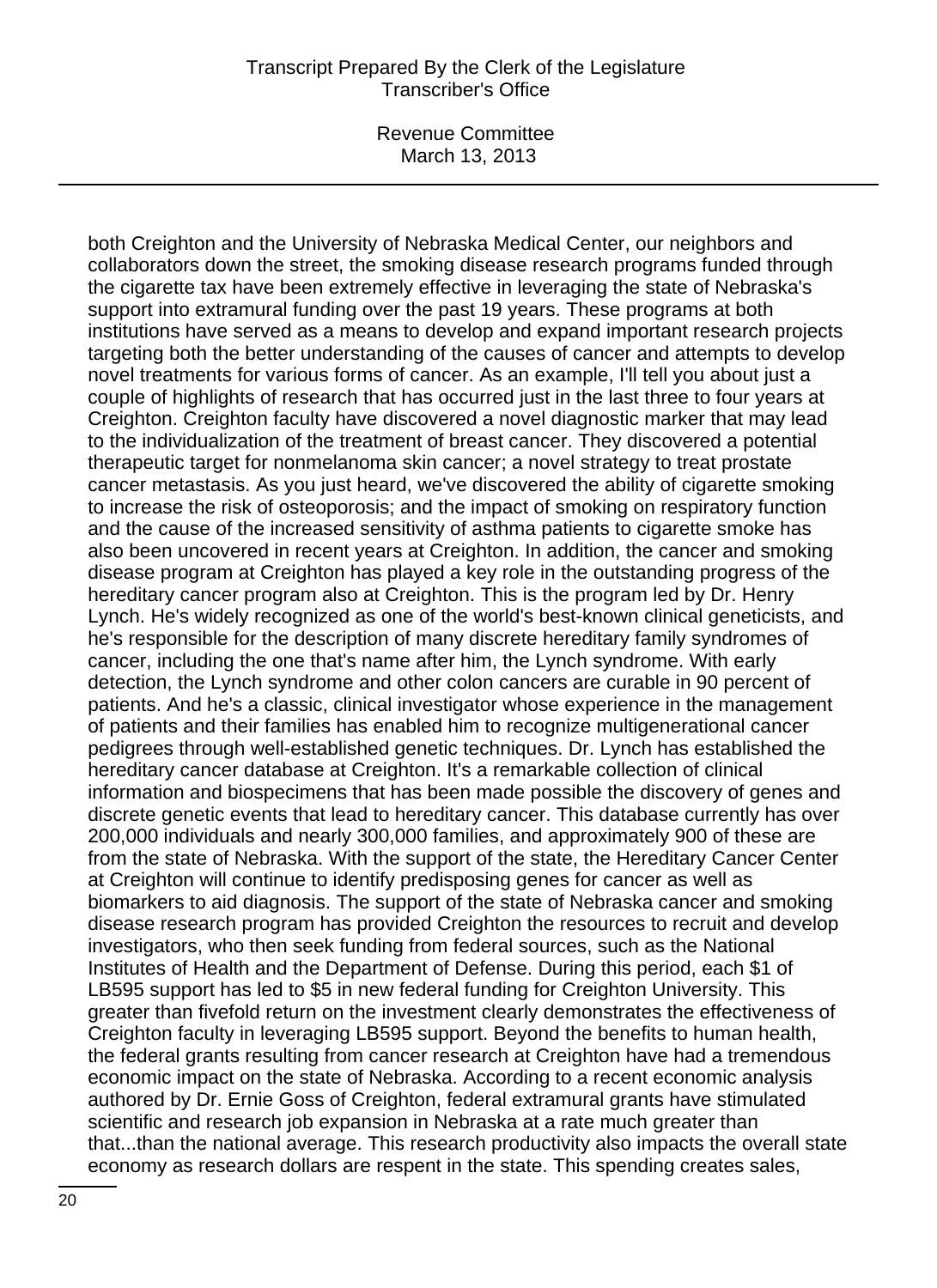Revenue Committee March 13, 2013

both Creighton and the University of Nebraska Medical Center, our neighbors and collaborators down the street, the smoking disease research programs funded through the cigarette tax have been extremely effective in leveraging the state of Nebraska's support into extramural funding over the past 19 years. These programs at both institutions have served as a means to develop and expand important research projects targeting both the better understanding of the causes of cancer and attempts to develop novel treatments for various forms of cancer. As an example, I'll tell you about just a couple of highlights of research that has occurred just in the last three to four years at Creighton. Creighton faculty have discovered a novel diagnostic marker that may lead to the individualization of the treatment of breast cancer. They discovered a potential therapeutic target for nonmelanoma skin cancer; a novel strategy to treat prostate cancer metastasis. As you just heard, we've discovered the ability of cigarette smoking to increase the risk of osteoporosis; and the impact of smoking on respiratory function and the cause of the increased sensitivity of asthma patients to cigarette smoke has also been uncovered in recent years at Creighton. In addition, the cancer and smoking disease program at Creighton has played a key role in the outstanding progress of the hereditary cancer program also at Creighton. This is the program led by Dr. Henry Lynch. He's widely recognized as one of the world's best-known clinical geneticists, and he's responsible for the description of many discrete hereditary family syndromes of cancer, including the one that's name after him, the Lynch syndrome. With early detection, the Lynch syndrome and other colon cancers are curable in 90 percent of patients. And he's a classic, clinical investigator whose experience in the management of patients and their families has enabled him to recognize multigenerational cancer pedigrees through well-established genetic techniques. Dr. Lynch has established the hereditary cancer database at Creighton. It's a remarkable collection of clinical information and biospecimens that has been made possible the discovery of genes and discrete genetic events that lead to hereditary cancer. This database currently has over 200,000 individuals and nearly 300,000 families, and approximately 900 of these are from the state of Nebraska. With the support of the state, the Hereditary Cancer Center at Creighton will continue to identify predisposing genes for cancer as well as biomarkers to aid diagnosis. The support of the state of Nebraska cancer and smoking disease research program has provided Creighton the resources to recruit and develop investigators, who then seek funding from federal sources, such as the National Institutes of Health and the Department of Defense. During this period, each \$1 of LB595 support has led to \$5 in new federal funding for Creighton University. This greater than fivefold return on the investment clearly demonstrates the effectiveness of Creighton faculty in leveraging LB595 support. Beyond the benefits to human health, the federal grants resulting from cancer research at Creighton have had a tremendous economic impact on the state of Nebraska. According to a recent economic analysis authored by Dr. Ernie Goss of Creighton, federal extramural grants have stimulated scientific and research job expansion in Nebraska at a rate much greater than that...than the national average. This research productivity also impacts the overall state economy as research dollars are respent in the state. This spending creates sales,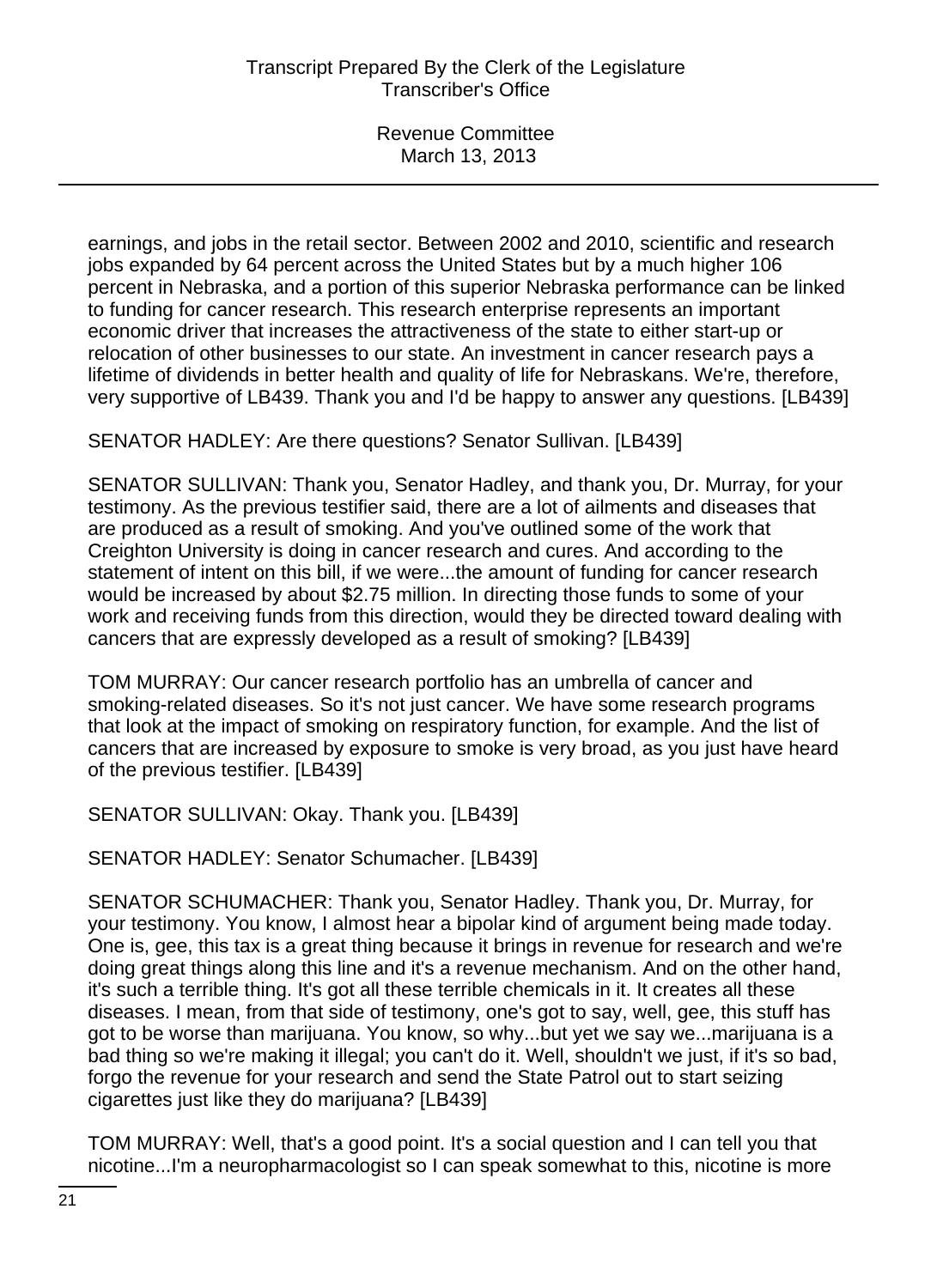earnings, and jobs in the retail sector. Between 2002 and 2010, scientific and research jobs expanded by 64 percent across the United States but by a much higher 106 percent in Nebraska, and a portion of this superior Nebraska performance can be linked to funding for cancer research. This research enterprise represents an important economic driver that increases the attractiveness of the state to either start-up or relocation of other businesses to our state. An investment in cancer research pays a lifetime of dividends in better health and quality of life for Nebraskans. We're, therefore, very supportive of LB439. Thank you and I'd be happy to answer any questions. [LB439]

SENATOR HADLEY: Are there questions? Senator Sullivan. [LB439]

SENATOR SULLIVAN: Thank you, Senator Hadley, and thank you, Dr. Murray, for your testimony. As the previous testifier said, there are a lot of ailments and diseases that are produced as a result of smoking. And you've outlined some of the work that Creighton University is doing in cancer research and cures. And according to the statement of intent on this bill, if we were...the amount of funding for cancer research would be increased by about \$2.75 million. In directing those funds to some of your work and receiving funds from this direction, would they be directed toward dealing with cancers that are expressly developed as a result of smoking? [LB439]

TOM MURRAY: Our cancer research portfolio has an umbrella of cancer and smoking-related diseases. So it's not just cancer. We have some research programs that look at the impact of smoking on respiratory function, for example. And the list of cancers that are increased by exposure to smoke is very broad, as you just have heard of the previous testifier. [LB439]

SENATOR SULLIVAN: Okay. Thank you. [LB439]

SENATOR HADLEY: Senator Schumacher. [LB439]

SENATOR SCHUMACHER: Thank you, Senator Hadley. Thank you, Dr. Murray, for your testimony. You know, I almost hear a bipolar kind of argument being made today. One is, gee, this tax is a great thing because it brings in revenue for research and we're doing great things along this line and it's a revenue mechanism. And on the other hand, it's such a terrible thing. It's got all these terrible chemicals in it. It creates all these diseases. I mean, from that side of testimony, one's got to say, well, gee, this stuff has got to be worse than marijuana. You know, so why...but yet we say we...marijuana is a bad thing so we're making it illegal; you can't do it. Well, shouldn't we just, if it's so bad, forgo the revenue for your research and send the State Patrol out to start seizing cigarettes just like they do marijuana? [LB439]

TOM MURRAY: Well, that's a good point. It's a social question and I can tell you that nicotine...I'm a neuropharmacologist so I can speak somewhat to this, nicotine is more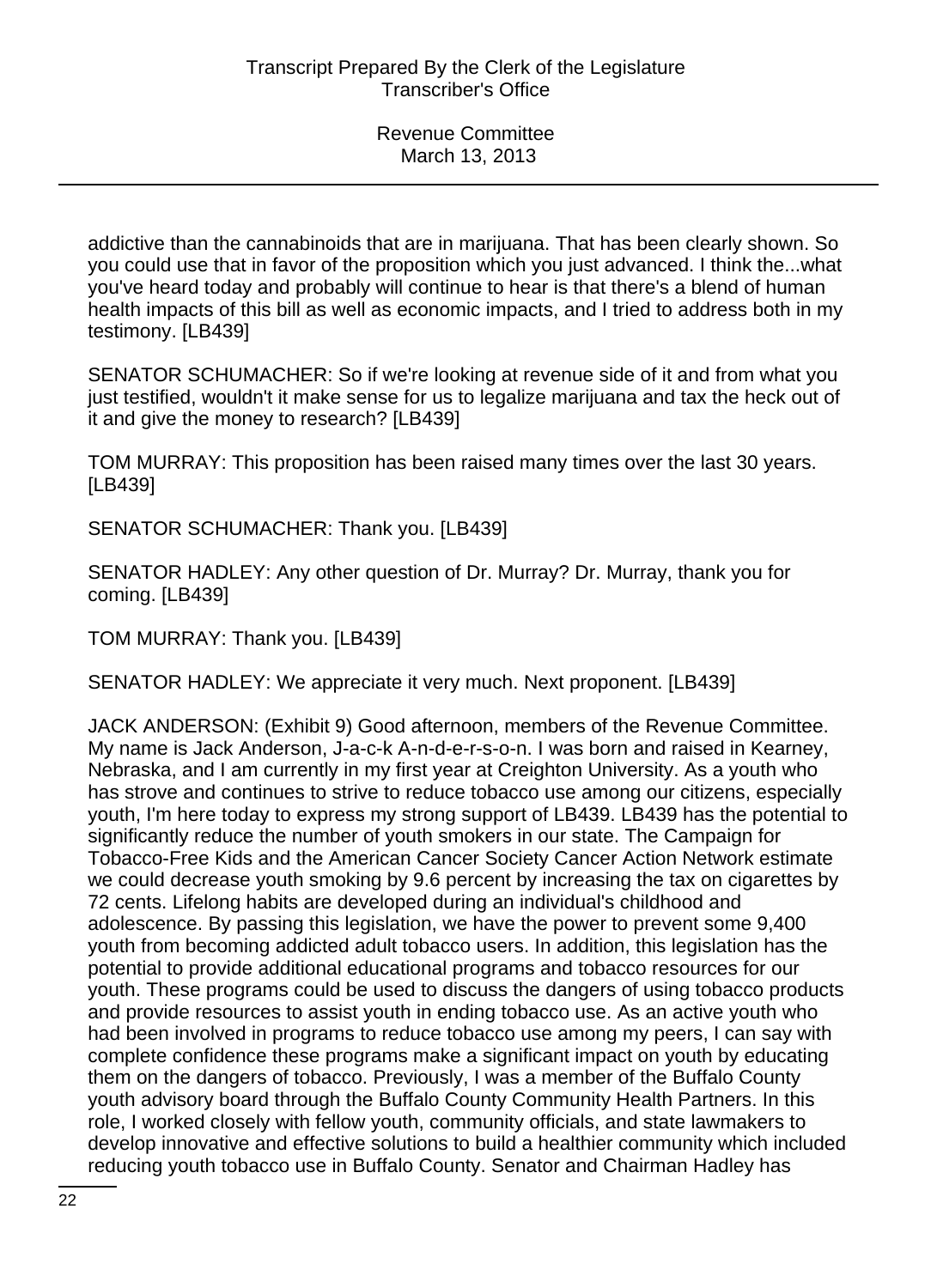addictive than the cannabinoids that are in marijuana. That has been clearly shown. So you could use that in favor of the proposition which you just advanced. I think the...what you've heard today and probably will continue to hear is that there's a blend of human health impacts of this bill as well as economic impacts, and I tried to address both in my testimony. [LB439]

SENATOR SCHUMACHER: So if we're looking at revenue side of it and from what you just testified, wouldn't it make sense for us to legalize marijuana and tax the heck out of it and give the money to research? [LB439]

TOM MURRAY: This proposition has been raised many times over the last 30 years. [LB439]

SENATOR SCHUMACHER: Thank you. [LB439]

SENATOR HADLEY: Any other question of Dr. Murray? Dr. Murray, thank you for coming. [LB439]

TOM MURRAY: Thank you. [LB439]

SENATOR HADLEY: We appreciate it very much. Next proponent. [LB439]

JACK ANDERSON: (Exhibit 9) Good afternoon, members of the Revenue Committee. My name is Jack Anderson, J-a-c-k A-n-d-e-r-s-o-n. I was born and raised in Kearney, Nebraska, and I am currently in my first year at Creighton University. As a youth who has strove and continues to strive to reduce tobacco use among our citizens, especially youth, I'm here today to express my strong support of LB439. LB439 has the potential to significantly reduce the number of youth smokers in our state. The Campaign for Tobacco-Free Kids and the American Cancer Society Cancer Action Network estimate we could decrease youth smoking by 9.6 percent by increasing the tax on cigarettes by 72 cents. Lifelong habits are developed during an individual's childhood and adolescence. By passing this legislation, we have the power to prevent some 9,400 youth from becoming addicted adult tobacco users. In addition, this legislation has the potential to provide additional educational programs and tobacco resources for our youth. These programs could be used to discuss the dangers of using tobacco products and provide resources to assist youth in ending tobacco use. As an active youth who had been involved in programs to reduce tobacco use among my peers, I can say with complete confidence these programs make a significant impact on youth by educating them on the dangers of tobacco. Previously, I was a member of the Buffalo County youth advisory board through the Buffalo County Community Health Partners. In this role, I worked closely with fellow youth, community officials, and state lawmakers to develop innovative and effective solutions to build a healthier community which included reducing youth tobacco use in Buffalo County. Senator and Chairman Hadley has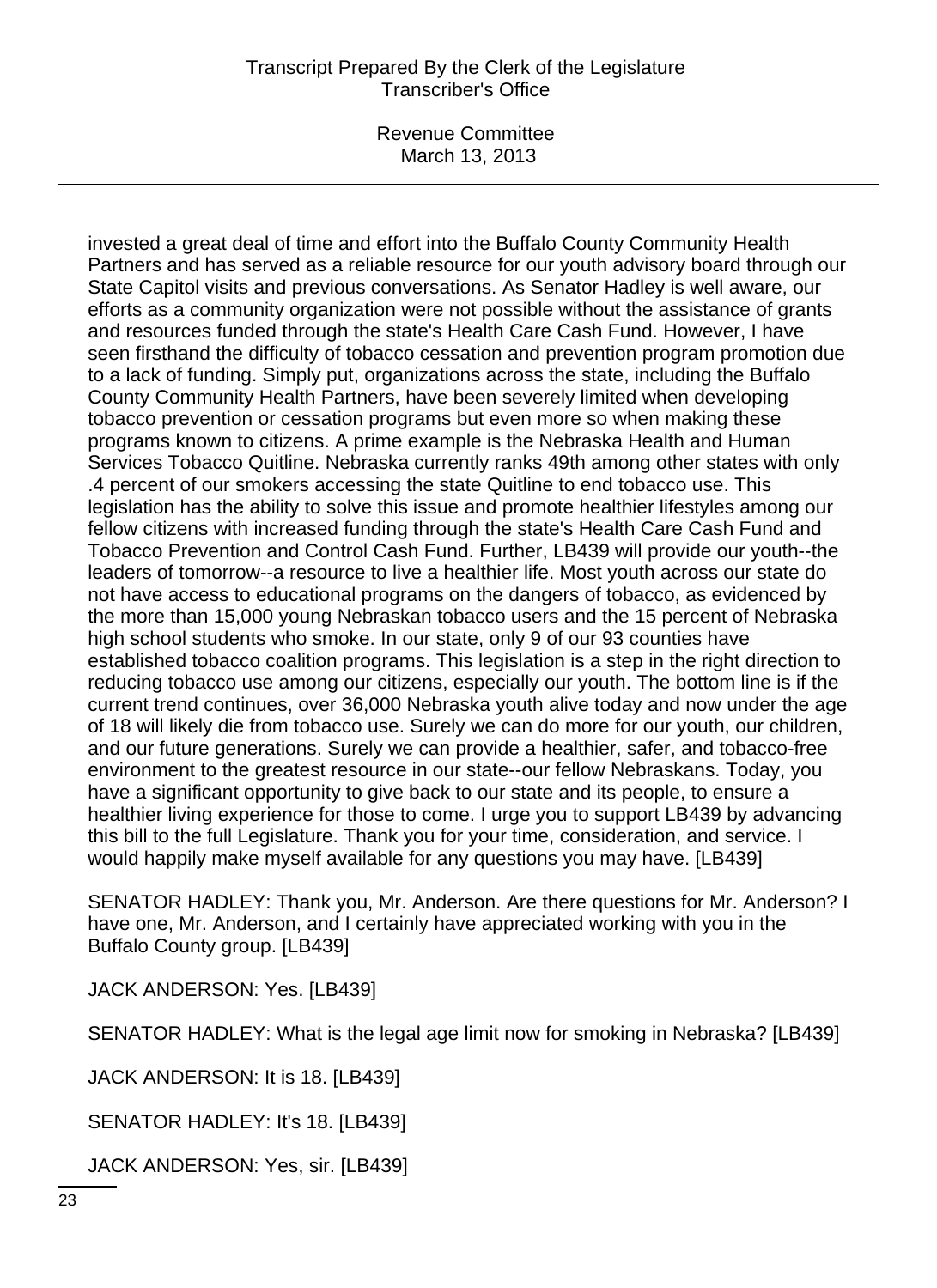Revenue Committee March 13, 2013

invested a great deal of time and effort into the Buffalo County Community Health Partners and has served as a reliable resource for our youth advisory board through our State Capitol visits and previous conversations. As Senator Hadley is well aware, our efforts as a community organization were not possible without the assistance of grants and resources funded through the state's Health Care Cash Fund. However, I have seen firsthand the difficulty of tobacco cessation and prevention program promotion due to a lack of funding. Simply put, organizations across the state, including the Buffalo County Community Health Partners, have been severely limited when developing tobacco prevention or cessation programs but even more so when making these programs known to citizens. A prime example is the Nebraska Health and Human Services Tobacco Quitline. Nebraska currently ranks 49th among other states with only .4 percent of our smokers accessing the state Quitline to end tobacco use. This legislation has the ability to solve this issue and promote healthier lifestyles among our fellow citizens with increased funding through the state's Health Care Cash Fund and Tobacco Prevention and Control Cash Fund. Further, LB439 will provide our youth--the leaders of tomorrow--a resource to live a healthier life. Most youth across our state do not have access to educational programs on the dangers of tobacco, as evidenced by the more than 15,000 young Nebraskan tobacco users and the 15 percent of Nebraska high school students who smoke. In our state, only 9 of our 93 counties have established tobacco coalition programs. This legislation is a step in the right direction to reducing tobacco use among our citizens, especially our youth. The bottom line is if the current trend continues, over 36,000 Nebraska youth alive today and now under the age of 18 will likely die from tobacco use. Surely we can do more for our youth, our children, and our future generations. Surely we can provide a healthier, safer, and tobacco-free environment to the greatest resource in our state--our fellow Nebraskans. Today, you have a significant opportunity to give back to our state and its people, to ensure a healthier living experience for those to come. I urge you to support LB439 by advancing this bill to the full Legislature. Thank you for your time, consideration, and service. I would happily make myself available for any questions you may have. [LB439]

SENATOR HADLEY: Thank you, Mr. Anderson. Are there questions for Mr. Anderson? I have one, Mr. Anderson, and I certainly have appreciated working with you in the Buffalo County group. [LB439]

JACK ANDERSON: Yes. [LB439]

SENATOR HADLEY: What is the legal age limit now for smoking in Nebraska? [LB439]

JACK ANDERSON: It is 18. [LB439]

SENATOR HADLEY: It's 18. [LB439]

JACK ANDERSON: Yes, sir. [LB439]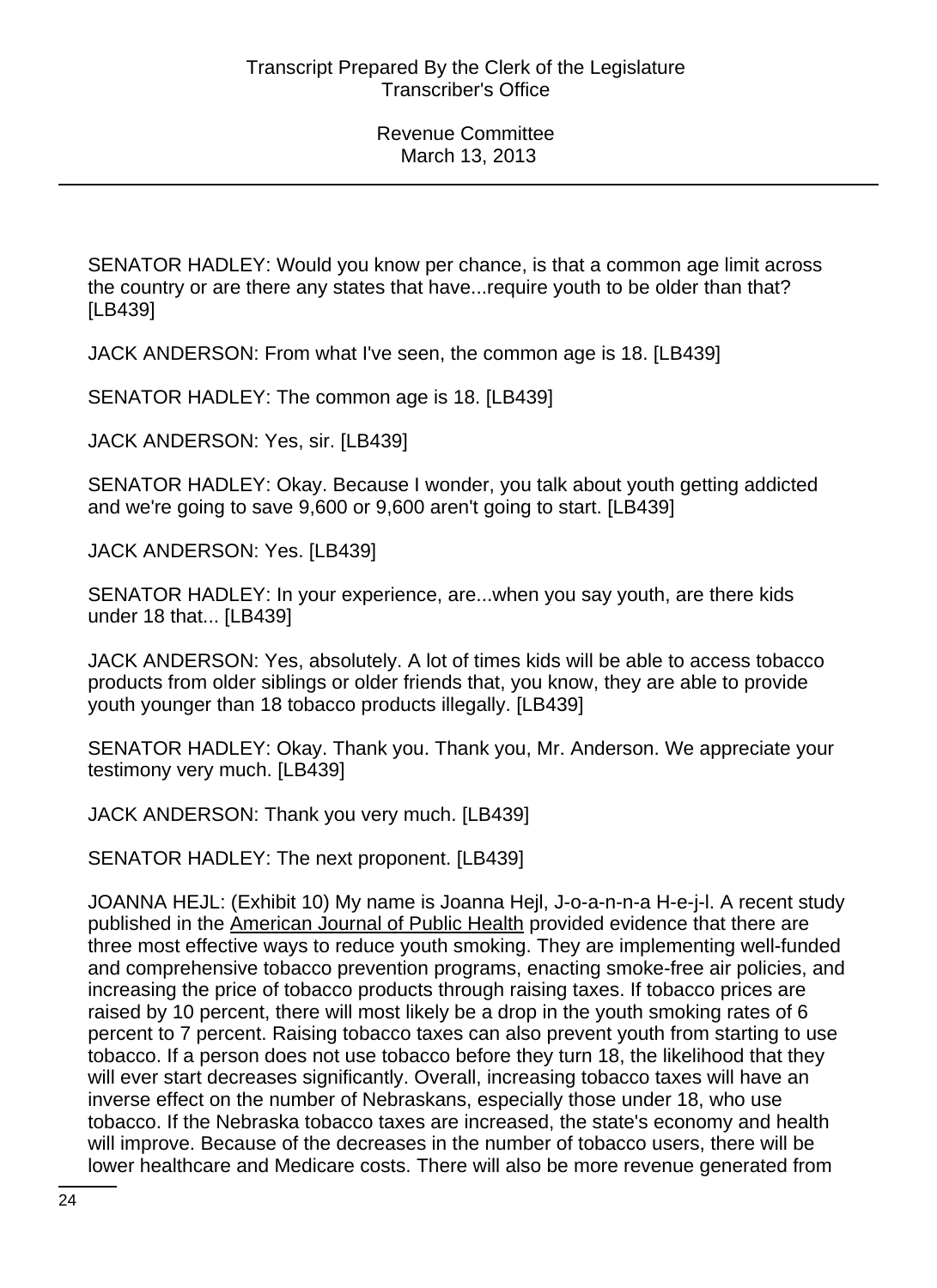SENATOR HADLEY: Would you know per chance, is that a common age limit across the country or are there any states that have...require youth to be older than that? [LB439]

JACK ANDERSON: From what I've seen, the common age is 18. [LB439]

SENATOR HADLEY: The common age is 18. [LB439]

JACK ANDERSON: Yes, sir. [LB439]

SENATOR HADLEY: Okay. Because I wonder, you talk about youth getting addicted and we're going to save 9,600 or 9,600 aren't going to start. [LB439]

JACK ANDERSON: Yes. [LB439]

SENATOR HADLEY: In your experience, are...when you say youth, are there kids under 18 that... [LB439]

JACK ANDERSON: Yes, absolutely. A lot of times kids will be able to access tobacco products from older siblings or older friends that, you know, they are able to provide youth younger than 18 tobacco products illegally. [LB439]

SENATOR HADLEY: Okay. Thank you. Thank you, Mr. Anderson. We appreciate your testimony very much. [LB439]

JACK ANDERSON: Thank you very much. [LB439]

SENATOR HADLEY: The next proponent. [LB439]

JOANNA HEJL: (Exhibit 10) My name is Joanna Hejl, J-o-a-n-n-a H-e-j-l. A recent study published in the American Journal of Public Health provided evidence that there are three most effective ways to reduce youth smoking. They are implementing well-funded and comprehensive tobacco prevention programs, enacting smoke-free air policies, and increasing the price of tobacco products through raising taxes. If tobacco prices are raised by 10 percent, there will most likely be a drop in the youth smoking rates of 6 percent to 7 percent. Raising tobacco taxes can also prevent youth from starting to use tobacco. If a person does not use tobacco before they turn 18, the likelihood that they will ever start decreases significantly. Overall, increasing tobacco taxes will have an inverse effect on the number of Nebraskans, especially those under 18, who use tobacco. If the Nebraska tobacco taxes are increased, the state's economy and health will improve. Because of the decreases in the number of tobacco users, there will be lower healthcare and Medicare costs. There will also be more revenue generated from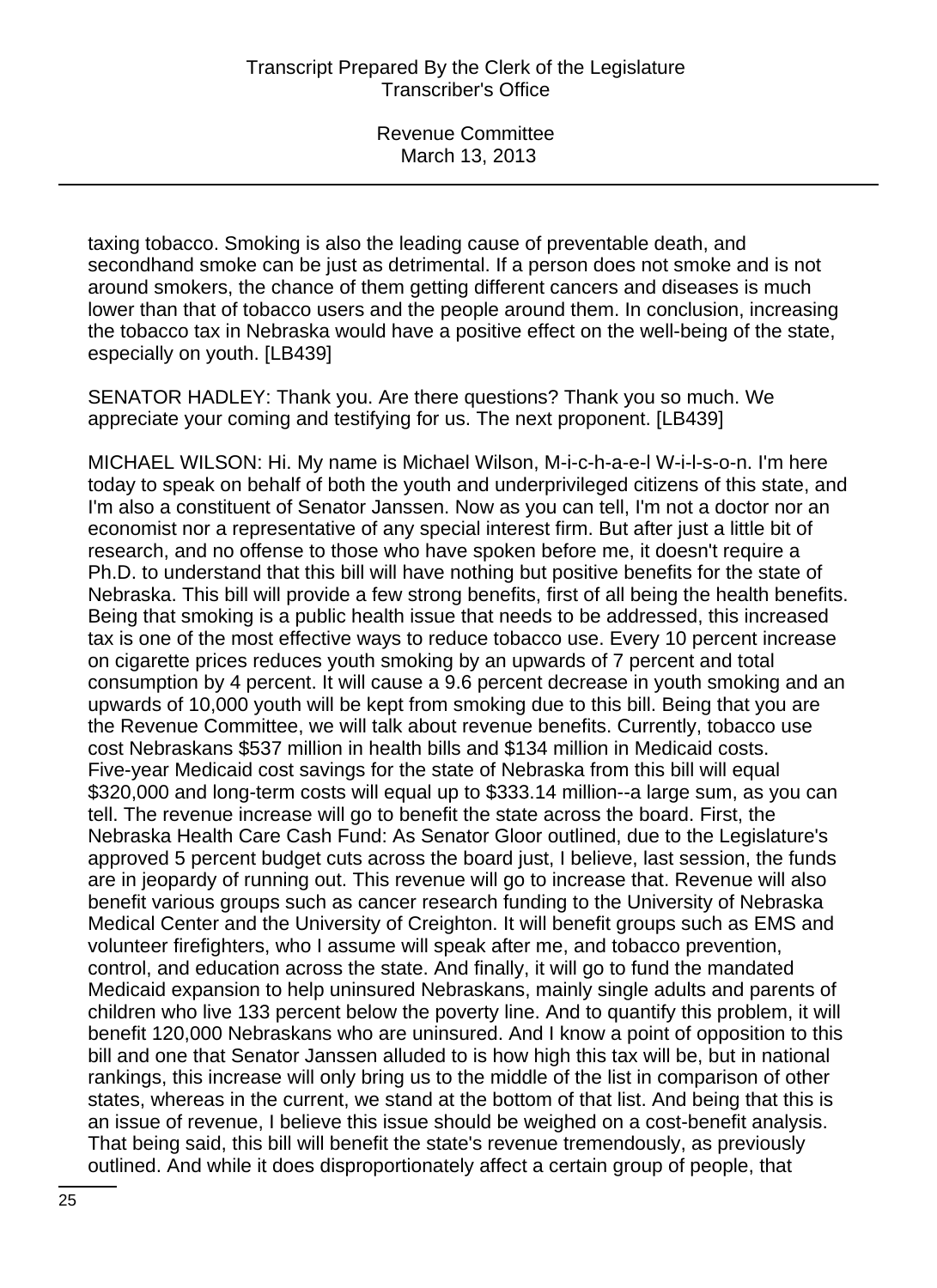taxing tobacco. Smoking is also the leading cause of preventable death, and secondhand smoke can be just as detrimental. If a person does not smoke and is not around smokers, the chance of them getting different cancers and diseases is much lower than that of tobacco users and the people around them. In conclusion, increasing the tobacco tax in Nebraska would have a positive effect on the well-being of the state, especially on youth. [LB439]

SENATOR HADLEY: Thank you. Are there questions? Thank you so much. We appreciate your coming and testifying for us. The next proponent. [LB439]

MICHAEL WILSON: Hi. My name is Michael Wilson, M-i-c-h-a-e-l W-i-l-s-o-n. I'm here today to speak on behalf of both the youth and underprivileged citizens of this state, and I'm also a constituent of Senator Janssen. Now as you can tell, I'm not a doctor nor an economist nor a representative of any special interest firm. But after just a little bit of research, and no offense to those who have spoken before me, it doesn't require a Ph.D. to understand that this bill will have nothing but positive benefits for the state of Nebraska. This bill will provide a few strong benefits, first of all being the health benefits. Being that smoking is a public health issue that needs to be addressed, this increased tax is one of the most effective ways to reduce tobacco use. Every 10 percent increase on cigarette prices reduces youth smoking by an upwards of 7 percent and total consumption by 4 percent. It will cause a 9.6 percent decrease in youth smoking and an upwards of 10,000 youth will be kept from smoking due to this bill. Being that you are the Revenue Committee, we will talk about revenue benefits. Currently, tobacco use cost Nebraskans \$537 million in health bills and \$134 million in Medicaid costs. Five-year Medicaid cost savings for the state of Nebraska from this bill will equal \$320,000 and long-term costs will equal up to \$333.14 million--a large sum, as you can tell. The revenue increase will go to benefit the state across the board. First, the Nebraska Health Care Cash Fund: As Senator Gloor outlined, due to the Legislature's approved 5 percent budget cuts across the board just, I believe, last session, the funds are in jeopardy of running out. This revenue will go to increase that. Revenue will also benefit various groups such as cancer research funding to the University of Nebraska Medical Center and the University of Creighton. It will benefit groups such as EMS and volunteer firefighters, who I assume will speak after me, and tobacco prevention, control, and education across the state. And finally, it will go to fund the mandated Medicaid expansion to help uninsured Nebraskans, mainly single adults and parents of children who live 133 percent below the poverty line. And to quantify this problem, it will benefit 120,000 Nebraskans who are uninsured. And I know a point of opposition to this bill and one that Senator Janssen alluded to is how high this tax will be, but in national rankings, this increase will only bring us to the middle of the list in comparison of other states, whereas in the current, we stand at the bottom of that list. And being that this is an issue of revenue, I believe this issue should be weighed on a cost-benefit analysis. That being said, this bill will benefit the state's revenue tremendously, as previously outlined. And while it does disproportionately affect a certain group of people, that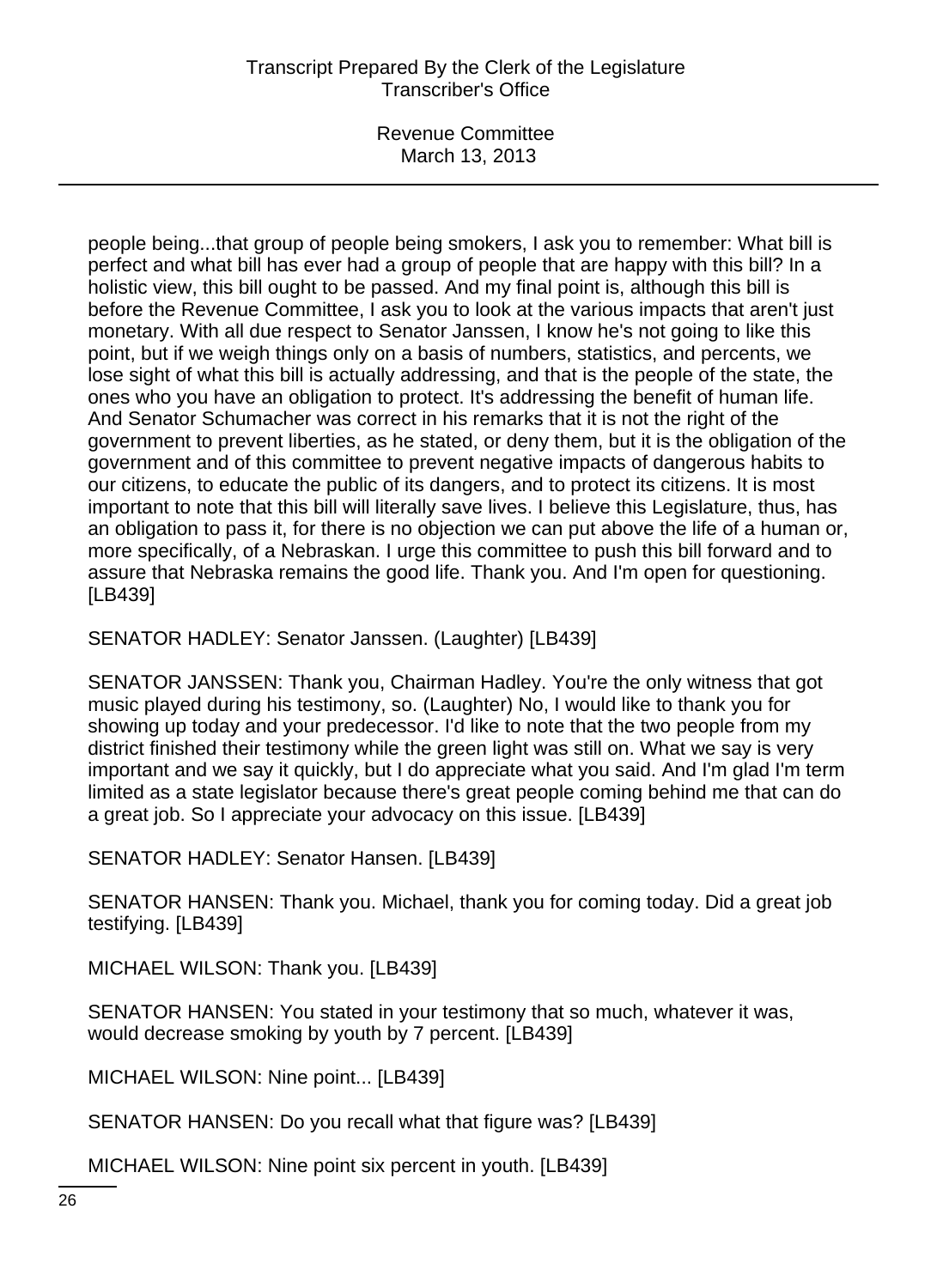Revenue Committee March 13, 2013

people being...that group of people being smokers, I ask you to remember: What bill is perfect and what bill has ever had a group of people that are happy with this bill? In a holistic view, this bill ought to be passed. And my final point is, although this bill is before the Revenue Committee, I ask you to look at the various impacts that aren't just monetary. With all due respect to Senator Janssen, I know he's not going to like this point, but if we weigh things only on a basis of numbers, statistics, and percents, we lose sight of what this bill is actually addressing, and that is the people of the state, the ones who you have an obligation to protect. It's addressing the benefit of human life. And Senator Schumacher was correct in his remarks that it is not the right of the government to prevent liberties, as he stated, or deny them, but it is the obligation of the government and of this committee to prevent negative impacts of dangerous habits to our citizens, to educate the public of its dangers, and to protect its citizens. It is most important to note that this bill will literally save lives. I believe this Legislature, thus, has an obligation to pass it, for there is no objection we can put above the life of a human or, more specifically, of a Nebraskan. I urge this committee to push this bill forward and to assure that Nebraska remains the good life. Thank you. And I'm open for questioning. [LB439]

SENATOR HADLEY: Senator Janssen. (Laughter) [LB439]

SENATOR JANSSEN: Thank you, Chairman Hadley. You're the only witness that got music played during his testimony, so. (Laughter) No, I would like to thank you for showing up today and your predecessor. I'd like to note that the two people from my district finished their testimony while the green light was still on. What we say is very important and we say it quickly, but I do appreciate what you said. And I'm glad I'm term limited as a state legislator because there's great people coming behind me that can do a great job. So I appreciate your advocacy on this issue. [LB439]

SENATOR HADLEY: Senator Hansen. [LB439]

SENATOR HANSEN: Thank you. Michael, thank you for coming today. Did a great job testifying. [LB439]

MICHAEL WILSON: Thank you. [LB439]

SENATOR HANSEN: You stated in your testimony that so much, whatever it was, would decrease smoking by youth by 7 percent. [LB439]

MICHAEL WILSON: Nine point... [LB439]

SENATOR HANSEN: Do you recall what that figure was? [LB439]

MICHAEL WILSON: Nine point six percent in youth. [LB439]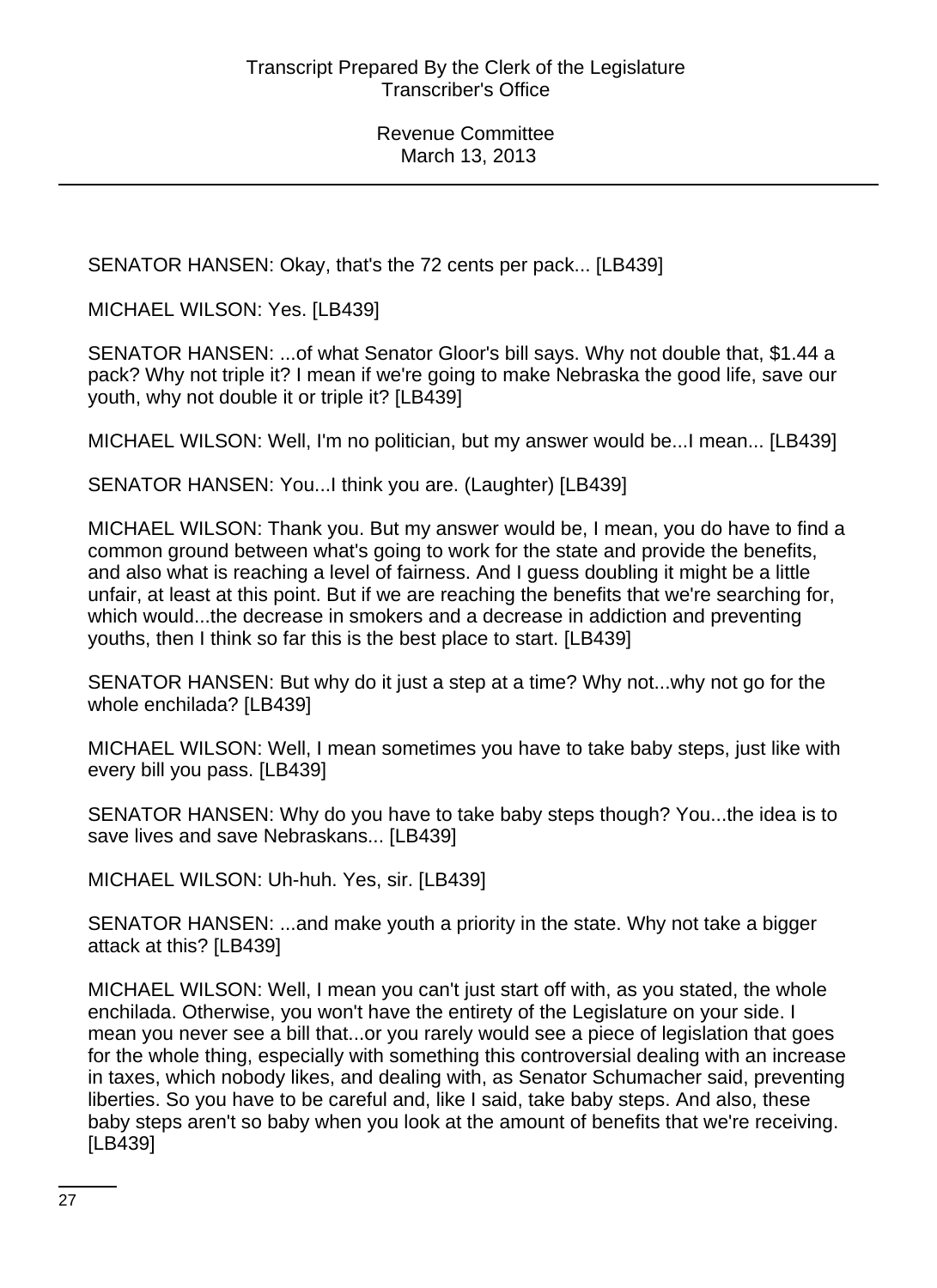SENATOR HANSEN: Okay, that's the 72 cents per pack... [LB439]

MICHAEL WILSON: Yes. [LB439]

SENATOR HANSEN: ...of what Senator Gloor's bill says. Why not double that, \$1.44 a pack? Why not triple it? I mean if we're going to make Nebraska the good life, save our youth, why not double it or triple it? [LB439]

MICHAEL WILSON: Well, I'm no politician, but my answer would be...I mean... [LB439]

SENATOR HANSEN: You...I think you are. (Laughter) [LB439]

MICHAEL WILSON: Thank you. But my answer would be, I mean, you do have to find a common ground between what's going to work for the state and provide the benefits, and also what is reaching a level of fairness. And I guess doubling it might be a little unfair, at least at this point. But if we are reaching the benefits that we're searching for, which would...the decrease in smokers and a decrease in addiction and preventing youths, then I think so far this is the best place to start. [LB439]

SENATOR HANSEN: But why do it just a step at a time? Why not...why not go for the whole enchilada? [LB439]

MICHAEL WILSON: Well, I mean sometimes you have to take baby steps, just like with every bill you pass. [LB439]

SENATOR HANSEN: Why do you have to take baby steps though? You...the idea is to save lives and save Nebraskans... [LB439]

MICHAEL WILSON: Uh-huh. Yes, sir. [LB439]

SENATOR HANSEN: ...and make youth a priority in the state. Why not take a bigger attack at this? [LB439]

MICHAEL WILSON: Well, I mean you can't just start off with, as you stated, the whole enchilada. Otherwise, you won't have the entirety of the Legislature on your side. I mean you never see a bill that...or you rarely would see a piece of legislation that goes for the whole thing, especially with something this controversial dealing with an increase in taxes, which nobody likes, and dealing with, as Senator Schumacher said, preventing liberties. So you have to be careful and, like I said, take baby steps. And also, these baby steps aren't so baby when you look at the amount of benefits that we're receiving. [LB439]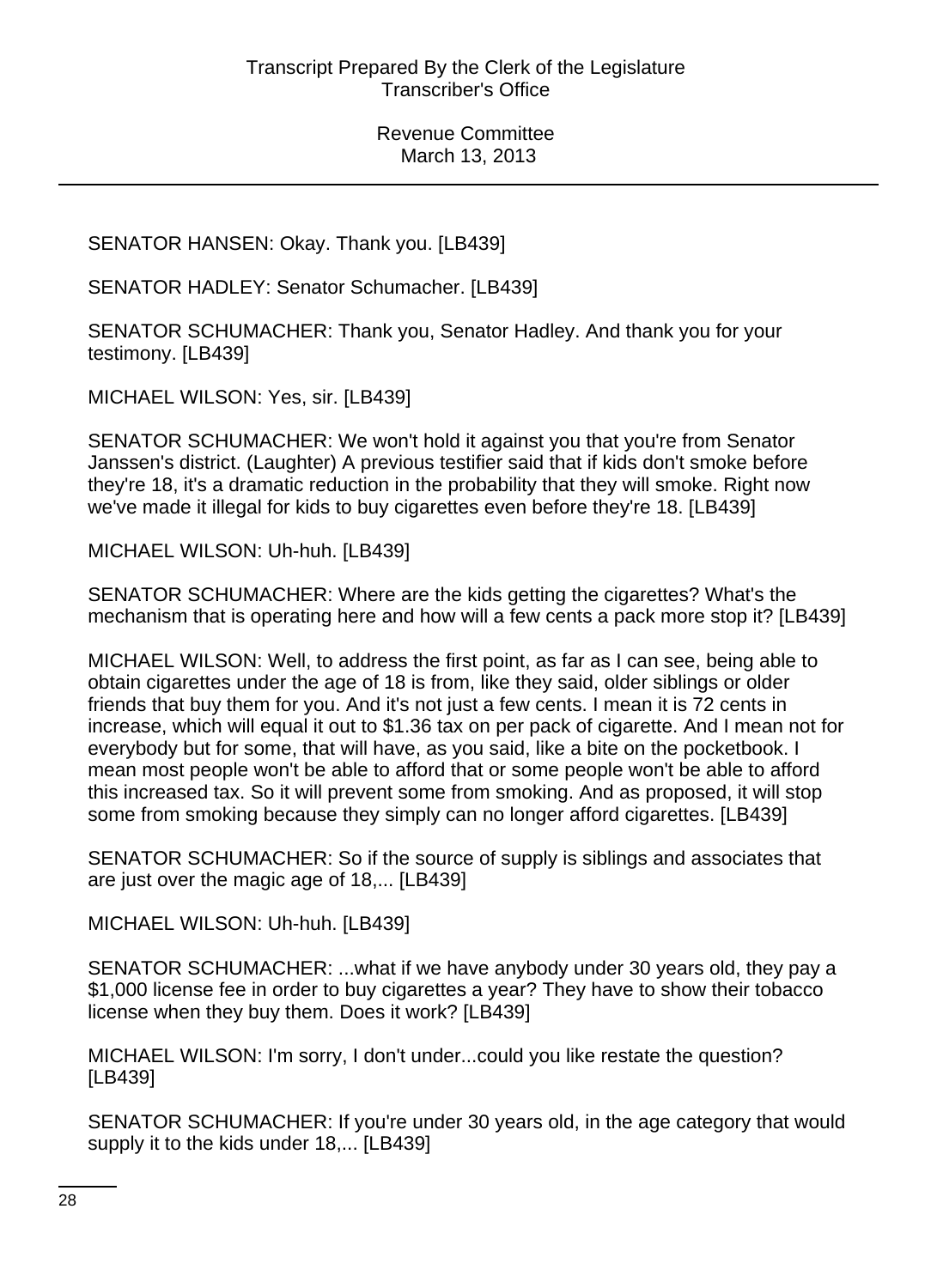# SENATOR HANSEN: Okay. Thank you. [LB439]

SENATOR HADLEY: Senator Schumacher. [LB439]

SENATOR SCHUMACHER: Thank you, Senator Hadley. And thank you for your testimony. [LB439]

MICHAEL WILSON: Yes, sir. [LB439]

SENATOR SCHUMACHER: We won't hold it against you that you're from Senator Janssen's district. (Laughter) A previous testifier said that if kids don't smoke before they're 18, it's a dramatic reduction in the probability that they will smoke. Right now we've made it illegal for kids to buy cigarettes even before they're 18. [LB439]

MICHAEL WILSON: Uh-huh. [LB439]

SENATOR SCHUMACHER: Where are the kids getting the cigarettes? What's the mechanism that is operating here and how will a few cents a pack more stop it? [LB439]

MICHAEL WILSON: Well, to address the first point, as far as I can see, being able to obtain cigarettes under the age of 18 is from, like they said, older siblings or older friends that buy them for you. And it's not just a few cents. I mean it is 72 cents in increase, which will equal it out to \$1.36 tax on per pack of cigarette. And I mean not for everybody but for some, that will have, as you said, like a bite on the pocketbook. I mean most people won't be able to afford that or some people won't be able to afford this increased tax. So it will prevent some from smoking. And as proposed, it will stop some from smoking because they simply can no longer afford cigarettes. [LB439]

SENATOR SCHUMACHER: So if the source of supply is siblings and associates that are just over the magic age of 18,... [LB439]

MICHAEL WILSON: Uh-huh. [LB439]

SENATOR SCHUMACHER: ...what if we have anybody under 30 years old, they pay a \$1,000 license fee in order to buy cigarettes a year? They have to show their tobacco license when they buy them. Does it work? [LB439]

MICHAEL WILSON: I'm sorry, I don't under...could you like restate the question? [LB439]

SENATOR SCHUMACHER: If you're under 30 years old, in the age category that would supply it to the kids under 18,... [LB439]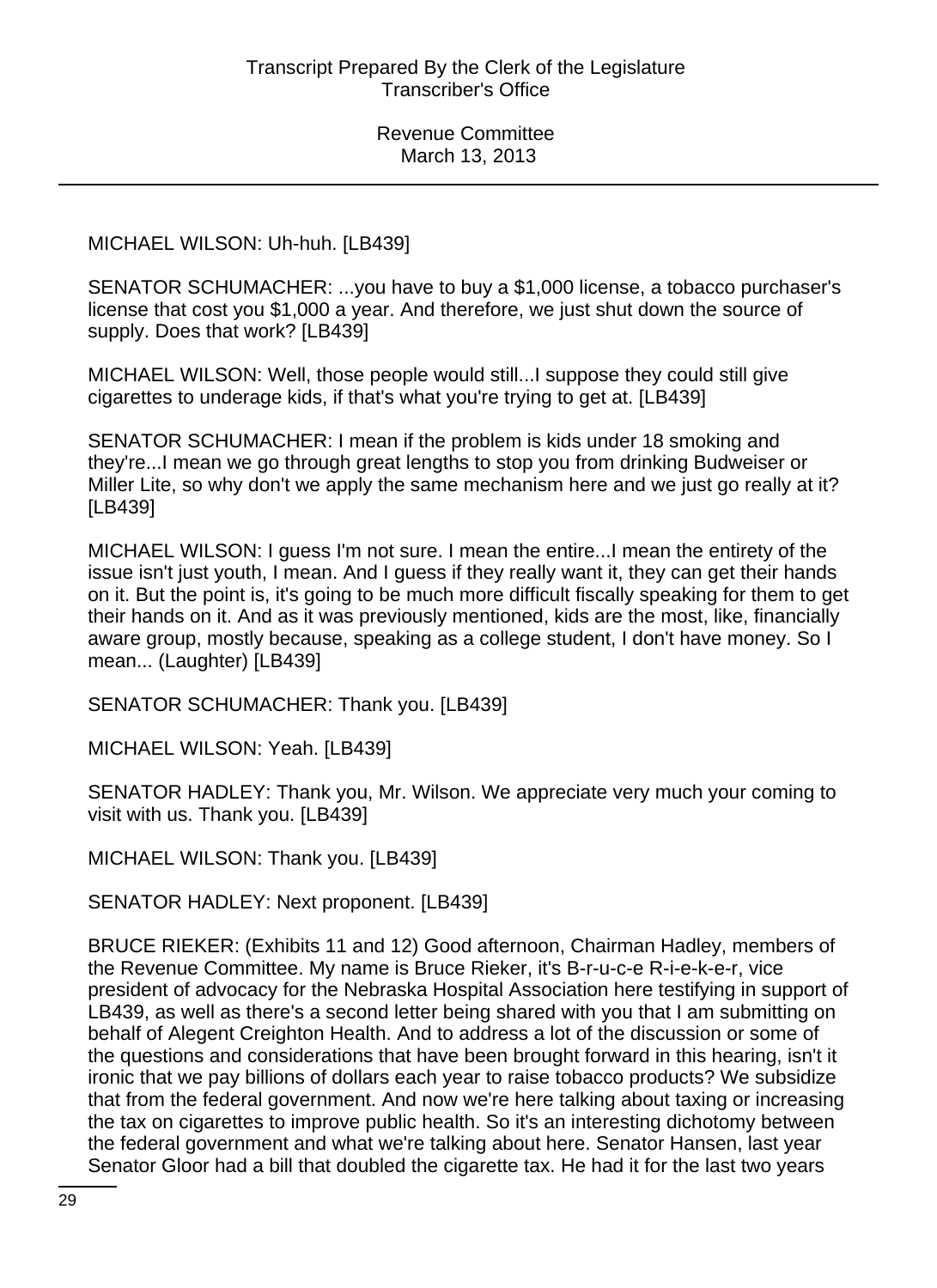### MICHAEL WILSON: Uh-huh. [LB439]

SENATOR SCHUMACHER: ...you have to buy a \$1,000 license, a tobacco purchaser's license that cost you \$1,000 a year. And therefore, we just shut down the source of supply. Does that work? [LB439]

MICHAEL WILSON: Well, those people would still...I suppose they could still give cigarettes to underage kids, if that's what you're trying to get at. [LB439]

SENATOR SCHUMACHER: I mean if the problem is kids under 18 smoking and they're...I mean we go through great lengths to stop you from drinking Budweiser or Miller Lite, so why don't we apply the same mechanism here and we just go really at it? [LB439]

MICHAEL WILSON: I guess I'm not sure. I mean the entire...I mean the entirety of the issue isn't just youth, I mean. And I guess if they really want it, they can get their hands on it. But the point is, it's going to be much more difficult fiscally speaking for them to get their hands on it. And as it was previously mentioned, kids are the most, like, financially aware group, mostly because, speaking as a college student, I don't have money. So I mean... (Laughter) [LB439]

SENATOR SCHUMACHER: Thank you. [LB439]

MICHAEL WILSON: Yeah. [LB439]

SENATOR HADLEY: Thank you, Mr. Wilson. We appreciate very much your coming to visit with us. Thank you. [LB439]

MICHAEL WILSON: Thank you. [LB439]

SENATOR HADLEY: Next proponent. [LB439]

BRUCE RIEKER: (Exhibits 11 and 12) Good afternoon, Chairman Hadley, members of the Revenue Committee. My name is Bruce Rieker, it's B-r-u-c-e R-i-e-k-e-r, vice president of advocacy for the Nebraska Hospital Association here testifying in support of LB439, as well as there's a second letter being shared with you that I am submitting on behalf of Alegent Creighton Health. And to address a lot of the discussion or some of the questions and considerations that have been brought forward in this hearing, isn't it ironic that we pay billions of dollars each year to raise tobacco products? We subsidize that from the federal government. And now we're here talking about taxing or increasing the tax on cigarettes to improve public health. So it's an interesting dichotomy between the federal government and what we're talking about here. Senator Hansen, last year Senator Gloor had a bill that doubled the cigarette tax. He had it for the last two years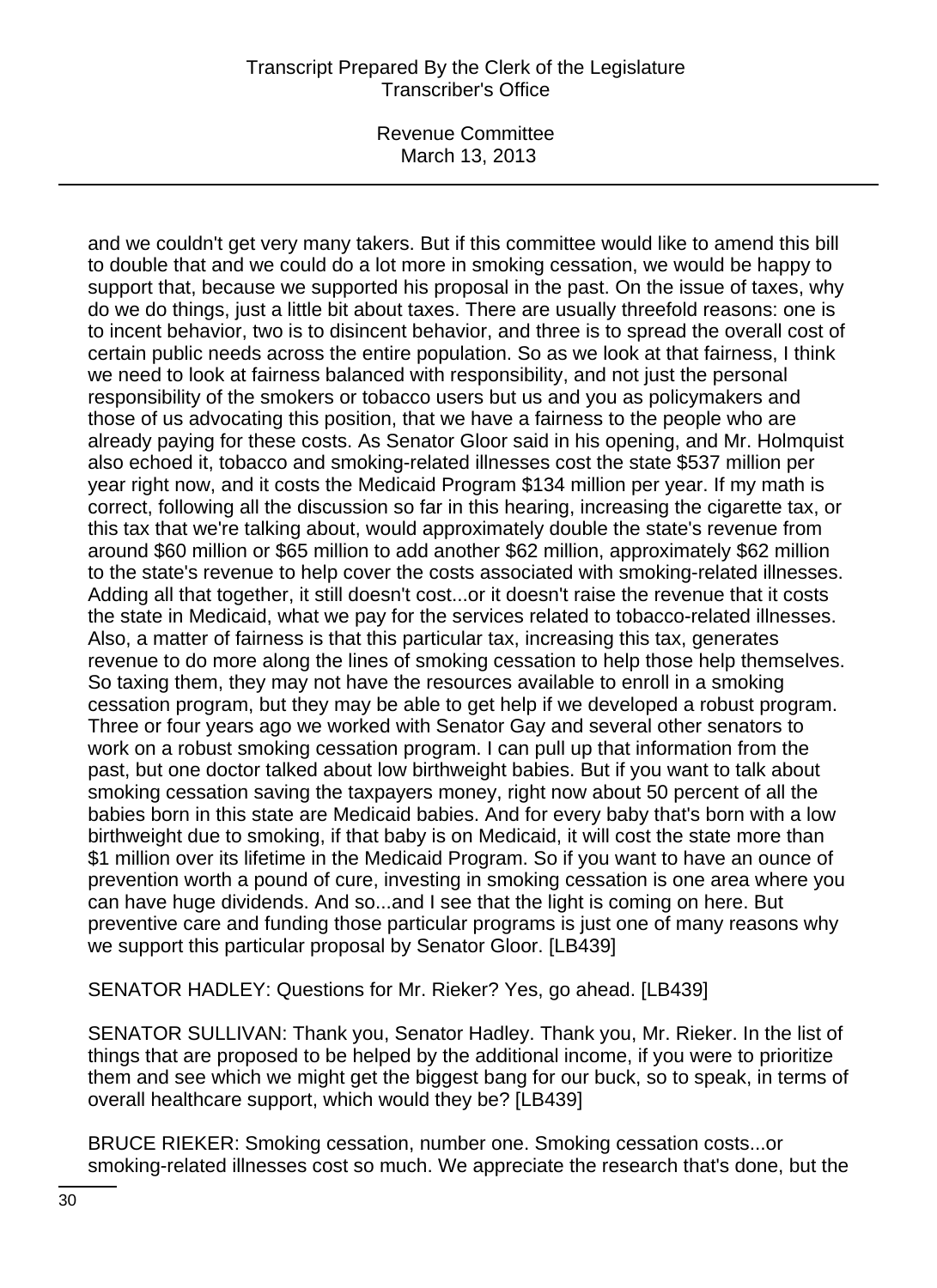Revenue Committee March 13, 2013

and we couldn't get very many takers. But if this committee would like to amend this bill to double that and we could do a lot more in smoking cessation, we would be happy to support that, because we supported his proposal in the past. On the issue of taxes, why do we do things, just a little bit about taxes. There are usually threefold reasons: one is to incent behavior, two is to disincent behavior, and three is to spread the overall cost of certain public needs across the entire population. So as we look at that fairness, I think we need to look at fairness balanced with responsibility, and not just the personal responsibility of the smokers or tobacco users but us and you as policymakers and those of us advocating this position, that we have a fairness to the people who are already paying for these costs. As Senator Gloor said in his opening, and Mr. Holmquist also echoed it, tobacco and smoking-related illnesses cost the state \$537 million per year right now, and it costs the Medicaid Program \$134 million per year. If my math is correct, following all the discussion so far in this hearing, increasing the cigarette tax, or this tax that we're talking about, would approximately double the state's revenue from around \$60 million or \$65 million to add another \$62 million, approximately \$62 million to the state's revenue to help cover the costs associated with smoking-related illnesses. Adding all that together, it still doesn't cost...or it doesn't raise the revenue that it costs the state in Medicaid, what we pay for the services related to tobacco-related illnesses. Also, a matter of fairness is that this particular tax, increasing this tax, generates revenue to do more along the lines of smoking cessation to help those help themselves. So taxing them, they may not have the resources available to enroll in a smoking cessation program, but they may be able to get help if we developed a robust program. Three or four years ago we worked with Senator Gay and several other senators to work on a robust smoking cessation program. I can pull up that information from the past, but one doctor talked about low birthweight babies. But if you want to talk about smoking cessation saving the taxpayers money, right now about 50 percent of all the babies born in this state are Medicaid babies. And for every baby that's born with a low birthweight due to smoking, if that baby is on Medicaid, it will cost the state more than \$1 million over its lifetime in the Medicaid Program. So if you want to have an ounce of prevention worth a pound of cure, investing in smoking cessation is one area where you can have huge dividends. And so...and I see that the light is coming on here. But preventive care and funding those particular programs is just one of many reasons why we support this particular proposal by Senator Gloor. [LB439]

SENATOR HADLEY: Questions for Mr. Rieker? Yes, go ahead. [LB439]

SENATOR SULLIVAN: Thank you, Senator Hadley. Thank you, Mr. Rieker. In the list of things that are proposed to be helped by the additional income, if you were to prioritize them and see which we might get the biggest bang for our buck, so to speak, in terms of overall healthcare support, which would they be? [LB439]

BRUCE RIEKER: Smoking cessation, number one. Smoking cessation costs...or smoking-related illnesses cost so much. We appreciate the research that's done, but the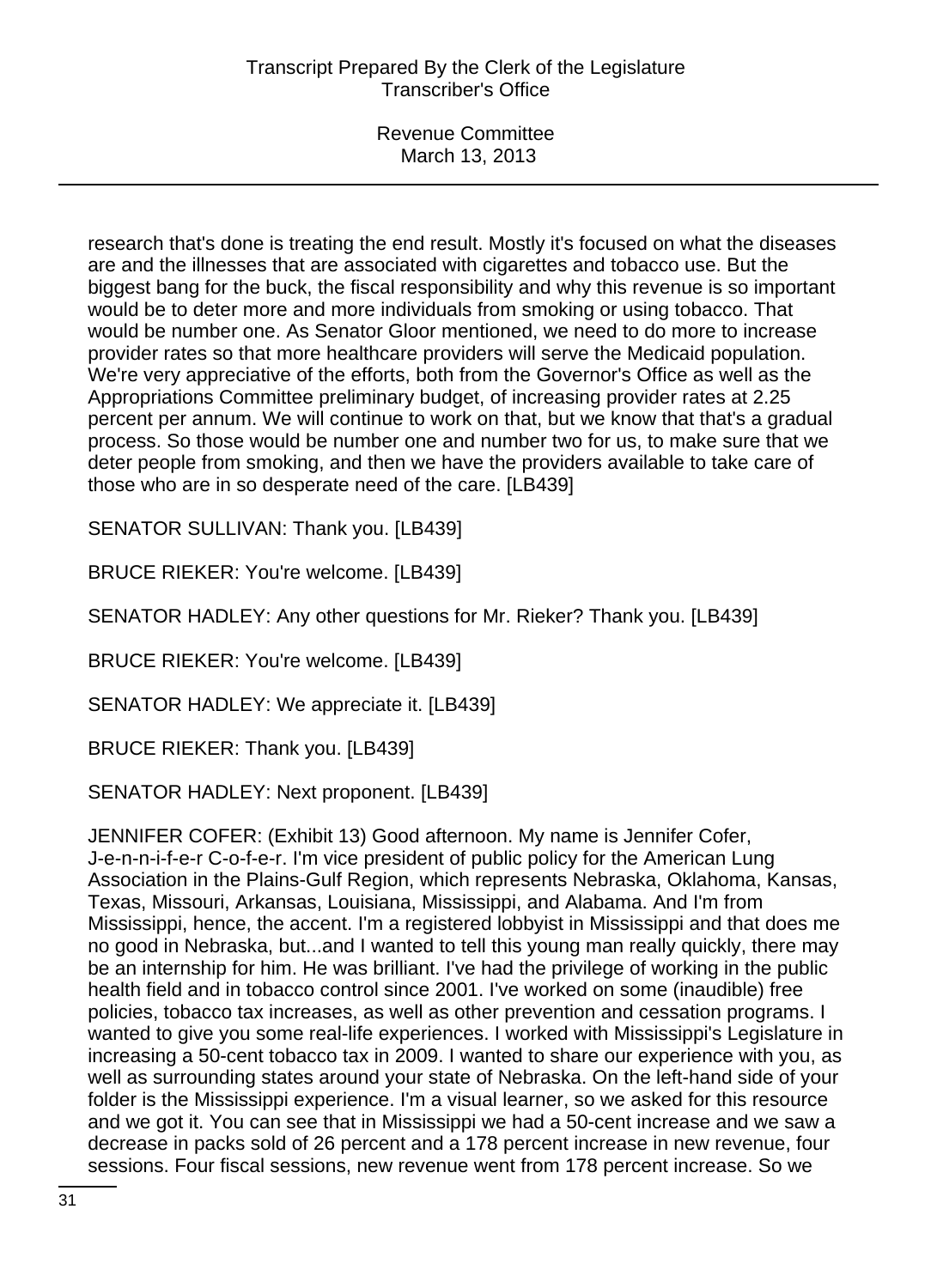research that's done is treating the end result. Mostly it's focused on what the diseases are and the illnesses that are associated with cigarettes and tobacco use. But the biggest bang for the buck, the fiscal responsibility and why this revenue is so important would be to deter more and more individuals from smoking or using tobacco. That would be number one. As Senator Gloor mentioned, we need to do more to increase provider rates so that more healthcare providers will serve the Medicaid population. We're very appreciative of the efforts, both from the Governor's Office as well as the Appropriations Committee preliminary budget, of increasing provider rates at 2.25 percent per annum. We will continue to work on that, but we know that that's a gradual process. So those would be number one and number two for us, to make sure that we deter people from smoking, and then we have the providers available to take care of those who are in so desperate need of the care. [LB439]

SENATOR SULLIVAN: Thank you. [LB439]

BRUCE RIEKER: You're welcome. [LB439]

SENATOR HADLEY: Any other questions for Mr. Rieker? Thank you. [LB439]

BRUCE RIEKER: You're welcome. [LB439]

SENATOR HADLEY: We appreciate it. [LB439]

BRUCE RIEKER: Thank you. [LB439]

SENATOR HADLEY: Next proponent. [LB439]

JENNIFER COFER: (Exhibit 13) Good afternoon. My name is Jennifer Cofer, J-e-n-n-i-f-e-r C-o-f-e-r. I'm vice president of public policy for the American Lung Association in the Plains-Gulf Region, which represents Nebraska, Oklahoma, Kansas, Texas, Missouri, Arkansas, Louisiana, Mississippi, and Alabama. And I'm from Mississippi, hence, the accent. I'm a registered lobbyist in Mississippi and that does me no good in Nebraska, but...and I wanted to tell this young man really quickly, there may be an internship for him. He was brilliant. I've had the privilege of working in the public health field and in tobacco control since 2001. I've worked on some (inaudible) free policies, tobacco tax increases, as well as other prevention and cessation programs. I wanted to give you some real-life experiences. I worked with Mississippi's Legislature in increasing a 50-cent tobacco tax in 2009. I wanted to share our experience with you, as well as surrounding states around your state of Nebraska. On the left-hand side of your folder is the Mississippi experience. I'm a visual learner, so we asked for this resource and we got it. You can see that in Mississippi we had a 50-cent increase and we saw a decrease in packs sold of 26 percent and a 178 percent increase in new revenue, four sessions. Four fiscal sessions, new revenue went from 178 percent increase. So we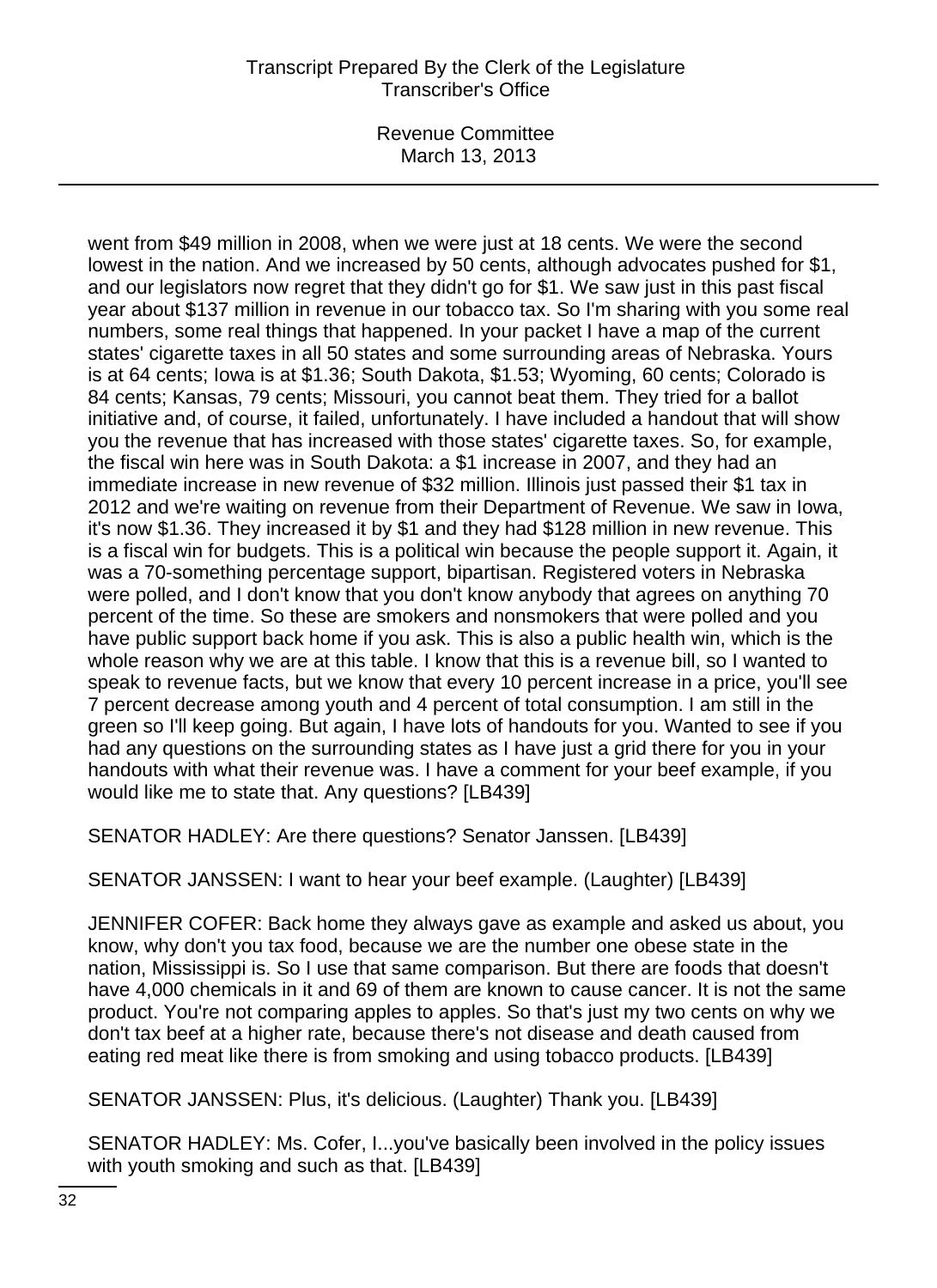Revenue Committee March 13, 2013

went from \$49 million in 2008, when we were just at 18 cents. We were the second lowest in the nation. And we increased by 50 cents, although advocates pushed for \$1, and our legislators now regret that they didn't go for \$1. We saw just in this past fiscal year about \$137 million in revenue in our tobacco tax. So I'm sharing with you some real numbers, some real things that happened. In your packet I have a map of the current states' cigarette taxes in all 50 states and some surrounding areas of Nebraska. Yours is at 64 cents; Iowa is at \$1.36; South Dakota, \$1.53; Wyoming, 60 cents; Colorado is 84 cents; Kansas, 79 cents; Missouri, you cannot beat them. They tried for a ballot initiative and, of course, it failed, unfortunately. I have included a handout that will show you the revenue that has increased with those states' cigarette taxes. So, for example, the fiscal win here was in South Dakota: a \$1 increase in 2007, and they had an immediate increase in new revenue of \$32 million. Illinois just passed their \$1 tax in 2012 and we're waiting on revenue from their Department of Revenue. We saw in Iowa, it's now \$1.36. They increased it by \$1 and they had \$128 million in new revenue. This is a fiscal win for budgets. This is a political win because the people support it. Again, it was a 70-something percentage support, bipartisan. Registered voters in Nebraska were polled, and I don't know that you don't know anybody that agrees on anything 70 percent of the time. So these are smokers and nonsmokers that were polled and you have public support back home if you ask. This is also a public health win, which is the whole reason why we are at this table. I know that this is a revenue bill, so I wanted to speak to revenue facts, but we know that every 10 percent increase in a price, you'll see 7 percent decrease among youth and 4 percent of total consumption. I am still in the green so I'll keep going. But again, I have lots of handouts for you. Wanted to see if you had any questions on the surrounding states as I have just a grid there for you in your handouts with what their revenue was. I have a comment for your beef example, if you would like me to state that. Any questions? [LB439]

SENATOR HADLEY: Are there questions? Senator Janssen. [LB439]

SENATOR JANSSEN: I want to hear your beef example. (Laughter) [LB439]

JENNIFER COFER: Back home they always gave as example and asked us about, you know, why don't you tax food, because we are the number one obese state in the nation, Mississippi is. So I use that same comparison. But there are foods that doesn't have 4,000 chemicals in it and 69 of them are known to cause cancer. It is not the same product. You're not comparing apples to apples. So that's just my two cents on why we don't tax beef at a higher rate, because there's not disease and death caused from eating red meat like there is from smoking and using tobacco products. [LB439]

SENATOR JANSSEN: Plus, it's delicious. (Laughter) Thank you. [LB439]

SENATOR HADLEY: Ms. Cofer, I...you've basically been involved in the policy issues with youth smoking and such as that. [LB439]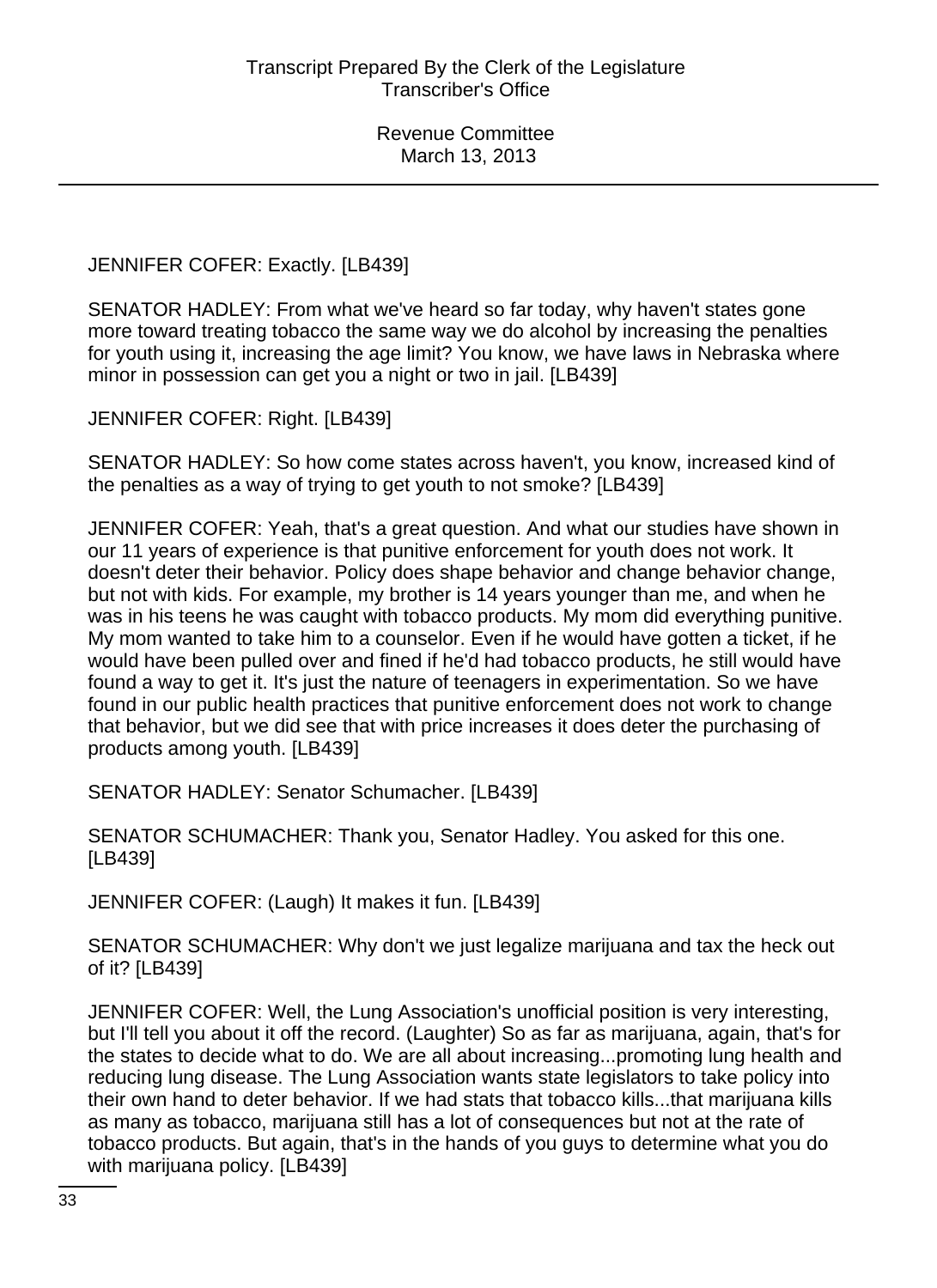JENNIFER COFER: Exactly. [LB439]

SENATOR HADLEY: From what we've heard so far today, why haven't states gone more toward treating tobacco the same way we do alcohol by increasing the penalties for youth using it, increasing the age limit? You know, we have laws in Nebraska where minor in possession can get you a night or two in jail. [LB439]

JENNIFER COFER: Right. [LB439]

SENATOR HADLEY: So how come states across haven't, you know, increased kind of the penalties as a way of trying to get youth to not smoke? [LB439]

JENNIFER COFER: Yeah, that's a great question. And what our studies have shown in our 11 years of experience is that punitive enforcement for youth does not work. It doesn't deter their behavior. Policy does shape behavior and change behavior change, but not with kids. For example, my brother is 14 years younger than me, and when he was in his teens he was caught with tobacco products. My mom did everything punitive. My mom wanted to take him to a counselor. Even if he would have gotten a ticket, if he would have been pulled over and fined if he'd had tobacco products, he still would have found a way to get it. It's just the nature of teenagers in experimentation. So we have found in our public health practices that punitive enforcement does not work to change that behavior, but we did see that with price increases it does deter the purchasing of products among youth. [LB439]

SENATOR HADLEY: Senator Schumacher. [LB439]

SENATOR SCHUMACHER: Thank you, Senator Hadley. You asked for this one. [LB439]

JENNIFER COFER: (Laugh) It makes it fun. [LB439]

SENATOR SCHUMACHER: Why don't we just legalize marijuana and tax the heck out of it? [LB439]

JENNIFER COFER: Well, the Lung Association's unofficial position is very interesting, but I'll tell you about it off the record. (Laughter) So as far as marijuana, again, that's for the states to decide what to do. We are all about increasing...promoting lung health and reducing lung disease. The Lung Association wants state legislators to take policy into their own hand to deter behavior. If we had stats that tobacco kills...that marijuana kills as many as tobacco, marijuana still has a lot of consequences but not at the rate of tobacco products. But again, that's in the hands of you guys to determine what you do with marijuana policy. [LB439]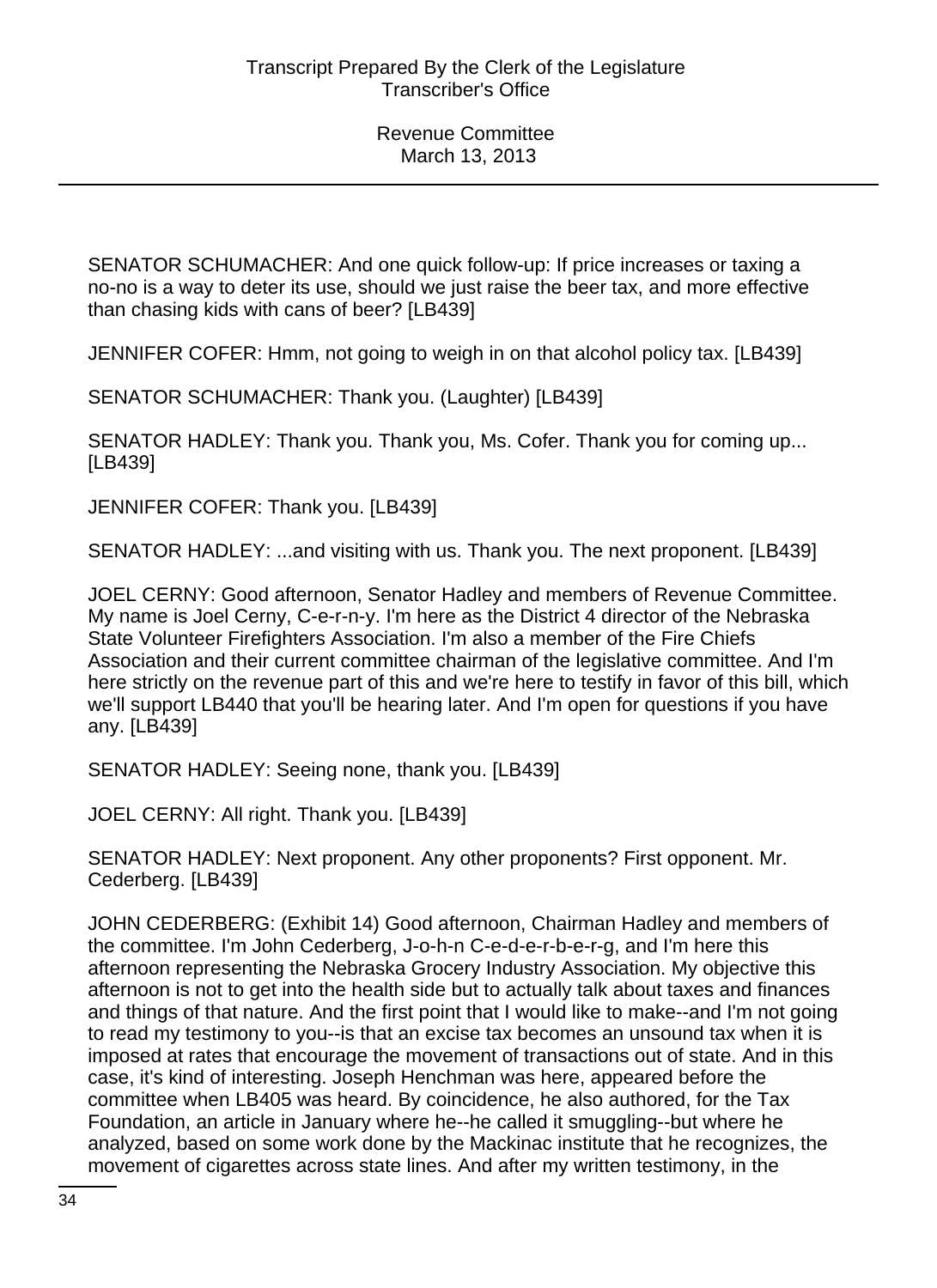SENATOR SCHUMACHER: And one quick follow-up: If price increases or taxing a no-no is a way to deter its use, should we just raise the beer tax, and more effective than chasing kids with cans of beer? [LB439]

JENNIFER COFER: Hmm, not going to weigh in on that alcohol policy tax. [LB439]

SENATOR SCHUMACHER: Thank you. (Laughter) [LB439]

SENATOR HADLEY: Thank you. Thank you, Ms. Cofer. Thank you for coming up... [LB439]

JENNIFER COFER: Thank you. [LB439]

SENATOR HADLEY: ...and visiting with us. Thank you. The next proponent. [LB439]

JOEL CERNY: Good afternoon, Senator Hadley and members of Revenue Committee. My name is Joel Cerny, C-e-r-n-y. I'm here as the District 4 director of the Nebraska State Volunteer Firefighters Association. I'm also a member of the Fire Chiefs Association and their current committee chairman of the legislative committee. And I'm here strictly on the revenue part of this and we're here to testify in favor of this bill, which we'll support LB440 that you'll be hearing later. And I'm open for questions if you have any. [LB439]

SENATOR HADLEY: Seeing none, thank you. [LB439]

JOEL CERNY: All right. Thank you. [LB439]

SENATOR HADLEY: Next proponent. Any other proponents? First opponent. Mr. Cederberg. [LB439]

JOHN CEDERBERG: (Exhibit 14) Good afternoon, Chairman Hadley and members of the committee. I'm John Cederberg, J-o-h-n C-e-d-e-r-b-e-r-g, and I'm here this afternoon representing the Nebraska Grocery Industry Association. My objective this afternoon is not to get into the health side but to actually talk about taxes and finances and things of that nature. And the first point that I would like to make--and I'm not going to read my testimony to you--is that an excise tax becomes an unsound tax when it is imposed at rates that encourage the movement of transactions out of state. And in this case, it's kind of interesting. Joseph Henchman was here, appeared before the committee when LB405 was heard. By coincidence, he also authored, for the Tax Foundation, an article in January where he--he called it smuggling--but where he analyzed, based on some work done by the Mackinac institute that he recognizes, the movement of cigarettes across state lines. And after my written testimony, in the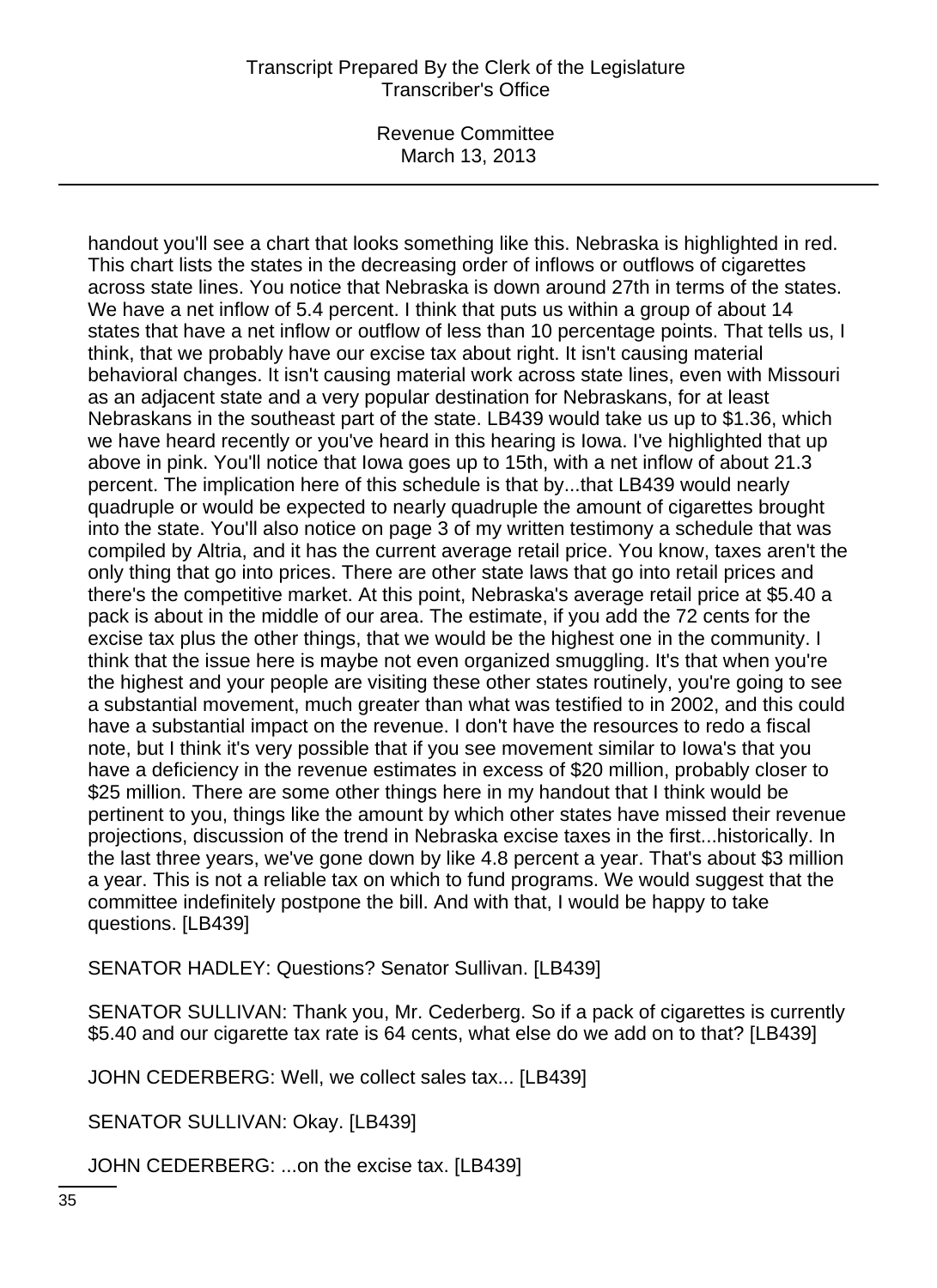Revenue Committee March 13, 2013

handout you'll see a chart that looks something like this. Nebraska is highlighted in red. This chart lists the states in the decreasing order of inflows or outflows of cigarettes across state lines. You notice that Nebraska is down around 27th in terms of the states. We have a net inflow of 5.4 percent. I think that puts us within a group of about 14 states that have a net inflow or outflow of less than 10 percentage points. That tells us, I think, that we probably have our excise tax about right. It isn't causing material behavioral changes. It isn't causing material work across state lines, even with Missouri as an adjacent state and a very popular destination for Nebraskans, for at least Nebraskans in the southeast part of the state. LB439 would take us up to \$1.36, which we have heard recently or you've heard in this hearing is Iowa. I've highlighted that up above in pink. You'll notice that Iowa goes up to 15th, with a net inflow of about 21.3 percent. The implication here of this schedule is that by...that LB439 would nearly quadruple or would be expected to nearly quadruple the amount of cigarettes brought into the state. You'll also notice on page 3 of my written testimony a schedule that was compiled by Altria, and it has the current average retail price. You know, taxes aren't the only thing that go into prices. There are other state laws that go into retail prices and there's the competitive market. At this point, Nebraska's average retail price at \$5.40 a pack is about in the middle of our area. The estimate, if you add the 72 cents for the excise tax plus the other things, that we would be the highest one in the community. I think that the issue here is maybe not even organized smuggling. It's that when you're the highest and your people are visiting these other states routinely, you're going to see a substantial movement, much greater than what was testified to in 2002, and this could have a substantial impact on the revenue. I don't have the resources to redo a fiscal note, but I think it's very possible that if you see movement similar to Iowa's that you have a deficiency in the revenue estimates in excess of \$20 million, probably closer to \$25 million. There are some other things here in my handout that I think would be pertinent to you, things like the amount by which other states have missed their revenue projections, discussion of the trend in Nebraska excise taxes in the first...historically. In the last three years, we've gone down by like 4.8 percent a year. That's about \$3 million a year. This is not a reliable tax on which to fund programs. We would suggest that the committee indefinitely postpone the bill. And with that, I would be happy to take questions. [LB439]

SENATOR HADLEY: Questions? Senator Sullivan. [LB439]

SENATOR SULLIVAN: Thank you, Mr. Cederberg. So if a pack of cigarettes is currently \$5.40 and our cigarette tax rate is 64 cents, what else do we add on to that? [LB439]

JOHN CEDERBERG: Well, we collect sales tax... [LB439]

SENATOR SULLIVAN: Okay. [LB439]

JOHN CEDERBERG: ...on the excise tax. [LB439]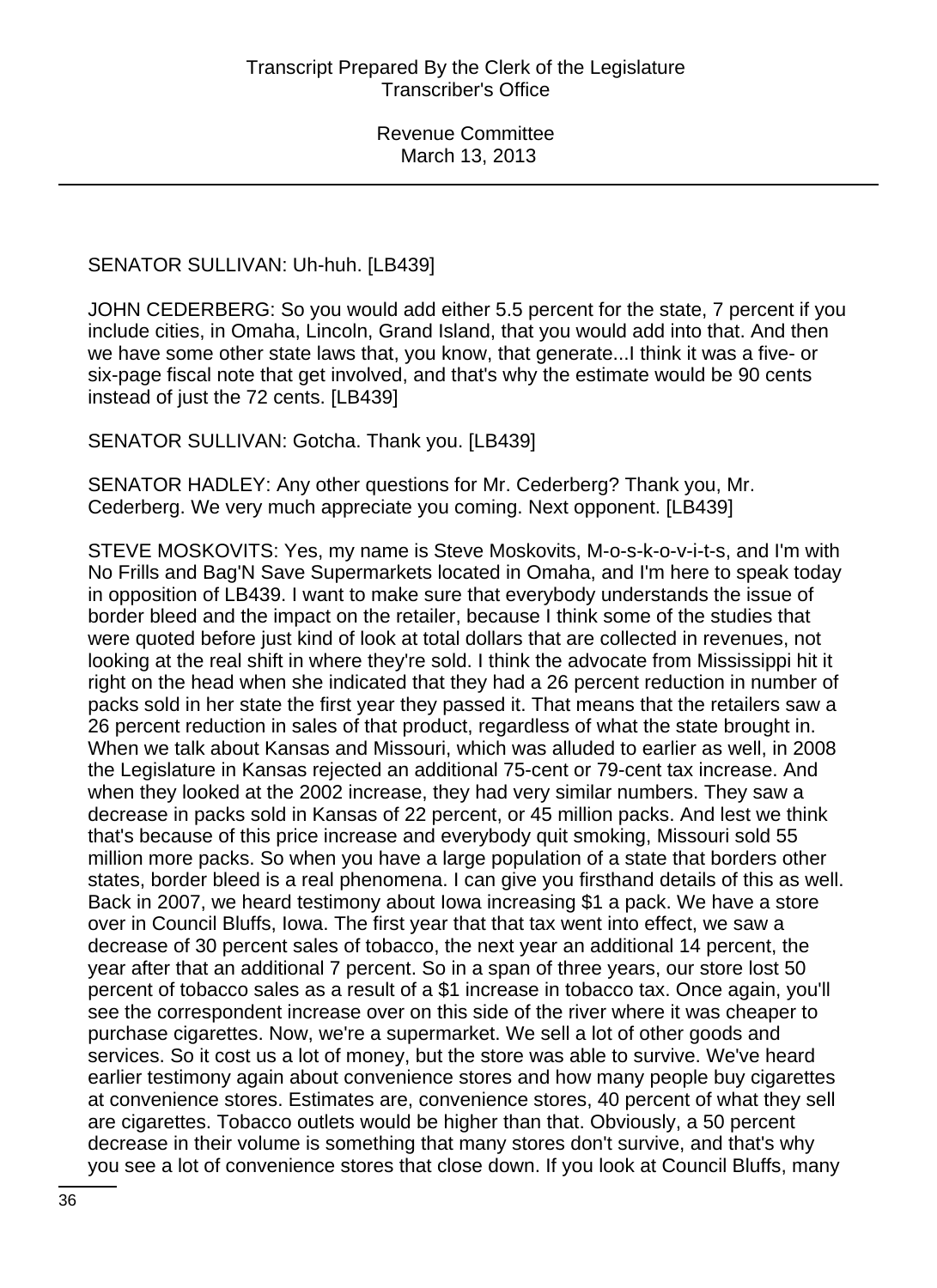SENATOR SULLIVAN: Uh-huh. [LB439]

JOHN CEDERBERG: So you would add either 5.5 percent for the state, 7 percent if you include cities, in Omaha, Lincoln, Grand Island, that you would add into that. And then we have some other state laws that, you know, that generate...I think it was a five- or six-page fiscal note that get involved, and that's why the estimate would be 90 cents instead of just the 72 cents. [LB439]

SENATOR SULLIVAN: Gotcha. Thank you. [LB439]

SENATOR HADLEY: Any other questions for Mr. Cederberg? Thank you, Mr. Cederberg. We very much appreciate you coming. Next opponent. [LB439]

STEVE MOSKOVITS: Yes, my name is Steve Moskovits, M-o-s-k-o-v-i-t-s, and I'm with No Frills and Bag'N Save Supermarkets located in Omaha, and I'm here to speak today in opposition of LB439. I want to make sure that everybody understands the issue of border bleed and the impact on the retailer, because I think some of the studies that were quoted before just kind of look at total dollars that are collected in revenues, not looking at the real shift in where they're sold. I think the advocate from Mississippi hit it right on the head when she indicated that they had a 26 percent reduction in number of packs sold in her state the first year they passed it. That means that the retailers saw a 26 percent reduction in sales of that product, regardless of what the state brought in. When we talk about Kansas and Missouri, which was alluded to earlier as well, in 2008 the Legislature in Kansas rejected an additional 75-cent or 79-cent tax increase. And when they looked at the 2002 increase, they had very similar numbers. They saw a decrease in packs sold in Kansas of 22 percent, or 45 million packs. And lest we think that's because of this price increase and everybody quit smoking, Missouri sold 55 million more packs. So when you have a large population of a state that borders other states, border bleed is a real phenomena. I can give you firsthand details of this as well. Back in 2007, we heard testimony about Iowa increasing \$1 a pack. We have a store over in Council Bluffs, Iowa. The first year that that tax went into effect, we saw a decrease of 30 percent sales of tobacco, the next year an additional 14 percent, the year after that an additional 7 percent. So in a span of three years, our store lost 50 percent of tobacco sales as a result of a \$1 increase in tobacco tax. Once again, you'll see the correspondent increase over on this side of the river where it was cheaper to purchase cigarettes. Now, we're a supermarket. We sell a lot of other goods and services. So it cost us a lot of money, but the store was able to survive. We've heard earlier testimony again about convenience stores and how many people buy cigarettes at convenience stores. Estimates are, convenience stores, 40 percent of what they sell are cigarettes. Tobacco outlets would be higher than that. Obviously, a 50 percent decrease in their volume is something that many stores don't survive, and that's why you see a lot of convenience stores that close down. If you look at Council Bluffs, many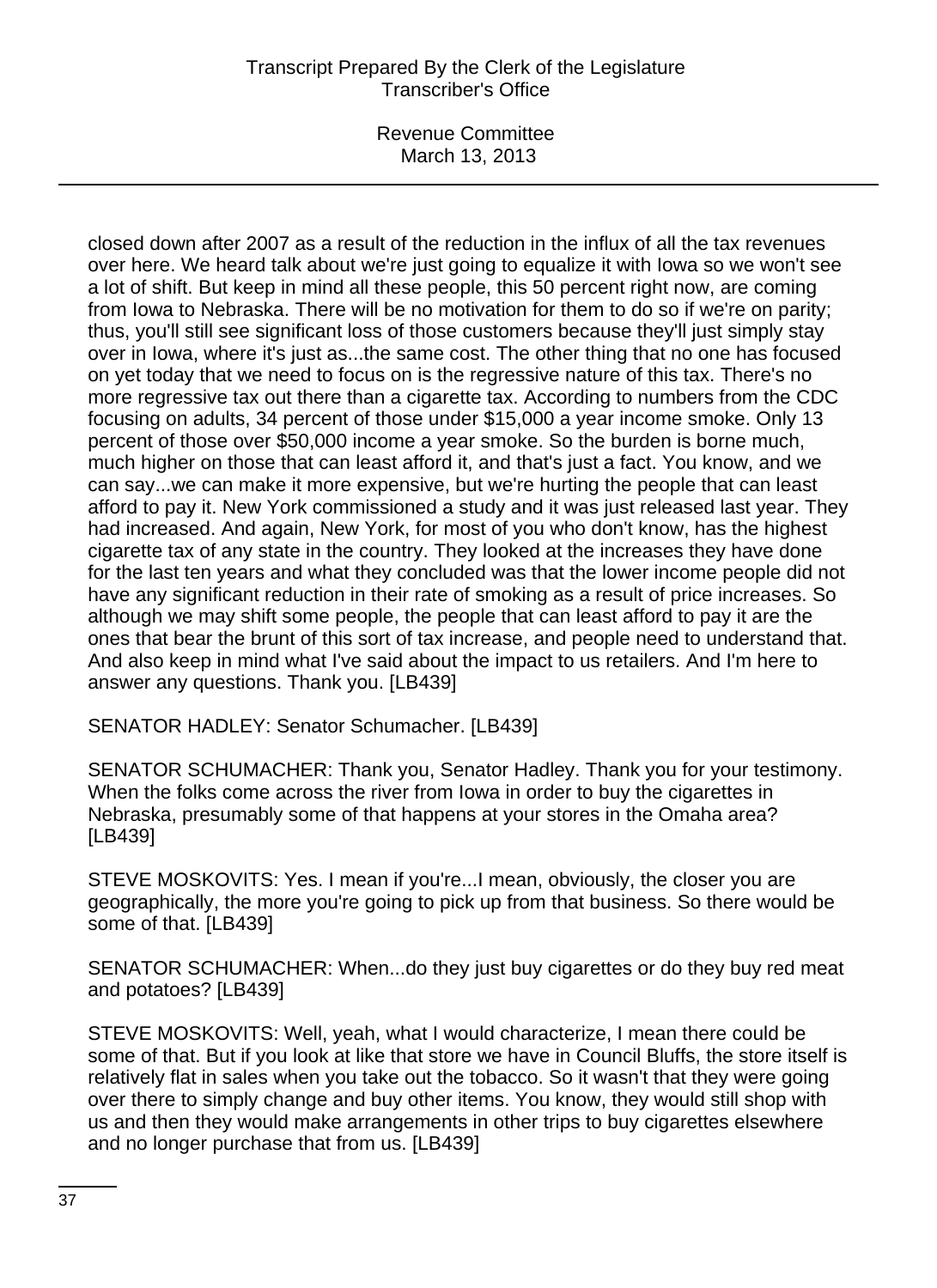Revenue Committee March 13, 2013

closed down after 2007 as a result of the reduction in the influx of all the tax revenues over here. We heard talk about we're just going to equalize it with Iowa so we won't see a lot of shift. But keep in mind all these people, this 50 percent right now, are coming from Iowa to Nebraska. There will be no motivation for them to do so if we're on parity; thus, you'll still see significant loss of those customers because they'll just simply stay over in Iowa, where it's just as...the same cost. The other thing that no one has focused on yet today that we need to focus on is the regressive nature of this tax. There's no more regressive tax out there than a cigarette tax. According to numbers from the CDC focusing on adults, 34 percent of those under \$15,000 a year income smoke. Only 13 percent of those over \$50,000 income a year smoke. So the burden is borne much, much higher on those that can least afford it, and that's just a fact. You know, and we can say...we can make it more expensive, but we're hurting the people that can least afford to pay it. New York commissioned a study and it was just released last year. They had increased. And again, New York, for most of you who don't know, has the highest cigarette tax of any state in the country. They looked at the increases they have done for the last ten years and what they concluded was that the lower income people did not have any significant reduction in their rate of smoking as a result of price increases. So although we may shift some people, the people that can least afford to pay it are the ones that bear the brunt of this sort of tax increase, and people need to understand that. And also keep in mind what I've said about the impact to us retailers. And I'm here to answer any questions. Thank you. [LB439]

SENATOR HADLEY: Senator Schumacher. [LB439]

SENATOR SCHUMACHER: Thank you, Senator Hadley. Thank you for your testimony. When the folks come across the river from Iowa in order to buy the cigarettes in Nebraska, presumably some of that happens at your stores in the Omaha area? [LB439]

STEVE MOSKOVITS: Yes. I mean if you're...I mean, obviously, the closer you are geographically, the more you're going to pick up from that business. So there would be some of that. [LB439]

SENATOR SCHUMACHER: When...do they just buy cigarettes or do they buy red meat and potatoes? [LB439]

STEVE MOSKOVITS: Well, yeah, what I would characterize, I mean there could be some of that. But if you look at like that store we have in Council Bluffs, the store itself is relatively flat in sales when you take out the tobacco. So it wasn't that they were going over there to simply change and buy other items. You know, they would still shop with us and then they would make arrangements in other trips to buy cigarettes elsewhere and no longer purchase that from us. [LB439]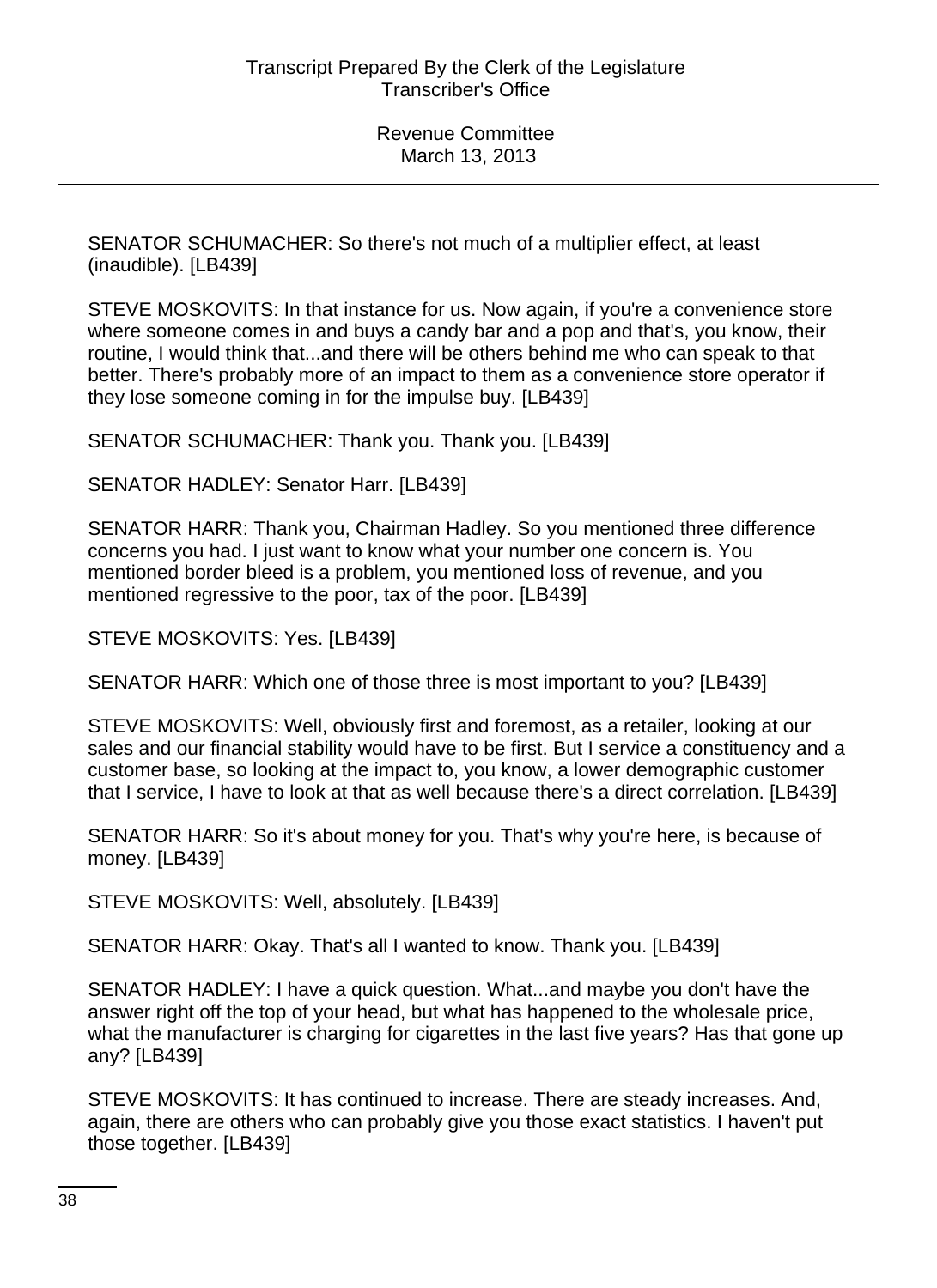SENATOR SCHUMACHER: So there's not much of a multiplier effect, at least (inaudible). [LB439]

STEVE MOSKOVITS: In that instance for us. Now again, if you're a convenience store where someone comes in and buys a candy bar and a pop and that's, you know, their routine, I would think that...and there will be others behind me who can speak to that better. There's probably more of an impact to them as a convenience store operator if they lose someone coming in for the impulse buy. [LB439]

SENATOR SCHUMACHER: Thank you. Thank you. [LB439]

SENATOR HADLEY: Senator Harr. [LB439]

SENATOR HARR: Thank you, Chairman Hadley. So you mentioned three difference concerns you had. I just want to know what your number one concern is. You mentioned border bleed is a problem, you mentioned loss of revenue, and you mentioned regressive to the poor, tax of the poor. [LB439]

STEVE MOSKOVITS: Yes. [LB439]

SENATOR HARR: Which one of those three is most important to you? [LB439]

STEVE MOSKOVITS: Well, obviously first and foremost, as a retailer, looking at our sales and our financial stability would have to be first. But I service a constituency and a customer base, so looking at the impact to, you know, a lower demographic customer that I service, I have to look at that as well because there's a direct correlation. [LB439]

SENATOR HARR: So it's about money for you. That's why you're here, is because of money. [LB439]

STEVE MOSKOVITS: Well, absolutely. [LB439]

SENATOR HARR: Okay. That's all I wanted to know. Thank you. [LB439]

SENATOR HADLEY: I have a quick question. What...and maybe you don't have the answer right off the top of your head, but what has happened to the wholesale price, what the manufacturer is charging for cigarettes in the last five years? Has that gone up any? [LB439]

STEVE MOSKOVITS: It has continued to increase. There are steady increases. And, again, there are others who can probably give you those exact statistics. I haven't put those together. [LB439]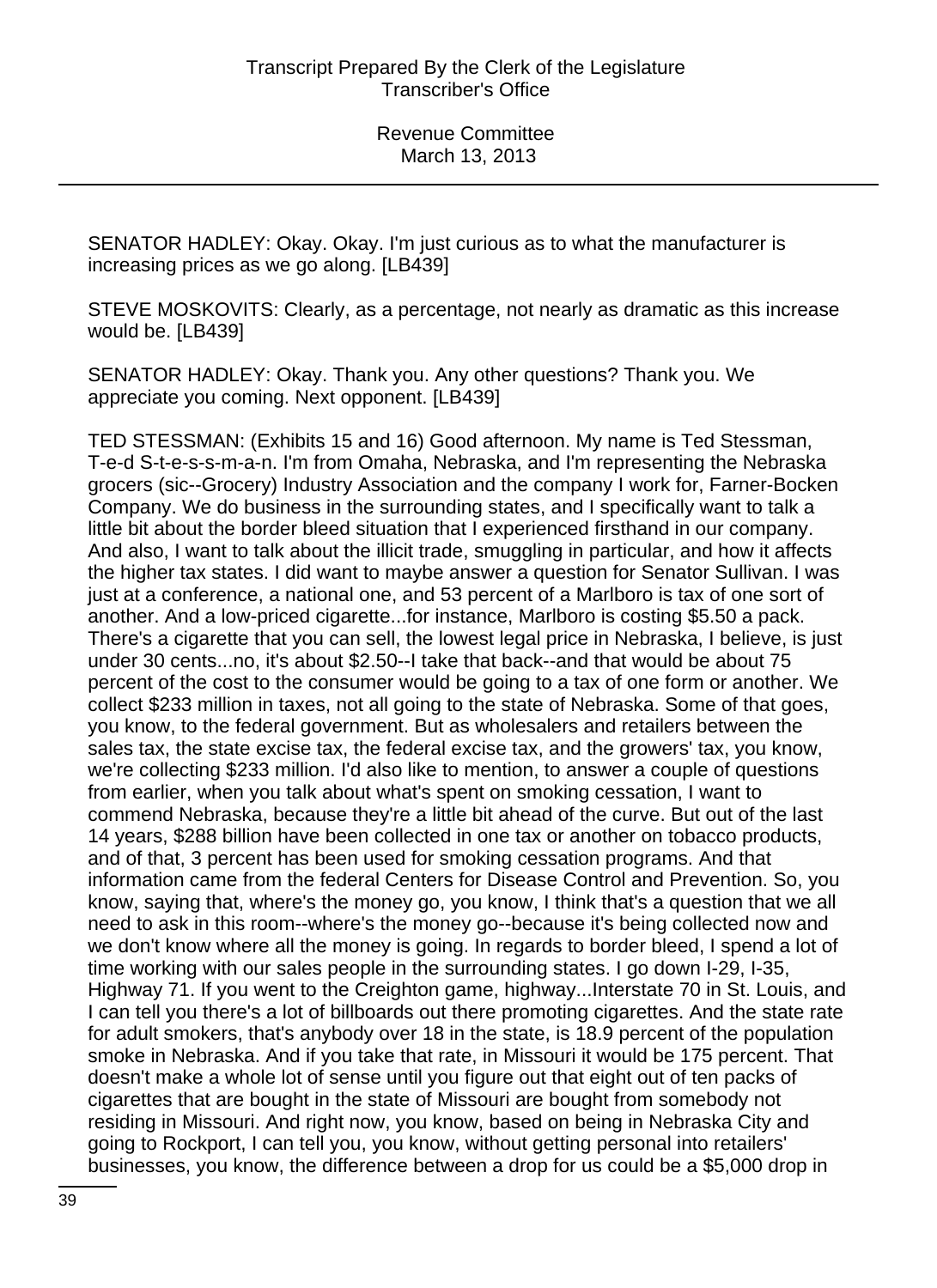SENATOR HADLEY: Okay. Okay. I'm just curious as to what the manufacturer is increasing prices as we go along. [LB439]

STEVE MOSKOVITS: Clearly, as a percentage, not nearly as dramatic as this increase would be. [LB439]

SENATOR HADLEY: Okay. Thank you. Any other questions? Thank you. We appreciate you coming. Next opponent. [LB439]

TED STESSMAN: (Exhibits 15 and 16) Good afternoon. My name is Ted Stessman, T-e-d S-t-e-s-s-m-a-n. I'm from Omaha, Nebraska, and I'm representing the Nebraska grocers (sic--Grocery) Industry Association and the company I work for, Farner-Bocken Company. We do business in the surrounding states, and I specifically want to talk a little bit about the border bleed situation that I experienced firsthand in our company. And also, I want to talk about the illicit trade, smuggling in particular, and how it affects the higher tax states. I did want to maybe answer a question for Senator Sullivan. I was just at a conference, a national one, and 53 percent of a Marlboro is tax of one sort of another. And a low-priced cigarette...for instance, Marlboro is costing \$5.50 a pack. There's a cigarette that you can sell, the lowest legal price in Nebraska, I believe, is just under 30 cents...no, it's about \$2.50--I take that back--and that would be about 75 percent of the cost to the consumer would be going to a tax of one form or another. We collect \$233 million in taxes, not all going to the state of Nebraska. Some of that goes, you know, to the federal government. But as wholesalers and retailers between the sales tax, the state excise tax, the federal excise tax, and the growers' tax, you know, we're collecting \$233 million. I'd also like to mention, to answer a couple of questions from earlier, when you talk about what's spent on smoking cessation, I want to commend Nebraska, because they're a little bit ahead of the curve. But out of the last 14 years, \$288 billion have been collected in one tax or another on tobacco products, and of that, 3 percent has been used for smoking cessation programs. And that information came from the federal Centers for Disease Control and Prevention. So, you know, saying that, where's the money go, you know, I think that's a question that we all need to ask in this room--where's the money go--because it's being collected now and we don't know where all the money is going. In regards to border bleed, I spend a lot of time working with our sales people in the surrounding states. I go down I-29, I-35, Highway 71. If you went to the Creighton game, highway...Interstate 70 in St. Louis, and I can tell you there's a lot of billboards out there promoting cigarettes. And the state rate for adult smokers, that's anybody over 18 in the state, is 18.9 percent of the population smoke in Nebraska. And if you take that rate, in Missouri it would be 175 percent. That doesn't make a whole lot of sense until you figure out that eight out of ten packs of cigarettes that are bought in the state of Missouri are bought from somebody not residing in Missouri. And right now, you know, based on being in Nebraska City and going to Rockport, I can tell you, you know, without getting personal into retailers' businesses, you know, the difference between a drop for us could be a \$5,000 drop in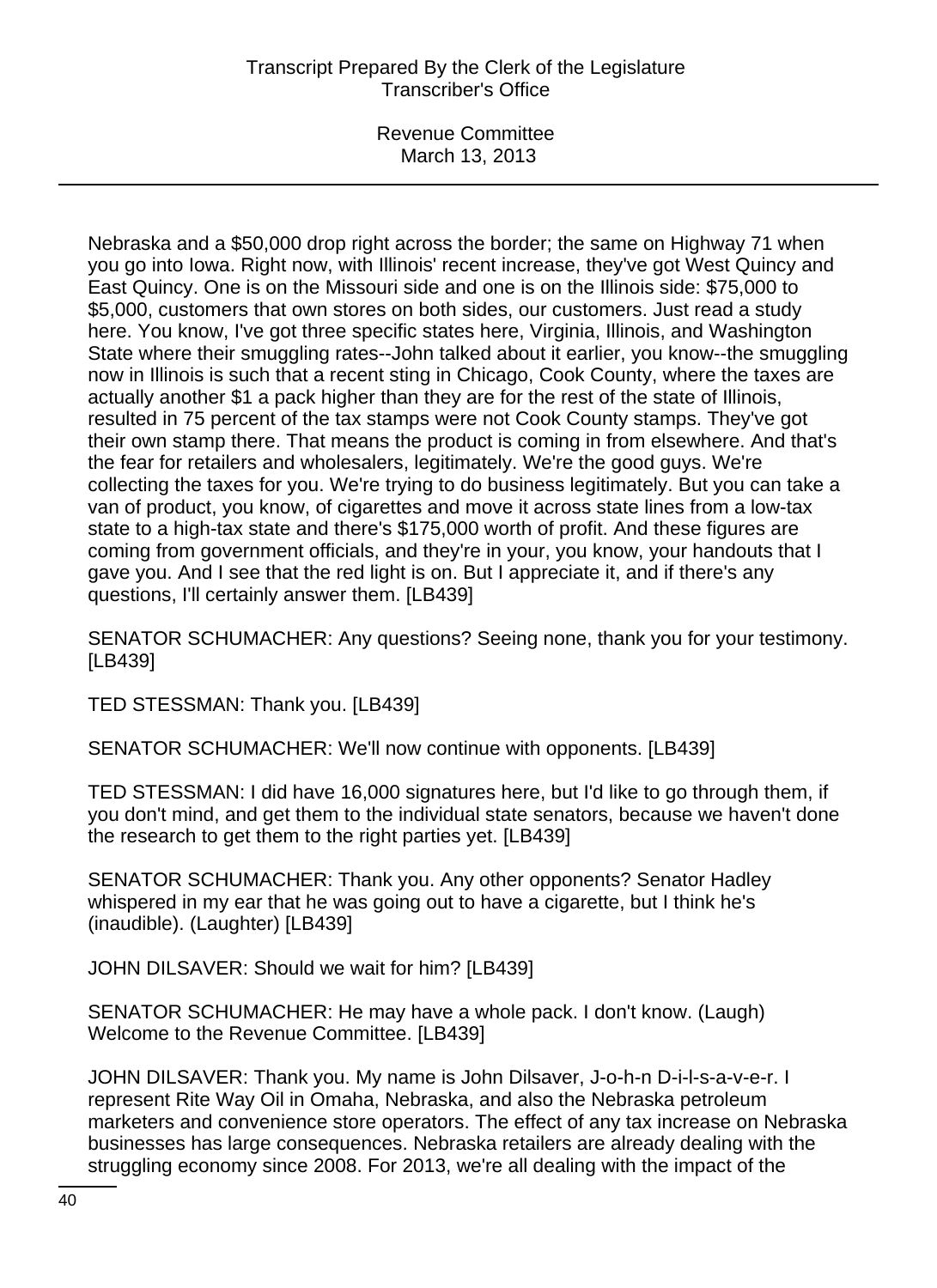Revenue Committee March 13, 2013

Nebraska and a \$50,000 drop right across the border; the same on Highway 71 when you go into Iowa. Right now, with Illinois' recent increase, they've got West Quincy and East Quincy. One is on the Missouri side and one is on the Illinois side: \$75,000 to \$5,000, customers that own stores on both sides, our customers. Just read a study here. You know, I've got three specific states here, Virginia, Illinois, and Washington State where their smuggling rates--John talked about it earlier, you know--the smuggling now in Illinois is such that a recent sting in Chicago, Cook County, where the taxes are actually another \$1 a pack higher than they are for the rest of the state of Illinois, resulted in 75 percent of the tax stamps were not Cook County stamps. They've got their own stamp there. That means the product is coming in from elsewhere. And that's the fear for retailers and wholesalers, legitimately. We're the good guys. We're collecting the taxes for you. We're trying to do business legitimately. But you can take a van of product, you know, of cigarettes and move it across state lines from a low-tax state to a high-tax state and there's \$175,000 worth of profit. And these figures are coming from government officials, and they're in your, you know, your handouts that I gave you. And I see that the red light is on. But I appreciate it, and if there's any questions, I'll certainly answer them. [LB439]

SENATOR SCHUMACHER: Any questions? Seeing none, thank you for your testimony. [LB439]

TED STESSMAN: Thank you. [LB439]

SENATOR SCHUMACHER: We'll now continue with opponents. [LB439]

TED STESSMAN: I did have 16,000 signatures here, but I'd like to go through them, if you don't mind, and get them to the individual state senators, because we haven't done the research to get them to the right parties yet. [LB439]

SENATOR SCHUMACHER: Thank you. Any other opponents? Senator Hadley whispered in my ear that he was going out to have a cigarette, but I think he's (inaudible). (Laughter) [LB439]

JOHN DILSAVER: Should we wait for him? [LB439]

SENATOR SCHUMACHER: He may have a whole pack. I don't know. (Laugh) Welcome to the Revenue Committee. [LB439]

JOHN DILSAVER: Thank you. My name is John Dilsaver, J-o-h-n D-i-l-s-a-v-e-r. I represent Rite Way Oil in Omaha, Nebraska, and also the Nebraska petroleum marketers and convenience store operators. The effect of any tax increase on Nebraska businesses has large consequences. Nebraska retailers are already dealing with the struggling economy since 2008. For 2013, we're all dealing with the impact of the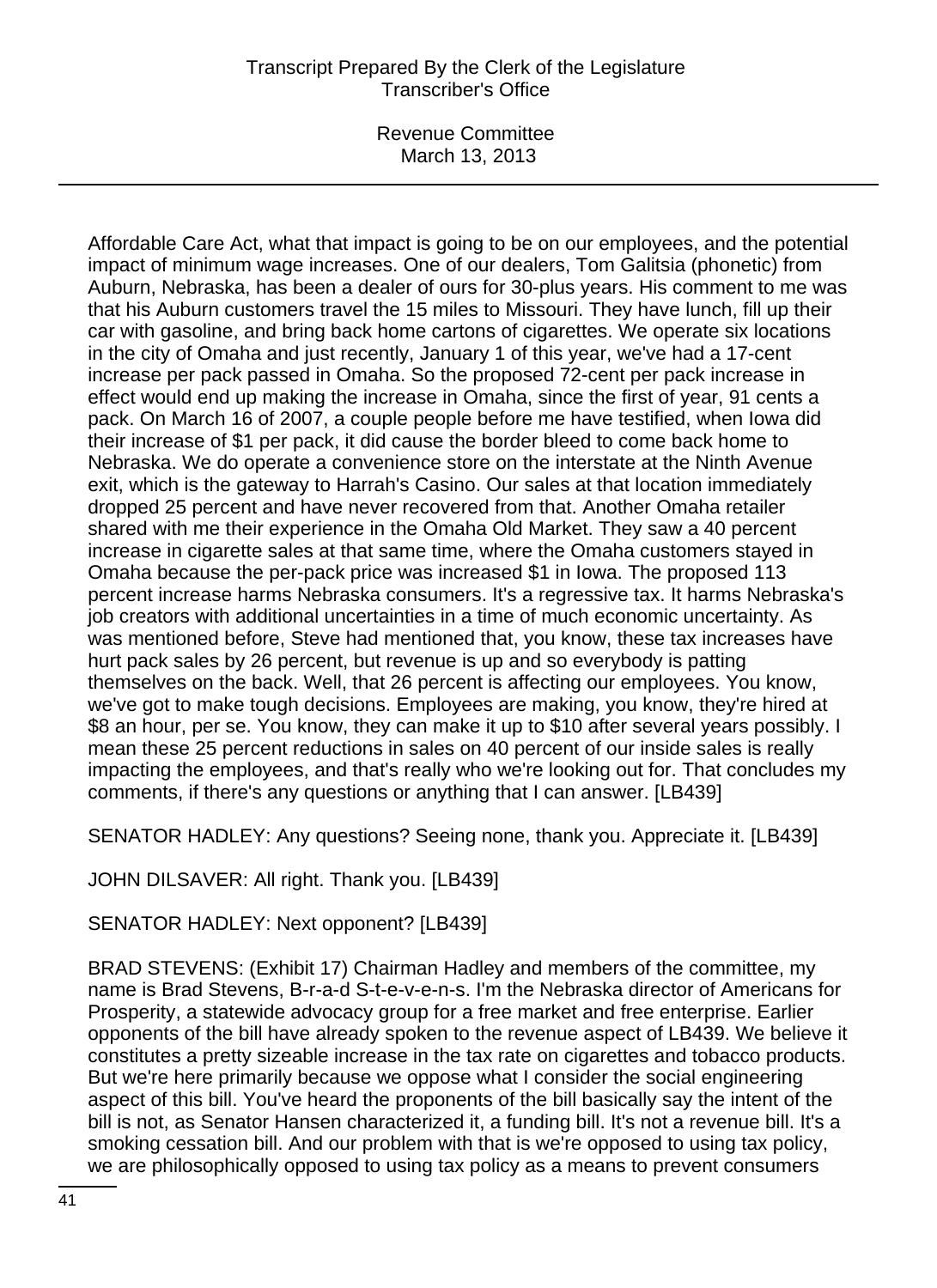Revenue Committee March 13, 2013

Affordable Care Act, what that impact is going to be on our employees, and the potential impact of minimum wage increases. One of our dealers, Tom Galitsia (phonetic) from Auburn, Nebraska, has been a dealer of ours for 30-plus years. His comment to me was that his Auburn customers travel the 15 miles to Missouri. They have lunch, fill up their car with gasoline, and bring back home cartons of cigarettes. We operate six locations in the city of Omaha and just recently, January 1 of this year, we've had a 17-cent increase per pack passed in Omaha. So the proposed 72-cent per pack increase in effect would end up making the increase in Omaha, since the first of year, 91 cents a pack. On March 16 of 2007, a couple people before me have testified, when Iowa did their increase of \$1 per pack, it did cause the border bleed to come back home to Nebraska. We do operate a convenience store on the interstate at the Ninth Avenue exit, which is the gateway to Harrah's Casino. Our sales at that location immediately dropped 25 percent and have never recovered from that. Another Omaha retailer shared with me their experience in the Omaha Old Market. They saw a 40 percent increase in cigarette sales at that same time, where the Omaha customers stayed in Omaha because the per-pack price was increased \$1 in Iowa. The proposed 113 percent increase harms Nebraska consumers. It's a regressive tax. It harms Nebraska's job creators with additional uncertainties in a time of much economic uncertainty. As was mentioned before, Steve had mentioned that, you know, these tax increases have hurt pack sales by 26 percent, but revenue is up and so everybody is patting themselves on the back. Well, that 26 percent is affecting our employees. You know, we've got to make tough decisions. Employees are making, you know, they're hired at \$8 an hour, per se. You know, they can make it up to \$10 after several years possibly. I mean these 25 percent reductions in sales on 40 percent of our inside sales is really impacting the employees, and that's really who we're looking out for. That concludes my comments, if there's any questions or anything that I can answer. [LB439]

SENATOR HADLEY: Any questions? Seeing none, thank you. Appreciate it. [LB439]

JOHN DILSAVER: All right. Thank you. [LB439]

SENATOR HADLEY: Next opponent? [LB439]

BRAD STEVENS: (Exhibit 17) Chairman Hadley and members of the committee, my name is Brad Stevens, B-r-a-d S-t-e-v-e-n-s. I'm the Nebraska director of Americans for Prosperity, a statewide advocacy group for a free market and free enterprise. Earlier opponents of the bill have already spoken to the revenue aspect of LB439. We believe it constitutes a pretty sizeable increase in the tax rate on cigarettes and tobacco products. But we're here primarily because we oppose what I consider the social engineering aspect of this bill. You've heard the proponents of the bill basically say the intent of the bill is not, as Senator Hansen characterized it, a funding bill. It's not a revenue bill. It's a smoking cessation bill. And our problem with that is we're opposed to using tax policy, we are philosophically opposed to using tax policy as a means to prevent consumers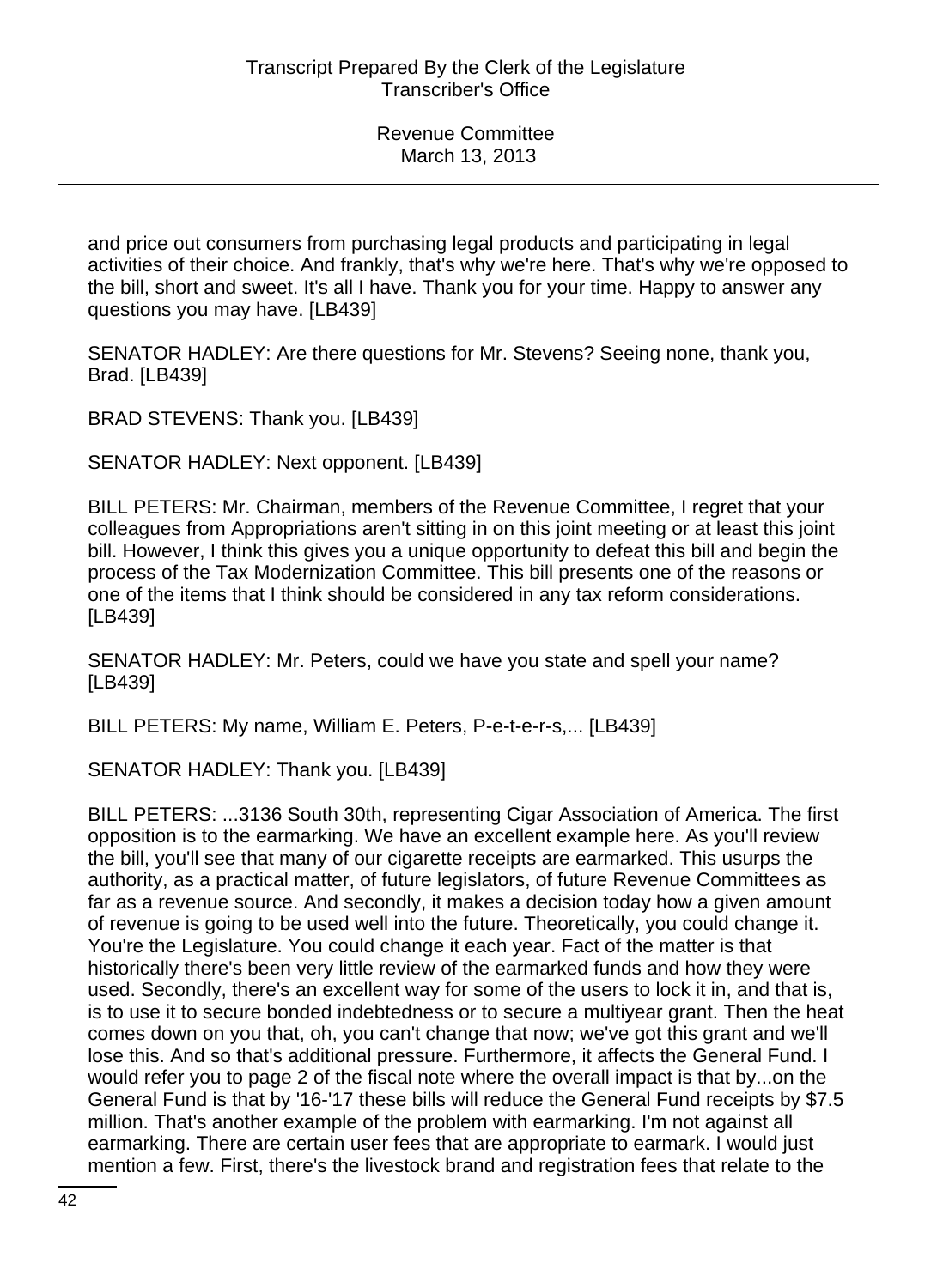and price out consumers from purchasing legal products and participating in legal activities of their choice. And frankly, that's why we're here. That's why we're opposed to the bill, short and sweet. It's all I have. Thank you for your time. Happy to answer any questions you may have. [LB439]

SENATOR HADLEY: Are there questions for Mr. Stevens? Seeing none, thank you, Brad. [LB439]

BRAD STEVENS: Thank you. [LB439]

SENATOR HADLEY: Next opponent. [LB439]

BILL PETERS: Mr. Chairman, members of the Revenue Committee, I regret that your colleagues from Appropriations aren't sitting in on this joint meeting or at least this joint bill. However, I think this gives you a unique opportunity to defeat this bill and begin the process of the Tax Modernization Committee. This bill presents one of the reasons or one of the items that I think should be considered in any tax reform considerations. [LB439]

SENATOR HADLEY: Mr. Peters, could we have you state and spell your name? [LB439]

BILL PETERS: My name, William E. Peters, P-e-t-e-r-s,... [LB439]

SENATOR HADLEY: Thank you. [LB439]

BILL PETERS: ...3136 South 30th, representing Cigar Association of America. The first opposition is to the earmarking. We have an excellent example here. As you'll review the bill, you'll see that many of our cigarette receipts are earmarked. This usurps the authority, as a practical matter, of future legislators, of future Revenue Committees as far as a revenue source. And secondly, it makes a decision today how a given amount of revenue is going to be used well into the future. Theoretically, you could change it. You're the Legislature. You could change it each year. Fact of the matter is that historically there's been very little review of the earmarked funds and how they were used. Secondly, there's an excellent way for some of the users to lock it in, and that is, is to use it to secure bonded indebtedness or to secure a multiyear grant. Then the heat comes down on you that, oh, you can't change that now; we've got this grant and we'll lose this. And so that's additional pressure. Furthermore, it affects the General Fund. I would refer you to page 2 of the fiscal note where the overall impact is that by...on the General Fund is that by '16-'17 these bills will reduce the General Fund receipts by \$7.5 million. That's another example of the problem with earmarking. I'm not against all earmarking. There are certain user fees that are appropriate to earmark. I would just mention a few. First, there's the livestock brand and registration fees that relate to the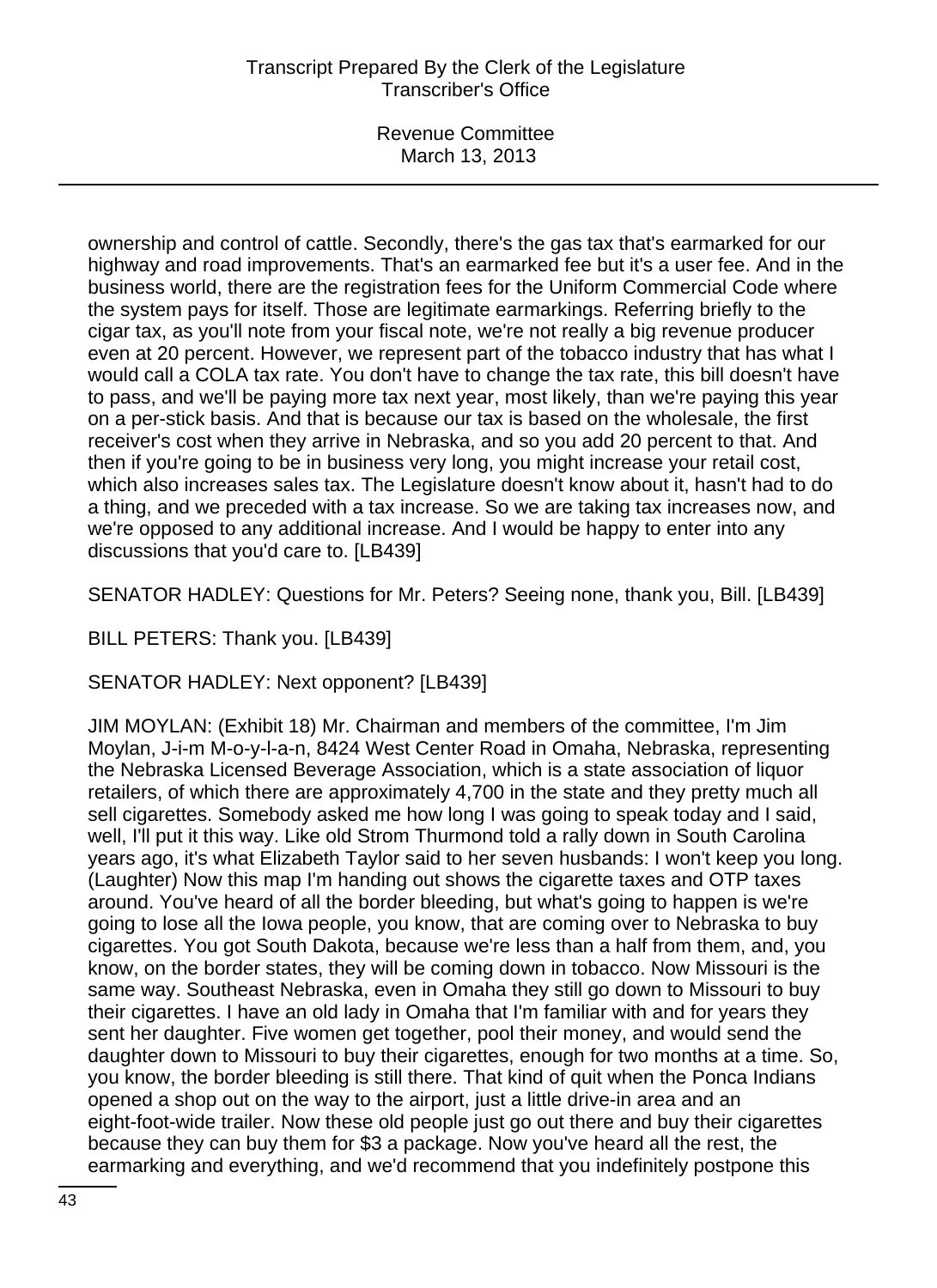Revenue Committee March 13, 2013

ownership and control of cattle. Secondly, there's the gas tax that's earmarked for our highway and road improvements. That's an earmarked fee but it's a user fee. And in the business world, there are the registration fees for the Uniform Commercial Code where the system pays for itself. Those are legitimate earmarkings. Referring briefly to the cigar tax, as you'll note from your fiscal note, we're not really a big revenue producer even at 20 percent. However, we represent part of the tobacco industry that has what I would call a COLA tax rate. You don't have to change the tax rate, this bill doesn't have to pass, and we'll be paying more tax next year, most likely, than we're paying this year on a per-stick basis. And that is because our tax is based on the wholesale, the first receiver's cost when they arrive in Nebraska, and so you add 20 percent to that. And then if you're going to be in business very long, you might increase your retail cost, which also increases sales tax. The Legislature doesn't know about it, hasn't had to do a thing, and we preceded with a tax increase. So we are taking tax increases now, and we're opposed to any additional increase. And I would be happy to enter into any discussions that you'd care to. [LB439]

SENATOR HADLEY: Questions for Mr. Peters? Seeing none, thank you, Bill. [LB439]

BILL PETERS: Thank you. [LB439]

SENATOR HADLEY: Next opponent? [LB439]

JIM MOYLAN: (Exhibit 18) Mr. Chairman and members of the committee, I'm Jim Moylan, J-i-m M-o-y-l-a-n, 8424 West Center Road in Omaha, Nebraska, representing the Nebraska Licensed Beverage Association, which is a state association of liquor retailers, of which there are approximately 4,700 in the state and they pretty much all sell cigarettes. Somebody asked me how long I was going to speak today and I said, well, I'll put it this way. Like old Strom Thurmond told a rally down in South Carolina years ago, it's what Elizabeth Taylor said to her seven husbands: I won't keep you long. (Laughter) Now this map I'm handing out shows the cigarette taxes and OTP taxes around. You've heard of all the border bleeding, but what's going to happen is we're going to lose all the Iowa people, you know, that are coming over to Nebraska to buy cigarettes. You got South Dakota, because we're less than a half from them, and, you know, on the border states, they will be coming down in tobacco. Now Missouri is the same way. Southeast Nebraska, even in Omaha they still go down to Missouri to buy their cigarettes. I have an old lady in Omaha that I'm familiar with and for years they sent her daughter. Five women get together, pool their money, and would send the daughter down to Missouri to buy their cigarettes, enough for two months at a time. So, you know, the border bleeding is still there. That kind of quit when the Ponca Indians opened a shop out on the way to the airport, just a little drive-in area and an eight-foot-wide trailer. Now these old people just go out there and buy their cigarettes because they can buy them for \$3 a package. Now you've heard all the rest, the earmarking and everything, and we'd recommend that you indefinitely postpone this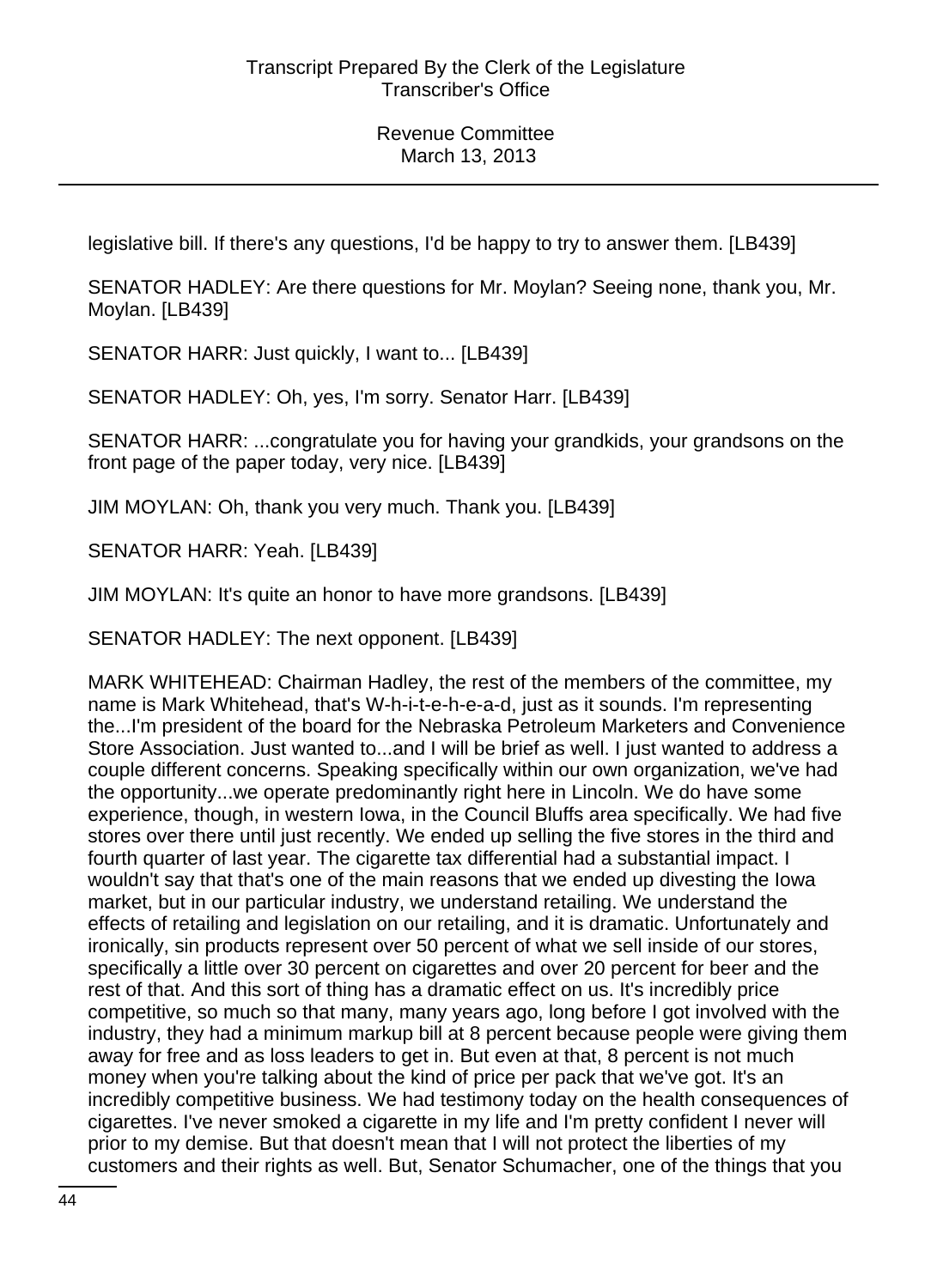legislative bill. If there's any questions, I'd be happy to try to answer them. [LB439]

SENATOR HADLEY: Are there questions for Mr. Moylan? Seeing none, thank you, Mr. Moylan. [LB439]

SENATOR HARR: Just quickly, I want to... [LB439]

SENATOR HADLEY: Oh, yes, I'm sorry. Senator Harr. [LB439]

SENATOR HARR: ...congratulate you for having your grandkids, your grandsons on the front page of the paper today, very nice. [LB439]

JIM MOYLAN: Oh, thank you very much. Thank you. [LB439]

SENATOR HARR: Yeah. [LB439]

JIM MOYLAN: It's quite an honor to have more grandsons. [LB439]

SENATOR HADLEY: The next opponent. [LB439]

MARK WHITEHEAD: Chairman Hadley, the rest of the members of the committee, my name is Mark Whitehead, that's W-h-i-t-e-h-e-a-d, just as it sounds. I'm representing the...I'm president of the board for the Nebraska Petroleum Marketers and Convenience Store Association. Just wanted to...and I will be brief as well. I just wanted to address a couple different concerns. Speaking specifically within our own organization, we've had the opportunity...we operate predominantly right here in Lincoln. We do have some experience, though, in western Iowa, in the Council Bluffs area specifically. We had five stores over there until just recently. We ended up selling the five stores in the third and fourth quarter of last year. The cigarette tax differential had a substantial impact. I wouldn't say that that's one of the main reasons that we ended up divesting the Iowa market, but in our particular industry, we understand retailing. We understand the effects of retailing and legislation on our retailing, and it is dramatic. Unfortunately and ironically, sin products represent over 50 percent of what we sell inside of our stores, specifically a little over 30 percent on cigarettes and over 20 percent for beer and the rest of that. And this sort of thing has a dramatic effect on us. It's incredibly price competitive, so much so that many, many years ago, long before I got involved with the industry, they had a minimum markup bill at 8 percent because people were giving them away for free and as loss leaders to get in. But even at that, 8 percent is not much money when you're talking about the kind of price per pack that we've got. It's an incredibly competitive business. We had testimony today on the health consequences of cigarettes. I've never smoked a cigarette in my life and I'm pretty confident I never will prior to my demise. But that doesn't mean that I will not protect the liberties of my customers and their rights as well. But, Senator Schumacher, one of the things that you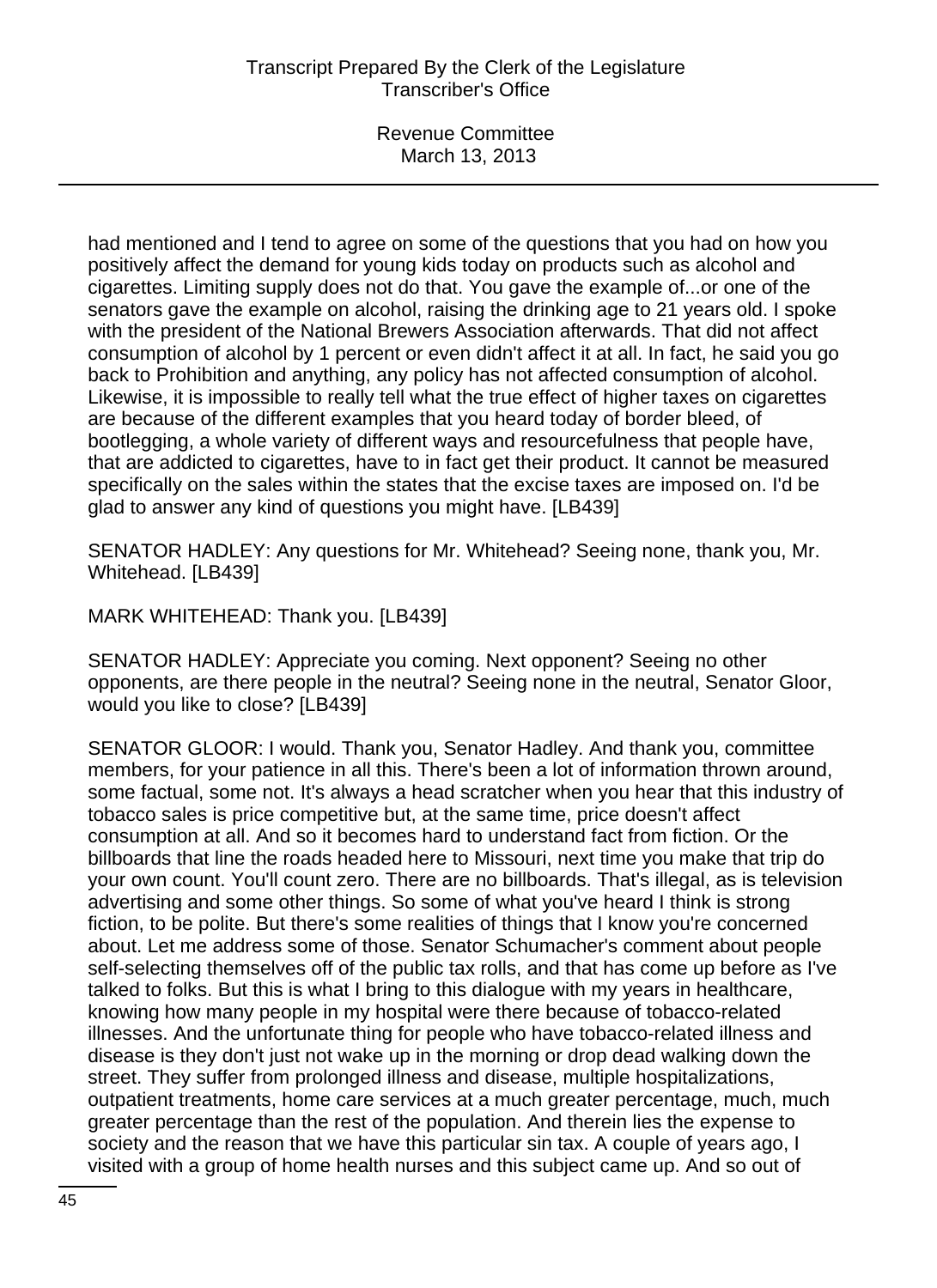had mentioned and I tend to agree on some of the questions that you had on how you positively affect the demand for young kids today on products such as alcohol and cigarettes. Limiting supply does not do that. You gave the example of...or one of the senators gave the example on alcohol, raising the drinking age to 21 years old. I spoke with the president of the National Brewers Association afterwards. That did not affect consumption of alcohol by 1 percent or even didn't affect it at all. In fact, he said you go back to Prohibition and anything, any policy has not affected consumption of alcohol. Likewise, it is impossible to really tell what the true effect of higher taxes on cigarettes are because of the different examples that you heard today of border bleed, of bootlegging, a whole variety of different ways and resourcefulness that people have, that are addicted to cigarettes, have to in fact get their product. It cannot be measured specifically on the sales within the states that the excise taxes are imposed on. I'd be glad to answer any kind of questions you might have. [LB439]

SENATOR HADLEY: Any questions for Mr. Whitehead? Seeing none, thank you, Mr. Whitehead. [LB439]

MARK WHITEHEAD: Thank you. [LB439]

SENATOR HADLEY: Appreciate you coming. Next opponent? Seeing no other opponents, are there people in the neutral? Seeing none in the neutral, Senator Gloor, would you like to close? [LB439]

SENATOR GLOOR: I would. Thank you, Senator Hadley. And thank you, committee members, for your patience in all this. There's been a lot of information thrown around, some factual, some not. It's always a head scratcher when you hear that this industry of tobacco sales is price competitive but, at the same time, price doesn't affect consumption at all. And so it becomes hard to understand fact from fiction. Or the billboards that line the roads headed here to Missouri, next time you make that trip do your own count. You'll count zero. There are no billboards. That's illegal, as is television advertising and some other things. So some of what you've heard I think is strong fiction, to be polite. But there's some realities of things that I know you're concerned about. Let me address some of those. Senator Schumacher's comment about people self-selecting themselves off of the public tax rolls, and that has come up before as I've talked to folks. But this is what I bring to this dialogue with my years in healthcare, knowing how many people in my hospital were there because of tobacco-related illnesses. And the unfortunate thing for people who have tobacco-related illness and disease is they don't just not wake up in the morning or drop dead walking down the street. They suffer from prolonged illness and disease, multiple hospitalizations, outpatient treatments, home care services at a much greater percentage, much, much greater percentage than the rest of the population. And therein lies the expense to society and the reason that we have this particular sin tax. A couple of years ago, I visited with a group of home health nurses and this subject came up. And so out of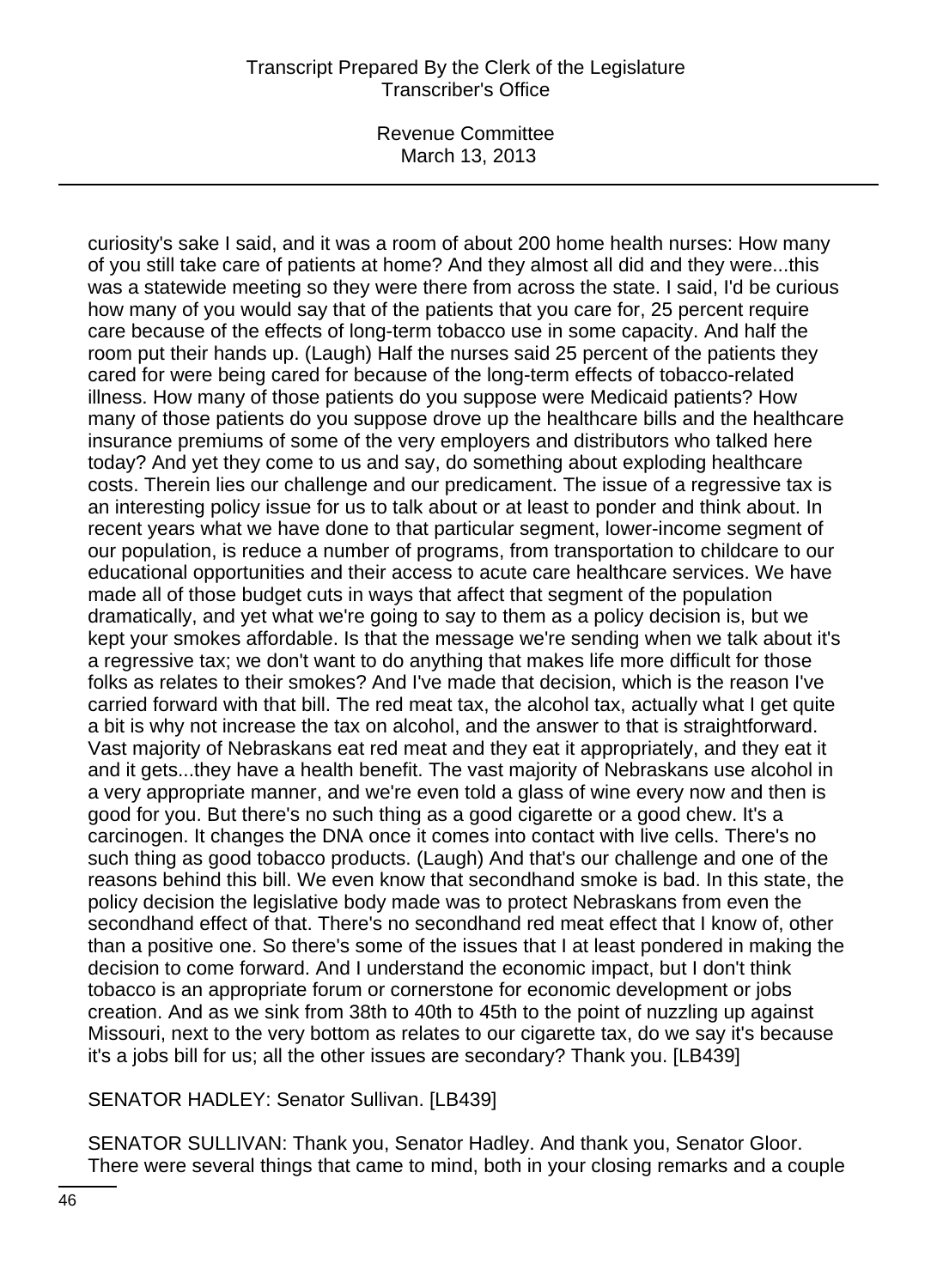Revenue Committee March 13, 2013

curiosity's sake I said, and it was a room of about 200 home health nurses: How many of you still take care of patients at home? And they almost all did and they were...this was a statewide meeting so they were there from across the state. I said, I'd be curious how many of you would say that of the patients that you care for, 25 percent require care because of the effects of long-term tobacco use in some capacity. And half the room put their hands up. (Laugh) Half the nurses said 25 percent of the patients they cared for were being cared for because of the long-term effects of tobacco-related illness. How many of those patients do you suppose were Medicaid patients? How many of those patients do you suppose drove up the healthcare bills and the healthcare insurance premiums of some of the very employers and distributors who talked here today? And yet they come to us and say, do something about exploding healthcare costs. Therein lies our challenge and our predicament. The issue of a regressive tax is an interesting policy issue for us to talk about or at least to ponder and think about. In recent years what we have done to that particular segment, lower-income segment of our population, is reduce a number of programs, from transportation to childcare to our educational opportunities and their access to acute care healthcare services. We have made all of those budget cuts in ways that affect that segment of the population dramatically, and yet what we're going to say to them as a policy decision is, but we kept your smokes affordable. Is that the message we're sending when we talk about it's a regressive tax; we don't want to do anything that makes life more difficult for those folks as relates to their smokes? And I've made that decision, which is the reason I've carried forward with that bill. The red meat tax, the alcohol tax, actually what I get quite a bit is why not increase the tax on alcohol, and the answer to that is straightforward. Vast majority of Nebraskans eat red meat and they eat it appropriately, and they eat it and it gets...they have a health benefit. The vast majority of Nebraskans use alcohol in a very appropriate manner, and we're even told a glass of wine every now and then is good for you. But there's no such thing as a good cigarette or a good chew. It's a carcinogen. It changes the DNA once it comes into contact with live cells. There's no such thing as good tobacco products. (Laugh) And that's our challenge and one of the reasons behind this bill. We even know that secondhand smoke is bad. In this state, the policy decision the legislative body made was to protect Nebraskans from even the secondhand effect of that. There's no secondhand red meat effect that I know of, other than a positive one. So there's some of the issues that I at least pondered in making the decision to come forward. And I understand the economic impact, but I don't think tobacco is an appropriate forum or cornerstone for economic development or jobs creation. And as we sink from 38th to 40th to 45th to the point of nuzzling up against Missouri, next to the very bottom as relates to our cigarette tax, do we say it's because it's a jobs bill for us; all the other issues are secondary? Thank you. [LB439]

SENATOR HADLEY: Senator Sullivan. [LB439]

SENATOR SULLIVAN: Thank you, Senator Hadley. And thank you, Senator Gloor. There were several things that came to mind, both in your closing remarks and a couple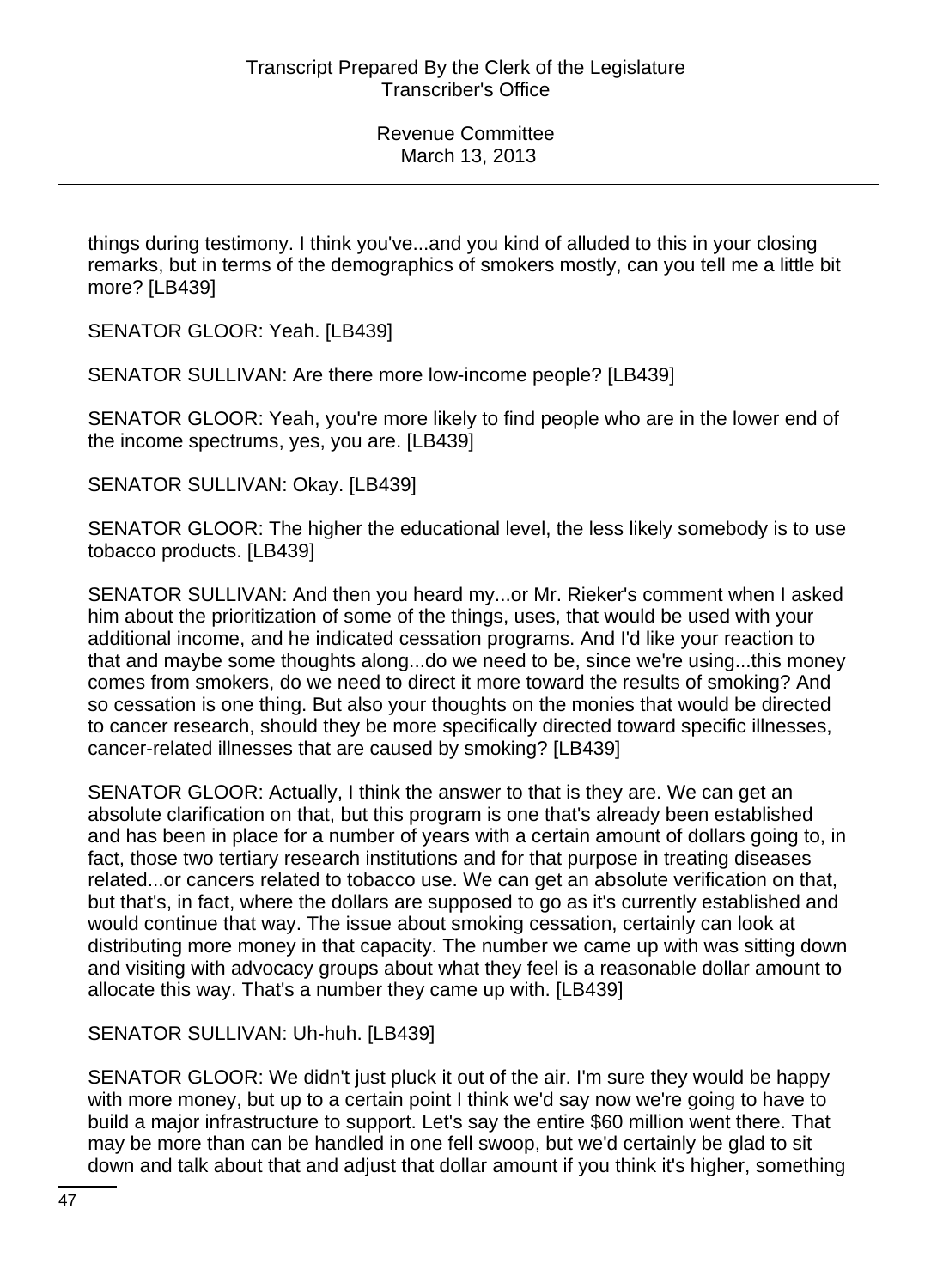things during testimony. I think you've...and you kind of alluded to this in your closing remarks, but in terms of the demographics of smokers mostly, can you tell me a little bit more? [LB439]

SENATOR GLOOR: Yeah. [LB439]

SENATOR SULLIVAN: Are there more low-income people? [LB439]

SENATOR GLOOR: Yeah, you're more likely to find people who are in the lower end of the income spectrums, yes, you are. [LB439]

SENATOR SULLIVAN: Okay. [LB439]

SENATOR GLOOR: The higher the educational level, the less likely somebody is to use tobacco products. [LB439]

SENATOR SULLIVAN: And then you heard my...or Mr. Rieker's comment when I asked him about the prioritization of some of the things, uses, that would be used with your additional income, and he indicated cessation programs. And I'd like your reaction to that and maybe some thoughts along...do we need to be, since we're using...this money comes from smokers, do we need to direct it more toward the results of smoking? And so cessation is one thing. But also your thoughts on the monies that would be directed to cancer research, should they be more specifically directed toward specific illnesses, cancer-related illnesses that are caused by smoking? [LB439]

SENATOR GLOOR: Actually, I think the answer to that is they are. We can get an absolute clarification on that, but this program is one that's already been established and has been in place for a number of years with a certain amount of dollars going to, in fact, those two tertiary research institutions and for that purpose in treating diseases related...or cancers related to tobacco use. We can get an absolute verification on that, but that's, in fact, where the dollars are supposed to go as it's currently established and would continue that way. The issue about smoking cessation, certainly can look at distributing more money in that capacity. The number we came up with was sitting down and visiting with advocacy groups about what they feel is a reasonable dollar amount to allocate this way. That's a number they came up with. [LB439]

SENATOR SULLIVAN: Uh-huh. [LB439]

SENATOR GLOOR: We didn't just pluck it out of the air. I'm sure they would be happy with more money, but up to a certain point I think we'd say now we're going to have to build a major infrastructure to support. Let's say the entire \$60 million went there. That may be more than can be handled in one fell swoop, but we'd certainly be glad to sit down and talk about that and adjust that dollar amount if you think it's higher, something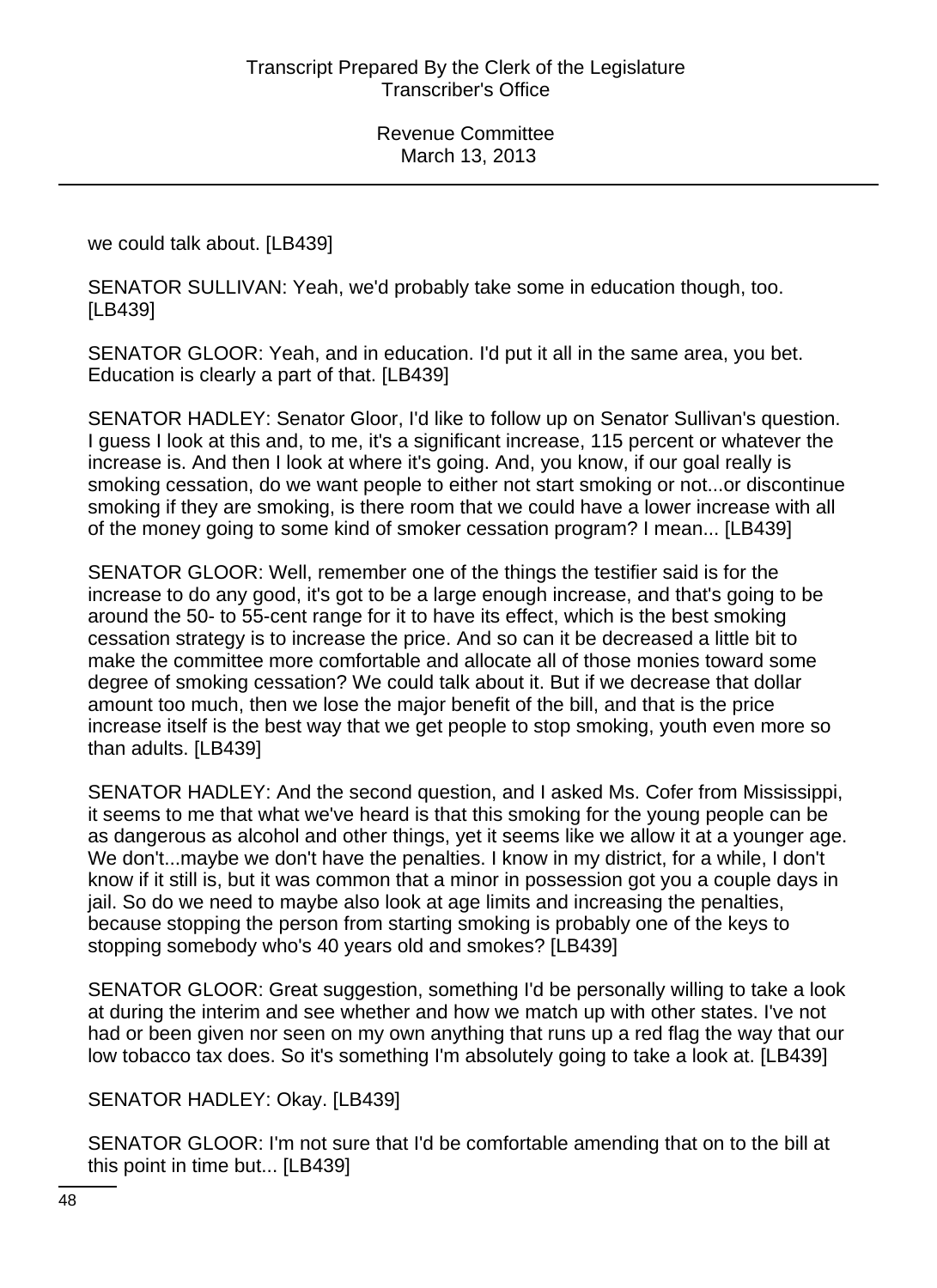we could talk about. [LB439]

SENATOR SULLIVAN: Yeah, we'd probably take some in education though, too. [LB439]

SENATOR GLOOR: Yeah, and in education. I'd put it all in the same area, you bet. Education is clearly a part of that. [LB439]

SENATOR HADLEY: Senator Gloor, I'd like to follow up on Senator Sullivan's question. I guess I look at this and, to me, it's a significant increase, 115 percent or whatever the increase is. And then I look at where it's going. And, you know, if our goal really is smoking cessation, do we want people to either not start smoking or not...or discontinue smoking if they are smoking, is there room that we could have a lower increase with all of the money going to some kind of smoker cessation program? I mean... [LB439]

SENATOR GLOOR: Well, remember one of the things the testifier said is for the increase to do any good, it's got to be a large enough increase, and that's going to be around the 50- to 55-cent range for it to have its effect, which is the best smoking cessation strategy is to increase the price. And so can it be decreased a little bit to make the committee more comfortable and allocate all of those monies toward some degree of smoking cessation? We could talk about it. But if we decrease that dollar amount too much, then we lose the major benefit of the bill, and that is the price increase itself is the best way that we get people to stop smoking, youth even more so than adults. [LB439]

SENATOR HADLEY: And the second question, and I asked Ms. Cofer from Mississippi, it seems to me that what we've heard is that this smoking for the young people can be as dangerous as alcohol and other things, yet it seems like we allow it at a younger age. We don't...maybe we don't have the penalties. I know in my district, for a while, I don't know if it still is, but it was common that a minor in possession got you a couple days in jail. So do we need to maybe also look at age limits and increasing the penalties, because stopping the person from starting smoking is probably one of the keys to stopping somebody who's 40 years old and smokes? [LB439]

SENATOR GLOOR: Great suggestion, something I'd be personally willing to take a look at during the interim and see whether and how we match up with other states. I've not had or been given nor seen on my own anything that runs up a red flag the way that our low tobacco tax does. So it's something I'm absolutely going to take a look at. [LB439]

SENATOR HADLEY: Okay. [LB439]

SENATOR GLOOR: I'm not sure that I'd be comfortable amending that on to the bill at this point in time but... [LB439]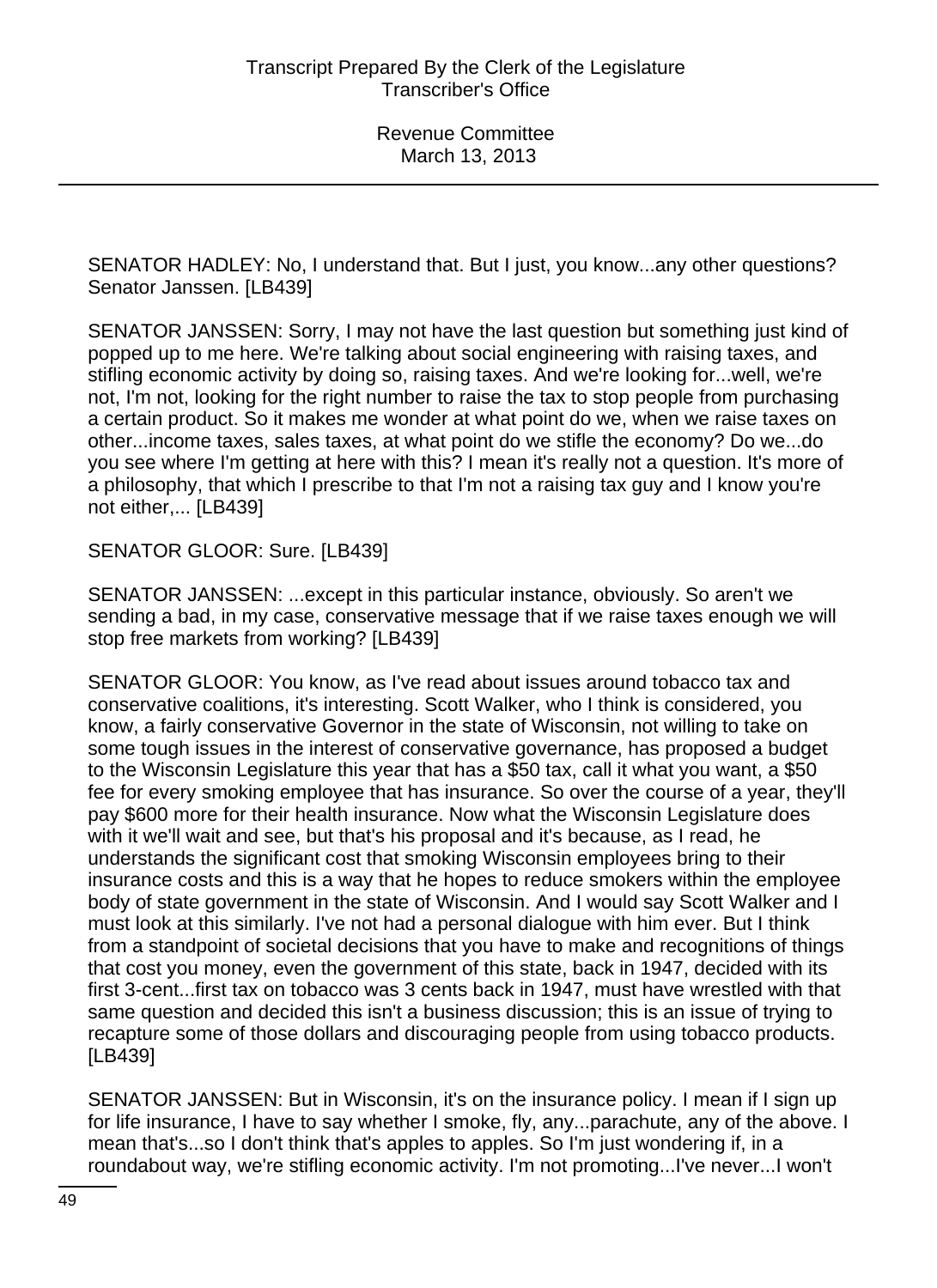SENATOR HADLEY: No, I understand that. But I just, you know...any other questions? Senator Janssen. [LB439]

SENATOR JANSSEN: Sorry, I may not have the last question but something just kind of popped up to me here. We're talking about social engineering with raising taxes, and stifling economic activity by doing so, raising taxes. And we're looking for...well, we're not, I'm not, looking for the right number to raise the tax to stop people from purchasing a certain product. So it makes me wonder at what point do we, when we raise taxes on other...income taxes, sales taxes, at what point do we stifle the economy? Do we...do you see where I'm getting at here with this? I mean it's really not a question. It's more of a philosophy, that which I prescribe to that I'm not a raising tax guy and I know you're not either,... [LB439]

SENATOR GLOOR: Sure. [LB439]

SENATOR JANSSEN: ...except in this particular instance, obviously. So aren't we sending a bad, in my case, conservative message that if we raise taxes enough we will stop free markets from working? [LB439]

SENATOR GLOOR: You know, as I've read about issues around tobacco tax and conservative coalitions, it's interesting. Scott Walker, who I think is considered, you know, a fairly conservative Governor in the state of Wisconsin, not willing to take on some tough issues in the interest of conservative governance, has proposed a budget to the Wisconsin Legislature this year that has a \$50 tax, call it what you want, a \$50 fee for every smoking employee that has insurance. So over the course of a year, they'll pay \$600 more for their health insurance. Now what the Wisconsin Legislature does with it we'll wait and see, but that's his proposal and it's because, as I read, he understands the significant cost that smoking Wisconsin employees bring to their insurance costs and this is a way that he hopes to reduce smokers within the employee body of state government in the state of Wisconsin. And I would say Scott Walker and I must look at this similarly. I've not had a personal dialogue with him ever. But I think from a standpoint of societal decisions that you have to make and recognitions of things that cost you money, even the government of this state, back in 1947, decided with its first 3-cent...first tax on tobacco was 3 cents back in 1947, must have wrestled with that same question and decided this isn't a business discussion; this is an issue of trying to recapture some of those dollars and discouraging people from using tobacco products. [LB439]

SENATOR JANSSEN: But in Wisconsin, it's on the insurance policy. I mean if I sign up for life insurance, I have to say whether I smoke, fly, any...parachute, any of the above. I mean that's...so I don't think that's apples to apples. So I'm just wondering if, in a roundabout way, we're stifling economic activity. I'm not promoting...I've never...I won't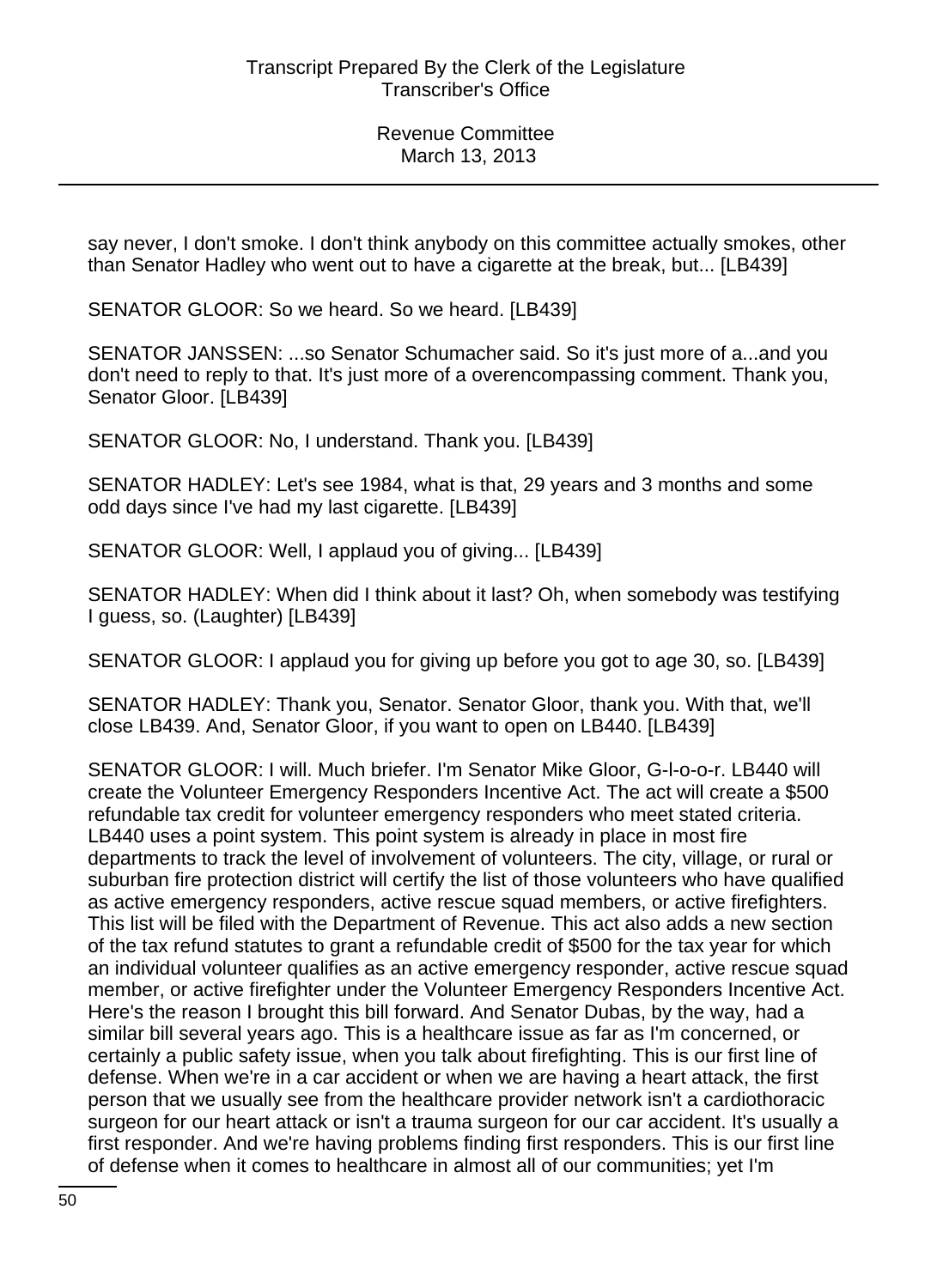say never, I don't smoke. I don't think anybody on this committee actually smokes, other than Senator Hadley who went out to have a cigarette at the break, but... [LB439]

SENATOR GLOOR: So we heard. So we heard. [LB439]

SENATOR JANSSEN: ...so Senator Schumacher said. So it's just more of a...and you don't need to reply to that. It's just more of a overencompassing comment. Thank you, Senator Gloor. [LB439]

SENATOR GLOOR: No, I understand. Thank you. [LB439]

SENATOR HADLEY: Let's see 1984, what is that, 29 years and 3 months and some odd days since I've had my last cigarette. [LB439]

SENATOR GLOOR: Well, I applaud you of giving... [LB439]

SENATOR HADLEY: When did I think about it last? Oh, when somebody was testifying I guess, so. (Laughter) [LB439]

SENATOR GLOOR: I applaud you for giving up before you got to age 30, so. [LB439]

SENATOR HADLEY: Thank you, Senator. Senator Gloor, thank you. With that, we'll close LB439. And, Senator Gloor, if you want to open on LB440. [LB439]

SENATOR GLOOR: I will. Much briefer. I'm Senator Mike Gloor, G-l-o-o-r. LB440 will create the Volunteer Emergency Responders Incentive Act. The act will create a \$500 refundable tax credit for volunteer emergency responders who meet stated criteria. LB440 uses a point system. This point system is already in place in most fire departments to track the level of involvement of volunteers. The city, village, or rural or suburban fire protection district will certify the list of those volunteers who have qualified as active emergency responders, active rescue squad members, or active firefighters. This list will be filed with the Department of Revenue. This act also adds a new section of the tax refund statutes to grant a refundable credit of \$500 for the tax year for which an individual volunteer qualifies as an active emergency responder, active rescue squad member, or active firefighter under the Volunteer Emergency Responders Incentive Act. Here's the reason I brought this bill forward. And Senator Dubas, by the way, had a similar bill several years ago. This is a healthcare issue as far as I'm concerned, or certainly a public safety issue, when you talk about firefighting. This is our first line of defense. When we're in a car accident or when we are having a heart attack, the first person that we usually see from the healthcare provider network isn't a cardiothoracic surgeon for our heart attack or isn't a trauma surgeon for our car accident. It's usually a first responder. And we're having problems finding first responders. This is our first line of defense when it comes to healthcare in almost all of our communities; yet I'm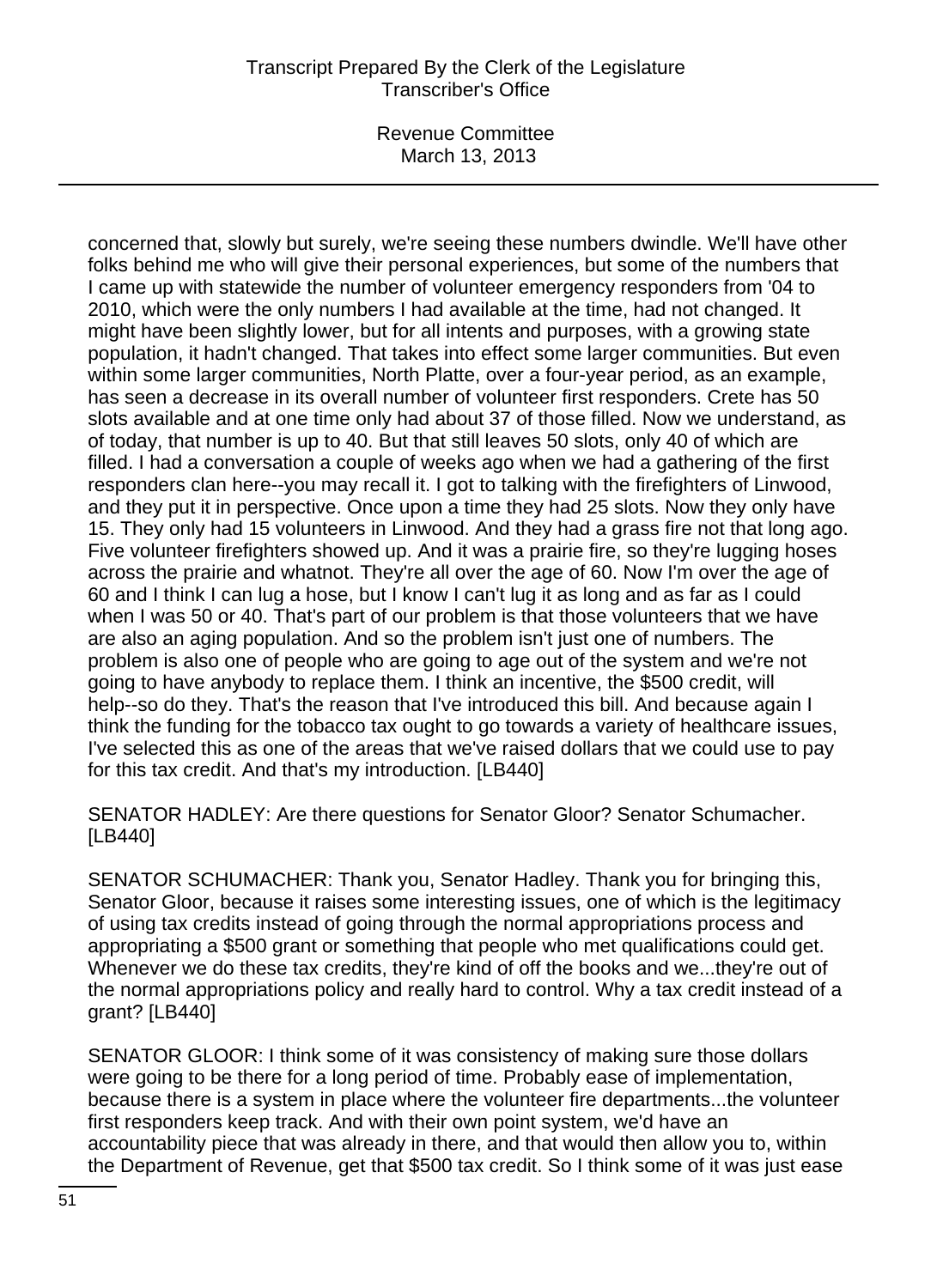Revenue Committee March 13, 2013

concerned that, slowly but surely, we're seeing these numbers dwindle. We'll have other folks behind me who will give their personal experiences, but some of the numbers that I came up with statewide the number of volunteer emergency responders from '04 to 2010, which were the only numbers I had available at the time, had not changed. It might have been slightly lower, but for all intents and purposes, with a growing state population, it hadn't changed. That takes into effect some larger communities. But even within some larger communities, North Platte, over a four-year period, as an example, has seen a decrease in its overall number of volunteer first responders. Crete has 50 slots available and at one time only had about 37 of those filled. Now we understand, as of today, that number is up to 40. But that still leaves 50 slots, only 40 of which are filled. I had a conversation a couple of weeks ago when we had a gathering of the first responders clan here--you may recall it. I got to talking with the firefighters of Linwood, and they put it in perspective. Once upon a time they had 25 slots. Now they only have 15. They only had 15 volunteers in Linwood. And they had a grass fire not that long ago. Five volunteer firefighters showed up. And it was a prairie fire, so they're lugging hoses across the prairie and whatnot. They're all over the age of 60. Now I'm over the age of 60 and I think I can lug a hose, but I know I can't lug it as long and as far as I could when I was 50 or 40. That's part of our problem is that those volunteers that we have are also an aging population. And so the problem isn't just one of numbers. The problem is also one of people who are going to age out of the system and we're not going to have anybody to replace them. I think an incentive, the \$500 credit, will help--so do they. That's the reason that I've introduced this bill. And because again I think the funding for the tobacco tax ought to go towards a variety of healthcare issues, I've selected this as one of the areas that we've raised dollars that we could use to pay for this tax credit. And that's my introduction. [LB440]

SENATOR HADLEY: Are there questions for Senator Gloor? Senator Schumacher. [LB440]

SENATOR SCHUMACHER: Thank you, Senator Hadley. Thank you for bringing this, Senator Gloor, because it raises some interesting issues, one of which is the legitimacy of using tax credits instead of going through the normal appropriations process and appropriating a \$500 grant or something that people who met qualifications could get. Whenever we do these tax credits, they're kind of off the books and we...they're out of the normal appropriations policy and really hard to control. Why a tax credit instead of a grant? [LB440]

SENATOR GLOOR: I think some of it was consistency of making sure those dollars were going to be there for a long period of time. Probably ease of implementation, because there is a system in place where the volunteer fire departments...the volunteer first responders keep track. And with their own point system, we'd have an accountability piece that was already in there, and that would then allow you to, within the Department of Revenue, get that \$500 tax credit. So I think some of it was just ease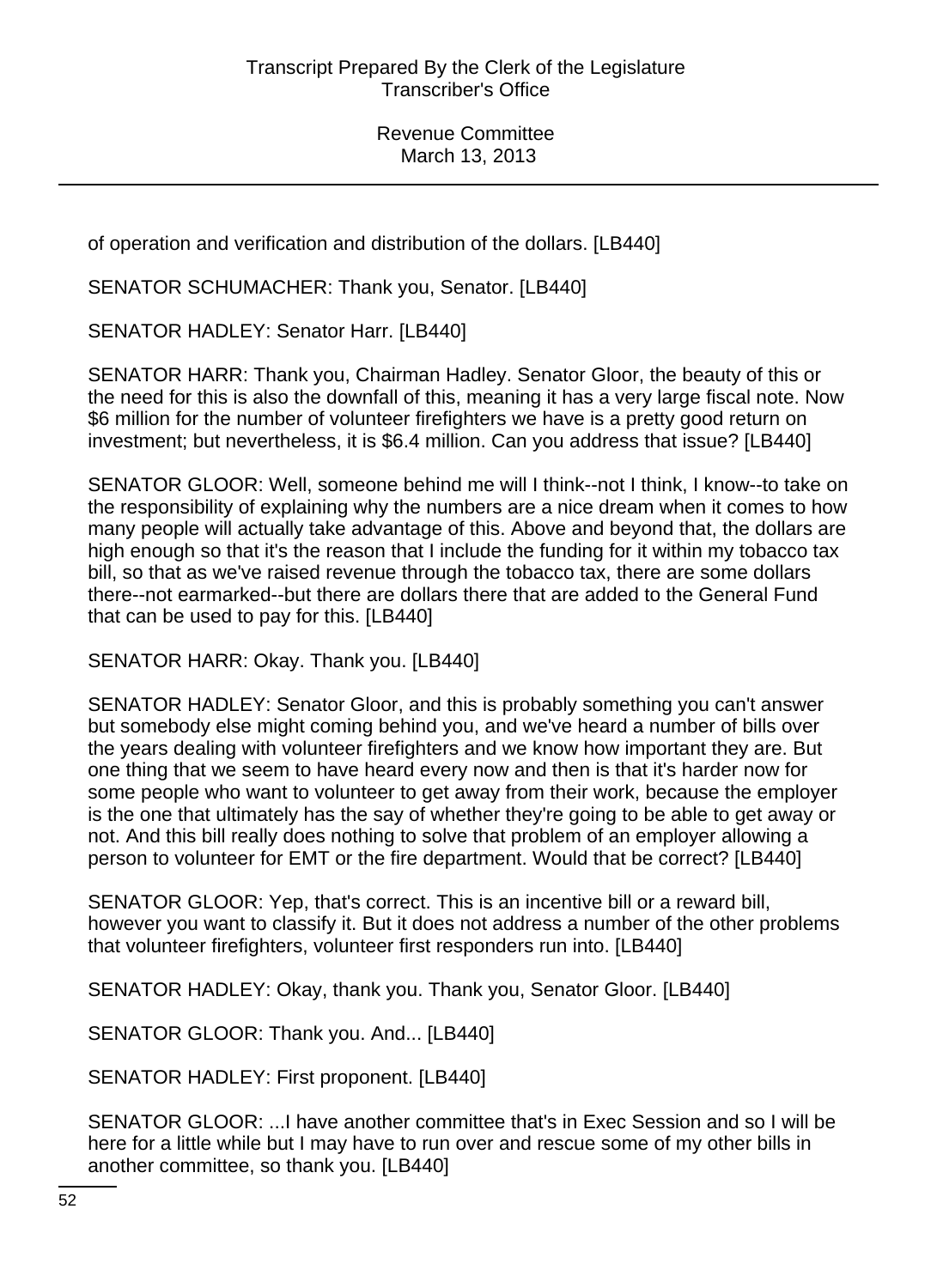of operation and verification and distribution of the dollars. [LB440]

SENATOR SCHUMACHER: Thank you, Senator. [LB440]

SENATOR HADLEY: Senator Harr. [LB440]

SENATOR HARR: Thank you, Chairman Hadley. Senator Gloor, the beauty of this or the need for this is also the downfall of this, meaning it has a very large fiscal note. Now \$6 million for the number of volunteer firefighters we have is a pretty good return on investment; but nevertheless, it is \$6.4 million. Can you address that issue? [LB440]

SENATOR GLOOR: Well, someone behind me will I think--not I think, I know--to take on the responsibility of explaining why the numbers are a nice dream when it comes to how many people will actually take advantage of this. Above and beyond that, the dollars are high enough so that it's the reason that I include the funding for it within my tobacco tax bill, so that as we've raised revenue through the tobacco tax, there are some dollars there--not earmarked--but there are dollars there that are added to the General Fund that can be used to pay for this. [LB440]

SENATOR HARR: Okay. Thank you. [LB440]

SENATOR HADLEY: Senator Gloor, and this is probably something you can't answer but somebody else might coming behind you, and we've heard a number of bills over the years dealing with volunteer firefighters and we know how important they are. But one thing that we seem to have heard every now and then is that it's harder now for some people who want to volunteer to get away from their work, because the employer is the one that ultimately has the say of whether they're going to be able to get away or not. And this bill really does nothing to solve that problem of an employer allowing a person to volunteer for EMT or the fire department. Would that be correct? [LB440]

SENATOR GLOOR: Yep, that's correct. This is an incentive bill or a reward bill, however you want to classify it. But it does not address a number of the other problems that volunteer firefighters, volunteer first responders run into. [LB440]

SENATOR HADLEY: Okay, thank you. Thank you, Senator Gloor. [LB440]

SENATOR GLOOR: Thank you. And... [LB440]

SENATOR HADLEY: First proponent. [LB440]

SENATOR GLOOR: ...I have another committee that's in Exec Session and so I will be here for a little while but I may have to run over and rescue some of my other bills in another committee, so thank you. [LB440]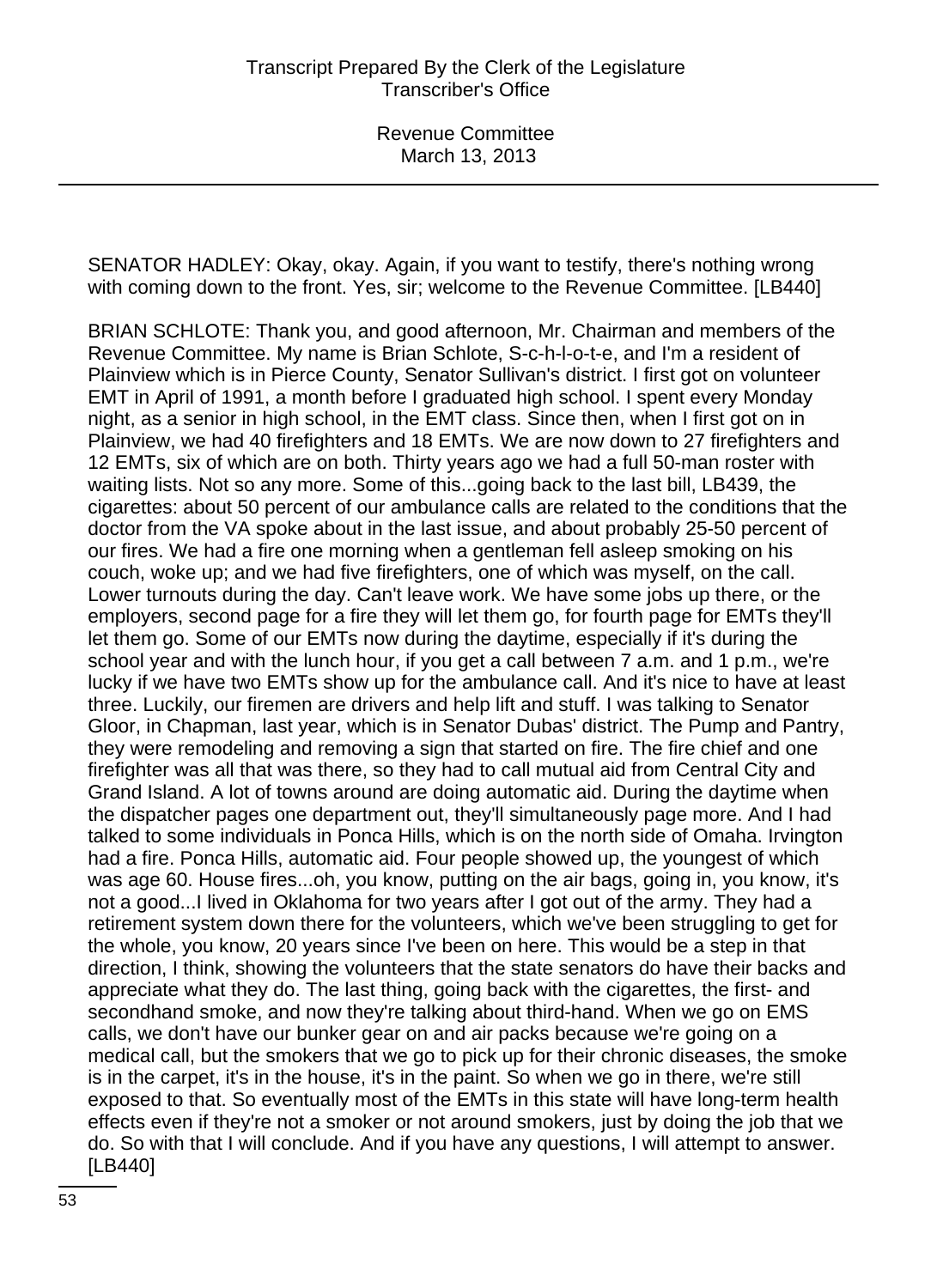SENATOR HADLEY: Okay, okay. Again, if you want to testify, there's nothing wrong with coming down to the front. Yes, sir; welcome to the Revenue Committee. [LB440]

BRIAN SCHLOTE: Thank you, and good afternoon, Mr. Chairman and members of the Revenue Committee. My name is Brian Schlote, S-c-h-l-o-t-e, and I'm a resident of Plainview which is in Pierce County, Senator Sullivan's district. I first got on volunteer EMT in April of 1991, a month before I graduated high school. I spent every Monday night, as a senior in high school, in the EMT class. Since then, when I first got on in Plainview, we had 40 firefighters and 18 EMTs. We are now down to 27 firefighters and 12 EMTs, six of which are on both. Thirty years ago we had a full 50-man roster with waiting lists. Not so any more. Some of this...going back to the last bill, LB439, the cigarettes: about 50 percent of our ambulance calls are related to the conditions that the doctor from the VA spoke about in the last issue, and about probably 25-50 percent of our fires. We had a fire one morning when a gentleman fell asleep smoking on his couch, woke up; and we had five firefighters, one of which was myself, on the call. Lower turnouts during the day. Can't leave work. We have some jobs up there, or the employers, second page for a fire they will let them go, for fourth page for EMTs they'll let them go. Some of our EMTs now during the daytime, especially if it's during the school year and with the lunch hour, if you get a call between 7 a.m. and 1 p.m., we're lucky if we have two EMTs show up for the ambulance call. And it's nice to have at least three. Luckily, our firemen are drivers and help lift and stuff. I was talking to Senator Gloor, in Chapman, last year, which is in Senator Dubas' district. The Pump and Pantry, they were remodeling and removing a sign that started on fire. The fire chief and one firefighter was all that was there, so they had to call mutual aid from Central City and Grand Island. A lot of towns around are doing automatic aid. During the daytime when the dispatcher pages one department out, they'll simultaneously page more. And I had talked to some individuals in Ponca Hills, which is on the north side of Omaha. Irvington had a fire. Ponca Hills, automatic aid. Four people showed up, the youngest of which was age 60. House fires...oh, you know, putting on the air bags, going in, you know, it's not a good...I lived in Oklahoma for two years after I got out of the army. They had a retirement system down there for the volunteers, which we've been struggling to get for the whole, you know, 20 years since I've been on here. This would be a step in that direction, I think, showing the volunteers that the state senators do have their backs and appreciate what they do. The last thing, going back with the cigarettes, the first- and secondhand smoke, and now they're talking about third-hand. When we go on EMS calls, we don't have our bunker gear on and air packs because we're going on a medical call, but the smokers that we go to pick up for their chronic diseases, the smoke is in the carpet, it's in the house, it's in the paint. So when we go in there, we're still exposed to that. So eventually most of the EMTs in this state will have long-term health effects even if they're not a smoker or not around smokers, just by doing the job that we do. So with that I will conclude. And if you have any questions, I will attempt to answer. [LB440]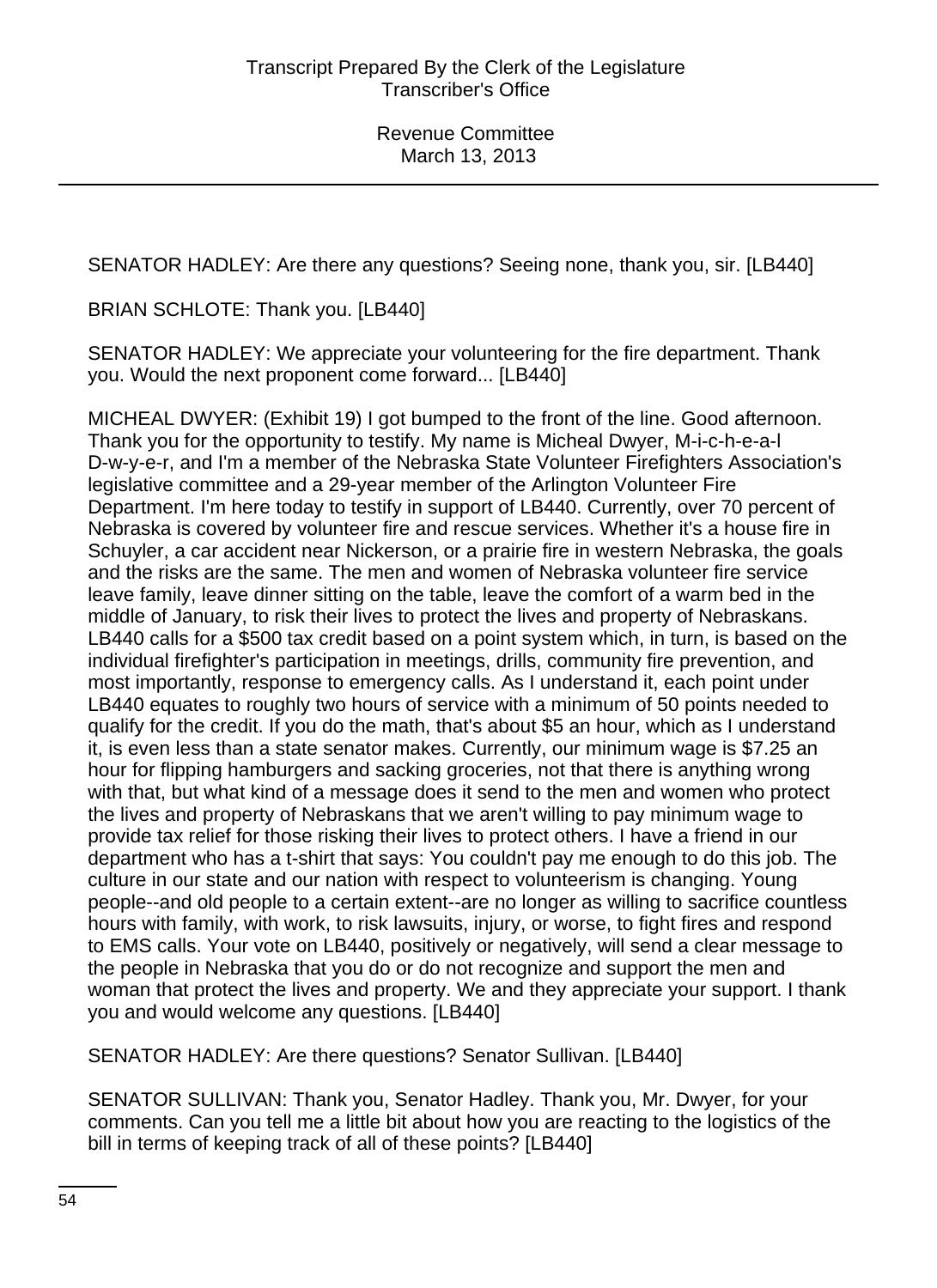SENATOR HADLEY: Are there any questions? Seeing none, thank you, sir. [LB440]

BRIAN SCHLOTE: Thank you. [LB440]

SENATOR HADLEY: We appreciate your volunteering for the fire department. Thank you. Would the next proponent come forward... [LB440]

MICHEAL DWYER: (Exhibit 19) I got bumped to the front of the line. Good afternoon. Thank you for the opportunity to testify. My name is Micheal Dwyer, M-i-c-h-e-a-l D-w-y-e-r, and I'm a member of the Nebraska State Volunteer Firefighters Association's legislative committee and a 29-year member of the Arlington Volunteer Fire Department. I'm here today to testify in support of LB440. Currently, over 70 percent of Nebraska is covered by volunteer fire and rescue services. Whether it's a house fire in Schuyler, a car accident near Nickerson, or a prairie fire in western Nebraska, the goals and the risks are the same. The men and women of Nebraska volunteer fire service leave family, leave dinner sitting on the table, leave the comfort of a warm bed in the middle of January, to risk their lives to protect the lives and property of Nebraskans. LB440 calls for a \$500 tax credit based on a point system which, in turn, is based on the individual firefighter's participation in meetings, drills, community fire prevention, and most importantly, response to emergency calls. As I understand it, each point under LB440 equates to roughly two hours of service with a minimum of 50 points needed to qualify for the credit. If you do the math, that's about \$5 an hour, which as I understand it, is even less than a state senator makes. Currently, our minimum wage is \$7.25 an hour for flipping hamburgers and sacking groceries, not that there is anything wrong with that, but what kind of a message does it send to the men and women who protect the lives and property of Nebraskans that we aren't willing to pay minimum wage to provide tax relief for those risking their lives to protect others. I have a friend in our department who has a t-shirt that says: You couldn't pay me enough to do this job. The culture in our state and our nation with respect to volunteerism is changing. Young people--and old people to a certain extent--are no longer as willing to sacrifice countless hours with family, with work, to risk lawsuits, injury, or worse, to fight fires and respond to EMS calls. Your vote on LB440, positively or negatively, will send a clear message to the people in Nebraska that you do or do not recognize and support the men and woman that protect the lives and property. We and they appreciate your support. I thank you and would welcome any questions. [LB440]

SENATOR HADLEY: Are there questions? Senator Sullivan. [LB440]

SENATOR SULLIVAN: Thank you, Senator Hadley. Thank you, Mr. Dwyer, for your comments. Can you tell me a little bit about how you are reacting to the logistics of the bill in terms of keeping track of all of these points? [LB440]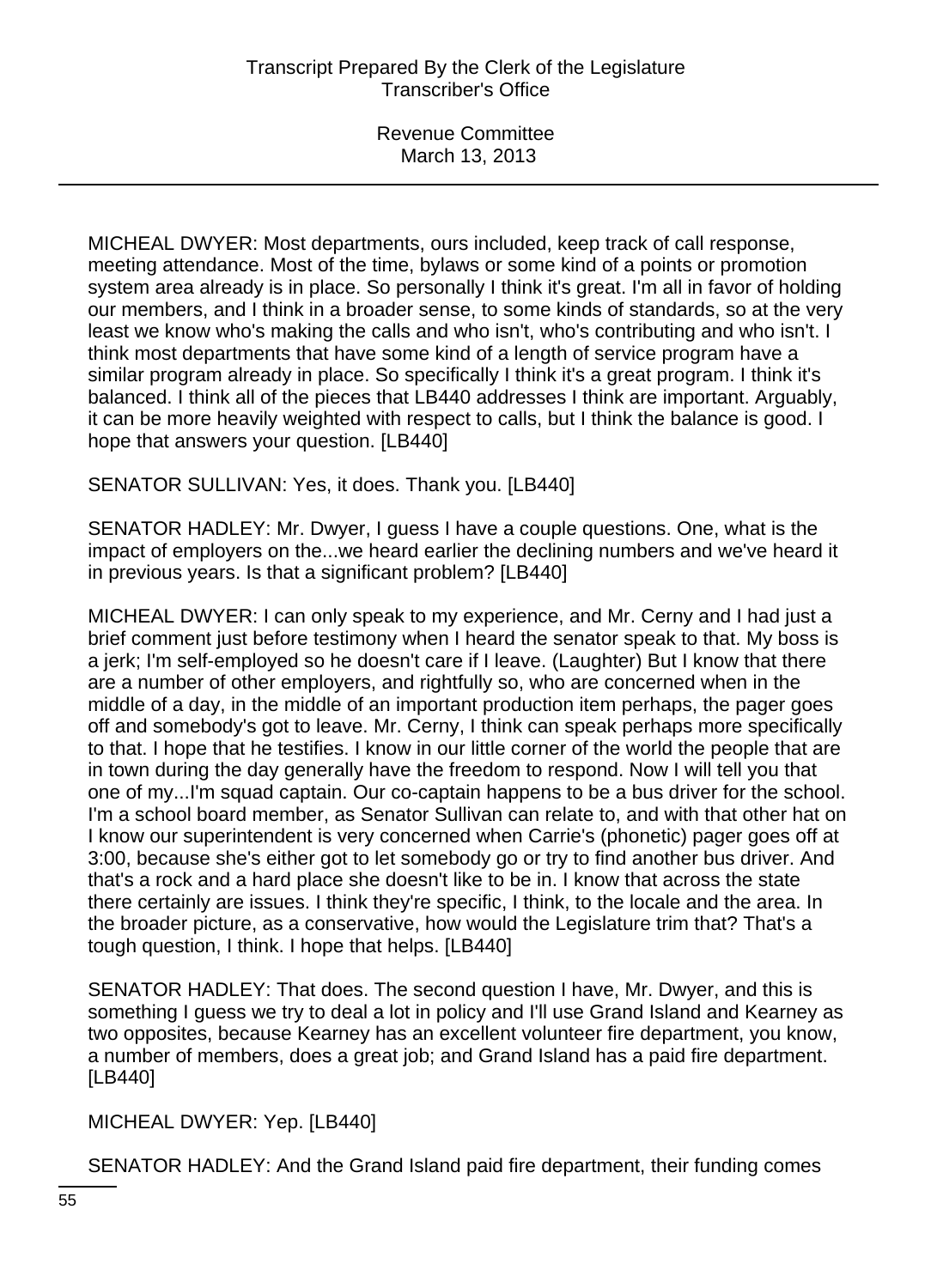MICHEAL DWYER: Most departments, ours included, keep track of call response, meeting attendance. Most of the time, bylaws or some kind of a points or promotion system area already is in place. So personally I think it's great. I'm all in favor of holding our members, and I think in a broader sense, to some kinds of standards, so at the very least we know who's making the calls and who isn't, who's contributing and who isn't. I think most departments that have some kind of a length of service program have a similar program already in place. So specifically I think it's a great program. I think it's balanced. I think all of the pieces that LB440 addresses I think are important. Arguably, it can be more heavily weighted with respect to calls, but I think the balance is good. I hope that answers your question. [LB440]

SENATOR SULLIVAN: Yes, it does. Thank you. [LB440]

SENATOR HADLEY: Mr. Dwyer, I guess I have a couple questions. One, what is the impact of employers on the...we heard earlier the declining numbers and we've heard it in previous years. Is that a significant problem? [LB440]

MICHEAL DWYER: I can only speak to my experience, and Mr. Cerny and I had just a brief comment just before testimony when I heard the senator speak to that. My boss is a jerk; I'm self-employed so he doesn't care if I leave. (Laughter) But I know that there are a number of other employers, and rightfully so, who are concerned when in the middle of a day, in the middle of an important production item perhaps, the pager goes off and somebody's got to leave. Mr. Cerny, I think can speak perhaps more specifically to that. I hope that he testifies. I know in our little corner of the world the people that are in town during the day generally have the freedom to respond. Now I will tell you that one of my...I'm squad captain. Our co-captain happens to be a bus driver for the school. I'm a school board member, as Senator Sullivan can relate to, and with that other hat on I know our superintendent is very concerned when Carrie's (phonetic) pager goes off at 3:00, because she's either got to let somebody go or try to find another bus driver. And that's a rock and a hard place she doesn't like to be in. I know that across the state there certainly are issues. I think they're specific, I think, to the locale and the area. In the broader picture, as a conservative, how would the Legislature trim that? That's a tough question, I think. I hope that helps. [LB440]

SENATOR HADLEY: That does. The second question I have, Mr. Dwyer, and this is something I guess we try to deal a lot in policy and I'll use Grand Island and Kearney as two opposites, because Kearney has an excellent volunteer fire department, you know, a number of members, does a great job; and Grand Island has a paid fire department. [LB440]

MICHEAL DWYER: Yep. [LB440]

SENATOR HADLEY: And the Grand Island paid fire department, their funding comes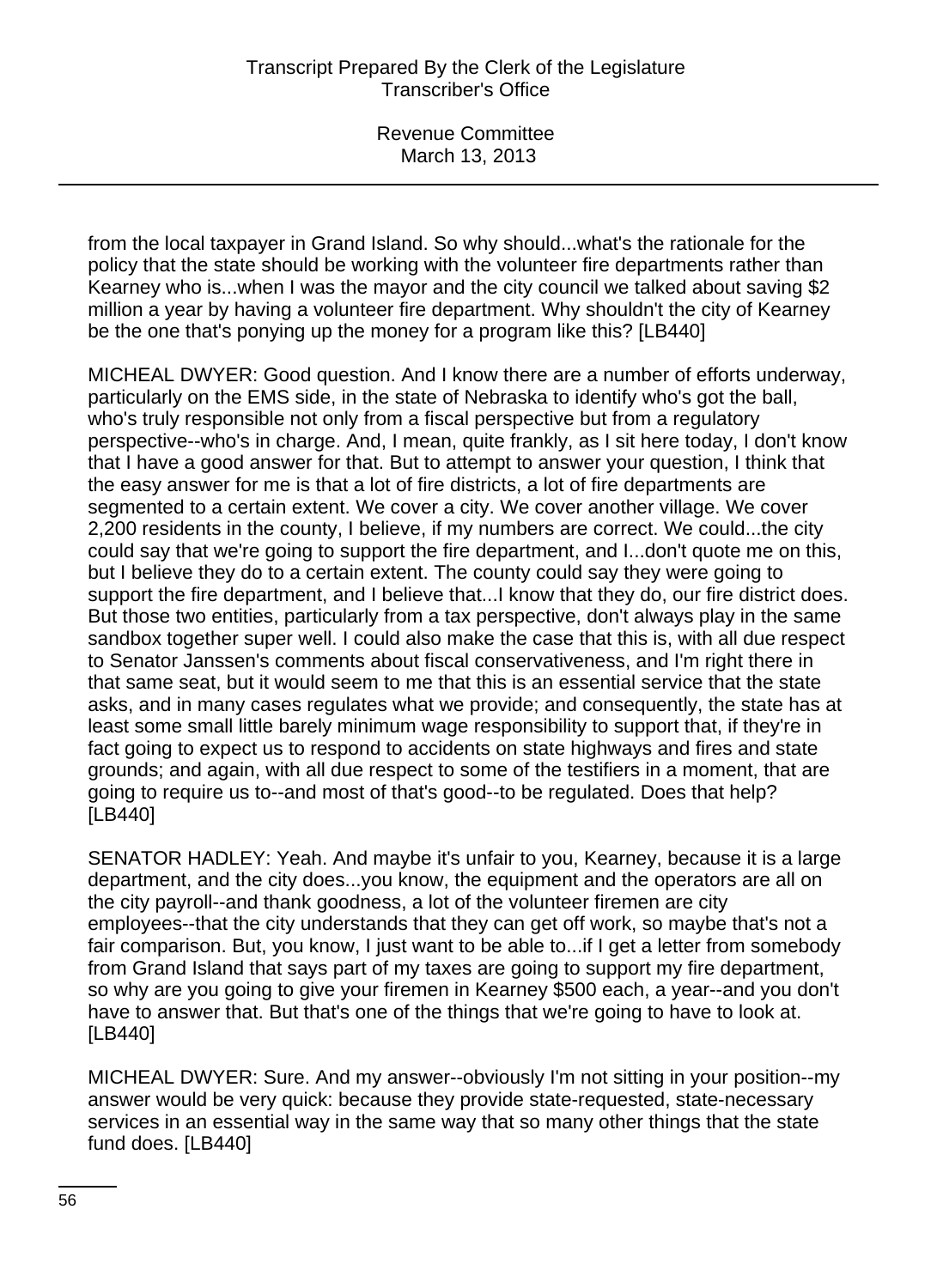from the local taxpayer in Grand Island. So why should...what's the rationale for the policy that the state should be working with the volunteer fire departments rather than Kearney who is...when I was the mayor and the city council we talked about saving \$2 million a year by having a volunteer fire department. Why shouldn't the city of Kearney be the one that's ponying up the money for a program like this? [LB440]

MICHEAL DWYER: Good question. And I know there are a number of efforts underway, particularly on the EMS side, in the state of Nebraska to identify who's got the ball, who's truly responsible not only from a fiscal perspective but from a regulatory perspective--who's in charge. And, I mean, quite frankly, as I sit here today, I don't know that I have a good answer for that. But to attempt to answer your question, I think that the easy answer for me is that a lot of fire districts, a lot of fire departments are segmented to a certain extent. We cover a city. We cover another village. We cover 2,200 residents in the county, I believe, if my numbers are correct. We could...the city could say that we're going to support the fire department, and I...don't quote me on this, but I believe they do to a certain extent. The county could say they were going to support the fire department, and I believe that...I know that they do, our fire district does. But those two entities, particularly from a tax perspective, don't always play in the same sandbox together super well. I could also make the case that this is, with all due respect to Senator Janssen's comments about fiscal conservativeness, and I'm right there in that same seat, but it would seem to me that this is an essential service that the state asks, and in many cases regulates what we provide; and consequently, the state has at least some small little barely minimum wage responsibility to support that, if they're in fact going to expect us to respond to accidents on state highways and fires and state grounds; and again, with all due respect to some of the testifiers in a moment, that are going to require us to--and most of that's good--to be regulated. Does that help? [LB440]

SENATOR HADLEY: Yeah. And maybe it's unfair to you, Kearney, because it is a large department, and the city does...you know, the equipment and the operators are all on the city payroll--and thank goodness, a lot of the volunteer firemen are city employees--that the city understands that they can get off work, so maybe that's not a fair comparison. But, you know, I just want to be able to...if I get a letter from somebody from Grand Island that says part of my taxes are going to support my fire department, so why are you going to give your firemen in Kearney \$500 each, a year--and you don't have to answer that. But that's one of the things that we're going to have to look at. [LB440]

MICHEAL DWYER: Sure. And my answer--obviously I'm not sitting in your position--my answer would be very quick: because they provide state-requested, state-necessary services in an essential way in the same way that so many other things that the state fund does. [LB440]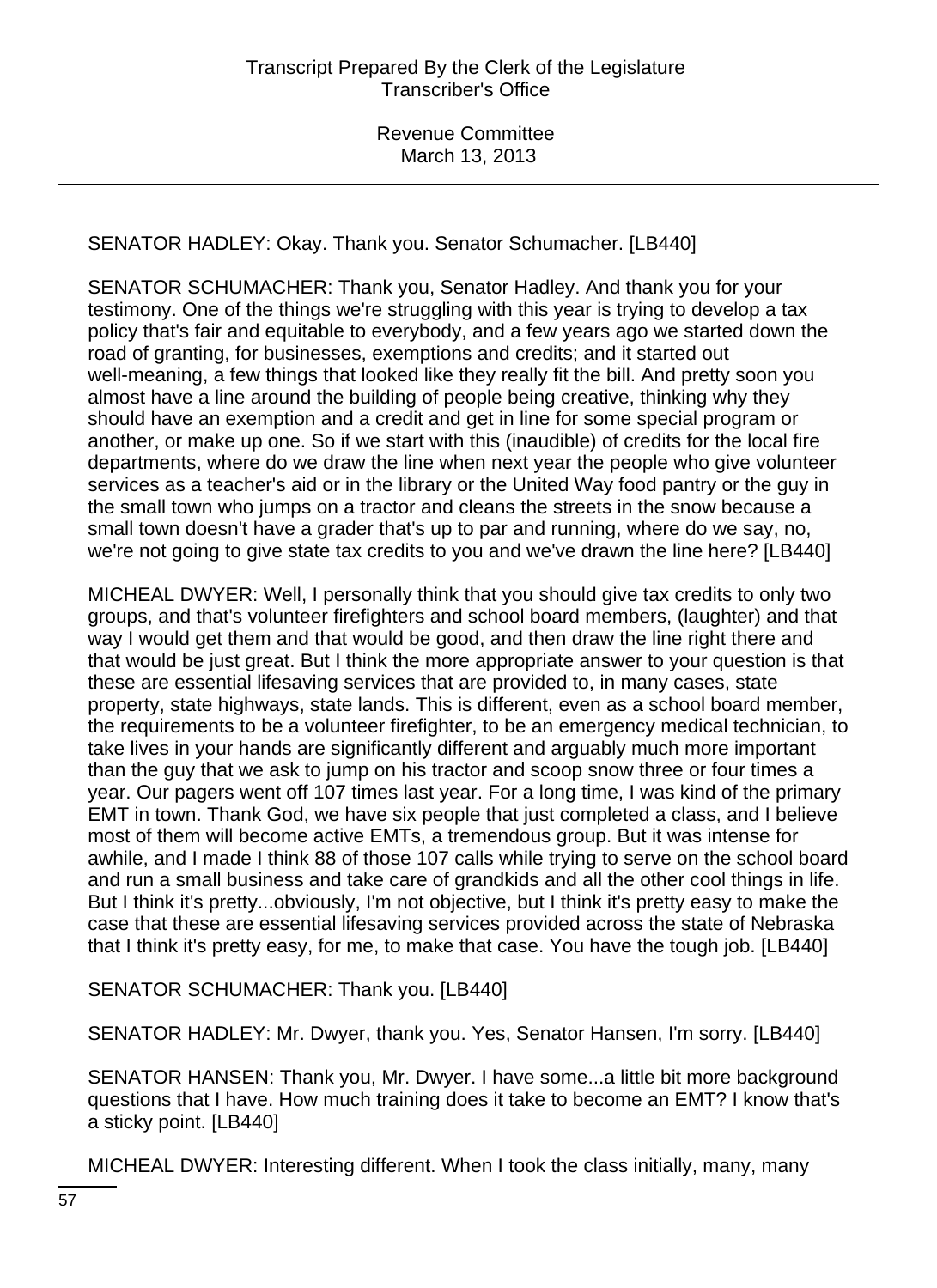SENATOR HADLEY: Okay. Thank you. Senator Schumacher. [LB440]

SENATOR SCHUMACHER: Thank you, Senator Hadley. And thank you for your testimony. One of the things we're struggling with this year is trying to develop a tax policy that's fair and equitable to everybody, and a few years ago we started down the road of granting, for businesses, exemptions and credits; and it started out well-meaning, a few things that looked like they really fit the bill. And pretty soon you almost have a line around the building of people being creative, thinking why they should have an exemption and a credit and get in line for some special program or another, or make up one. So if we start with this (inaudible) of credits for the local fire departments, where do we draw the line when next year the people who give volunteer services as a teacher's aid or in the library or the United Way food pantry or the guy in the small town who jumps on a tractor and cleans the streets in the snow because a small town doesn't have a grader that's up to par and running, where do we say, no, we're not going to give state tax credits to you and we've drawn the line here? [LB440]

MICHEAL DWYER: Well, I personally think that you should give tax credits to only two groups, and that's volunteer firefighters and school board members, (laughter) and that way I would get them and that would be good, and then draw the line right there and that would be just great. But I think the more appropriate answer to your question is that these are essential lifesaving services that are provided to, in many cases, state property, state highways, state lands. This is different, even as a school board member, the requirements to be a volunteer firefighter, to be an emergency medical technician, to take lives in your hands are significantly different and arguably much more important than the guy that we ask to jump on his tractor and scoop snow three or four times a year. Our pagers went off 107 times last year. For a long time, I was kind of the primary EMT in town. Thank God, we have six people that just completed a class, and I believe most of them will become active EMTs, a tremendous group. But it was intense for awhile, and I made I think 88 of those 107 calls while trying to serve on the school board and run a small business and take care of grandkids and all the other cool things in life. But I think it's pretty...obviously, I'm not objective, but I think it's pretty easy to make the case that these are essential lifesaving services provided across the state of Nebraska that I think it's pretty easy, for me, to make that case. You have the tough job. [LB440]

SENATOR SCHUMACHER: Thank you. [LB440]

SENATOR HADLEY: Mr. Dwyer, thank you. Yes, Senator Hansen, I'm sorry. [LB440]

SENATOR HANSEN: Thank you, Mr. Dwyer. I have some...a little bit more background questions that I have. How much training does it take to become an EMT? I know that's a sticky point. [LB440]

MICHEAL DWYER: Interesting different. When I took the class initially, many, many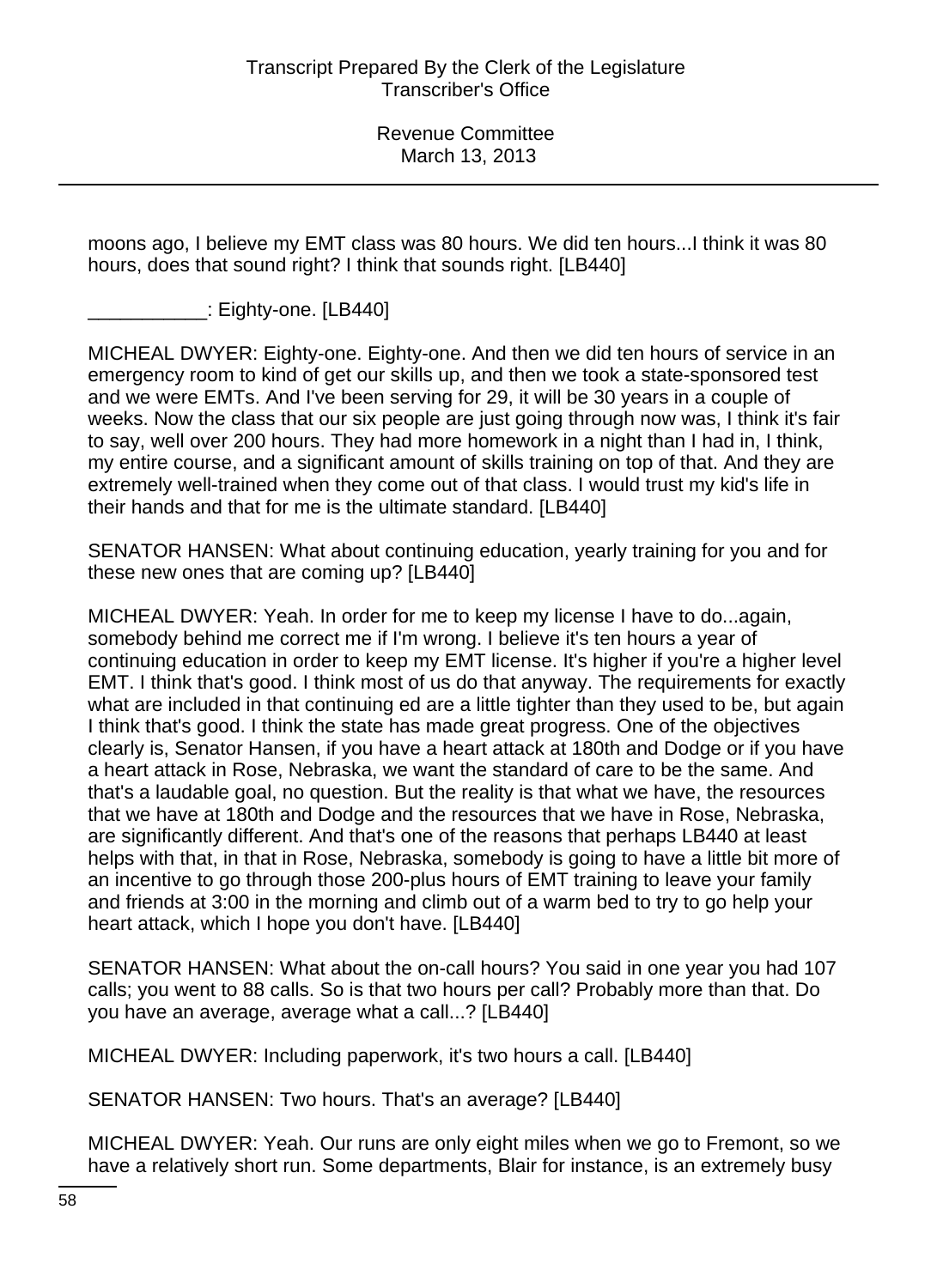moons ago, I believe my EMT class was 80 hours. We did ten hours...I think it was 80 hours, does that sound right? I think that sounds right. [LB440]

\_\_\_\_\_\_\_\_\_\_\_: Eighty-one. [LB440]

MICHEAL DWYER: Eighty-one. Eighty-one. And then we did ten hours of service in an emergency room to kind of get our skills up, and then we took a state-sponsored test and we were EMTs. And I've been serving for 29, it will be 30 years in a couple of weeks. Now the class that our six people are just going through now was, I think it's fair to say, well over 200 hours. They had more homework in a night than I had in, I think, my entire course, and a significant amount of skills training on top of that. And they are extremely well-trained when they come out of that class. I would trust my kid's life in their hands and that for me is the ultimate standard. [LB440]

SENATOR HANSEN: What about continuing education, yearly training for you and for these new ones that are coming up? [LB440]

MICHEAL DWYER: Yeah. In order for me to keep my license I have to do...again, somebody behind me correct me if I'm wrong. I believe it's ten hours a year of continuing education in order to keep my EMT license. It's higher if you're a higher level EMT. I think that's good. I think most of us do that anyway. The requirements for exactly what are included in that continuing ed are a little tighter than they used to be, but again I think that's good. I think the state has made great progress. One of the objectives clearly is, Senator Hansen, if you have a heart attack at 180th and Dodge or if you have a heart attack in Rose, Nebraska, we want the standard of care to be the same. And that's a laudable goal, no question. But the reality is that what we have, the resources that we have at 180th and Dodge and the resources that we have in Rose, Nebraska, are significantly different. And that's one of the reasons that perhaps LB440 at least helps with that, in that in Rose, Nebraska, somebody is going to have a little bit more of an incentive to go through those 200-plus hours of EMT training to leave your family and friends at 3:00 in the morning and climb out of a warm bed to try to go help your heart attack, which I hope you don't have. [LB440]

SENATOR HANSEN: What about the on-call hours? You said in one year you had 107 calls; you went to 88 calls. So is that two hours per call? Probably more than that. Do you have an average, average what a call...? [LB440]

MICHEAL DWYER: Including paperwork, it's two hours a call. [LB440]

SENATOR HANSEN: Two hours. That's an average? [LB440]

MICHEAL DWYER: Yeah. Our runs are only eight miles when we go to Fremont, so we have a relatively short run. Some departments, Blair for instance, is an extremely busy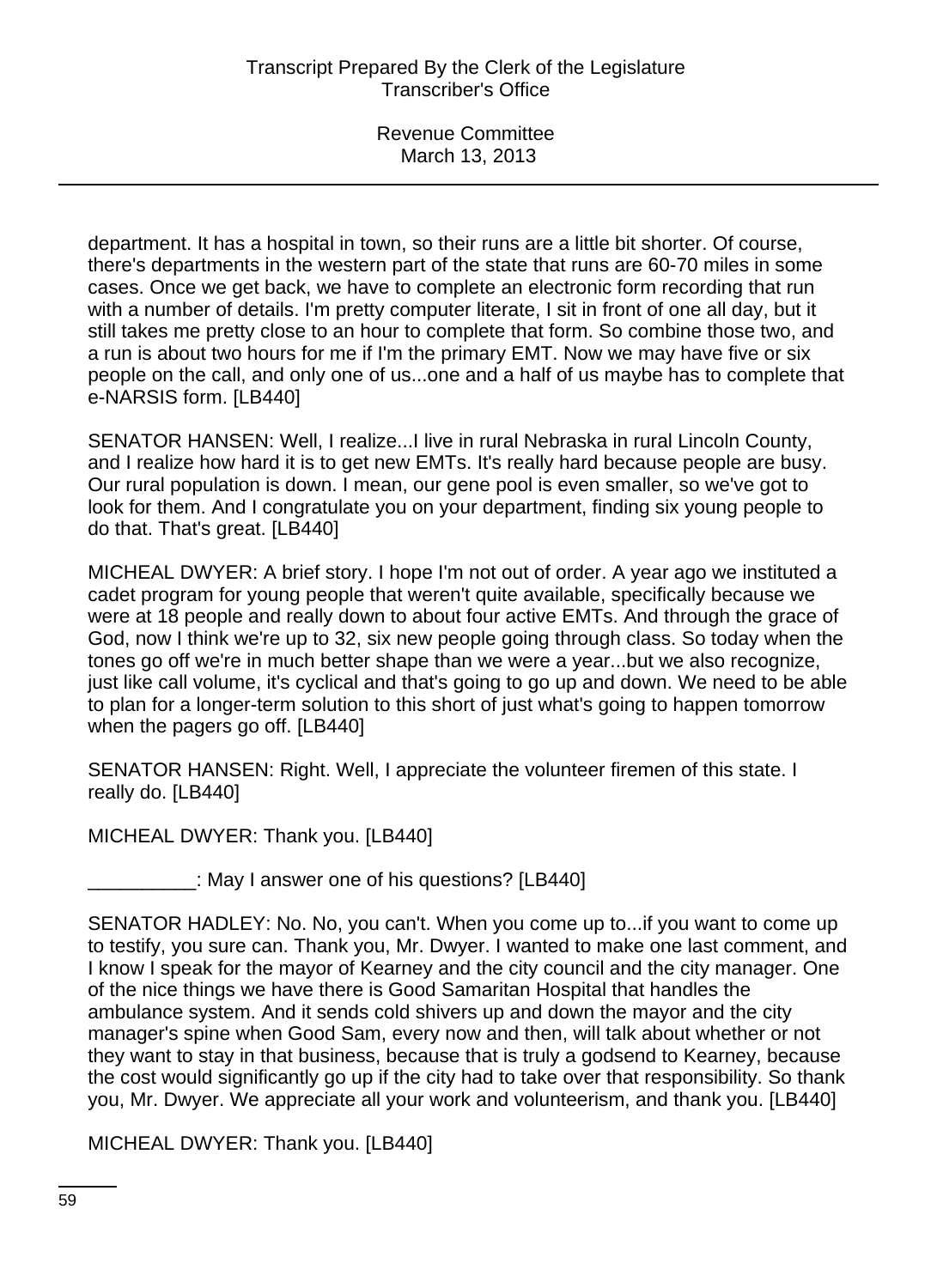department. It has a hospital in town, so their runs are a little bit shorter. Of course, there's departments in the western part of the state that runs are 60-70 miles in some cases. Once we get back, we have to complete an electronic form recording that run with a number of details. I'm pretty computer literate, I sit in front of one all day, but it still takes me pretty close to an hour to complete that form. So combine those two, and a run is about two hours for me if I'm the primary EMT. Now we may have five or six people on the call, and only one of us...one and a half of us maybe has to complete that e-NARSIS form. [LB440]

SENATOR HANSEN: Well, I realize...I live in rural Nebraska in rural Lincoln County, and I realize how hard it is to get new EMTs. It's really hard because people are busy. Our rural population is down. I mean, our gene pool is even smaller, so we've got to look for them. And I congratulate you on your department, finding six young people to do that. That's great. [LB440]

MICHEAL DWYER: A brief story. I hope I'm not out of order. A year ago we instituted a cadet program for young people that weren't quite available, specifically because we were at 18 people and really down to about four active EMTs. And through the grace of God, now I think we're up to 32, six new people going through class. So today when the tones go off we're in much better shape than we were a year...but we also recognize, just like call volume, it's cyclical and that's going to go up and down. We need to be able to plan for a longer-term solution to this short of just what's going to happen tomorrow when the pagers go off. [LB440]

SENATOR HANSEN: Right. Well, I appreciate the volunteer firemen of this state. I really do. [LB440]

MICHEAL DWYER: Thank you. [LB440]

: May I answer one of his questions? [LB440]

SENATOR HADLEY: No. No, you can't. When you come up to...if you want to come up to testify, you sure can. Thank you, Mr. Dwyer. I wanted to make one last comment, and I know I speak for the mayor of Kearney and the city council and the city manager. One of the nice things we have there is Good Samaritan Hospital that handles the ambulance system. And it sends cold shivers up and down the mayor and the city manager's spine when Good Sam, every now and then, will talk about whether or not they want to stay in that business, because that is truly a godsend to Kearney, because the cost would significantly go up if the city had to take over that responsibility. So thank you, Mr. Dwyer. We appreciate all your work and volunteerism, and thank you. [LB440]

MICHEAL DWYER: Thank you. [LB440]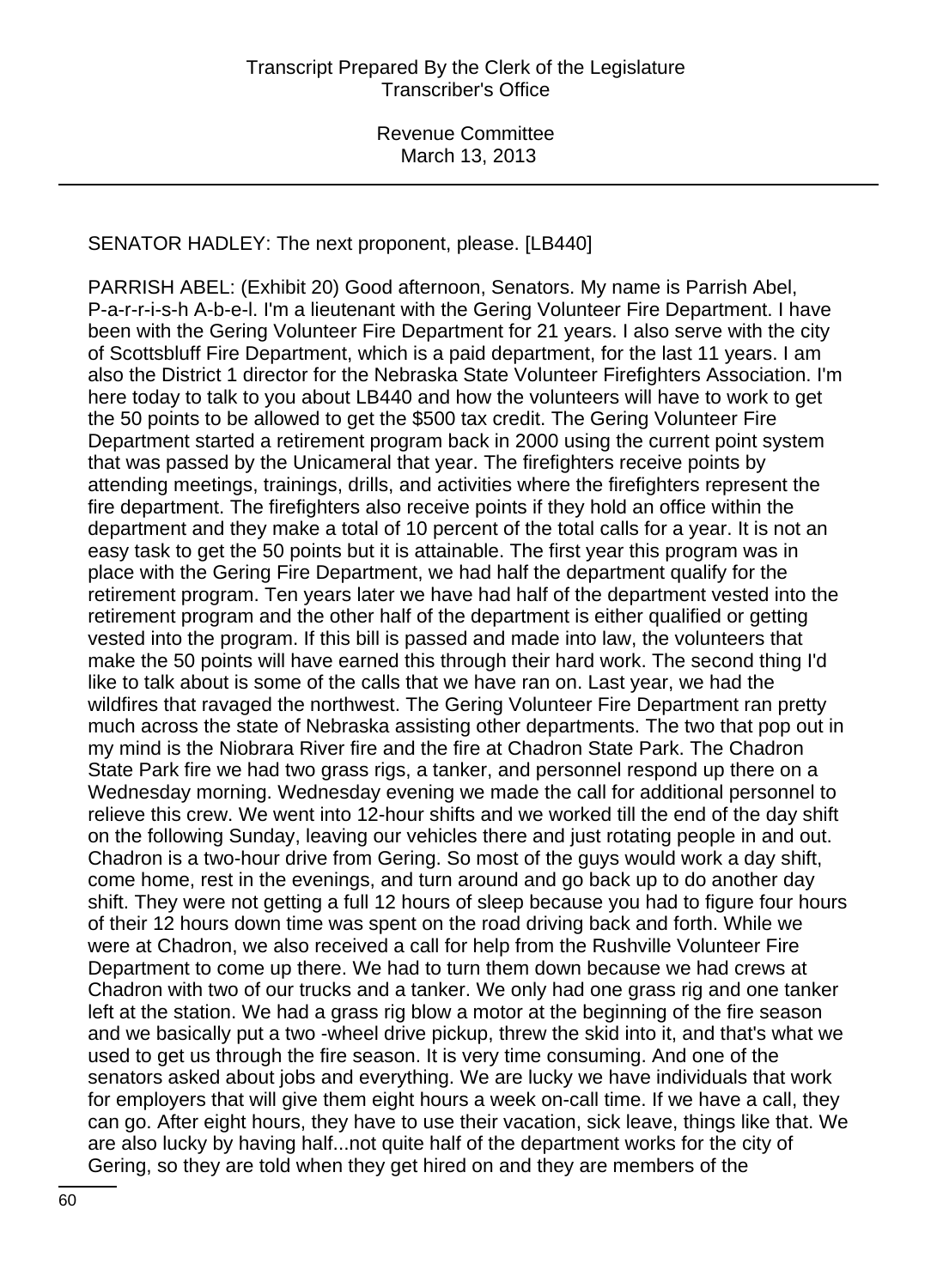# SENATOR HADLEY: The next proponent, please. [LB440]

PARRISH ABEL: (Exhibit 20) Good afternoon, Senators. My name is Parrish Abel, P-a-r-r-i-s-h A-b-e-l. I'm a lieutenant with the Gering Volunteer Fire Department. I have been with the Gering Volunteer Fire Department for 21 years. I also serve with the city of Scottsbluff Fire Department, which is a paid department, for the last 11 years. I am also the District 1 director for the Nebraska State Volunteer Firefighters Association. I'm here today to talk to you about LB440 and how the volunteers will have to work to get the 50 points to be allowed to get the \$500 tax credit. The Gering Volunteer Fire Department started a retirement program back in 2000 using the current point system that was passed by the Unicameral that year. The firefighters receive points by attending meetings, trainings, drills, and activities where the firefighters represent the fire department. The firefighters also receive points if they hold an office within the department and they make a total of 10 percent of the total calls for a year. It is not an easy task to get the 50 points but it is attainable. The first year this program was in place with the Gering Fire Department, we had half the department qualify for the retirement program. Ten years later we have had half of the department vested into the retirement program and the other half of the department is either qualified or getting vested into the program. If this bill is passed and made into law, the volunteers that make the 50 points will have earned this through their hard work. The second thing I'd like to talk about is some of the calls that we have ran on. Last year, we had the wildfires that ravaged the northwest. The Gering Volunteer Fire Department ran pretty much across the state of Nebraska assisting other departments. The two that pop out in my mind is the Niobrara River fire and the fire at Chadron State Park. The Chadron State Park fire we had two grass rigs, a tanker, and personnel respond up there on a Wednesday morning. Wednesday evening we made the call for additional personnel to relieve this crew. We went into 12-hour shifts and we worked till the end of the day shift on the following Sunday, leaving our vehicles there and just rotating people in and out. Chadron is a two-hour drive from Gering. So most of the guys would work a day shift, come home, rest in the evenings, and turn around and go back up to do another day shift. They were not getting a full 12 hours of sleep because you had to figure four hours of their 12 hours down time was spent on the road driving back and forth. While we were at Chadron, we also received a call for help from the Rushville Volunteer Fire Department to come up there. We had to turn them down because we had crews at Chadron with two of our trucks and a tanker. We only had one grass rig and one tanker left at the station. We had a grass rig blow a motor at the beginning of the fire season and we basically put a two -wheel drive pickup, threw the skid into it, and that's what we used to get us through the fire season. It is very time consuming. And one of the senators asked about jobs and everything. We are lucky we have individuals that work for employers that will give them eight hours a week on-call time. If we have a call, they can go. After eight hours, they have to use their vacation, sick leave, things like that. We are also lucky by having half...not quite half of the department works for the city of Gering, so they are told when they get hired on and they are members of the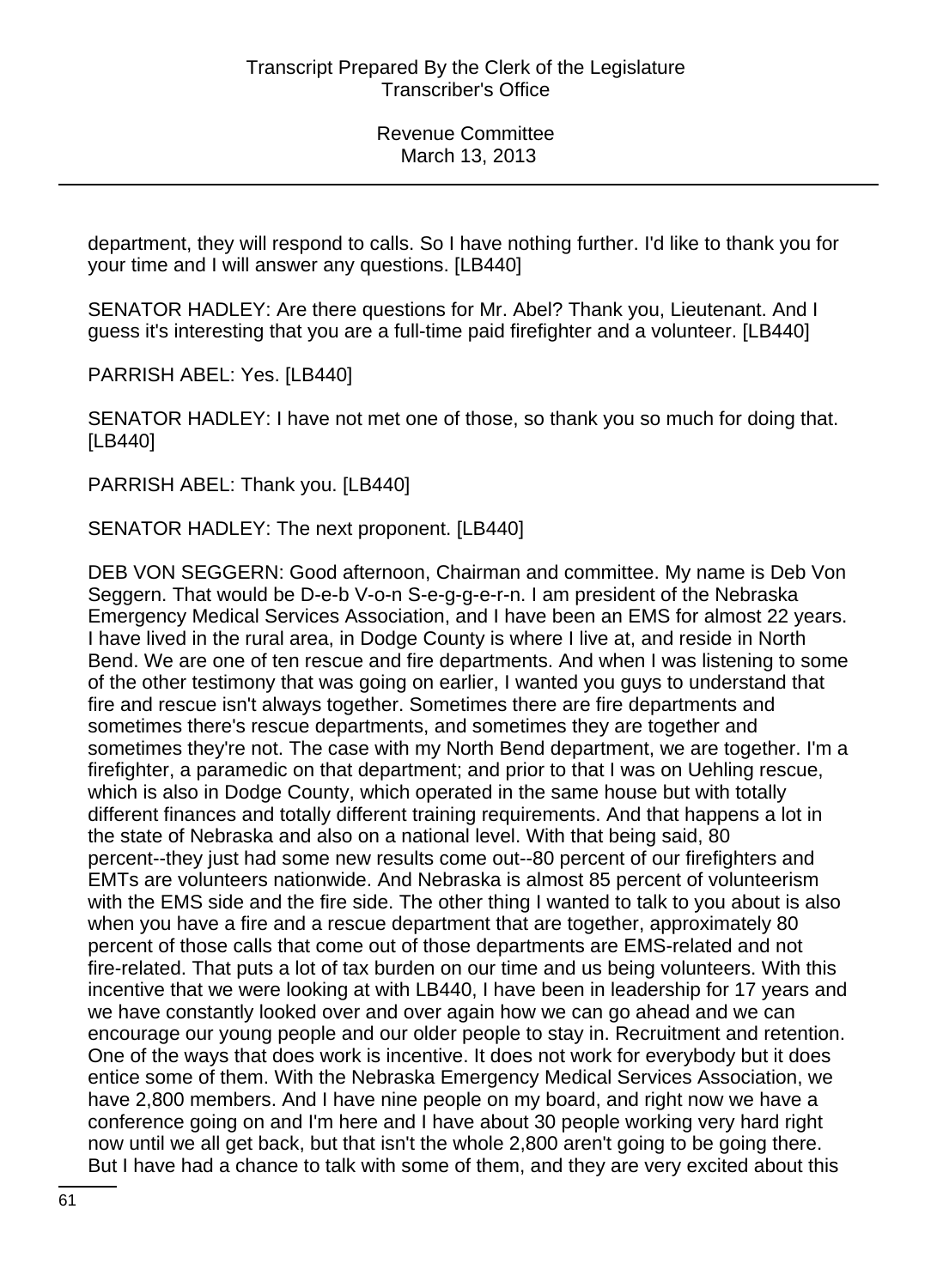department, they will respond to calls. So I have nothing further. I'd like to thank you for your time and I will answer any questions. [LB440]

SENATOR HADLEY: Are there questions for Mr. Abel? Thank you, Lieutenant. And I guess it's interesting that you are a full-time paid firefighter and a volunteer. [LB440]

PARRISH ABEL: Yes. [LB440]

SENATOR HADLEY: I have not met one of those, so thank you so much for doing that. [LB440]

PARRISH ABEL: Thank you. [LB440]

SENATOR HADLEY: The next proponent. [LB440]

DEB VON SEGGERN: Good afternoon, Chairman and committee. My name is Deb Von Seggern. That would be D-e-b V-o-n S-e-g-g-e-r-n. I am president of the Nebraska Emergency Medical Services Association, and I have been an EMS for almost 22 years. I have lived in the rural area, in Dodge County is where I live at, and reside in North Bend. We are one of ten rescue and fire departments. And when I was listening to some of the other testimony that was going on earlier, I wanted you guys to understand that fire and rescue isn't always together. Sometimes there are fire departments and sometimes there's rescue departments, and sometimes they are together and sometimes they're not. The case with my North Bend department, we are together. I'm a firefighter, a paramedic on that department; and prior to that I was on Uehling rescue, which is also in Dodge County, which operated in the same house but with totally different finances and totally different training requirements. And that happens a lot in the state of Nebraska and also on a national level. With that being said, 80 percent--they just had some new results come out--80 percent of our firefighters and EMTs are volunteers nationwide. And Nebraska is almost 85 percent of volunteerism with the EMS side and the fire side. The other thing I wanted to talk to you about is also when you have a fire and a rescue department that are together, approximately 80 percent of those calls that come out of those departments are EMS-related and not fire-related. That puts a lot of tax burden on our time and us being volunteers. With this incentive that we were looking at with LB440, I have been in leadership for 17 years and we have constantly looked over and over again how we can go ahead and we can encourage our young people and our older people to stay in. Recruitment and retention. One of the ways that does work is incentive. It does not work for everybody but it does entice some of them. With the Nebraska Emergency Medical Services Association, we have 2,800 members. And I have nine people on my board, and right now we have a conference going on and I'm here and I have about 30 people working very hard right now until we all get back, but that isn't the whole 2,800 aren't going to be going there. But I have had a chance to talk with some of them, and they are very excited about this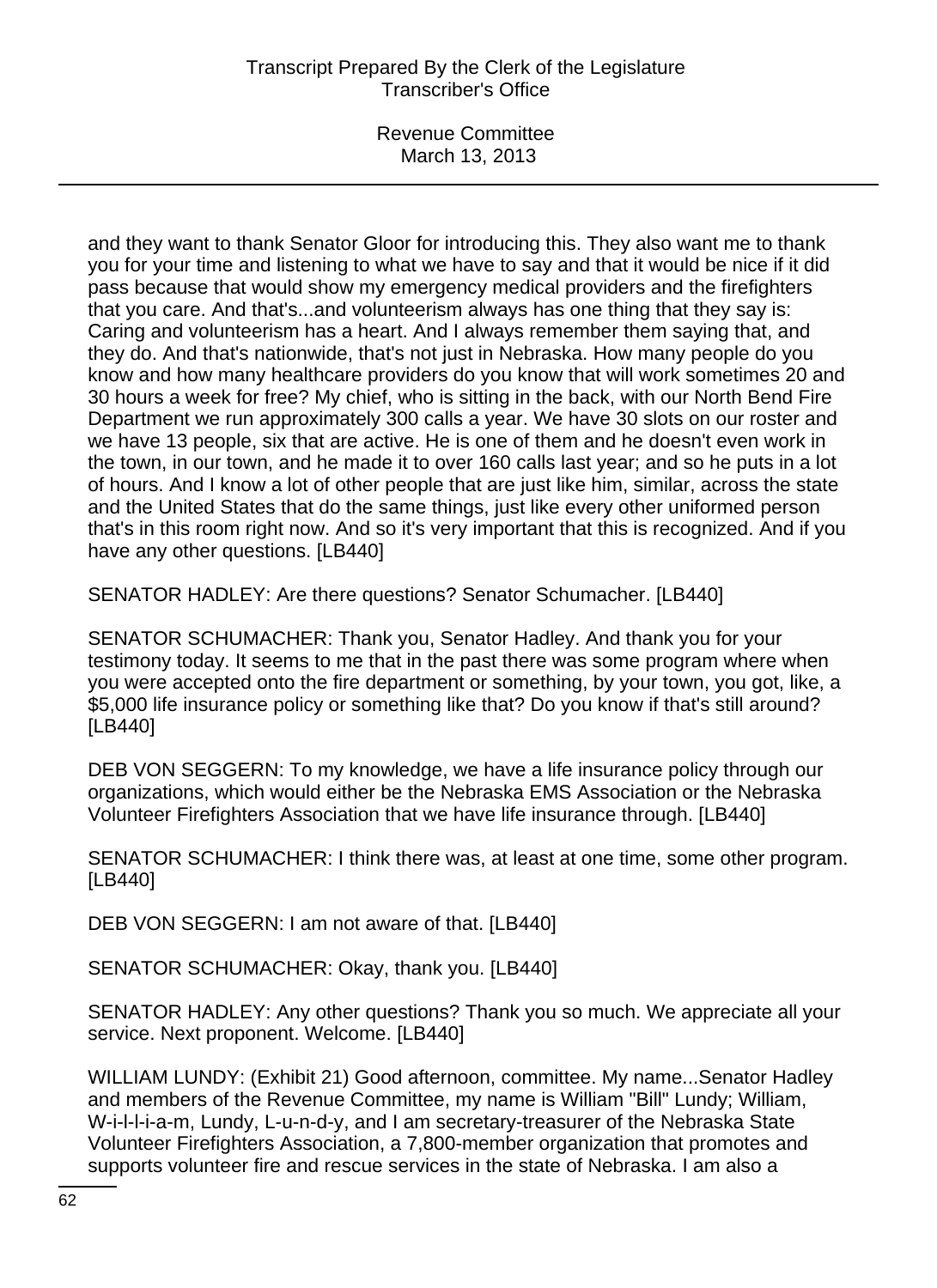Revenue Committee March 13, 2013

and they want to thank Senator Gloor for introducing this. They also want me to thank you for your time and listening to what we have to say and that it would be nice if it did pass because that would show my emergency medical providers and the firefighters that you care. And that's...and volunteerism always has one thing that they say is: Caring and volunteerism has a heart. And I always remember them saying that, and they do. And that's nationwide, that's not just in Nebraska. How many people do you know and how many healthcare providers do you know that will work sometimes 20 and 30 hours a week for free? My chief, who is sitting in the back, with our North Bend Fire Department we run approximately 300 calls a year. We have 30 slots on our roster and we have 13 people, six that are active. He is one of them and he doesn't even work in the town, in our town, and he made it to over 160 calls last year; and so he puts in a lot of hours. And I know a lot of other people that are just like him, similar, across the state and the United States that do the same things, just like every other uniformed person that's in this room right now. And so it's very important that this is recognized. And if you have any other questions. [LB440]

SENATOR HADLEY: Are there questions? Senator Schumacher. [LB440]

SENATOR SCHUMACHER: Thank you, Senator Hadley. And thank you for your testimony today. It seems to me that in the past there was some program where when you were accepted onto the fire department or something, by your town, you got, like, a \$5,000 life insurance policy or something like that? Do you know if that's still around? [LB440]

DEB VON SEGGERN: To my knowledge, we have a life insurance policy through our organizations, which would either be the Nebraska EMS Association or the Nebraska Volunteer Firefighters Association that we have life insurance through. [LB440]

SENATOR SCHUMACHER: I think there was, at least at one time, some other program. [LB440]

DEB VON SEGGERN: I am not aware of that. [LB440]

SENATOR SCHUMACHER: Okay, thank you. [LB440]

SENATOR HADLEY: Any other questions? Thank you so much. We appreciate all your service. Next proponent. Welcome. [LB440]

WILLIAM LUNDY: (Exhibit 21) Good afternoon, committee. My name...Senator Hadley and members of the Revenue Committee, my name is William "Bill" Lundy; William, W-i-l-l-i-a-m, Lundy, L-u-n-d-y, and I am secretary-treasurer of the Nebraska State Volunteer Firefighters Association, a 7,800-member organization that promotes and supports volunteer fire and rescue services in the state of Nebraska. I am also a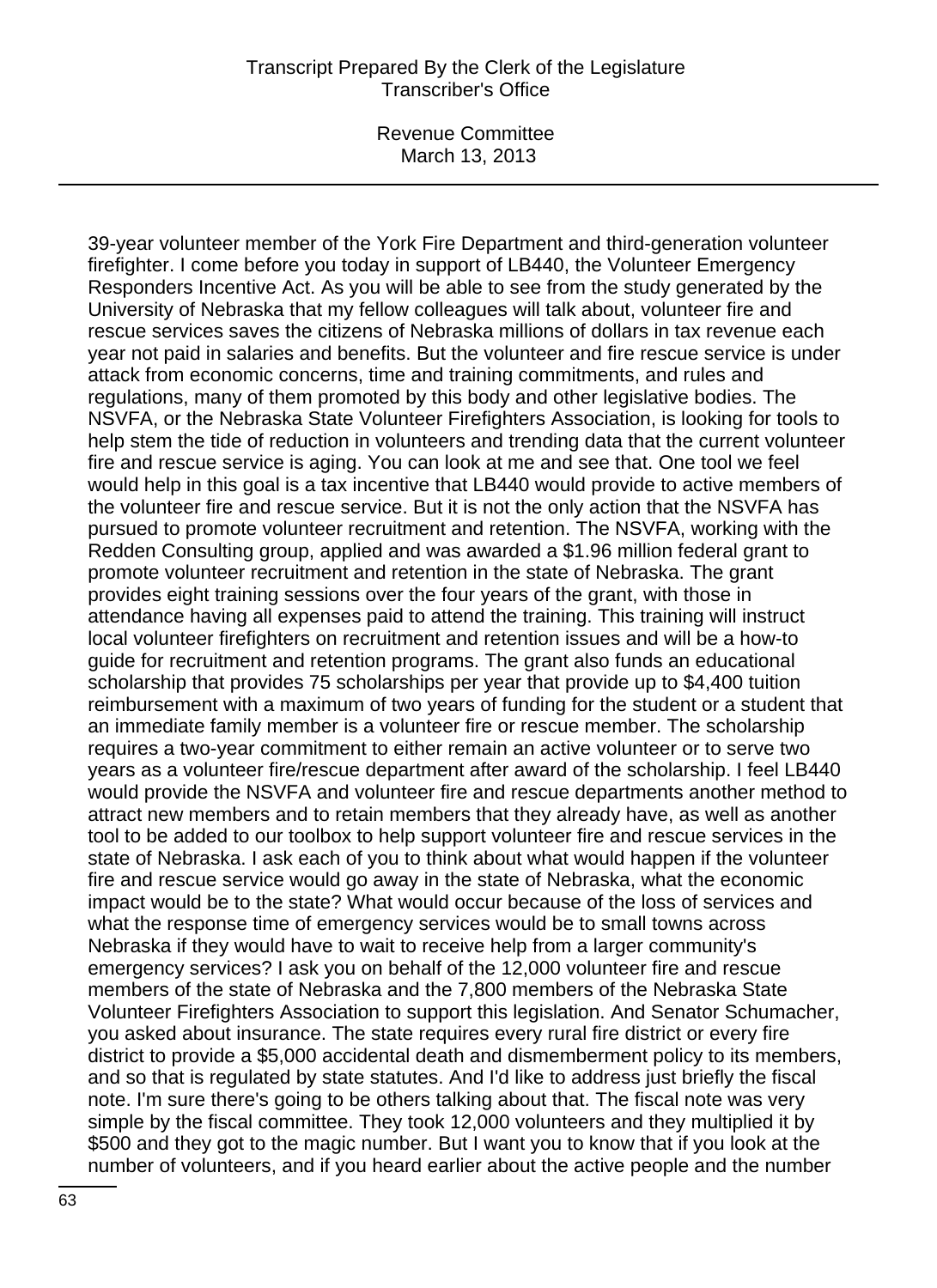Revenue Committee March 13, 2013

39-year volunteer member of the York Fire Department and third-generation volunteer firefighter. I come before you today in support of LB440, the Volunteer Emergency Responders Incentive Act. As you will be able to see from the study generated by the University of Nebraska that my fellow colleagues will talk about, volunteer fire and rescue services saves the citizens of Nebraska millions of dollars in tax revenue each year not paid in salaries and benefits. But the volunteer and fire rescue service is under attack from economic concerns, time and training commitments, and rules and regulations, many of them promoted by this body and other legislative bodies. The NSVFA, or the Nebraska State Volunteer Firefighters Association, is looking for tools to help stem the tide of reduction in volunteers and trending data that the current volunteer fire and rescue service is aging. You can look at me and see that. One tool we feel would help in this goal is a tax incentive that LB440 would provide to active members of the volunteer fire and rescue service. But it is not the only action that the NSVFA has pursued to promote volunteer recruitment and retention. The NSVFA, working with the Redden Consulting group, applied and was awarded a \$1.96 million federal grant to promote volunteer recruitment and retention in the state of Nebraska. The grant provides eight training sessions over the four years of the grant, with those in attendance having all expenses paid to attend the training. This training will instruct local volunteer firefighters on recruitment and retention issues and will be a how-to guide for recruitment and retention programs. The grant also funds an educational scholarship that provides 75 scholarships per year that provide up to \$4,400 tuition reimbursement with a maximum of two years of funding for the student or a student that an immediate family member is a volunteer fire or rescue member. The scholarship requires a two-year commitment to either remain an active volunteer or to serve two years as a volunteer fire/rescue department after award of the scholarship. I feel LB440 would provide the NSVFA and volunteer fire and rescue departments another method to attract new members and to retain members that they already have, as well as another tool to be added to our toolbox to help support volunteer fire and rescue services in the state of Nebraska. I ask each of you to think about what would happen if the volunteer fire and rescue service would go away in the state of Nebraska, what the economic impact would be to the state? What would occur because of the loss of services and what the response time of emergency services would be to small towns across Nebraska if they would have to wait to receive help from a larger community's emergency services? I ask you on behalf of the 12,000 volunteer fire and rescue members of the state of Nebraska and the 7,800 members of the Nebraska State Volunteer Firefighters Association to support this legislation. And Senator Schumacher, you asked about insurance. The state requires every rural fire district or every fire district to provide a \$5,000 accidental death and dismemberment policy to its members, and so that is regulated by state statutes. And I'd like to address just briefly the fiscal note. I'm sure there's going to be others talking about that. The fiscal note was very simple by the fiscal committee. They took 12,000 volunteers and they multiplied it by \$500 and they got to the magic number. But I want you to know that if you look at the number of volunteers, and if you heard earlier about the active people and the number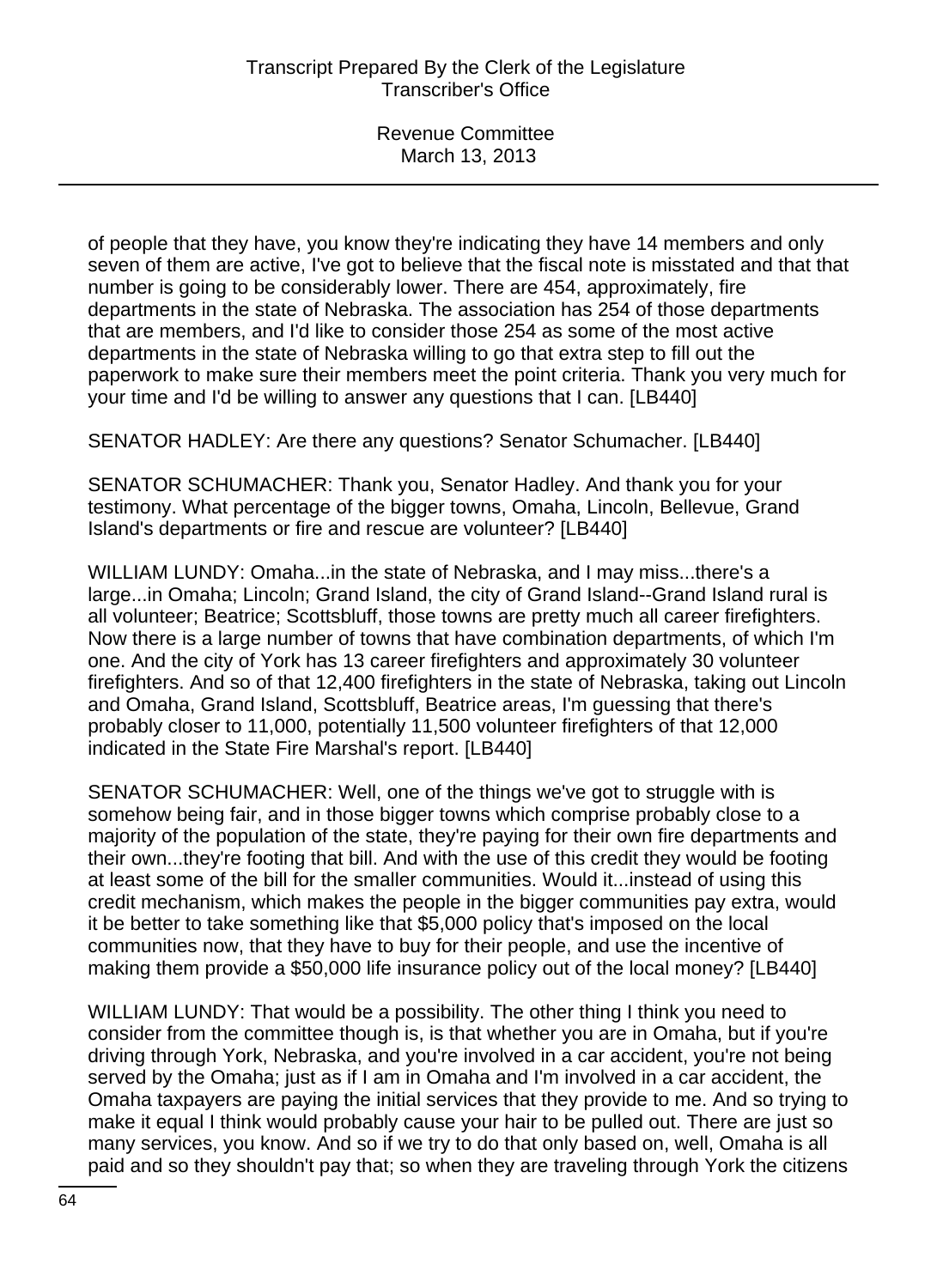of people that they have, you know they're indicating they have 14 members and only seven of them are active, I've got to believe that the fiscal note is misstated and that that number is going to be considerably lower. There are 454, approximately, fire departments in the state of Nebraska. The association has 254 of those departments that are members, and I'd like to consider those 254 as some of the most active departments in the state of Nebraska willing to go that extra step to fill out the paperwork to make sure their members meet the point criteria. Thank you very much for your time and I'd be willing to answer any questions that I can. [LB440]

SENATOR HADLEY: Are there any questions? Senator Schumacher. [LB440]

SENATOR SCHUMACHER: Thank you, Senator Hadley. And thank you for your testimony. What percentage of the bigger towns, Omaha, Lincoln, Bellevue, Grand Island's departments or fire and rescue are volunteer? [LB440]

WILLIAM LUNDY: Omaha...in the state of Nebraska, and I may miss...there's a large...in Omaha; Lincoln; Grand Island, the city of Grand Island--Grand Island rural is all volunteer; Beatrice; Scottsbluff, those towns are pretty much all career firefighters. Now there is a large number of towns that have combination departments, of which I'm one. And the city of York has 13 career firefighters and approximately 30 volunteer firefighters. And so of that 12,400 firefighters in the state of Nebraska, taking out Lincoln and Omaha, Grand Island, Scottsbluff, Beatrice areas, I'm guessing that there's probably closer to 11,000, potentially 11,500 volunteer firefighters of that 12,000 indicated in the State Fire Marshal's report. [LB440]

SENATOR SCHUMACHER: Well, one of the things we've got to struggle with is somehow being fair, and in those bigger towns which comprise probably close to a majority of the population of the state, they're paying for their own fire departments and their own...they're footing that bill. And with the use of this credit they would be footing at least some of the bill for the smaller communities. Would it...instead of using this credit mechanism, which makes the people in the bigger communities pay extra, would it be better to take something like that \$5,000 policy that's imposed on the local communities now, that they have to buy for their people, and use the incentive of making them provide a \$50,000 life insurance policy out of the local money? [LB440]

WILLIAM LUNDY: That would be a possibility. The other thing I think you need to consider from the committee though is, is that whether you are in Omaha, but if you're driving through York, Nebraska, and you're involved in a car accident, you're not being served by the Omaha; just as if I am in Omaha and I'm involved in a car accident, the Omaha taxpayers are paying the initial services that they provide to me. And so trying to make it equal I think would probably cause your hair to be pulled out. There are just so many services, you know. And so if we try to do that only based on, well, Omaha is all paid and so they shouldn't pay that; so when they are traveling through York the citizens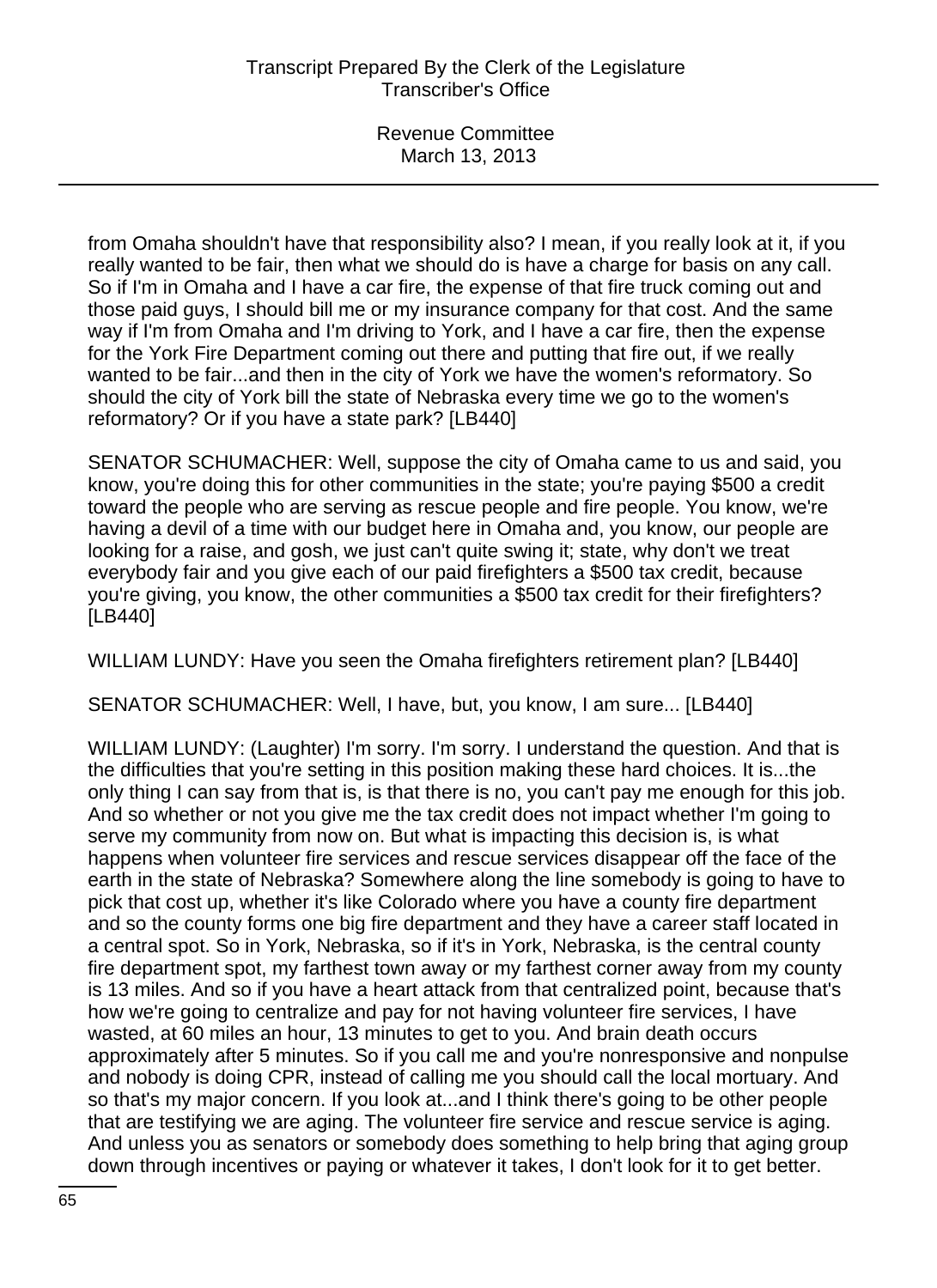from Omaha shouldn't have that responsibility also? I mean, if you really look at it, if you really wanted to be fair, then what we should do is have a charge for basis on any call. So if I'm in Omaha and I have a car fire, the expense of that fire truck coming out and those paid guys, I should bill me or my insurance company for that cost. And the same way if I'm from Omaha and I'm driving to York, and I have a car fire, then the expense for the York Fire Department coming out there and putting that fire out, if we really wanted to be fair...and then in the city of York we have the women's reformatory. So should the city of York bill the state of Nebraska every time we go to the women's reformatory? Or if you have a state park? [LB440]

SENATOR SCHUMACHER: Well, suppose the city of Omaha came to us and said, you know, you're doing this for other communities in the state; you're paying \$500 a credit toward the people who are serving as rescue people and fire people. You know, we're having a devil of a time with our budget here in Omaha and, you know, our people are looking for a raise, and gosh, we just can't quite swing it; state, why don't we treat everybody fair and you give each of our paid firefighters a \$500 tax credit, because you're giving, you know, the other communities a \$500 tax credit for their firefighters? [LB440]

WILLIAM LUNDY: Have you seen the Omaha firefighters retirement plan? [LB440]

SENATOR SCHUMACHER: Well, I have, but, you know, I am sure... [LB440]

WILLIAM LUNDY: (Laughter) I'm sorry. I'm sorry. I understand the question. And that is the difficulties that you're setting in this position making these hard choices. It is...the only thing I can say from that is, is that there is no, you can't pay me enough for this job. And so whether or not you give me the tax credit does not impact whether I'm going to serve my community from now on. But what is impacting this decision is, is what happens when volunteer fire services and rescue services disappear off the face of the earth in the state of Nebraska? Somewhere along the line somebody is going to have to pick that cost up, whether it's like Colorado where you have a county fire department and so the county forms one big fire department and they have a career staff located in a central spot. So in York, Nebraska, so if it's in York, Nebraska, is the central county fire department spot, my farthest town away or my farthest corner away from my county is 13 miles. And so if you have a heart attack from that centralized point, because that's how we're going to centralize and pay for not having volunteer fire services, I have wasted, at 60 miles an hour, 13 minutes to get to you. And brain death occurs approximately after 5 minutes. So if you call me and you're nonresponsive and nonpulse and nobody is doing CPR, instead of calling me you should call the local mortuary. And so that's my major concern. If you look at...and I think there's going to be other people that are testifying we are aging. The volunteer fire service and rescue service is aging. And unless you as senators or somebody does something to help bring that aging group down through incentives or paying or whatever it takes, I don't look for it to get better.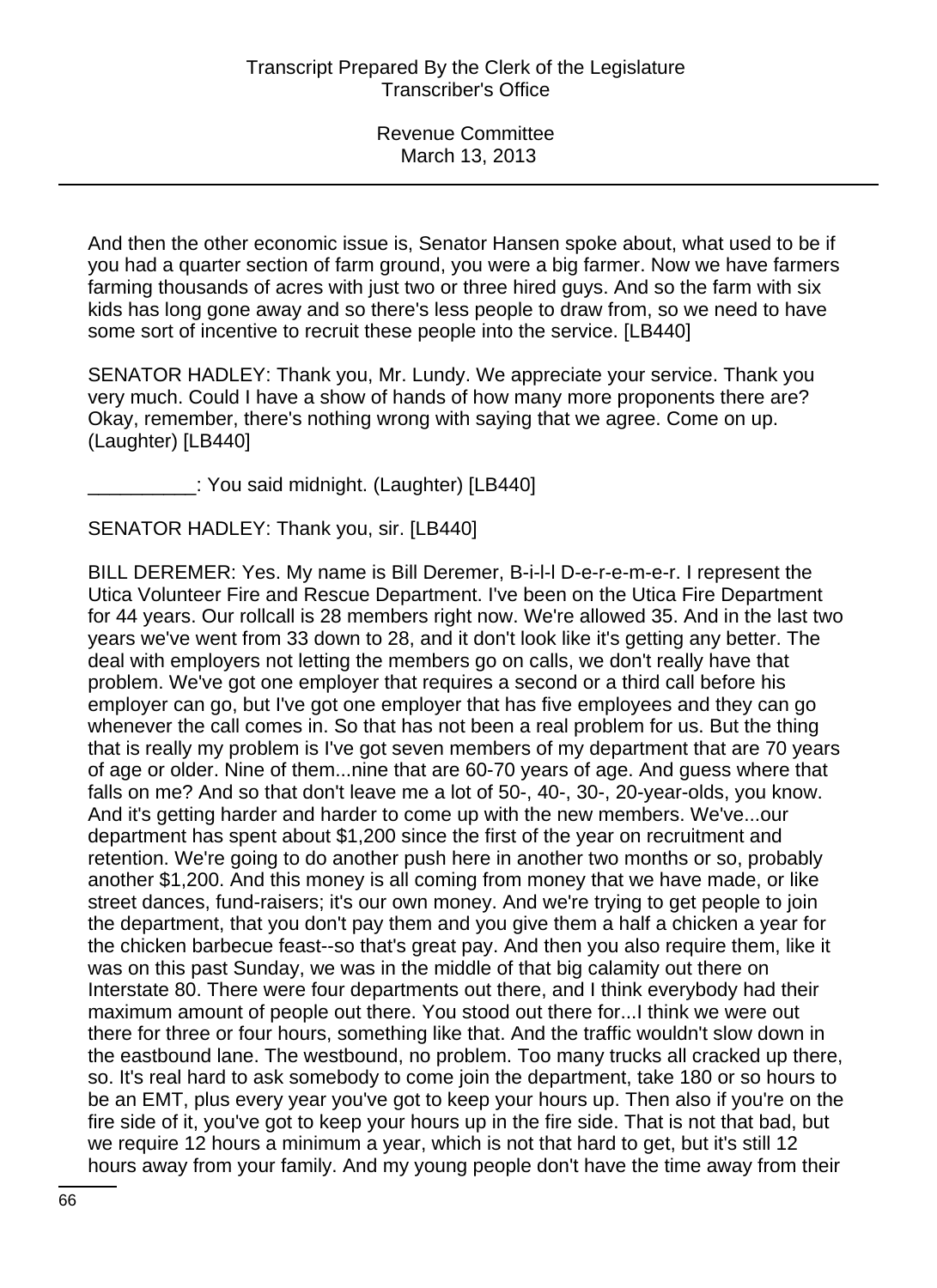And then the other economic issue is, Senator Hansen spoke about, what used to be if you had a quarter section of farm ground, you were a big farmer. Now we have farmers farming thousands of acres with just two or three hired guys. And so the farm with six kids has long gone away and so there's less people to draw from, so we need to have some sort of incentive to recruit these people into the service. [LB440]

SENATOR HADLEY: Thank you, Mr. Lundy. We appreciate your service. Thank you very much. Could I have a show of hands of how many more proponents there are? Okay, remember, there's nothing wrong with saying that we agree. Come on up. (Laughter) [LB440]

: You said midnight. (Laughter) [LB440]

SENATOR HADLEY: Thank you, sir. [LB440]

BILL DEREMER: Yes. My name is Bill Deremer, B-i-l-l D-e-r-e-m-e-r. I represent the Utica Volunteer Fire and Rescue Department. I've been on the Utica Fire Department for 44 years. Our rollcall is 28 members right now. We're allowed 35. And in the last two years we've went from 33 down to 28, and it don't look like it's getting any better. The deal with employers not letting the members go on calls, we don't really have that problem. We've got one employer that requires a second or a third call before his employer can go, but I've got one employer that has five employees and they can go whenever the call comes in. So that has not been a real problem for us. But the thing that is really my problem is I've got seven members of my department that are 70 years of age or older. Nine of them...nine that are 60-70 years of age. And guess where that falls on me? And so that don't leave me a lot of 50-, 40-, 30-, 20-year-olds, you know. And it's getting harder and harder to come up with the new members. We've...our department has spent about \$1,200 since the first of the year on recruitment and retention. We're going to do another push here in another two months or so, probably another \$1,200. And this money is all coming from money that we have made, or like street dances, fund-raisers; it's our own money. And we're trying to get people to join the department, that you don't pay them and you give them a half a chicken a year for the chicken barbecue feast--so that's great pay. And then you also require them, like it was on this past Sunday, we was in the middle of that big calamity out there on Interstate 80. There were four departments out there, and I think everybody had their maximum amount of people out there. You stood out there for...I think we were out there for three or four hours, something like that. And the traffic wouldn't slow down in the eastbound lane. The westbound, no problem. Too many trucks all cracked up there, so. It's real hard to ask somebody to come join the department, take 180 or so hours to be an EMT, plus every year you've got to keep your hours up. Then also if you're on the fire side of it, you've got to keep your hours up in the fire side. That is not that bad, but we require 12 hours a minimum a year, which is not that hard to get, but it's still 12 hours away from your family. And my young people don't have the time away from their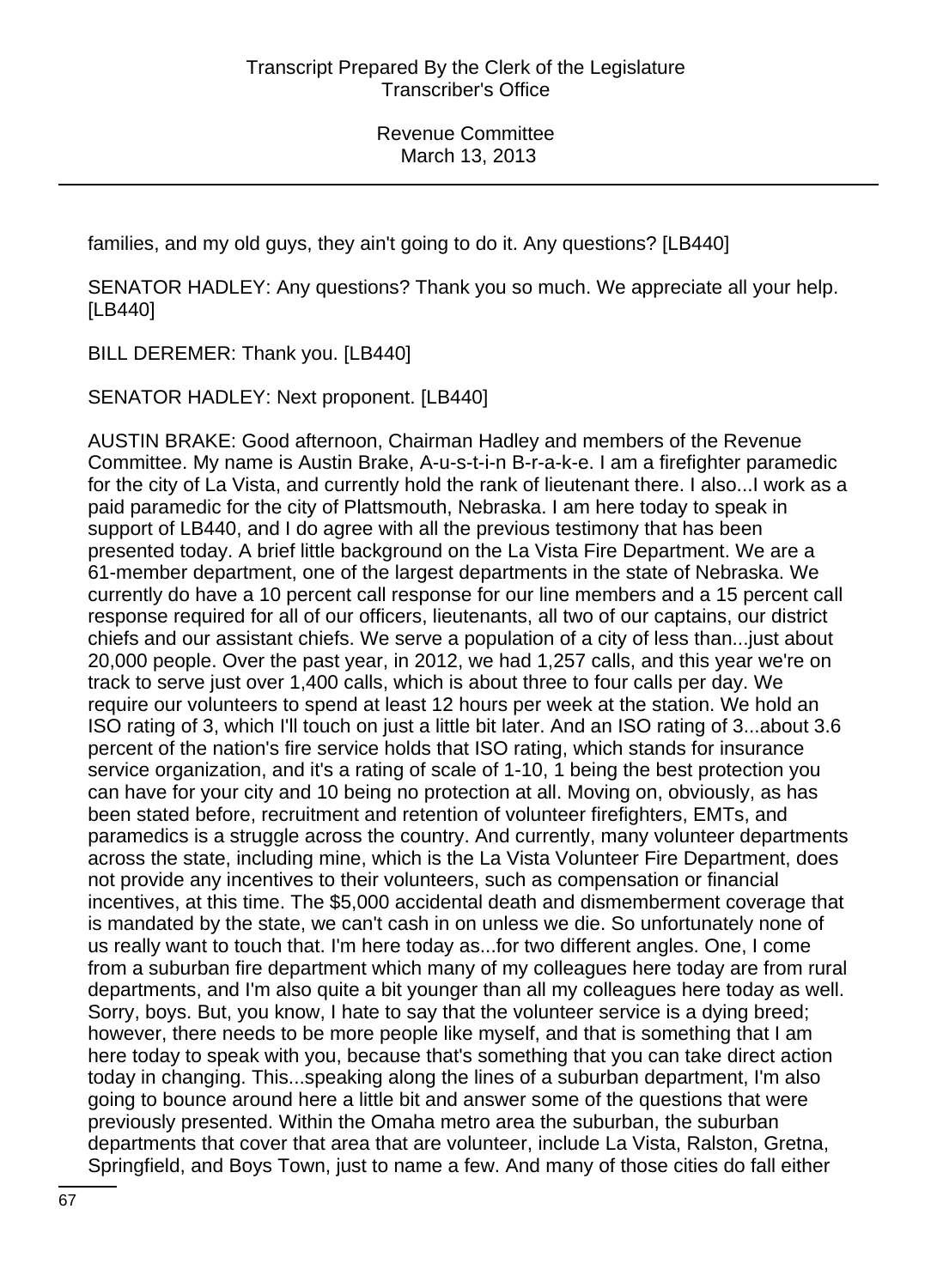families, and my old guys, they ain't going to do it. Any questions? [LB440]

SENATOR HADLEY: Any questions? Thank you so much. We appreciate all your help. [LB440]

BILL DEREMER: Thank you. [LB440]

SENATOR HADLEY: Next proponent. [LB440]

AUSTIN BRAKE: Good afternoon, Chairman Hadley and members of the Revenue Committee. My name is Austin Brake, A-u-s-t-i-n B-r-a-k-e. I am a firefighter paramedic for the city of La Vista, and currently hold the rank of lieutenant there. I also...I work as a paid paramedic for the city of Plattsmouth, Nebraska. I am here today to speak in support of LB440, and I do agree with all the previous testimony that has been presented today. A brief little background on the La Vista Fire Department. We are a 61-member department, one of the largest departments in the state of Nebraska. We currently do have a 10 percent call response for our line members and a 15 percent call response required for all of our officers, lieutenants, all two of our captains, our district chiefs and our assistant chiefs. We serve a population of a city of less than...just about 20,000 people. Over the past year, in 2012, we had 1,257 calls, and this year we're on track to serve just over 1,400 calls, which is about three to four calls per day. We require our volunteers to spend at least 12 hours per week at the station. We hold an ISO rating of 3, which I'll touch on just a little bit later. And an ISO rating of 3...about 3.6 percent of the nation's fire service holds that ISO rating, which stands for insurance service organization, and it's a rating of scale of 1-10, 1 being the best protection you can have for your city and 10 being no protection at all. Moving on, obviously, as has been stated before, recruitment and retention of volunteer firefighters, EMTs, and paramedics is a struggle across the country. And currently, many volunteer departments across the state, including mine, which is the La Vista Volunteer Fire Department, does not provide any incentives to their volunteers, such as compensation or financial incentives, at this time. The \$5,000 accidental death and dismemberment coverage that is mandated by the state, we can't cash in on unless we die. So unfortunately none of us really want to touch that. I'm here today as...for two different angles. One, I come from a suburban fire department which many of my colleagues here today are from rural departments, and I'm also quite a bit younger than all my colleagues here today as well. Sorry, boys. But, you know, I hate to say that the volunteer service is a dying breed; however, there needs to be more people like myself, and that is something that I am here today to speak with you, because that's something that you can take direct action today in changing. This...speaking along the lines of a suburban department, I'm also going to bounce around here a little bit and answer some of the questions that were previously presented. Within the Omaha metro area the suburban, the suburban departments that cover that area that are volunteer, include La Vista, Ralston, Gretna, Springfield, and Boys Town, just to name a few. And many of those cities do fall either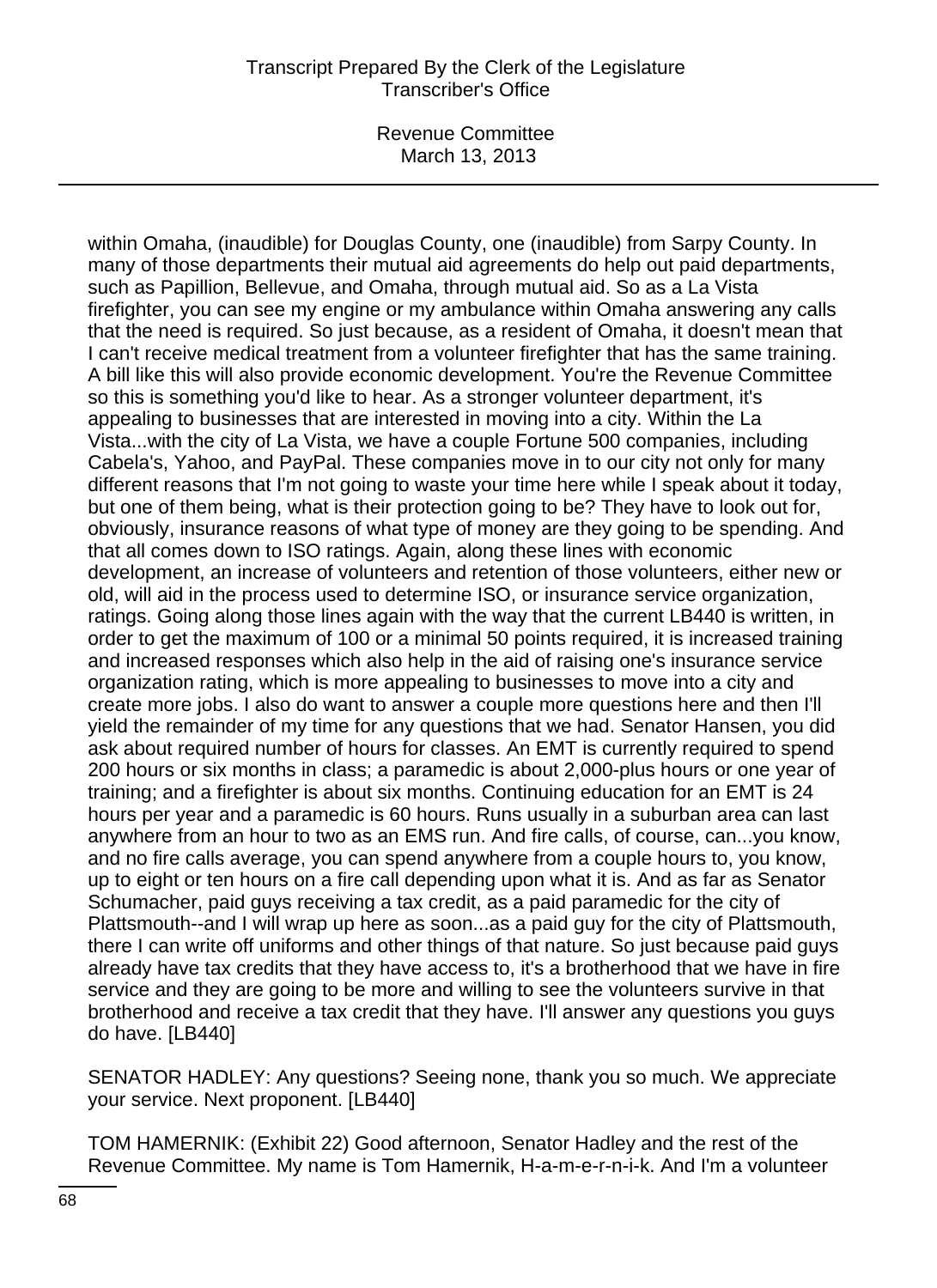Revenue Committee March 13, 2013

within Omaha, (inaudible) for Douglas County, one (inaudible) from Sarpy County. In many of those departments their mutual aid agreements do help out paid departments, such as Papillion, Bellevue, and Omaha, through mutual aid. So as a La Vista firefighter, you can see my engine or my ambulance within Omaha answering any calls that the need is required. So just because, as a resident of Omaha, it doesn't mean that I can't receive medical treatment from a volunteer firefighter that has the same training. A bill like this will also provide economic development. You're the Revenue Committee so this is something you'd like to hear. As a stronger volunteer department, it's appealing to businesses that are interested in moving into a city. Within the La Vista...with the city of La Vista, we have a couple Fortune 500 companies, including Cabela's, Yahoo, and PayPal. These companies move in to our city not only for many different reasons that I'm not going to waste your time here while I speak about it today, but one of them being, what is their protection going to be? They have to look out for, obviously, insurance reasons of what type of money are they going to be spending. And that all comes down to ISO ratings. Again, along these lines with economic development, an increase of volunteers and retention of those volunteers, either new or old, will aid in the process used to determine ISO, or insurance service organization, ratings. Going along those lines again with the way that the current LB440 is written, in order to get the maximum of 100 or a minimal 50 points required, it is increased training and increased responses which also help in the aid of raising one's insurance service organization rating, which is more appealing to businesses to move into a city and create more jobs. I also do want to answer a couple more questions here and then I'll yield the remainder of my time for any questions that we had. Senator Hansen, you did ask about required number of hours for classes. An EMT is currently required to spend 200 hours or six months in class; a paramedic is about 2,000-plus hours or one year of training; and a firefighter is about six months. Continuing education for an EMT is 24 hours per year and a paramedic is 60 hours. Runs usually in a suburban area can last anywhere from an hour to two as an EMS run. And fire calls, of course, can...you know, and no fire calls average, you can spend anywhere from a couple hours to, you know, up to eight or ten hours on a fire call depending upon what it is. And as far as Senator Schumacher, paid guys receiving a tax credit, as a paid paramedic for the city of Plattsmouth--and I will wrap up here as soon...as a paid guy for the city of Plattsmouth, there I can write off uniforms and other things of that nature. So just because paid guys already have tax credits that they have access to, it's a brotherhood that we have in fire service and they are going to be more and willing to see the volunteers survive in that brotherhood and receive a tax credit that they have. I'll answer any questions you guys do have. [LB440]

SENATOR HADLEY: Any questions? Seeing none, thank you so much. We appreciate your service. Next proponent. [LB440]

TOM HAMERNIK: (Exhibit 22) Good afternoon, Senator Hadley and the rest of the Revenue Committee. My name is Tom Hamernik, H-a-m-e-r-n-i-k. And I'm a volunteer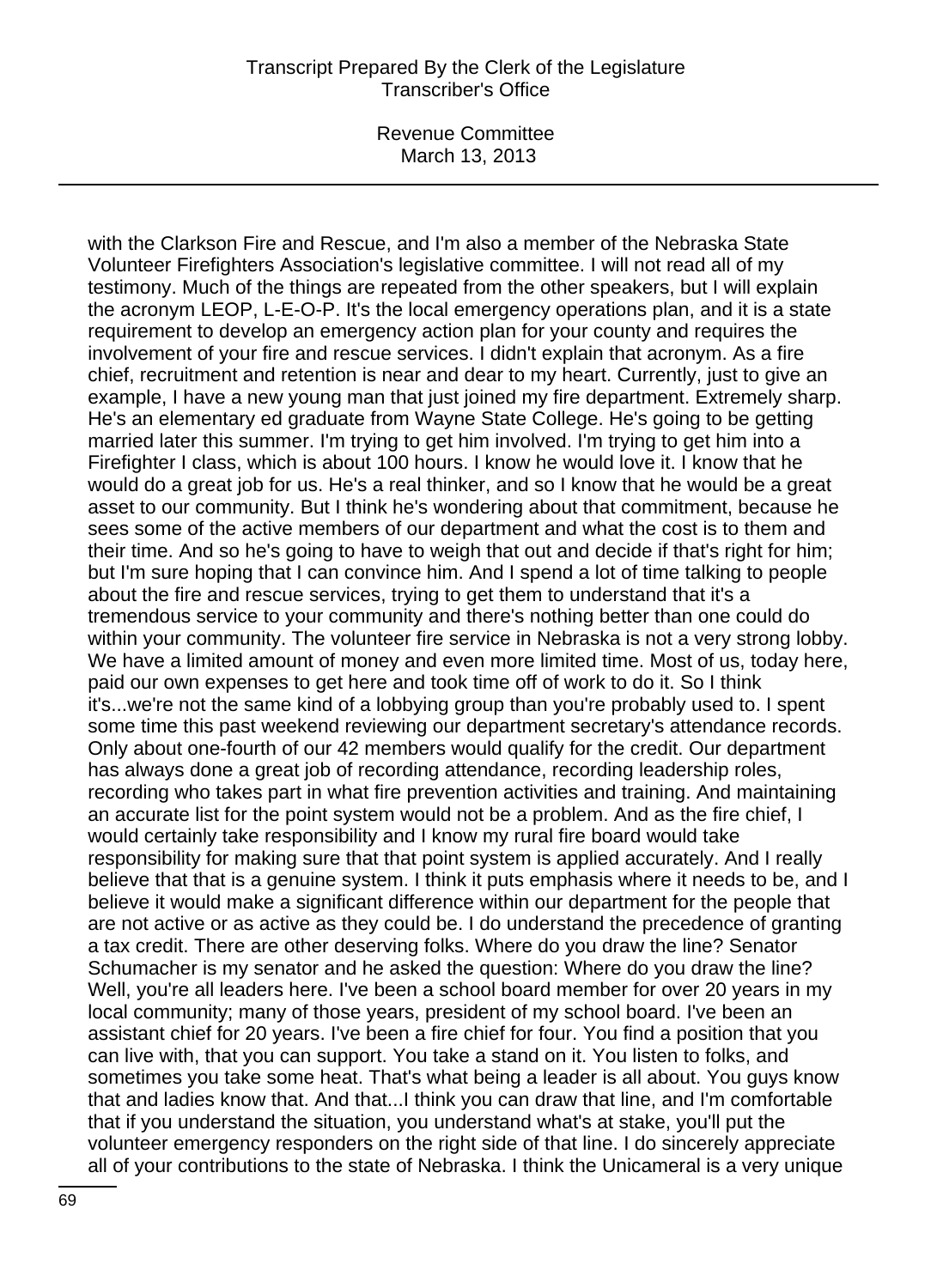Revenue Committee March 13, 2013

with the Clarkson Fire and Rescue, and I'm also a member of the Nebraska State Volunteer Firefighters Association's legislative committee. I will not read all of my testimony. Much of the things are repeated from the other speakers, but I will explain the acronym LEOP, L-E-O-P. It's the local emergency operations plan, and it is a state requirement to develop an emergency action plan for your county and requires the involvement of your fire and rescue services. I didn't explain that acronym. As a fire chief, recruitment and retention is near and dear to my heart. Currently, just to give an example, I have a new young man that just joined my fire department. Extremely sharp. He's an elementary ed graduate from Wayne State College. He's going to be getting married later this summer. I'm trying to get him involved. I'm trying to get him into a Firefighter I class, which is about 100 hours. I know he would love it. I know that he would do a great job for us. He's a real thinker, and so I know that he would be a great asset to our community. But I think he's wondering about that commitment, because he sees some of the active members of our department and what the cost is to them and their time. And so he's going to have to weigh that out and decide if that's right for him; but I'm sure hoping that I can convince him. And I spend a lot of time talking to people about the fire and rescue services, trying to get them to understand that it's a tremendous service to your community and there's nothing better than one could do within your community. The volunteer fire service in Nebraska is not a very strong lobby. We have a limited amount of money and even more limited time. Most of us, today here, paid our own expenses to get here and took time off of work to do it. So I think it's...we're not the same kind of a lobbying group than you're probably used to. I spent some time this past weekend reviewing our department secretary's attendance records. Only about one-fourth of our 42 members would qualify for the credit. Our department has always done a great job of recording attendance, recording leadership roles, recording who takes part in what fire prevention activities and training. And maintaining an accurate list for the point system would not be a problem. And as the fire chief, I would certainly take responsibility and I know my rural fire board would take responsibility for making sure that that point system is applied accurately. And I really believe that that is a genuine system. I think it puts emphasis where it needs to be, and I believe it would make a significant difference within our department for the people that are not active or as active as they could be. I do understand the precedence of granting a tax credit. There are other deserving folks. Where do you draw the line? Senator Schumacher is my senator and he asked the question: Where do you draw the line? Well, you're all leaders here. I've been a school board member for over 20 years in my local community; many of those years, president of my school board. I've been an assistant chief for 20 years. I've been a fire chief for four. You find a position that you can live with, that you can support. You take a stand on it. You listen to folks, and sometimes you take some heat. That's what being a leader is all about. You guys know that and ladies know that. And that...I think you can draw that line, and I'm comfortable that if you understand the situation, you understand what's at stake, you'll put the volunteer emergency responders on the right side of that line. I do sincerely appreciate all of your contributions to the state of Nebraska. I think the Unicameral is a very unique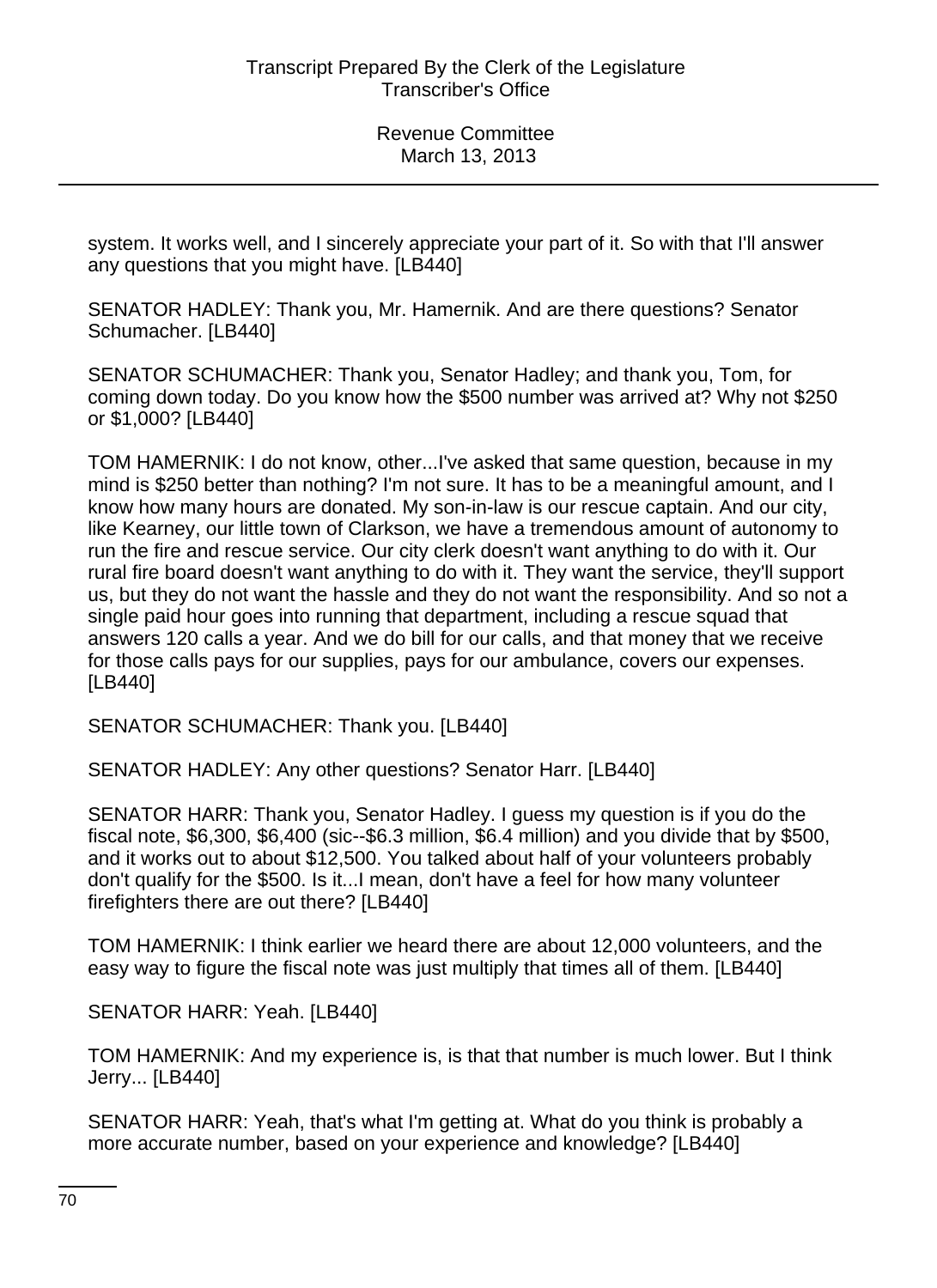system. It works well, and I sincerely appreciate your part of it. So with that I'll answer any questions that you might have. [LB440]

SENATOR HADLEY: Thank you, Mr. Hamernik. And are there questions? Senator Schumacher. [LB440]

SENATOR SCHUMACHER: Thank you, Senator Hadley; and thank you, Tom, for coming down today. Do you know how the \$500 number was arrived at? Why not \$250 or \$1,000? [LB440]

TOM HAMERNIK: I do not know, other...I've asked that same question, because in my mind is \$250 better than nothing? I'm not sure. It has to be a meaningful amount, and I know how many hours are donated. My son-in-law is our rescue captain. And our city, like Kearney, our little town of Clarkson, we have a tremendous amount of autonomy to run the fire and rescue service. Our city clerk doesn't want anything to do with it. Our rural fire board doesn't want anything to do with it. They want the service, they'll support us, but they do not want the hassle and they do not want the responsibility. And so not a single paid hour goes into running that department, including a rescue squad that answers 120 calls a year. And we do bill for our calls, and that money that we receive for those calls pays for our supplies, pays for our ambulance, covers our expenses. [LB440]

SENATOR SCHUMACHER: Thank you. [LB440]

SENATOR HADLEY: Any other questions? Senator Harr. [LB440]

SENATOR HARR: Thank you, Senator Hadley. I guess my question is if you do the fiscal note, \$6,300, \$6,400 (sic--\$6.3 million, \$6.4 million) and you divide that by \$500, and it works out to about \$12,500. You talked about half of your volunteers probably don't qualify for the \$500. Is it...I mean, don't have a feel for how many volunteer firefighters there are out there? [LB440]

TOM HAMERNIK: I think earlier we heard there are about 12,000 volunteers, and the easy way to figure the fiscal note was just multiply that times all of them. [LB440]

SENATOR HARR: Yeah. [LB440]

TOM HAMERNIK: And my experience is, is that that number is much lower. But I think Jerry... [LB440]

SENATOR HARR: Yeah, that's what I'm getting at. What do you think is probably a more accurate number, based on your experience and knowledge? [LB440]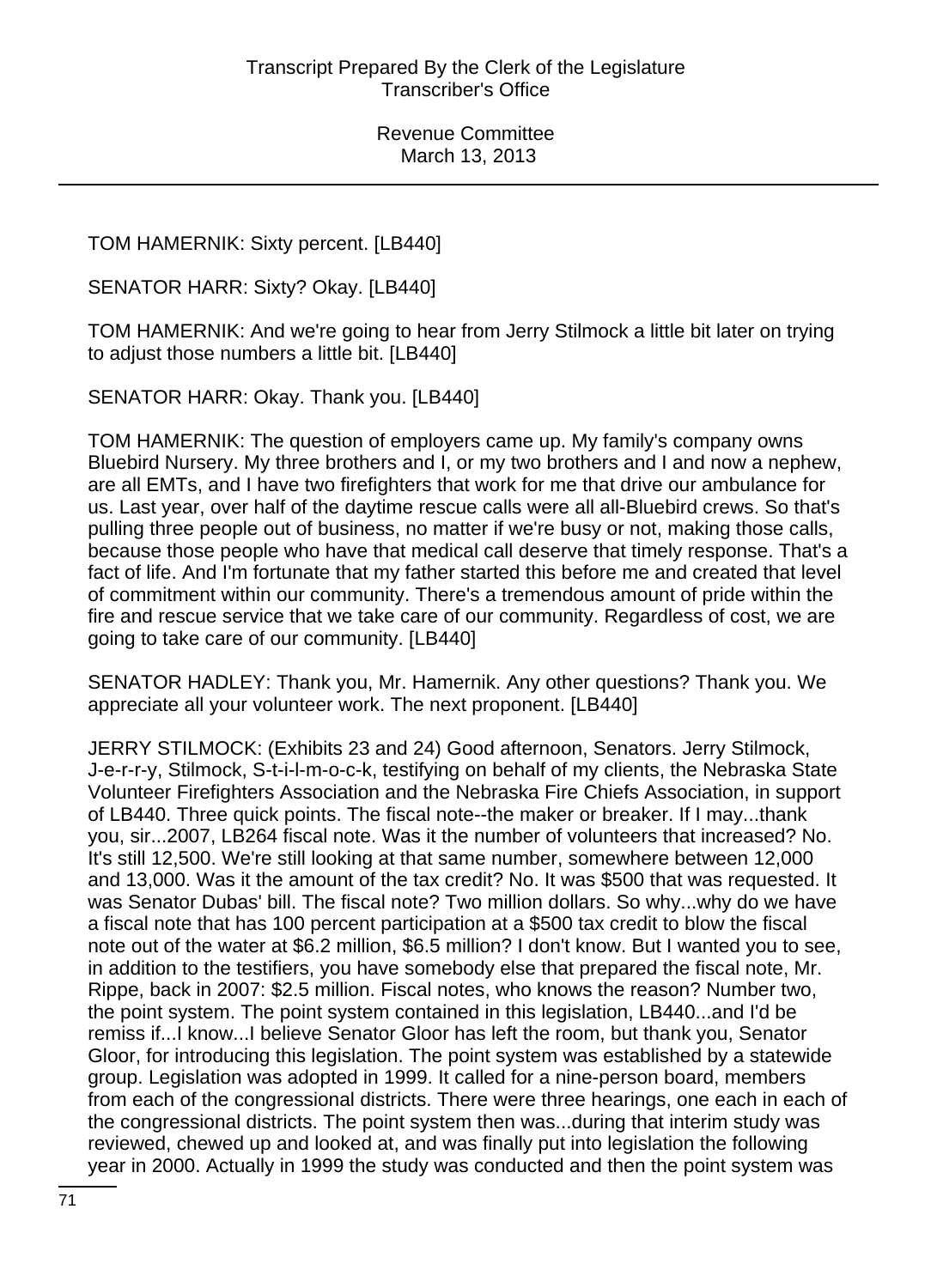TOM HAMERNIK: Sixty percent. [LB440]

SENATOR HARR: Sixty? Okay. [LB440]

TOM HAMERNIK: And we're going to hear from Jerry Stilmock a little bit later on trying to adjust those numbers a little bit. [LB440]

SENATOR HARR: Okay. Thank you. [LB440]

TOM HAMERNIK: The question of employers came up. My family's company owns Bluebird Nursery. My three brothers and I, or my two brothers and I and now a nephew, are all EMTs, and I have two firefighters that work for me that drive our ambulance for us. Last year, over half of the daytime rescue calls were all all-Bluebird crews. So that's pulling three people out of business, no matter if we're busy or not, making those calls, because those people who have that medical call deserve that timely response. That's a fact of life. And I'm fortunate that my father started this before me and created that level of commitment within our community. There's a tremendous amount of pride within the fire and rescue service that we take care of our community. Regardless of cost, we are going to take care of our community. [LB440]

SENATOR HADLEY: Thank you, Mr. Hamernik. Any other questions? Thank you. We appreciate all your volunteer work. The next proponent. [LB440]

JERRY STILMOCK: (Exhibits 23 and 24) Good afternoon, Senators. Jerry Stilmock, J-e-r-r-y, Stilmock, S-t-i-l-m-o-c-k, testifying on behalf of my clients, the Nebraska State Volunteer Firefighters Association and the Nebraska Fire Chiefs Association, in support of LB440. Three quick points. The fiscal note--the maker or breaker. If I may...thank you, sir...2007, LB264 fiscal note. Was it the number of volunteers that increased? No. It's still 12,500. We're still looking at that same number, somewhere between 12,000 and 13,000. Was it the amount of the tax credit? No. It was \$500 that was requested. It was Senator Dubas' bill. The fiscal note? Two million dollars. So why...why do we have a fiscal note that has 100 percent participation at a \$500 tax credit to blow the fiscal note out of the water at \$6.2 million, \$6.5 million? I don't know. But I wanted you to see, in addition to the testifiers, you have somebody else that prepared the fiscal note, Mr. Rippe, back in 2007: \$2.5 million. Fiscal notes, who knows the reason? Number two, the point system. The point system contained in this legislation, LB440...and I'd be remiss if...I know...I believe Senator Gloor has left the room, but thank you, Senator Gloor, for introducing this legislation. The point system was established by a statewide group. Legislation was adopted in 1999. It called for a nine-person board, members from each of the congressional districts. There were three hearings, one each in each of the congressional districts. The point system then was...during that interim study was reviewed, chewed up and looked at, and was finally put into legislation the following year in 2000. Actually in 1999 the study was conducted and then the point system was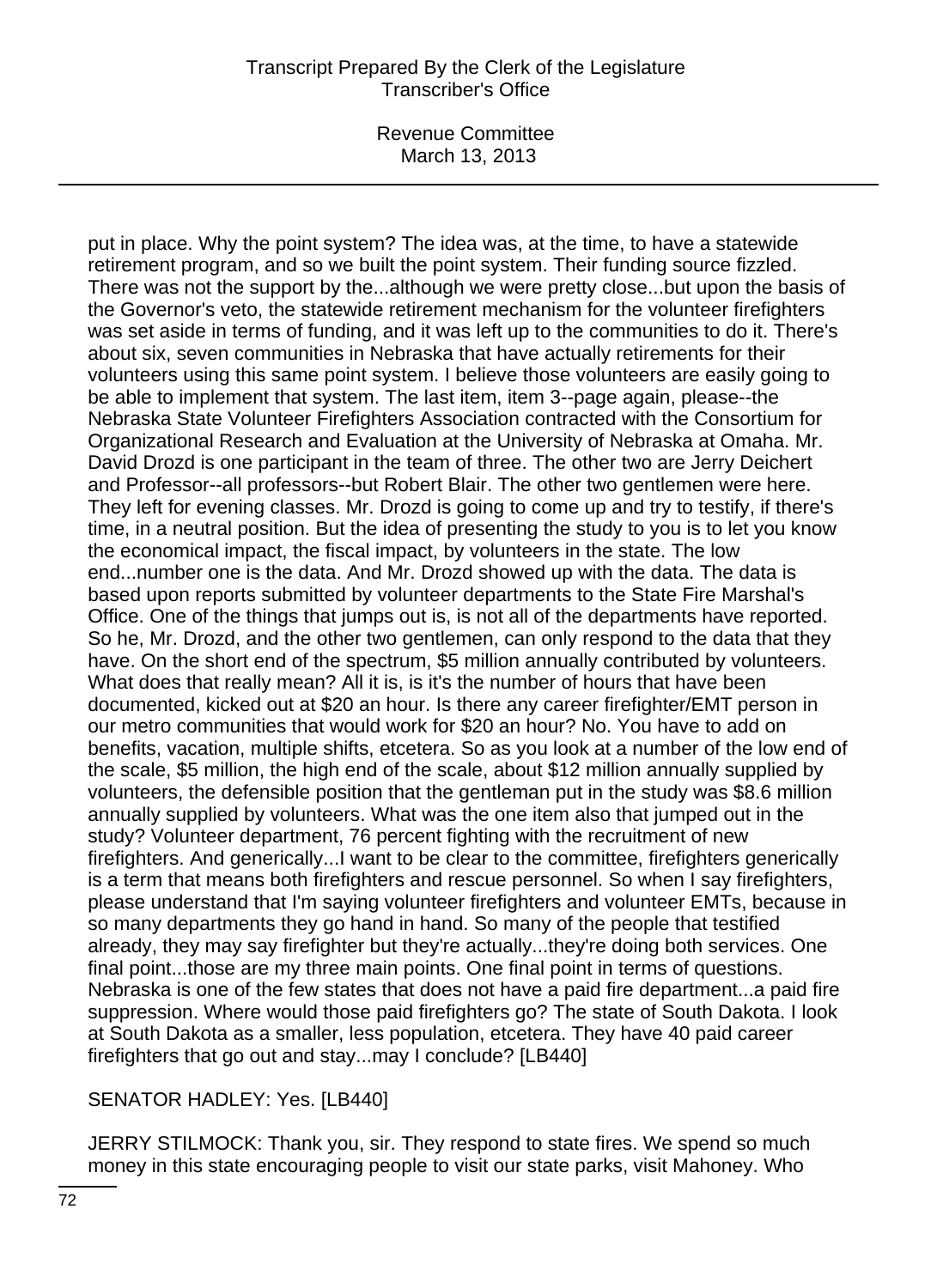Revenue Committee March 13, 2013

put in place. Why the point system? The idea was, at the time, to have a statewide retirement program, and so we built the point system. Their funding source fizzled. There was not the support by the...although we were pretty close...but upon the basis of the Governor's veto, the statewide retirement mechanism for the volunteer firefighters was set aside in terms of funding, and it was left up to the communities to do it. There's about six, seven communities in Nebraska that have actually retirements for their volunteers using this same point system. I believe those volunteers are easily going to be able to implement that system. The last item, item 3--page again, please--the Nebraska State Volunteer Firefighters Association contracted with the Consortium for Organizational Research and Evaluation at the University of Nebraska at Omaha. Mr. David Drozd is one participant in the team of three. The other two are Jerry Deichert and Professor--all professors--but Robert Blair. The other two gentlemen were here. They left for evening classes. Mr. Drozd is going to come up and try to testify, if there's time, in a neutral position. But the idea of presenting the study to you is to let you know the economical impact, the fiscal impact, by volunteers in the state. The low end...number one is the data. And Mr. Drozd showed up with the data. The data is based upon reports submitted by volunteer departments to the State Fire Marshal's Office. One of the things that jumps out is, is not all of the departments have reported. So he, Mr. Drozd, and the other two gentlemen, can only respond to the data that they have. On the short end of the spectrum, \$5 million annually contributed by volunteers. What does that really mean? All it is, is it's the number of hours that have been documented, kicked out at \$20 an hour. Is there any career firefighter/EMT person in our metro communities that would work for \$20 an hour? No. You have to add on benefits, vacation, multiple shifts, etcetera. So as you look at a number of the low end of the scale, \$5 million, the high end of the scale, about \$12 million annually supplied by volunteers, the defensible position that the gentleman put in the study was \$8.6 million annually supplied by volunteers. What was the one item also that jumped out in the study? Volunteer department, 76 percent fighting with the recruitment of new firefighters. And generically...I want to be clear to the committee, firefighters generically is a term that means both firefighters and rescue personnel. So when I say firefighters, please understand that I'm saying volunteer firefighters and volunteer EMTs, because in so many departments they go hand in hand. So many of the people that testified already, they may say firefighter but they're actually...they're doing both services. One final point...those are my three main points. One final point in terms of questions. Nebraska is one of the few states that does not have a paid fire department...a paid fire suppression. Where would those paid firefighters go? The state of South Dakota. I look at South Dakota as a smaller, less population, etcetera. They have 40 paid career firefighters that go out and stay...may I conclude? [LB440]

# SENATOR HADLEY: Yes. [LB440]

JERRY STILMOCK: Thank you, sir. They respond to state fires. We spend so much money in this state encouraging people to visit our state parks, visit Mahoney. Who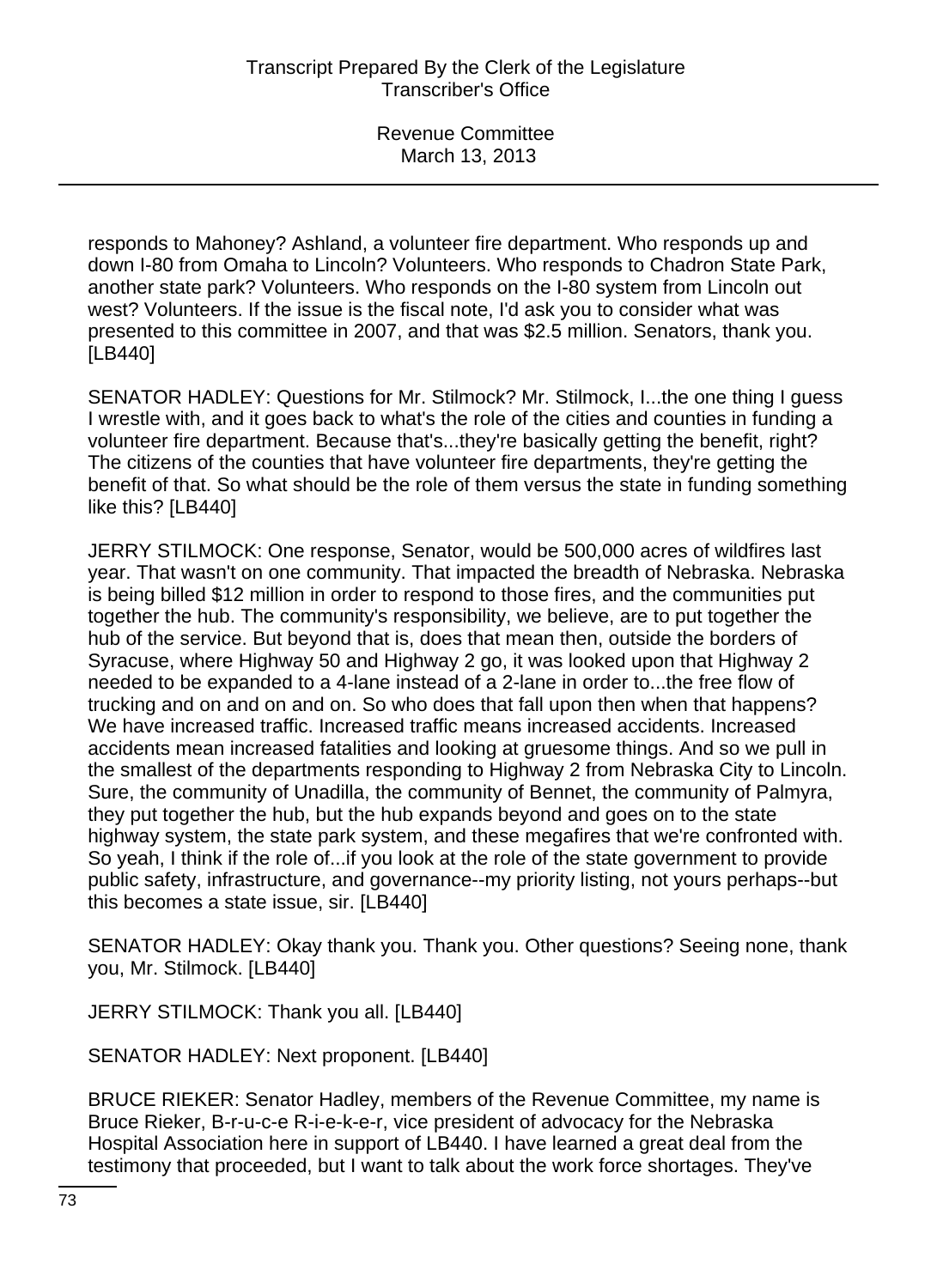responds to Mahoney? Ashland, a volunteer fire department. Who responds up and down I-80 from Omaha to Lincoln? Volunteers. Who responds to Chadron State Park, another state park? Volunteers. Who responds on the I-80 system from Lincoln out west? Volunteers. If the issue is the fiscal note, I'd ask you to consider what was presented to this committee in 2007, and that was \$2.5 million. Senators, thank you. [LB440]

SENATOR HADLEY: Questions for Mr. Stilmock? Mr. Stilmock, I...the one thing I guess I wrestle with, and it goes back to what's the role of the cities and counties in funding a volunteer fire department. Because that's...they're basically getting the benefit, right? The citizens of the counties that have volunteer fire departments, they're getting the benefit of that. So what should be the role of them versus the state in funding something like this? [LB440]

JERRY STILMOCK: One response, Senator, would be 500,000 acres of wildfires last year. That wasn't on one community. That impacted the breadth of Nebraska. Nebraska is being billed \$12 million in order to respond to those fires, and the communities put together the hub. The community's responsibility, we believe, are to put together the hub of the service. But beyond that is, does that mean then, outside the borders of Syracuse, where Highway 50 and Highway 2 go, it was looked upon that Highway 2 needed to be expanded to a 4-lane instead of a 2-lane in order to...the free flow of trucking and on and on and on. So who does that fall upon then when that happens? We have increased traffic. Increased traffic means increased accidents. Increased accidents mean increased fatalities and looking at gruesome things. And so we pull in the smallest of the departments responding to Highway 2 from Nebraska City to Lincoln. Sure, the community of Unadilla, the community of Bennet, the community of Palmyra, they put together the hub, but the hub expands beyond and goes on to the state highway system, the state park system, and these megafires that we're confronted with. So yeah, I think if the role of...if you look at the role of the state government to provide public safety, infrastructure, and governance--my priority listing, not yours perhaps--but this becomes a state issue, sir. [LB440]

SENATOR HADLEY: Okay thank you. Thank you. Other questions? Seeing none, thank you, Mr. Stilmock. [LB440]

JERRY STILMOCK: Thank you all. [LB440]

SENATOR HADLEY: Next proponent. [LB440]

BRUCE RIEKER: Senator Hadley, members of the Revenue Committee, my name is Bruce Rieker, B-r-u-c-e R-i-e-k-e-r, vice president of advocacy for the Nebraska Hospital Association here in support of LB440. I have learned a great deal from the testimony that proceeded, but I want to talk about the work force shortages. They've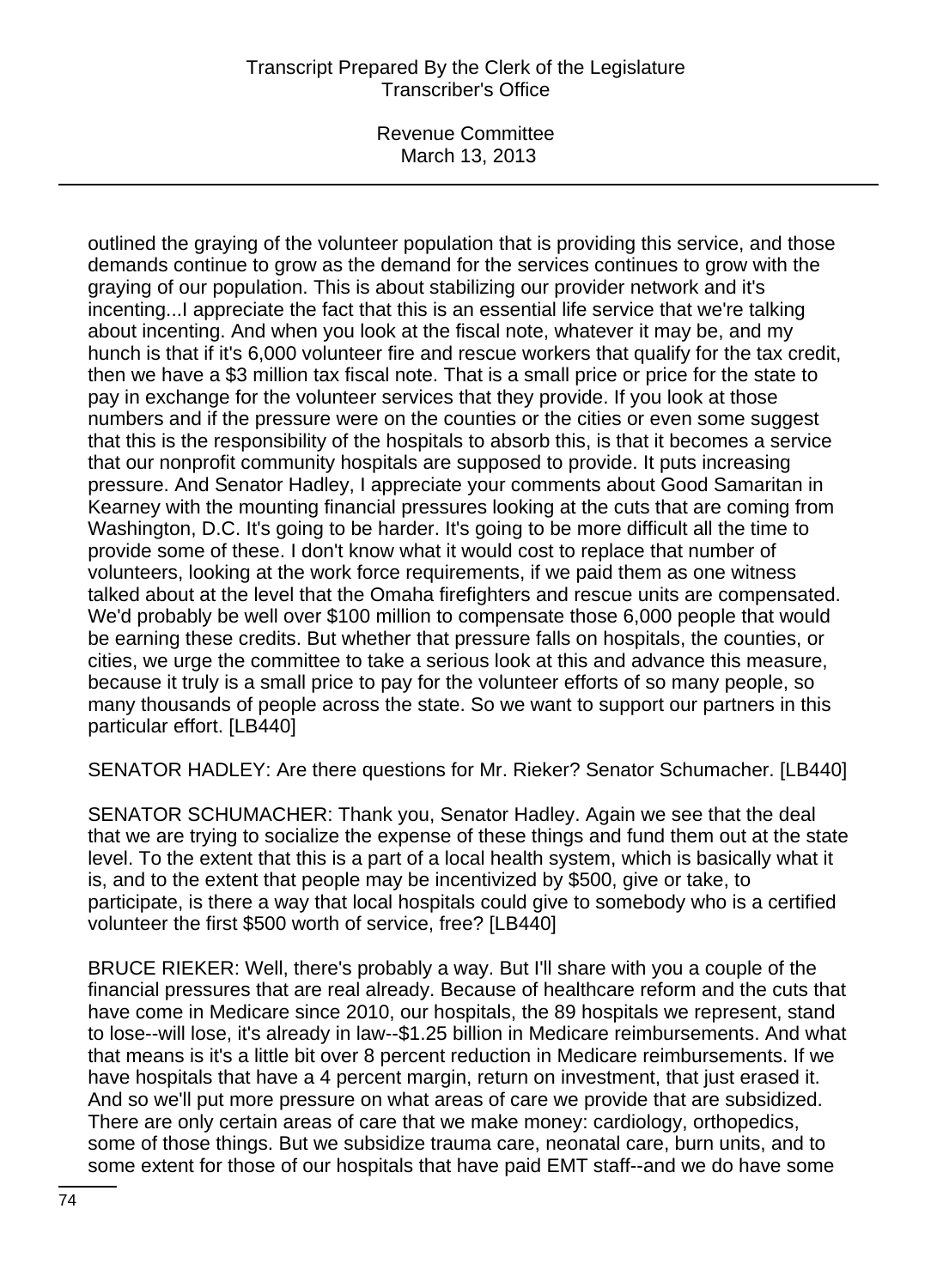Revenue Committee March 13, 2013

outlined the graying of the volunteer population that is providing this service, and those demands continue to grow as the demand for the services continues to grow with the graying of our population. This is about stabilizing our provider network and it's incenting...I appreciate the fact that this is an essential life service that we're talking about incenting. And when you look at the fiscal note, whatever it may be, and my hunch is that if it's 6,000 volunteer fire and rescue workers that qualify for the tax credit, then we have a \$3 million tax fiscal note. That is a small price or price for the state to pay in exchange for the volunteer services that they provide. If you look at those numbers and if the pressure were on the counties or the cities or even some suggest that this is the responsibility of the hospitals to absorb this, is that it becomes a service that our nonprofit community hospitals are supposed to provide. It puts increasing pressure. And Senator Hadley, I appreciate your comments about Good Samaritan in Kearney with the mounting financial pressures looking at the cuts that are coming from Washington, D.C. It's going to be harder. It's going to be more difficult all the time to provide some of these. I don't know what it would cost to replace that number of volunteers, looking at the work force requirements, if we paid them as one witness talked about at the level that the Omaha firefighters and rescue units are compensated. We'd probably be well over \$100 million to compensate those 6,000 people that would be earning these credits. But whether that pressure falls on hospitals, the counties, or cities, we urge the committee to take a serious look at this and advance this measure, because it truly is a small price to pay for the volunteer efforts of so many people, so many thousands of people across the state. So we want to support our partners in this particular effort. [LB440]

SENATOR HADLEY: Are there questions for Mr. Rieker? Senator Schumacher. [LB440]

SENATOR SCHUMACHER: Thank you, Senator Hadley. Again we see that the deal that we are trying to socialize the expense of these things and fund them out at the state level. To the extent that this is a part of a local health system, which is basically what it is, and to the extent that people may be incentivized by \$500, give or take, to participate, is there a way that local hospitals could give to somebody who is a certified volunteer the first \$500 worth of service, free? [LB440]

BRUCE RIEKER: Well, there's probably a way. But I'll share with you a couple of the financial pressures that are real already. Because of healthcare reform and the cuts that have come in Medicare since 2010, our hospitals, the 89 hospitals we represent, stand to lose--will lose, it's already in law--\$1.25 billion in Medicare reimbursements. And what that means is it's a little bit over 8 percent reduction in Medicare reimbursements. If we have hospitals that have a 4 percent margin, return on investment, that just erased it. And so we'll put more pressure on what areas of care we provide that are subsidized. There are only certain areas of care that we make money: cardiology, orthopedics, some of those things. But we subsidize trauma care, neonatal care, burn units, and to some extent for those of our hospitals that have paid EMT staff--and we do have some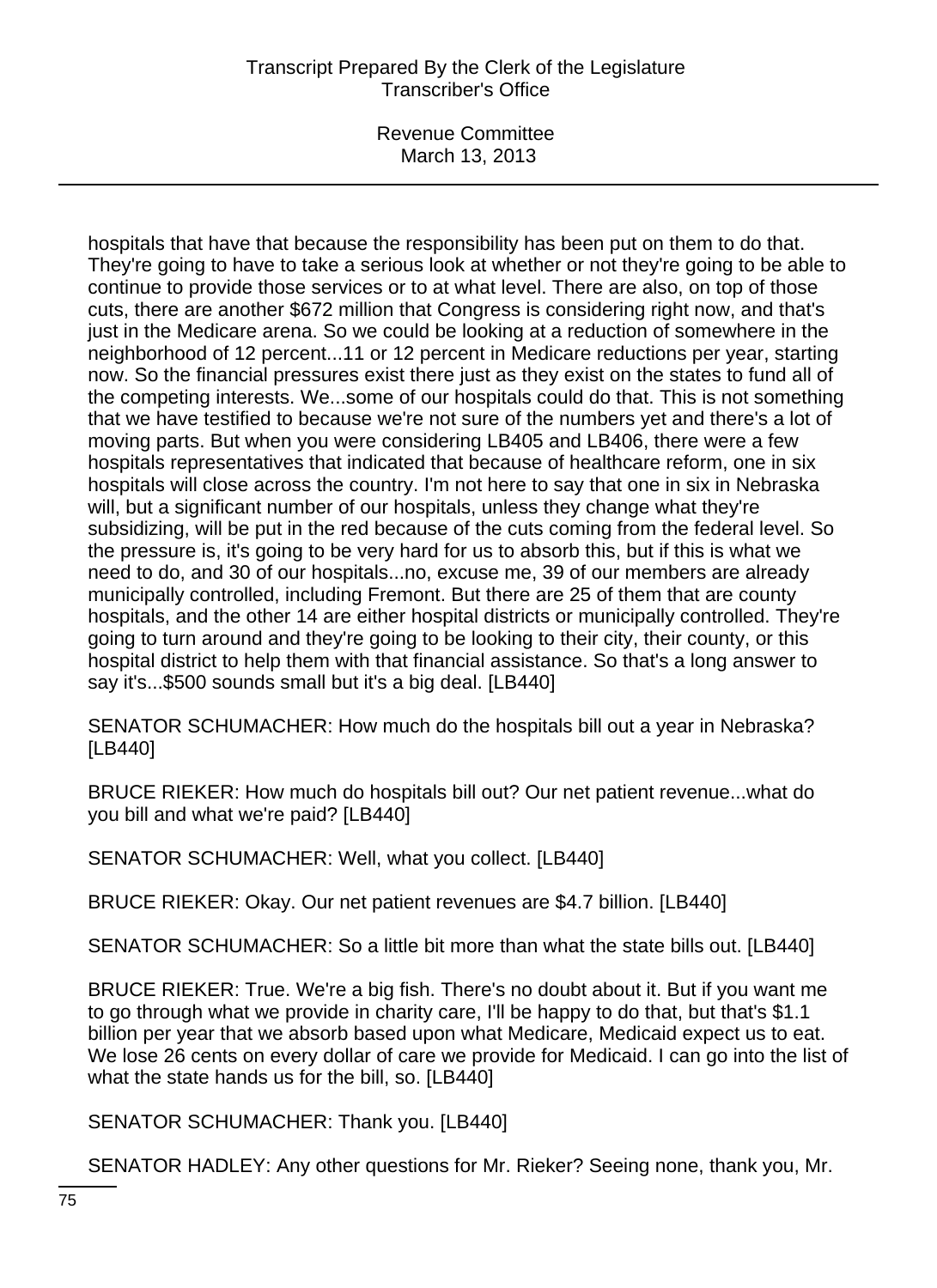Revenue Committee March 13, 2013

hospitals that have that because the responsibility has been put on them to do that. They're going to have to take a serious look at whether or not they're going to be able to continue to provide those services or to at what level. There are also, on top of those cuts, there are another \$672 million that Congress is considering right now, and that's just in the Medicare arena. So we could be looking at a reduction of somewhere in the neighborhood of 12 percent...11 or 12 percent in Medicare reductions per year, starting now. So the financial pressures exist there just as they exist on the states to fund all of the competing interests. We...some of our hospitals could do that. This is not something that we have testified to because we're not sure of the numbers yet and there's a lot of moving parts. But when you were considering LB405 and LB406, there were a few hospitals representatives that indicated that because of healthcare reform, one in six hospitals will close across the country. I'm not here to say that one in six in Nebraska will, but a significant number of our hospitals, unless they change what they're subsidizing, will be put in the red because of the cuts coming from the federal level. So the pressure is, it's going to be very hard for us to absorb this, but if this is what we need to do, and 30 of our hospitals...no, excuse me, 39 of our members are already municipally controlled, including Fremont. But there are 25 of them that are county hospitals, and the other 14 are either hospital districts or municipally controlled. They're going to turn around and they're going to be looking to their city, their county, or this hospital district to help them with that financial assistance. So that's a long answer to say it's...\$500 sounds small but it's a big deal. [LB440]

SENATOR SCHUMACHER: How much do the hospitals bill out a year in Nebraska? [LB440]

BRUCE RIEKER: How much do hospitals bill out? Our net patient revenue...what do you bill and what we're paid? [LB440]

SENATOR SCHUMACHER: Well, what you collect. [LB440]

BRUCE RIEKER: Okay. Our net patient revenues are \$4.7 billion. [LB440]

SENATOR SCHUMACHER: So a little bit more than what the state bills out. [LB440]

BRUCE RIEKER: True. We're a big fish. There's no doubt about it. But if you want me to go through what we provide in charity care, I'll be happy to do that, but that's \$1.1 billion per year that we absorb based upon what Medicare, Medicaid expect us to eat. We lose 26 cents on every dollar of care we provide for Medicaid. I can go into the list of what the state hands us for the bill, so. [LB440]

SENATOR SCHUMACHER: Thank you. [LB440]

SENATOR HADLEY: Any other questions for Mr. Rieker? Seeing none, thank you, Mr.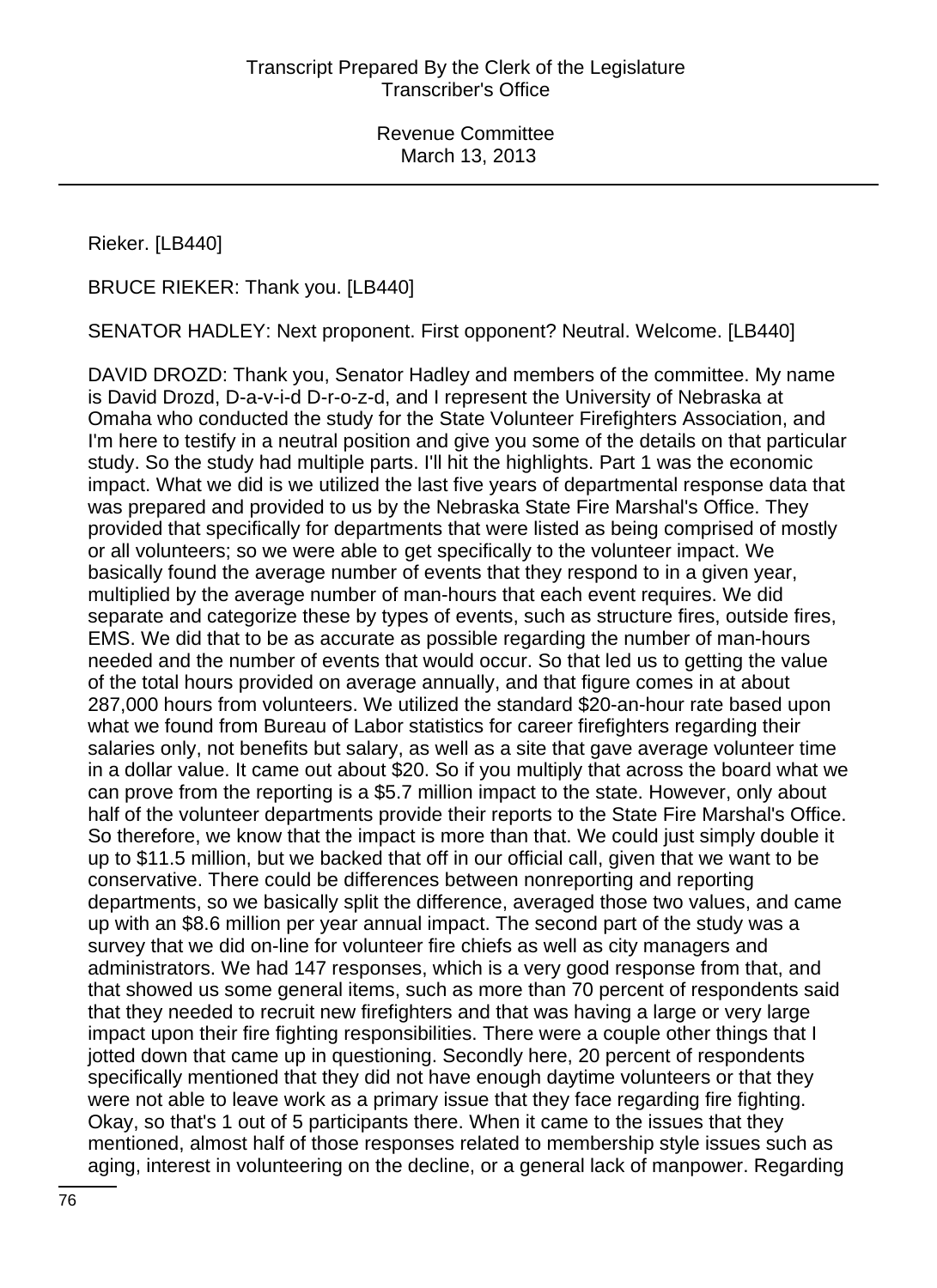Rieker. [LB440]

BRUCE RIEKER: Thank you. [LB440]

SENATOR HADLEY: Next proponent. First opponent? Neutral. Welcome. [LB440]

DAVID DROZD: Thank you, Senator Hadley and members of the committee. My name is David Drozd, D-a-v-i-d D-r-o-z-d, and I represent the University of Nebraska at Omaha who conducted the study for the State Volunteer Firefighters Association, and I'm here to testify in a neutral position and give you some of the details on that particular study. So the study had multiple parts. I'll hit the highlights. Part 1 was the economic impact. What we did is we utilized the last five years of departmental response data that was prepared and provided to us by the Nebraska State Fire Marshal's Office. They provided that specifically for departments that were listed as being comprised of mostly or all volunteers; so we were able to get specifically to the volunteer impact. We basically found the average number of events that they respond to in a given year, multiplied by the average number of man-hours that each event requires. We did separate and categorize these by types of events, such as structure fires, outside fires, EMS. We did that to be as accurate as possible regarding the number of man-hours needed and the number of events that would occur. So that led us to getting the value of the total hours provided on average annually, and that figure comes in at about 287,000 hours from volunteers. We utilized the standard \$20-an-hour rate based upon what we found from Bureau of Labor statistics for career firefighters regarding their salaries only, not benefits but salary, as well as a site that gave average volunteer time in a dollar value. It came out about \$20. So if you multiply that across the board what we can prove from the reporting is a \$5.7 million impact to the state. However, only about half of the volunteer departments provide their reports to the State Fire Marshal's Office. So therefore, we know that the impact is more than that. We could just simply double it up to \$11.5 million, but we backed that off in our official call, given that we want to be conservative. There could be differences between nonreporting and reporting departments, so we basically split the difference, averaged those two values, and came up with an \$8.6 million per year annual impact. The second part of the study was a survey that we did on-line for volunteer fire chiefs as well as city managers and administrators. We had 147 responses, which is a very good response from that, and that showed us some general items, such as more than 70 percent of respondents said that they needed to recruit new firefighters and that was having a large or very large impact upon their fire fighting responsibilities. There were a couple other things that I jotted down that came up in questioning. Secondly here, 20 percent of respondents specifically mentioned that they did not have enough daytime volunteers or that they were not able to leave work as a primary issue that they face regarding fire fighting. Okay, so that's 1 out of 5 participants there. When it came to the issues that they mentioned, almost half of those responses related to membership style issues such as aging, interest in volunteering on the decline, or a general lack of manpower. Regarding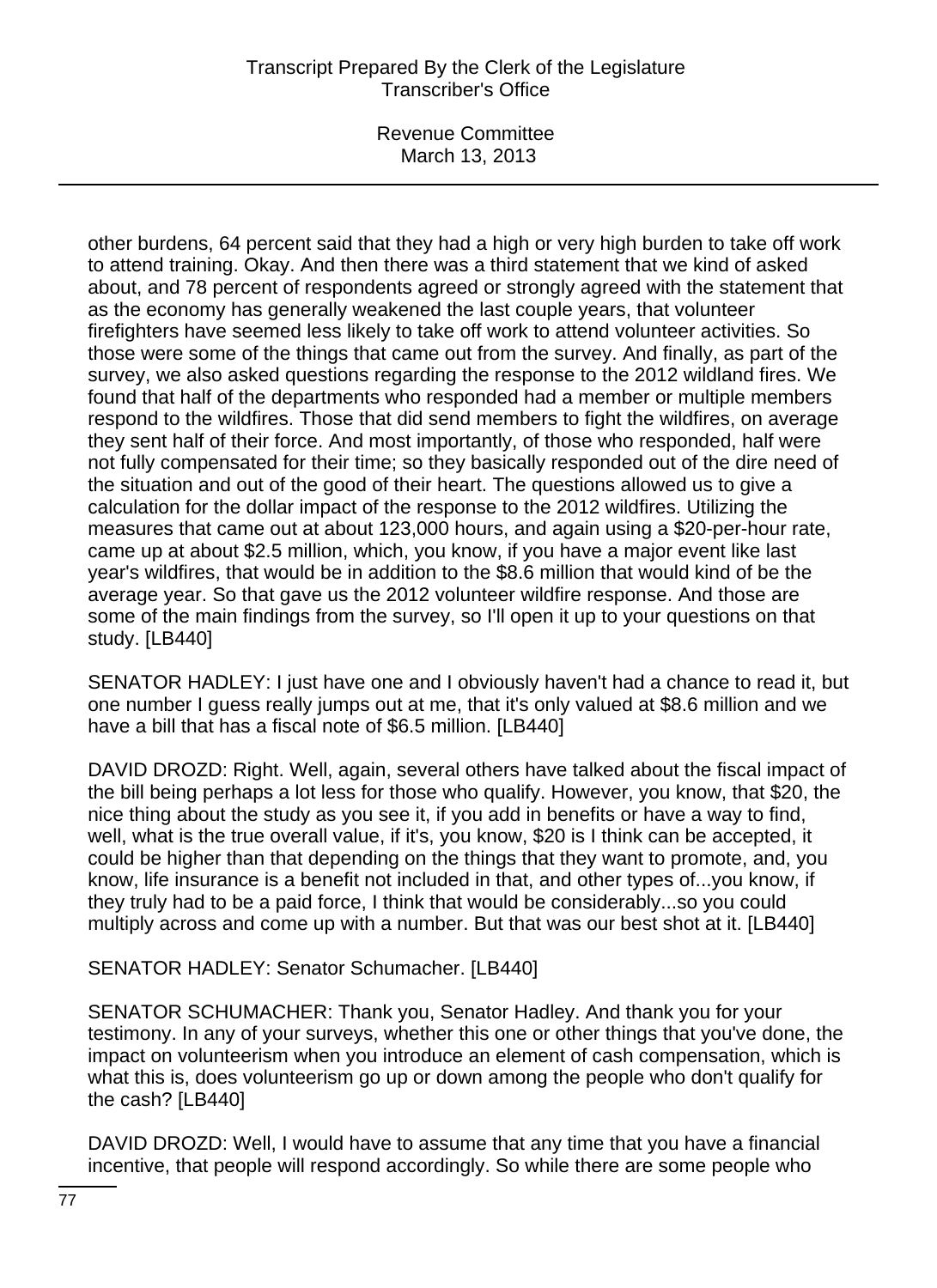Revenue Committee March 13, 2013

other burdens, 64 percent said that they had a high or very high burden to take off work to attend training. Okay. And then there was a third statement that we kind of asked about, and 78 percent of respondents agreed or strongly agreed with the statement that as the economy has generally weakened the last couple years, that volunteer firefighters have seemed less likely to take off work to attend volunteer activities. So those were some of the things that came out from the survey. And finally, as part of the survey, we also asked questions regarding the response to the 2012 wildland fires. We found that half of the departments who responded had a member or multiple members respond to the wildfires. Those that did send members to fight the wildfires, on average they sent half of their force. And most importantly, of those who responded, half were not fully compensated for their time; so they basically responded out of the dire need of the situation and out of the good of their heart. The questions allowed us to give a calculation for the dollar impact of the response to the 2012 wildfires. Utilizing the measures that came out at about 123,000 hours, and again using a \$20-per-hour rate, came up at about \$2.5 million, which, you know, if you have a major event like last year's wildfires, that would be in addition to the \$8.6 million that would kind of be the average year. So that gave us the 2012 volunteer wildfire response. And those are some of the main findings from the survey, so I'll open it up to your questions on that study. [LB440]

SENATOR HADLEY: I just have one and I obviously haven't had a chance to read it, but one number I guess really jumps out at me, that it's only valued at \$8.6 million and we have a bill that has a fiscal note of \$6.5 million. [LB440]

DAVID DROZD: Right. Well, again, several others have talked about the fiscal impact of the bill being perhaps a lot less for those who qualify. However, you know, that \$20, the nice thing about the study as you see it, if you add in benefits or have a way to find, well, what is the true overall value, if it's, you know, \$20 is I think can be accepted, it could be higher than that depending on the things that they want to promote, and, you know, life insurance is a benefit not included in that, and other types of...you know, if they truly had to be a paid force, I think that would be considerably...so you could multiply across and come up with a number. But that was our best shot at it. [LB440]

SENATOR HADLEY: Senator Schumacher. [LB440]

SENATOR SCHUMACHER: Thank you, Senator Hadley. And thank you for your testimony. In any of your surveys, whether this one or other things that you've done, the impact on volunteerism when you introduce an element of cash compensation, which is what this is, does volunteerism go up or down among the people who don't qualify for the cash? [LB440]

DAVID DROZD: Well, I would have to assume that any time that you have a financial incentive, that people will respond accordingly. So while there are some people who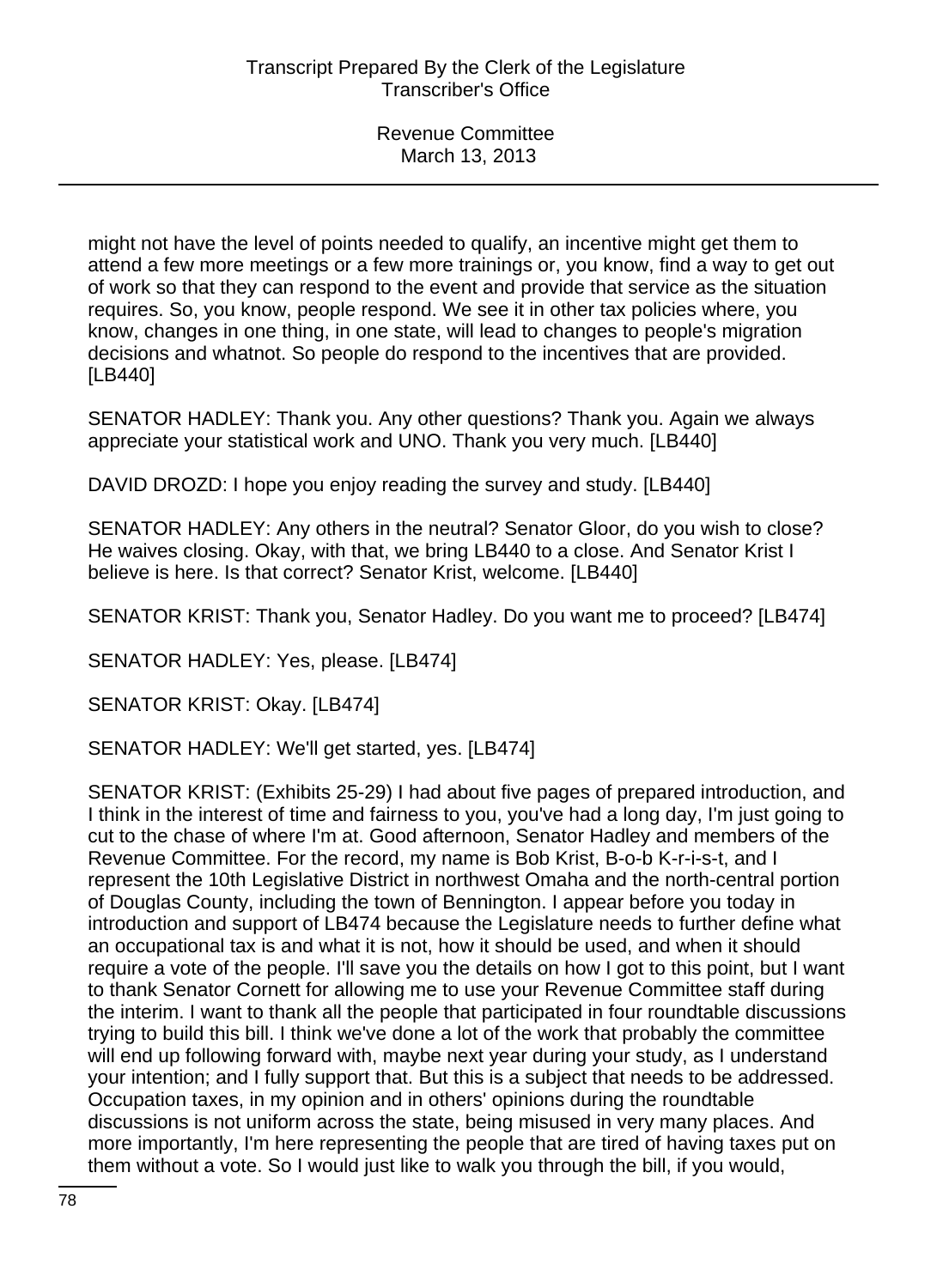might not have the level of points needed to qualify, an incentive might get them to attend a few more meetings or a few more trainings or, you know, find a way to get out of work so that they can respond to the event and provide that service as the situation requires. So, you know, people respond. We see it in other tax policies where, you know, changes in one thing, in one state, will lead to changes to people's migration decisions and whatnot. So people do respond to the incentives that are provided. [LB440]

SENATOR HADLEY: Thank you. Any other questions? Thank you. Again we always appreciate your statistical work and UNO. Thank you very much. [LB440]

DAVID DROZD: I hope you enjoy reading the survey and study. [LB440]

SENATOR HADLEY: Any others in the neutral? Senator Gloor, do you wish to close? He waives closing. Okay, with that, we bring LB440 to a close. And Senator Krist I believe is here. Is that correct? Senator Krist, welcome. [LB440]

SENATOR KRIST: Thank you, Senator Hadley. Do you want me to proceed? [LB474]

SENATOR HADLEY: Yes, please. [LB474]

SENATOR KRIST: Okay. [LB474]

SENATOR HADLEY: We'll get started, yes. [LB474]

SENATOR KRIST: (Exhibits 25-29) I had about five pages of prepared introduction, and I think in the interest of time and fairness to you, you've had a long day, I'm just going to cut to the chase of where I'm at. Good afternoon, Senator Hadley and members of the Revenue Committee. For the record, my name is Bob Krist, B-o-b K-r-i-s-t, and I represent the 10th Legislative District in northwest Omaha and the north-central portion of Douglas County, including the town of Bennington. I appear before you today in introduction and support of LB474 because the Legislature needs to further define what an occupational tax is and what it is not, how it should be used, and when it should require a vote of the people. I'll save you the details on how I got to this point, but I want to thank Senator Cornett for allowing me to use your Revenue Committee staff during the interim. I want to thank all the people that participated in four roundtable discussions trying to build this bill. I think we've done a lot of the work that probably the committee will end up following forward with, maybe next year during your study, as I understand your intention; and I fully support that. But this is a subject that needs to be addressed. Occupation taxes, in my opinion and in others' opinions during the roundtable discussions is not uniform across the state, being misused in very many places. And more importantly, I'm here representing the people that are tired of having taxes put on them without a vote. So I would just like to walk you through the bill, if you would,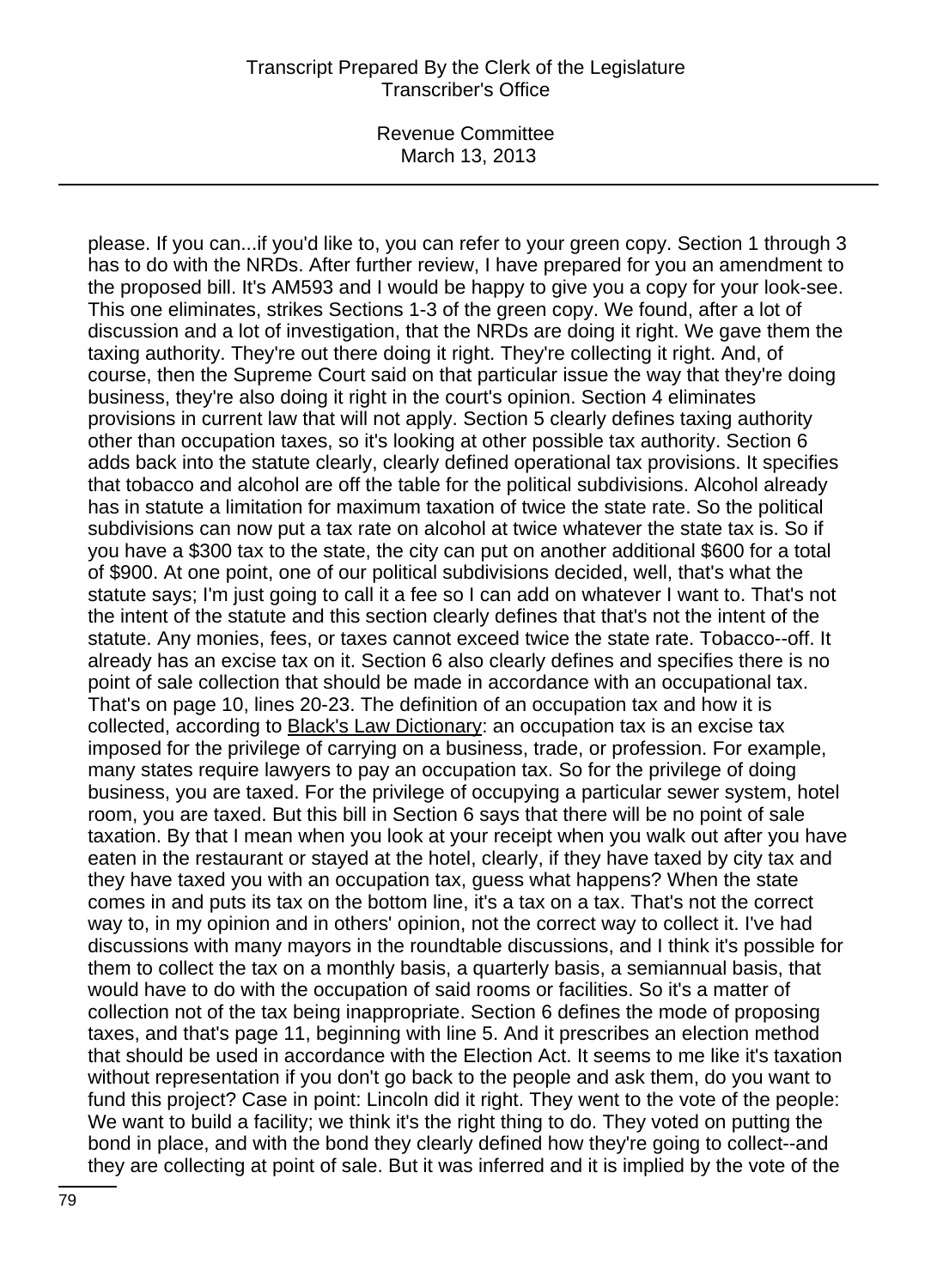Revenue Committee March 13, 2013

please. If you can...if you'd like to, you can refer to your green copy. Section 1 through 3 has to do with the NRDs. After further review, I have prepared for you an amendment to the proposed bill. It's AM593 and I would be happy to give you a copy for your look-see. This one eliminates, strikes Sections 1-3 of the green copy. We found, after a lot of discussion and a lot of investigation, that the NRDs are doing it right. We gave them the taxing authority. They're out there doing it right. They're collecting it right. And, of course, then the Supreme Court said on that particular issue the way that they're doing business, they're also doing it right in the court's opinion. Section 4 eliminates provisions in current law that will not apply. Section 5 clearly defines taxing authority other than occupation taxes, so it's looking at other possible tax authority. Section 6 adds back into the statute clearly, clearly defined operational tax provisions. It specifies that tobacco and alcohol are off the table for the political subdivisions. Alcohol already has in statute a limitation for maximum taxation of twice the state rate. So the political subdivisions can now put a tax rate on alcohol at twice whatever the state tax is. So if you have a \$300 tax to the state, the city can put on another additional \$600 for a total of \$900. At one point, one of our political subdivisions decided, well, that's what the statute says; I'm just going to call it a fee so I can add on whatever I want to. That's not the intent of the statute and this section clearly defines that that's not the intent of the statute. Any monies, fees, or taxes cannot exceed twice the state rate. Tobacco--off. It already has an excise tax on it. Section 6 also clearly defines and specifies there is no point of sale collection that should be made in accordance with an occupational tax. That's on page 10, lines 20-23. The definition of an occupation tax and how it is collected, according to Black's Law Dictionary: an occupation tax is an excise tax imposed for the privilege of carrying on a business, trade, or profession. For example, many states require lawyers to pay an occupation tax. So for the privilege of doing business, you are taxed. For the privilege of occupying a particular sewer system, hotel room, you are taxed. But this bill in Section 6 says that there will be no point of sale taxation. By that I mean when you look at your receipt when you walk out after you have eaten in the restaurant or stayed at the hotel, clearly, if they have taxed by city tax and they have taxed you with an occupation tax, guess what happens? When the state comes in and puts its tax on the bottom line, it's a tax on a tax. That's not the correct way to, in my opinion and in others' opinion, not the correct way to collect it. I've had discussions with many mayors in the roundtable discussions, and I think it's possible for them to collect the tax on a monthly basis, a quarterly basis, a semiannual basis, that would have to do with the occupation of said rooms or facilities. So it's a matter of collection not of the tax being inappropriate. Section 6 defines the mode of proposing taxes, and that's page 11, beginning with line 5. And it prescribes an election method that should be used in accordance with the Election Act. It seems to me like it's taxation without representation if you don't go back to the people and ask them, do you want to fund this project? Case in point: Lincoln did it right. They went to the vote of the people: We want to build a facility; we think it's the right thing to do. They voted on putting the bond in place, and with the bond they clearly defined how they're going to collect--and they are collecting at point of sale. But it was inferred and it is implied by the vote of the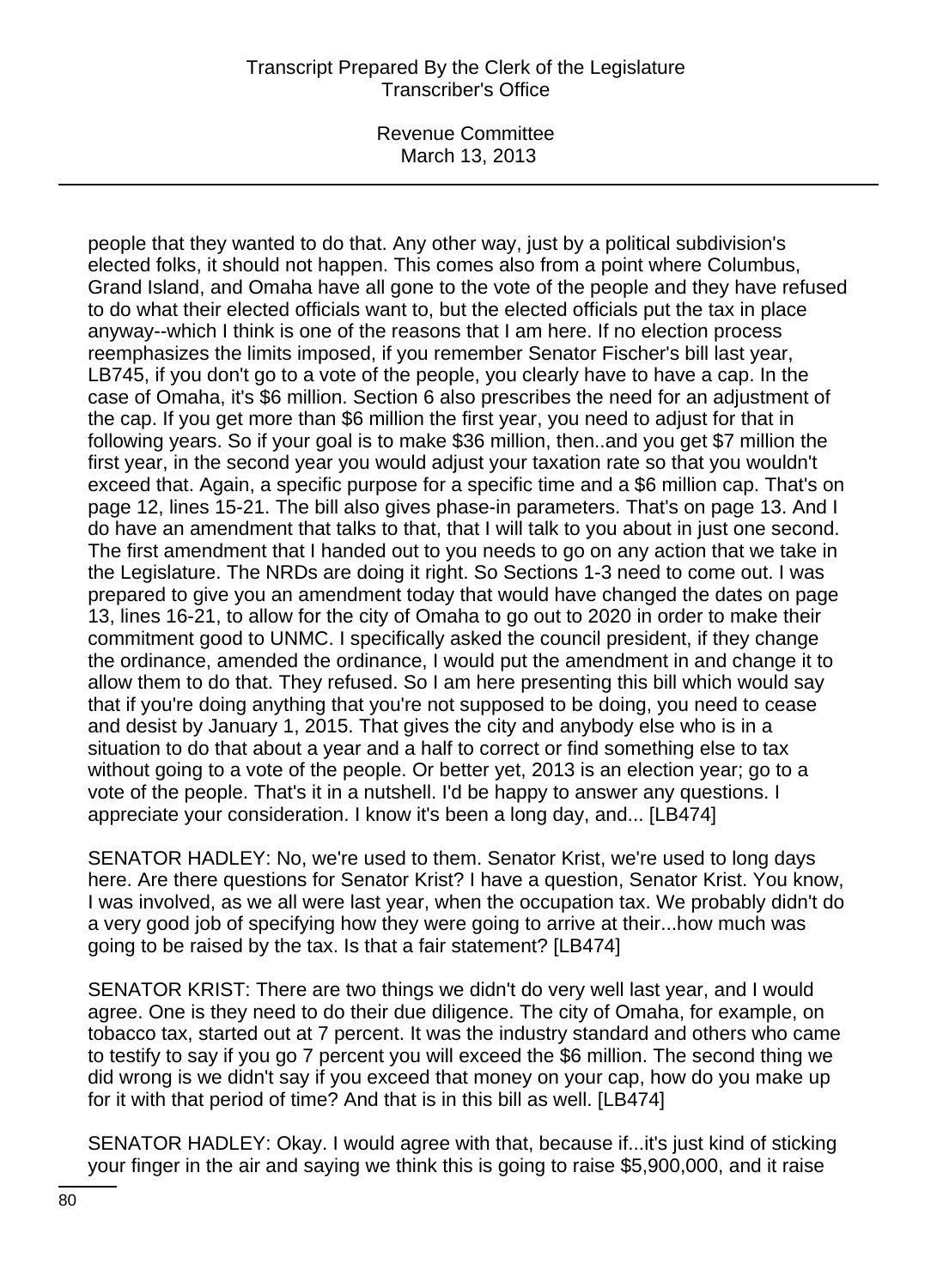Revenue Committee March 13, 2013

people that they wanted to do that. Any other way, just by a political subdivision's elected folks, it should not happen. This comes also from a point where Columbus, Grand Island, and Omaha have all gone to the vote of the people and they have refused to do what their elected officials want to, but the elected officials put the tax in place anyway--which I think is one of the reasons that I am here. If no election process reemphasizes the limits imposed, if you remember Senator Fischer's bill last year, LB745, if you don't go to a vote of the people, you clearly have to have a cap. In the case of Omaha, it's \$6 million. Section 6 also prescribes the need for an adjustment of the cap. If you get more than \$6 million the first year, you need to adjust for that in following years. So if your goal is to make \$36 million, then..and you get \$7 million the first year, in the second year you would adjust your taxation rate so that you wouldn't exceed that. Again, a specific purpose for a specific time and a \$6 million cap. That's on page 12, lines 15-21. The bill also gives phase-in parameters. That's on page 13. And I do have an amendment that talks to that, that I will talk to you about in just one second. The first amendment that I handed out to you needs to go on any action that we take in the Legislature. The NRDs are doing it right. So Sections 1-3 need to come out. I was prepared to give you an amendment today that would have changed the dates on page 13, lines 16-21, to allow for the city of Omaha to go out to 2020 in order to make their commitment good to UNMC. I specifically asked the council president, if they change the ordinance, amended the ordinance, I would put the amendment in and change it to allow them to do that. They refused. So I am here presenting this bill which would say that if you're doing anything that you're not supposed to be doing, you need to cease and desist by January 1, 2015. That gives the city and anybody else who is in a situation to do that about a year and a half to correct or find something else to tax without going to a vote of the people. Or better yet, 2013 is an election year; go to a vote of the people. That's it in a nutshell. I'd be happy to answer any questions. I appreciate your consideration. I know it's been a long day, and... [LB474]

SENATOR HADLEY: No, we're used to them. Senator Krist, we're used to long days here. Are there questions for Senator Krist? I have a question, Senator Krist. You know, I was involved, as we all were last year, when the occupation tax. We probably didn't do a very good job of specifying how they were going to arrive at their...how much was going to be raised by the tax. Is that a fair statement? [LB474]

SENATOR KRIST: There are two things we didn't do very well last year, and I would agree. One is they need to do their due diligence. The city of Omaha, for example, on tobacco tax, started out at 7 percent. It was the industry standard and others who came to testify to say if you go 7 percent you will exceed the \$6 million. The second thing we did wrong is we didn't say if you exceed that money on your cap, how do you make up for it with that period of time? And that is in this bill as well. [LB474]

SENATOR HADLEY: Okay. I would agree with that, because if...it's just kind of sticking your finger in the air and saying we think this is going to raise \$5,900,000, and it raise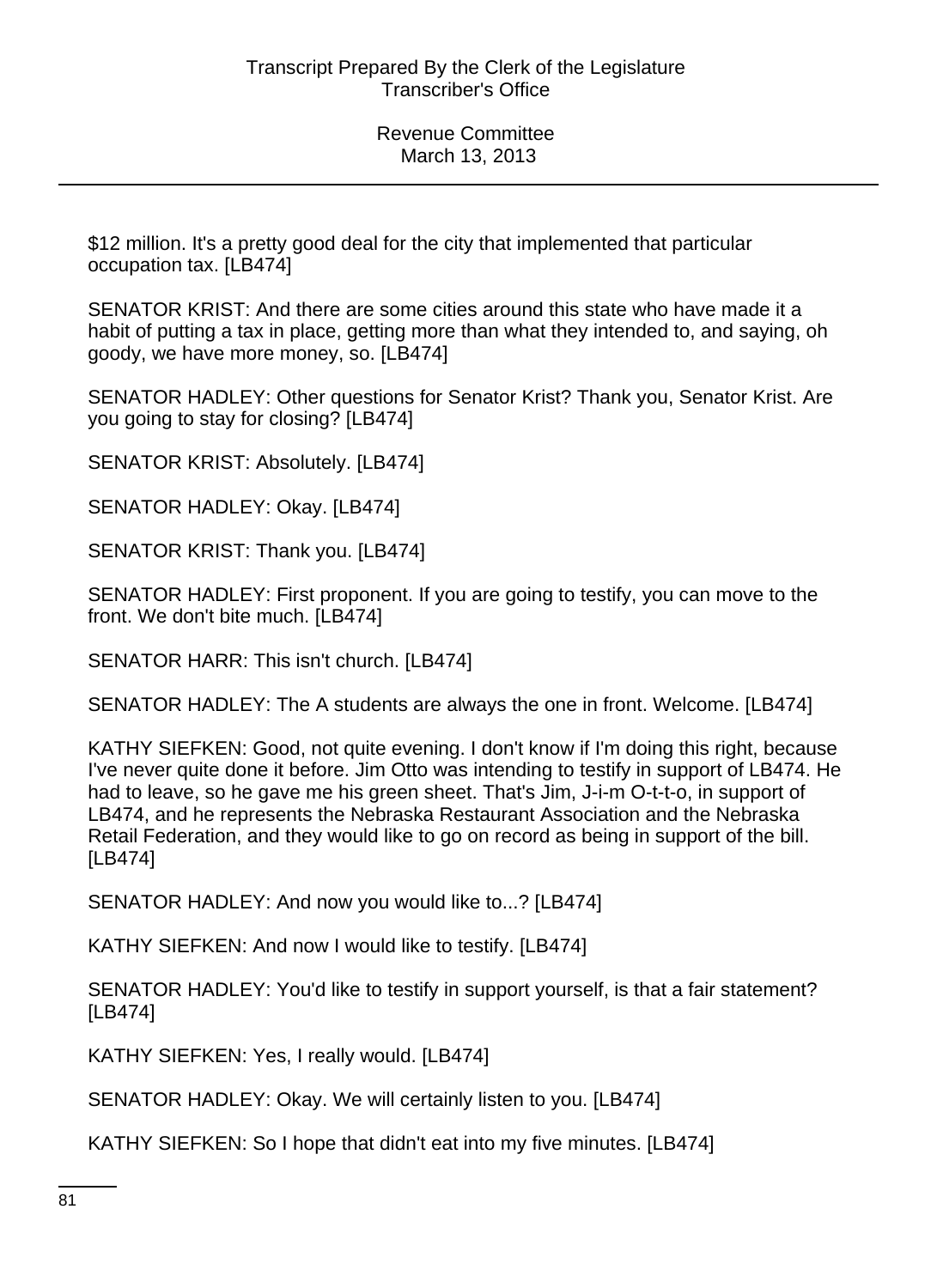\$12 million. It's a pretty good deal for the city that implemented that particular occupation tax. [LB474]

SENATOR KRIST: And there are some cities around this state who have made it a habit of putting a tax in place, getting more than what they intended to, and saying, oh goody, we have more money, so. [LB474]

SENATOR HADLEY: Other questions for Senator Krist? Thank you, Senator Krist. Are you going to stay for closing? [LB474]

SENATOR KRIST: Absolutely. [LB474]

SENATOR HADLEY: Okay. [LB474]

SENATOR KRIST: Thank you. [LB474]

SENATOR HADLEY: First proponent. If you are going to testify, you can move to the front. We don't bite much. [LB474]

SENATOR HARR: This isn't church. [LB474]

SENATOR HADLEY: The A students are always the one in front. Welcome. [LB474]

KATHY SIEFKEN: Good, not quite evening. I don't know if I'm doing this right, because I've never quite done it before. Jim Otto was intending to testify in support of LB474. He had to leave, so he gave me his green sheet. That's Jim, J-i-m O-t-t-o, in support of LB474, and he represents the Nebraska Restaurant Association and the Nebraska Retail Federation, and they would like to go on record as being in support of the bill. [LB474]

SENATOR HADLEY: And now you would like to...? [LB474]

KATHY SIEFKEN: And now I would like to testify. [LB474]

SENATOR HADLEY: You'd like to testify in support yourself, is that a fair statement? [LB474]

KATHY SIEFKEN: Yes, I really would. [LB474]

SENATOR HADLEY: Okay. We will certainly listen to you. [LB474]

KATHY SIEFKEN: So I hope that didn't eat into my five minutes. [LB474]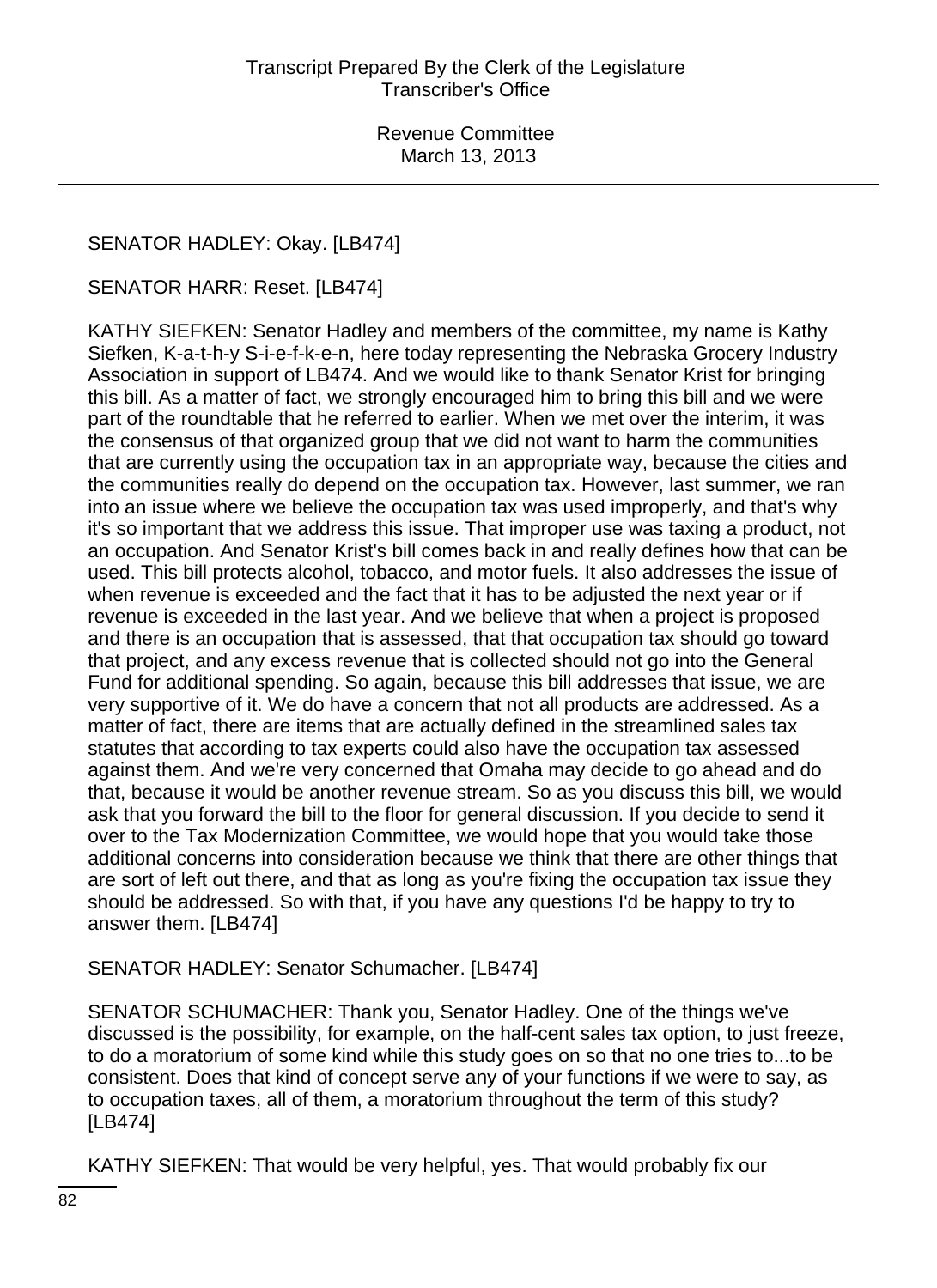# SENATOR HADLEY: Okay. [LB474]

### SENATOR HARR: Reset. [LB474]

KATHY SIEFKEN: Senator Hadley and members of the committee, my name is Kathy Siefken, K-a-t-h-y S-i-e-f-k-e-n, here today representing the Nebraska Grocery Industry Association in support of LB474. And we would like to thank Senator Krist for bringing this bill. As a matter of fact, we strongly encouraged him to bring this bill and we were part of the roundtable that he referred to earlier. When we met over the interim, it was the consensus of that organized group that we did not want to harm the communities that are currently using the occupation tax in an appropriate way, because the cities and the communities really do depend on the occupation tax. However, last summer, we ran into an issue where we believe the occupation tax was used improperly, and that's why it's so important that we address this issue. That improper use was taxing a product, not an occupation. And Senator Krist's bill comes back in and really defines how that can be used. This bill protects alcohol, tobacco, and motor fuels. It also addresses the issue of when revenue is exceeded and the fact that it has to be adjusted the next year or if revenue is exceeded in the last year. And we believe that when a project is proposed and there is an occupation that is assessed, that that occupation tax should go toward that project, and any excess revenue that is collected should not go into the General Fund for additional spending. So again, because this bill addresses that issue, we are very supportive of it. We do have a concern that not all products are addressed. As a matter of fact, there are items that are actually defined in the streamlined sales tax statutes that according to tax experts could also have the occupation tax assessed against them. And we're very concerned that Omaha may decide to go ahead and do that, because it would be another revenue stream. So as you discuss this bill, we would ask that you forward the bill to the floor for general discussion. If you decide to send it over to the Tax Modernization Committee, we would hope that you would take those additional concerns into consideration because we think that there are other things that are sort of left out there, and that as long as you're fixing the occupation tax issue they should be addressed. So with that, if you have any questions I'd be happy to try to answer them. [LB474]

SENATOR HADLEY: Senator Schumacher. [LB474]

SENATOR SCHUMACHER: Thank you, Senator Hadley. One of the things we've discussed is the possibility, for example, on the half-cent sales tax option, to just freeze, to do a moratorium of some kind while this study goes on so that no one tries to...to be consistent. Does that kind of concept serve any of your functions if we were to say, as to occupation taxes, all of them, a moratorium throughout the term of this study? [LB474]

KATHY SIEFKEN: That would be very helpful, yes. That would probably fix our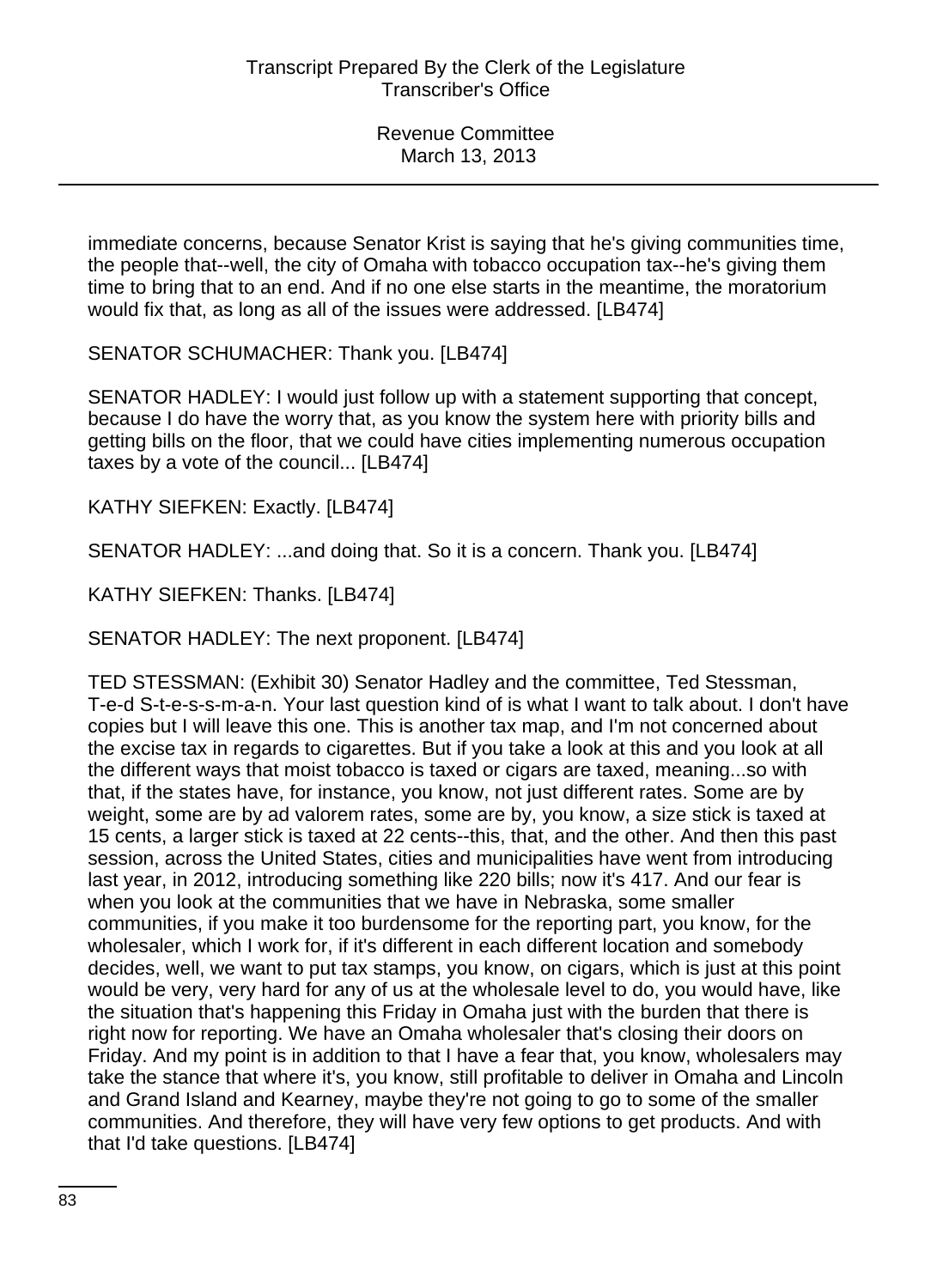immediate concerns, because Senator Krist is saying that he's giving communities time, the people that--well, the city of Omaha with tobacco occupation tax--he's giving them time to bring that to an end. And if no one else starts in the meantime, the moratorium would fix that, as long as all of the issues were addressed. [LB474]

SENATOR SCHUMACHER: Thank you. [LB474]

SENATOR HADLEY: I would just follow up with a statement supporting that concept, because I do have the worry that, as you know the system here with priority bills and getting bills on the floor, that we could have cities implementing numerous occupation taxes by a vote of the council... [LB474]

KATHY SIEFKEN: Exactly. [LB474]

SENATOR HADLEY: ...and doing that. So it is a concern. Thank you. [LB474]

KATHY SIEFKEN: Thanks. [LB474]

SENATOR HADLEY: The next proponent. [LB474]

TED STESSMAN: (Exhibit 30) Senator Hadley and the committee, Ted Stessman, T-e-d S-t-e-s-s-m-a-n. Your last question kind of is what I want to talk about. I don't have copies but I will leave this one. This is another tax map, and I'm not concerned about the excise tax in regards to cigarettes. But if you take a look at this and you look at all the different ways that moist tobacco is taxed or cigars are taxed, meaning...so with that, if the states have, for instance, you know, not just different rates. Some are by weight, some are by ad valorem rates, some are by, you know, a size stick is taxed at 15 cents, a larger stick is taxed at 22 cents--this, that, and the other. And then this past session, across the United States, cities and municipalities have went from introducing last year, in 2012, introducing something like 220 bills; now it's 417. And our fear is when you look at the communities that we have in Nebraska, some smaller communities, if you make it too burdensome for the reporting part, you know, for the wholesaler, which I work for, if it's different in each different location and somebody decides, well, we want to put tax stamps, you know, on cigars, which is just at this point would be very, very hard for any of us at the wholesale level to do, you would have, like the situation that's happening this Friday in Omaha just with the burden that there is right now for reporting. We have an Omaha wholesaler that's closing their doors on Friday. And my point is in addition to that I have a fear that, you know, wholesalers may take the stance that where it's, you know, still profitable to deliver in Omaha and Lincoln and Grand Island and Kearney, maybe they're not going to go to some of the smaller communities. And therefore, they will have very few options to get products. And with that I'd take questions. [LB474]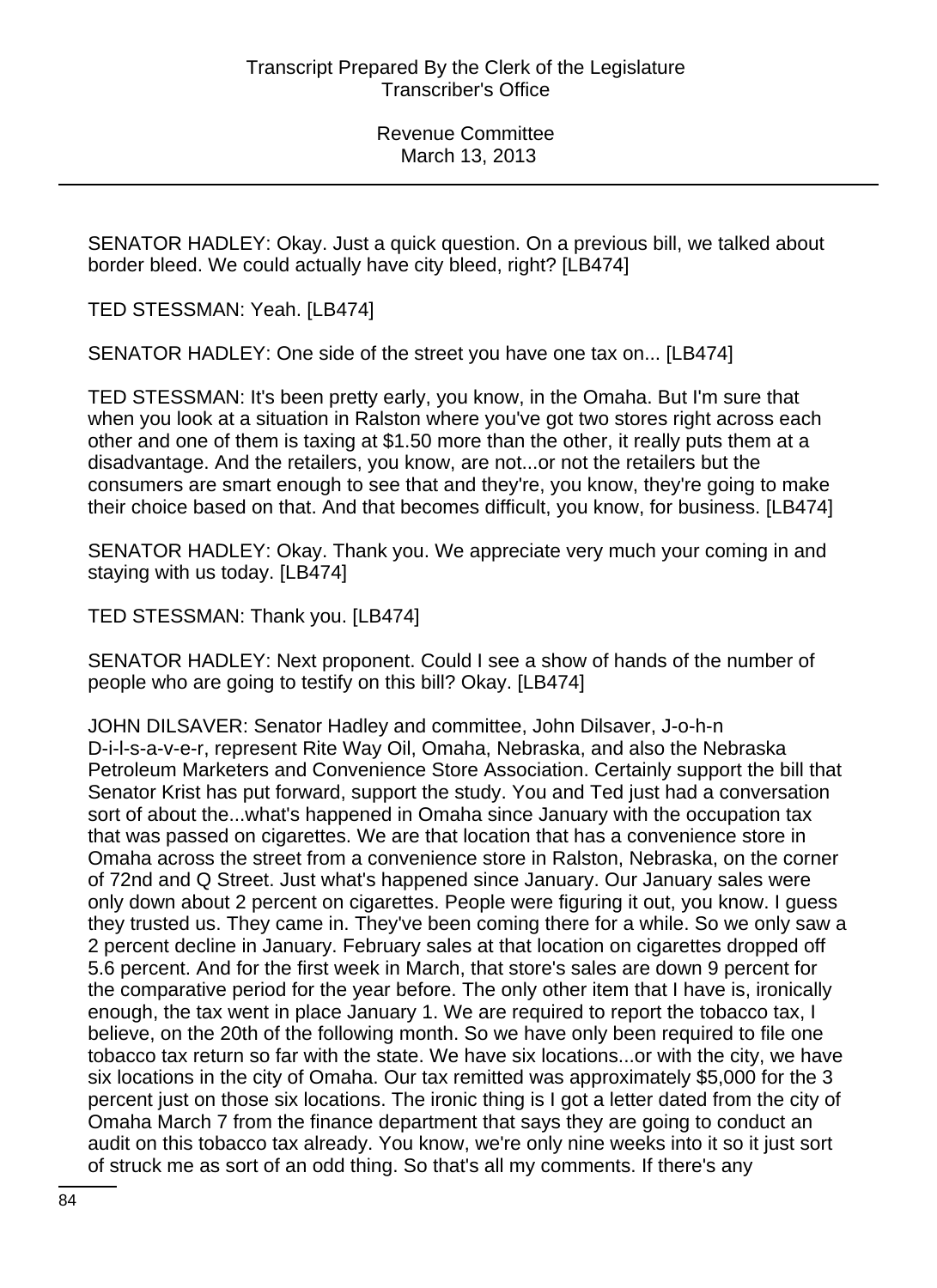SENATOR HADLEY: Okay. Just a quick question. On a previous bill, we talked about border bleed. We could actually have city bleed, right? [LB474]

TED STESSMAN: Yeah. [LB474]

SENATOR HADLEY: One side of the street you have one tax on... [LB474]

TED STESSMAN: It's been pretty early, you know, in the Omaha. But I'm sure that when you look at a situation in Ralston where you've got two stores right across each other and one of them is taxing at \$1.50 more than the other, it really puts them at a disadvantage. And the retailers, you know, are not...or not the retailers but the consumers are smart enough to see that and they're, you know, they're going to make their choice based on that. And that becomes difficult, you know, for business. [LB474]

SENATOR HADLEY: Okay. Thank you. We appreciate very much your coming in and staying with us today. [LB474]

TED STESSMAN: Thank you. [LB474]

SENATOR HADLEY: Next proponent. Could I see a show of hands of the number of people who are going to testify on this bill? Okay. [LB474]

JOHN DILSAVER: Senator Hadley and committee, John Dilsaver, J-o-h-n D-i-l-s-a-v-e-r, represent Rite Way Oil, Omaha, Nebraska, and also the Nebraska Petroleum Marketers and Convenience Store Association. Certainly support the bill that Senator Krist has put forward, support the study. You and Ted just had a conversation sort of about the...what's happened in Omaha since January with the occupation tax that was passed on cigarettes. We are that location that has a convenience store in Omaha across the street from a convenience store in Ralston, Nebraska, on the corner of 72nd and Q Street. Just what's happened since January. Our January sales were only down about 2 percent on cigarettes. People were figuring it out, you know. I guess they trusted us. They came in. They've been coming there for a while. So we only saw a 2 percent decline in January. February sales at that location on cigarettes dropped off 5.6 percent. And for the first week in March, that store's sales are down 9 percent for the comparative period for the year before. The only other item that I have is, ironically enough, the tax went in place January 1. We are required to report the tobacco tax, I believe, on the 20th of the following month. So we have only been required to file one tobacco tax return so far with the state. We have six locations...or with the city, we have six locations in the city of Omaha. Our tax remitted was approximately \$5,000 for the 3 percent just on those six locations. The ironic thing is I got a letter dated from the city of Omaha March 7 from the finance department that says they are going to conduct an audit on this tobacco tax already. You know, we're only nine weeks into it so it just sort of struck me as sort of an odd thing. So that's all my comments. If there's any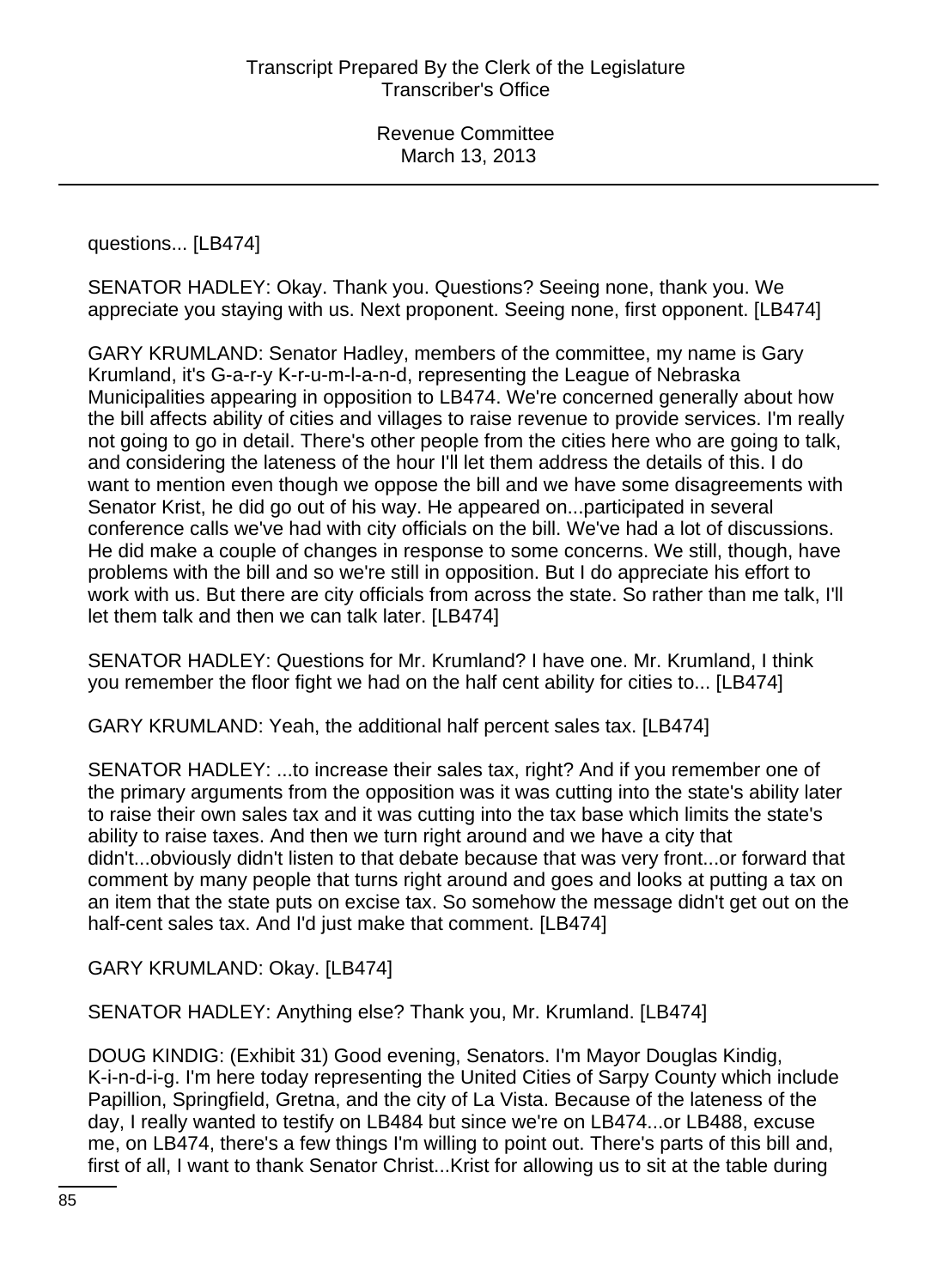questions... [LB474]

SENATOR HADLEY: Okay. Thank you. Questions? Seeing none, thank you. We appreciate you staying with us. Next proponent. Seeing none, first opponent. [LB474]

GARY KRUMLAND: Senator Hadley, members of the committee, my name is Gary Krumland, it's G-a-r-y K-r-u-m-l-a-n-d, representing the League of Nebraska Municipalities appearing in opposition to LB474. We're concerned generally about how the bill affects ability of cities and villages to raise revenue to provide services. I'm really not going to go in detail. There's other people from the cities here who are going to talk, and considering the lateness of the hour I'll let them address the details of this. I do want to mention even though we oppose the bill and we have some disagreements with Senator Krist, he did go out of his way. He appeared on...participated in several conference calls we've had with city officials on the bill. We've had a lot of discussions. He did make a couple of changes in response to some concerns. We still, though, have problems with the bill and so we're still in opposition. But I do appreciate his effort to work with us. But there are city officials from across the state. So rather than me talk, I'll let them talk and then we can talk later. [LB474]

SENATOR HADLEY: Questions for Mr. Krumland? I have one. Mr. Krumland, I think you remember the floor fight we had on the half cent ability for cities to... [LB474]

GARY KRUMLAND: Yeah, the additional half percent sales tax. [LB474]

SENATOR HADLEY: ...to increase their sales tax, right? And if you remember one of the primary arguments from the opposition was it was cutting into the state's ability later to raise their own sales tax and it was cutting into the tax base which limits the state's ability to raise taxes. And then we turn right around and we have a city that didn't...obviously didn't listen to that debate because that was very front...or forward that comment by many people that turns right around and goes and looks at putting a tax on an item that the state puts on excise tax. So somehow the message didn't get out on the half-cent sales tax. And I'd just make that comment. [LB474]

GARY KRUMLAND: Okay. [LB474]

SENATOR HADLEY: Anything else? Thank you, Mr. Krumland. [LB474]

DOUG KINDIG: (Exhibit 31) Good evening, Senators. I'm Mayor Douglas Kindig, K-i-n-d-i-g. I'm here today representing the United Cities of Sarpy County which include Papillion, Springfield, Gretna, and the city of La Vista. Because of the lateness of the day, I really wanted to testify on LB484 but since we're on LB474...or LB488, excuse me, on LB474, there's a few things I'm willing to point out. There's parts of this bill and, first of all, I want to thank Senator Christ...Krist for allowing us to sit at the table during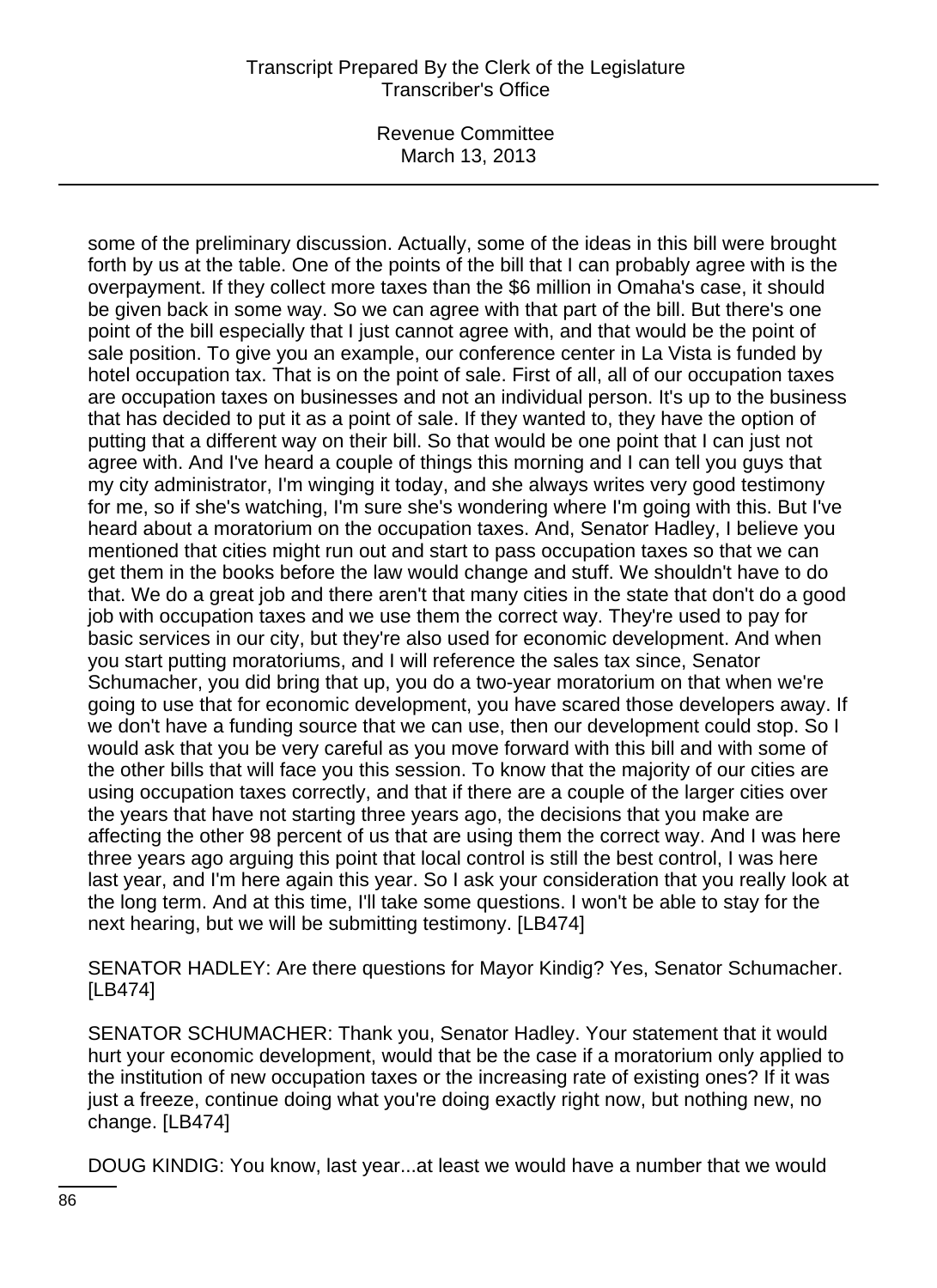Revenue Committee March 13, 2013

some of the preliminary discussion. Actually, some of the ideas in this bill were brought forth by us at the table. One of the points of the bill that I can probably agree with is the overpayment. If they collect more taxes than the \$6 million in Omaha's case, it should be given back in some way. So we can agree with that part of the bill. But there's one point of the bill especially that I just cannot agree with, and that would be the point of sale position. To give you an example, our conference center in La Vista is funded by hotel occupation tax. That is on the point of sale. First of all, all of our occupation taxes are occupation taxes on businesses and not an individual person. It's up to the business that has decided to put it as a point of sale. If they wanted to, they have the option of putting that a different way on their bill. So that would be one point that I can just not agree with. And I've heard a couple of things this morning and I can tell you guys that my city administrator, I'm winging it today, and she always writes very good testimony for me, so if she's watching, I'm sure she's wondering where I'm going with this. But I've heard about a moratorium on the occupation taxes. And, Senator Hadley, I believe you mentioned that cities might run out and start to pass occupation taxes so that we can get them in the books before the law would change and stuff. We shouldn't have to do that. We do a great job and there aren't that many cities in the state that don't do a good job with occupation taxes and we use them the correct way. They're used to pay for basic services in our city, but they're also used for economic development. And when you start putting moratoriums, and I will reference the sales tax since, Senator Schumacher, you did bring that up, you do a two-year moratorium on that when we're going to use that for economic development, you have scared those developers away. If we don't have a funding source that we can use, then our development could stop. So I would ask that you be very careful as you move forward with this bill and with some of the other bills that will face you this session. To know that the majority of our cities are using occupation taxes correctly, and that if there are a couple of the larger cities over the years that have not starting three years ago, the decisions that you make are affecting the other 98 percent of us that are using them the correct way. And I was here three years ago arguing this point that local control is still the best control, I was here last year, and I'm here again this year. So I ask your consideration that you really look at the long term. And at this time, I'll take some questions. I won't be able to stay for the next hearing, but we will be submitting testimony. [LB474]

SENATOR HADLEY: Are there questions for Mayor Kindig? Yes, Senator Schumacher. [LB474]

SENATOR SCHUMACHER: Thank you, Senator Hadley. Your statement that it would hurt your economic development, would that be the case if a moratorium only applied to the institution of new occupation taxes or the increasing rate of existing ones? If it was just a freeze, continue doing what you're doing exactly right now, but nothing new, no change. [LB474]

DOUG KINDIG: You know, last year...at least we would have a number that we would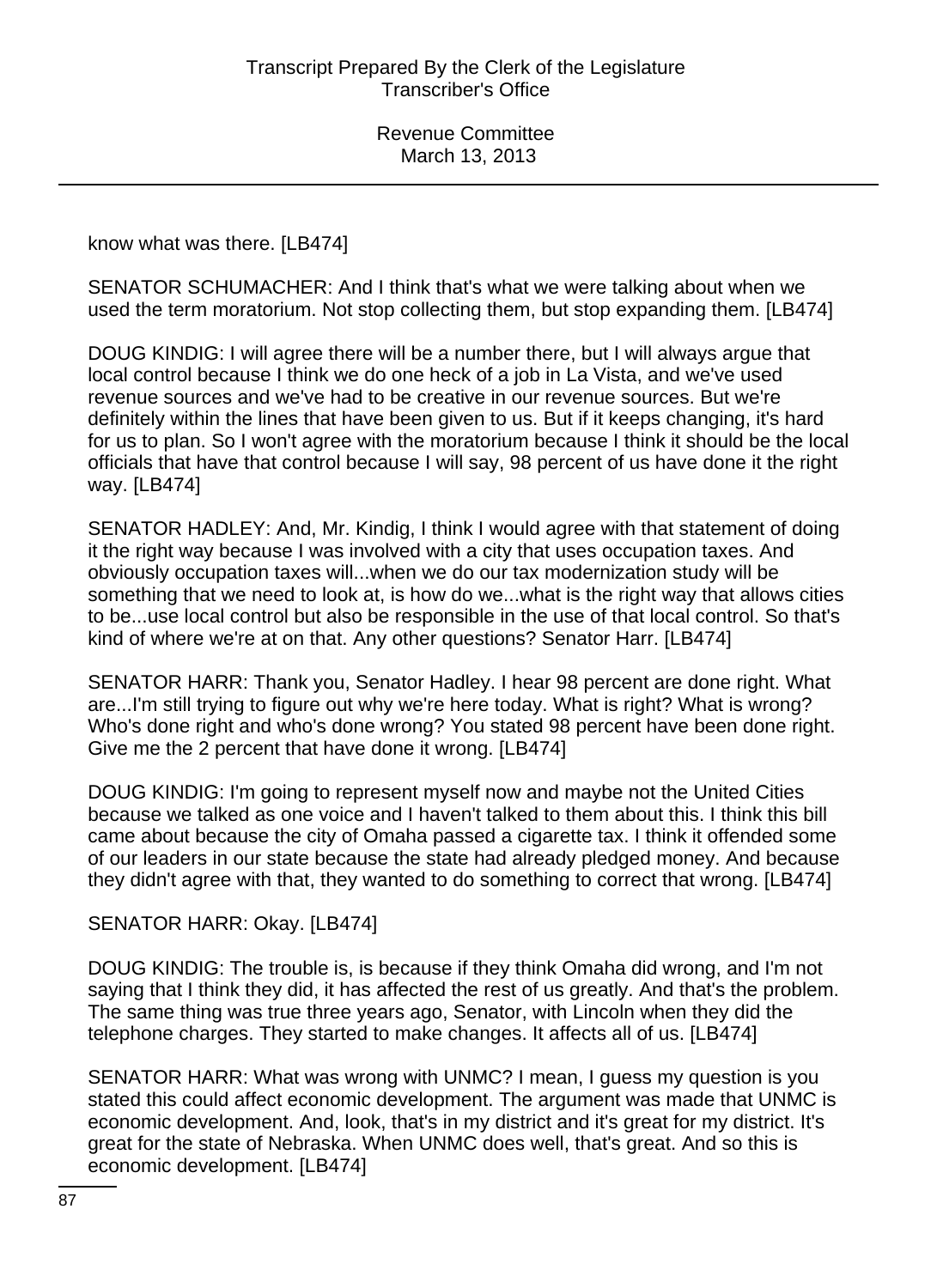know what was there. [LB474]

SENATOR SCHUMACHER: And I think that's what we were talking about when we used the term moratorium. Not stop collecting them, but stop expanding them. [LB474]

DOUG KINDIG: I will agree there will be a number there, but I will always argue that local control because I think we do one heck of a job in La Vista, and we've used revenue sources and we've had to be creative in our revenue sources. But we're definitely within the lines that have been given to us. But if it keeps changing, it's hard for us to plan. So I won't agree with the moratorium because I think it should be the local officials that have that control because I will say, 98 percent of us have done it the right way. [LB474]

SENATOR HADLEY: And, Mr. Kindig, I think I would agree with that statement of doing it the right way because I was involved with a city that uses occupation taxes. And obviously occupation taxes will...when we do our tax modernization study will be something that we need to look at, is how do we...what is the right way that allows cities to be...use local control but also be responsible in the use of that local control. So that's kind of where we're at on that. Any other questions? Senator Harr. [LB474]

SENATOR HARR: Thank you, Senator Hadley. I hear 98 percent are done right. What are...I'm still trying to figure out why we're here today. What is right? What is wrong? Who's done right and who's done wrong? You stated 98 percent have been done right. Give me the 2 percent that have done it wrong. [LB474]

DOUG KINDIG: I'm going to represent myself now and maybe not the United Cities because we talked as one voice and I haven't talked to them about this. I think this bill came about because the city of Omaha passed a cigarette tax. I think it offended some of our leaders in our state because the state had already pledged money. And because they didn't agree with that, they wanted to do something to correct that wrong. [LB474]

### SENATOR HARR: Okay. [LB474]

DOUG KINDIG: The trouble is, is because if they think Omaha did wrong, and I'm not saying that I think they did, it has affected the rest of us greatly. And that's the problem. The same thing was true three years ago, Senator, with Lincoln when they did the telephone charges. They started to make changes. It affects all of us. [LB474]

SENATOR HARR: What was wrong with UNMC? I mean, I guess my question is you stated this could affect economic development. The argument was made that UNMC is economic development. And, look, that's in my district and it's great for my district. It's great for the state of Nebraska. When UNMC does well, that's great. And so this is economic development. [LB474]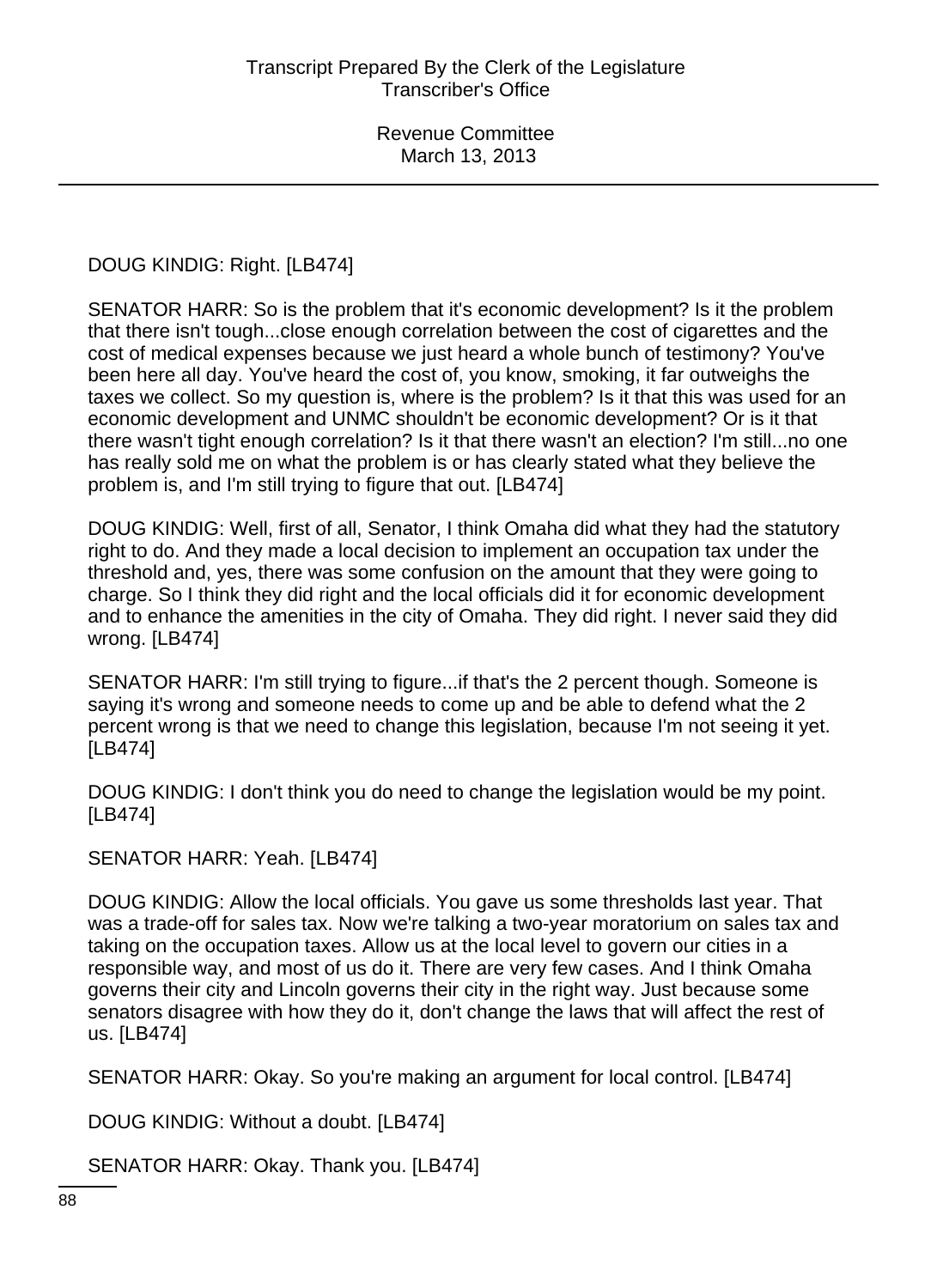# DOUG KINDIG: Right. [LB474]

SENATOR HARR: So is the problem that it's economic development? Is it the problem that there isn't tough...close enough correlation between the cost of cigarettes and the cost of medical expenses because we just heard a whole bunch of testimony? You've been here all day. You've heard the cost of, you know, smoking, it far outweighs the taxes we collect. So my question is, where is the problem? Is it that this was used for an economic development and UNMC shouldn't be economic development? Or is it that there wasn't tight enough correlation? Is it that there wasn't an election? I'm still...no one has really sold me on what the problem is or has clearly stated what they believe the problem is, and I'm still trying to figure that out. [LB474]

DOUG KINDIG: Well, first of all, Senator, I think Omaha did what they had the statutory right to do. And they made a local decision to implement an occupation tax under the threshold and, yes, there was some confusion on the amount that they were going to charge. So I think they did right and the local officials did it for economic development and to enhance the amenities in the city of Omaha. They did right. I never said they did wrong. [LB474]

SENATOR HARR: I'm still trying to figure...if that's the 2 percent though. Someone is saying it's wrong and someone needs to come up and be able to defend what the 2 percent wrong is that we need to change this legislation, because I'm not seeing it yet. [LB474]

DOUG KINDIG: I don't think you do need to change the legislation would be my point. [LB474]

SENATOR HARR: Yeah. [LB474]

DOUG KINDIG: Allow the local officials. You gave us some thresholds last year. That was a trade-off for sales tax. Now we're talking a two-year moratorium on sales tax and taking on the occupation taxes. Allow us at the local level to govern our cities in a responsible way, and most of us do it. There are very few cases. And I think Omaha governs their city and Lincoln governs their city in the right way. Just because some senators disagree with how they do it, don't change the laws that will affect the rest of us. [LB474]

SENATOR HARR: Okay. So you're making an argument for local control. [LB474]

DOUG KINDIG: Without a doubt. [LB474]

SENATOR HARR: Okay. Thank you. [LB474]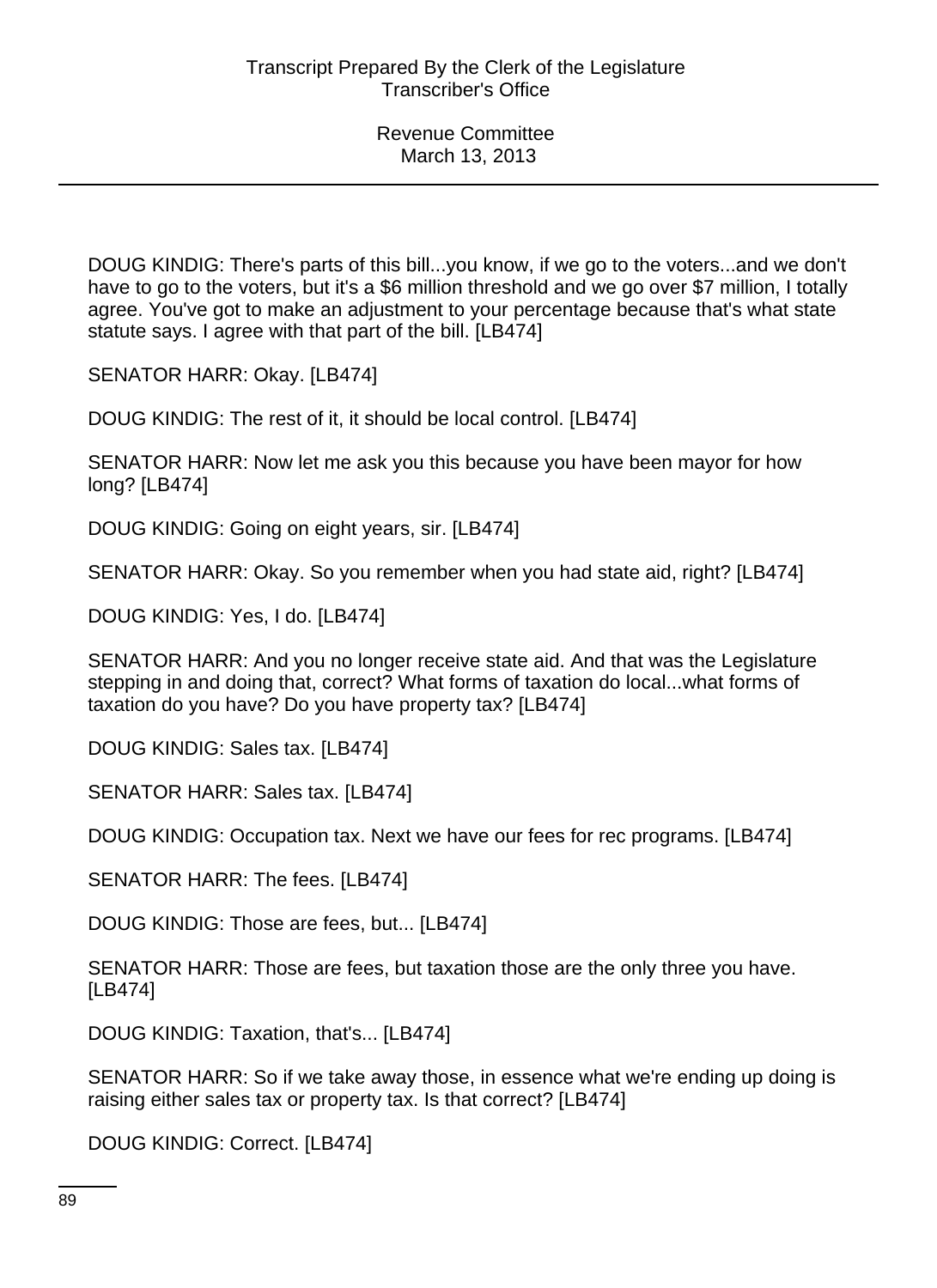DOUG KINDIG: There's parts of this bill...you know, if we go to the voters...and we don't have to go to the voters, but it's a \$6 million threshold and we go over \$7 million, I totally agree. You've got to make an adjustment to your percentage because that's what state statute says. I agree with that part of the bill. [LB474]

SENATOR HARR: Okay. [LB474]

DOUG KINDIG: The rest of it, it should be local control. [LB474]

SENATOR HARR: Now let me ask you this because you have been mayor for how long? [LB474]

DOUG KINDIG: Going on eight years, sir. [LB474]

SENATOR HARR: Okay. So you remember when you had state aid, right? [LB474]

DOUG KINDIG: Yes, I do. [LB474]

SENATOR HARR: And you no longer receive state aid. And that was the Legislature stepping in and doing that, correct? What forms of taxation do local...what forms of taxation do you have? Do you have property tax? [LB474]

DOUG KINDIG: Sales tax. [LB474]

SENATOR HARR: Sales tax. [LB474]

DOUG KINDIG: Occupation tax. Next we have our fees for rec programs. [LB474]

SENATOR HARR: The fees. [LB474]

DOUG KINDIG: Those are fees, but... [LB474]

SENATOR HARR: Those are fees, but taxation those are the only three you have. [LB474]

DOUG KINDIG: Taxation, that's... [LB474]

SENATOR HARR: So if we take away those, in essence what we're ending up doing is raising either sales tax or property tax. Is that correct? [LB474]

DOUG KINDIG: Correct. [LB474]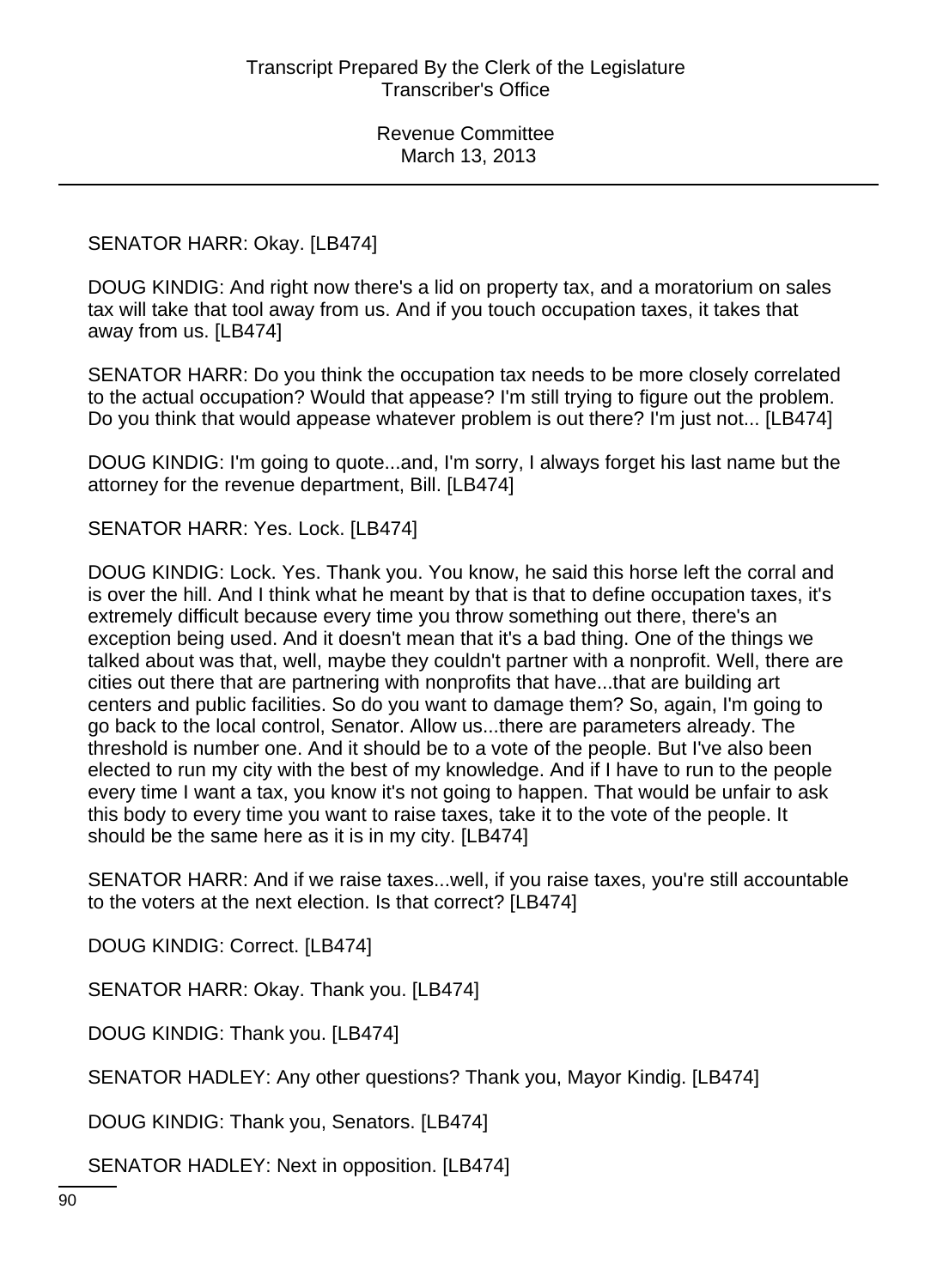### SENATOR HARR: Okay. [LB474]

DOUG KINDIG: And right now there's a lid on property tax, and a moratorium on sales tax will take that tool away from us. And if you touch occupation taxes, it takes that away from us. [LB474]

SENATOR HARR: Do you think the occupation tax needs to be more closely correlated to the actual occupation? Would that appease? I'm still trying to figure out the problem. Do you think that would appease whatever problem is out there? I'm just not... [LB474]

DOUG KINDIG: I'm going to quote...and, I'm sorry, I always forget his last name but the attorney for the revenue department, Bill. [LB474]

SENATOR HARR: Yes. Lock. [LB474]

DOUG KINDIG: Lock. Yes. Thank you. You know, he said this horse left the corral and is over the hill. And I think what he meant by that is that to define occupation taxes, it's extremely difficult because every time you throw something out there, there's an exception being used. And it doesn't mean that it's a bad thing. One of the things we talked about was that, well, maybe they couldn't partner with a nonprofit. Well, there are cities out there that are partnering with nonprofits that have...that are building art centers and public facilities. So do you want to damage them? So, again, I'm going to go back to the local control, Senator. Allow us...there are parameters already. The threshold is number one. And it should be to a vote of the people. But I've also been elected to run my city with the best of my knowledge. And if I have to run to the people every time I want a tax, you know it's not going to happen. That would be unfair to ask this body to every time you want to raise taxes, take it to the vote of the people. It should be the same here as it is in my city. [LB474]

SENATOR HARR: And if we raise taxes...well, if you raise taxes, you're still accountable to the voters at the next election. Is that correct? [LB474]

DOUG KINDIG: Correct. [LB474]

SENATOR HARR: Okay. Thank you. [LB474]

DOUG KINDIG: Thank you. [LB474]

SENATOR HADLEY: Any other questions? Thank you, Mayor Kindig. [LB474]

DOUG KINDIG: Thank you, Senators. [LB474]

SENATOR HADLEY: Next in opposition. [LB474]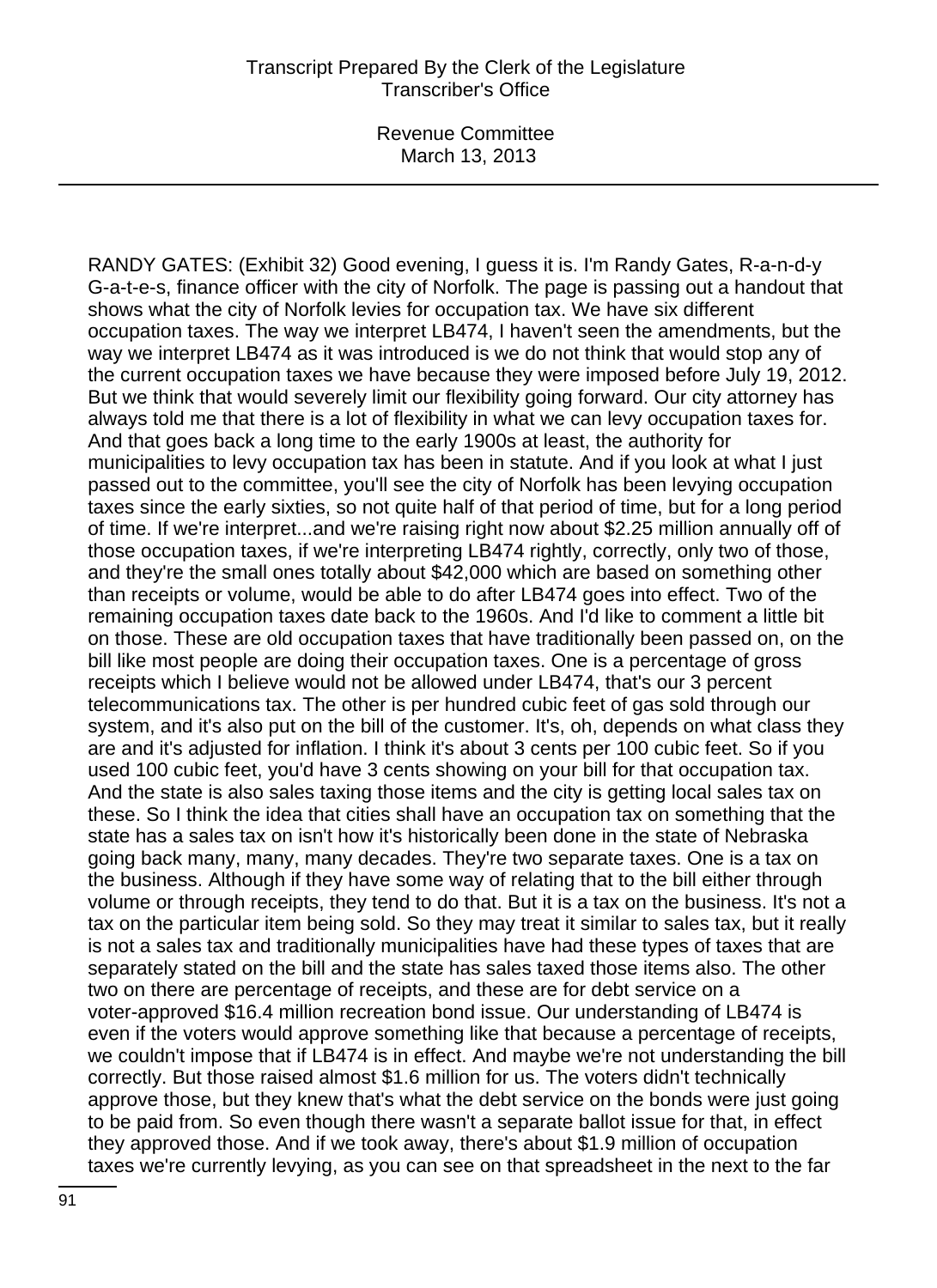RANDY GATES: (Exhibit 32) Good evening, I guess it is. I'm Randy Gates, R-a-n-d-y G-a-t-e-s, finance officer with the city of Norfolk. The page is passing out a handout that shows what the city of Norfolk levies for occupation tax. We have six different occupation taxes. The way we interpret LB474, I haven't seen the amendments, but the way we interpret LB474 as it was introduced is we do not think that would stop any of the current occupation taxes we have because they were imposed before July 19, 2012. But we think that would severely limit our flexibility going forward. Our city attorney has always told me that there is a lot of flexibility in what we can levy occupation taxes for. And that goes back a long time to the early 1900s at least, the authority for municipalities to levy occupation tax has been in statute. And if you look at what I just passed out to the committee, you'll see the city of Norfolk has been levying occupation taxes since the early sixties, so not quite half of that period of time, but for a long period of time. If we're interpret...and we're raising right now about \$2.25 million annually off of those occupation taxes, if we're interpreting LB474 rightly, correctly, only two of those, and they're the small ones totally about \$42,000 which are based on something other than receipts or volume, would be able to do after LB474 goes into effect. Two of the remaining occupation taxes date back to the 1960s. And I'd like to comment a little bit on those. These are old occupation taxes that have traditionally been passed on, on the bill like most people are doing their occupation taxes. One is a percentage of gross receipts which I believe would not be allowed under LB474, that's our 3 percent telecommunications tax. The other is per hundred cubic feet of gas sold through our system, and it's also put on the bill of the customer. It's, oh, depends on what class they are and it's adjusted for inflation. I think it's about 3 cents per 100 cubic feet. So if you used 100 cubic feet, you'd have 3 cents showing on your bill for that occupation tax. And the state is also sales taxing those items and the city is getting local sales tax on these. So I think the idea that cities shall have an occupation tax on something that the state has a sales tax on isn't how it's historically been done in the state of Nebraska going back many, many, many decades. They're two separate taxes. One is a tax on the business. Although if they have some way of relating that to the bill either through volume or through receipts, they tend to do that. But it is a tax on the business. It's not a tax on the particular item being sold. So they may treat it similar to sales tax, but it really is not a sales tax and traditionally municipalities have had these types of taxes that are separately stated on the bill and the state has sales taxed those items also. The other two on there are percentage of receipts, and these are for debt service on a voter-approved \$16.4 million recreation bond issue. Our understanding of LB474 is even if the voters would approve something like that because a percentage of receipts, we couldn't impose that if LB474 is in effect. And maybe we're not understanding the bill correctly. But those raised almost \$1.6 million for us. The voters didn't technically approve those, but they knew that's what the debt service on the bonds were just going to be paid from. So even though there wasn't a separate ballot issue for that, in effect they approved those. And if we took away, there's about \$1.9 million of occupation taxes we're currently levying, as you can see on that spreadsheet in the next to the far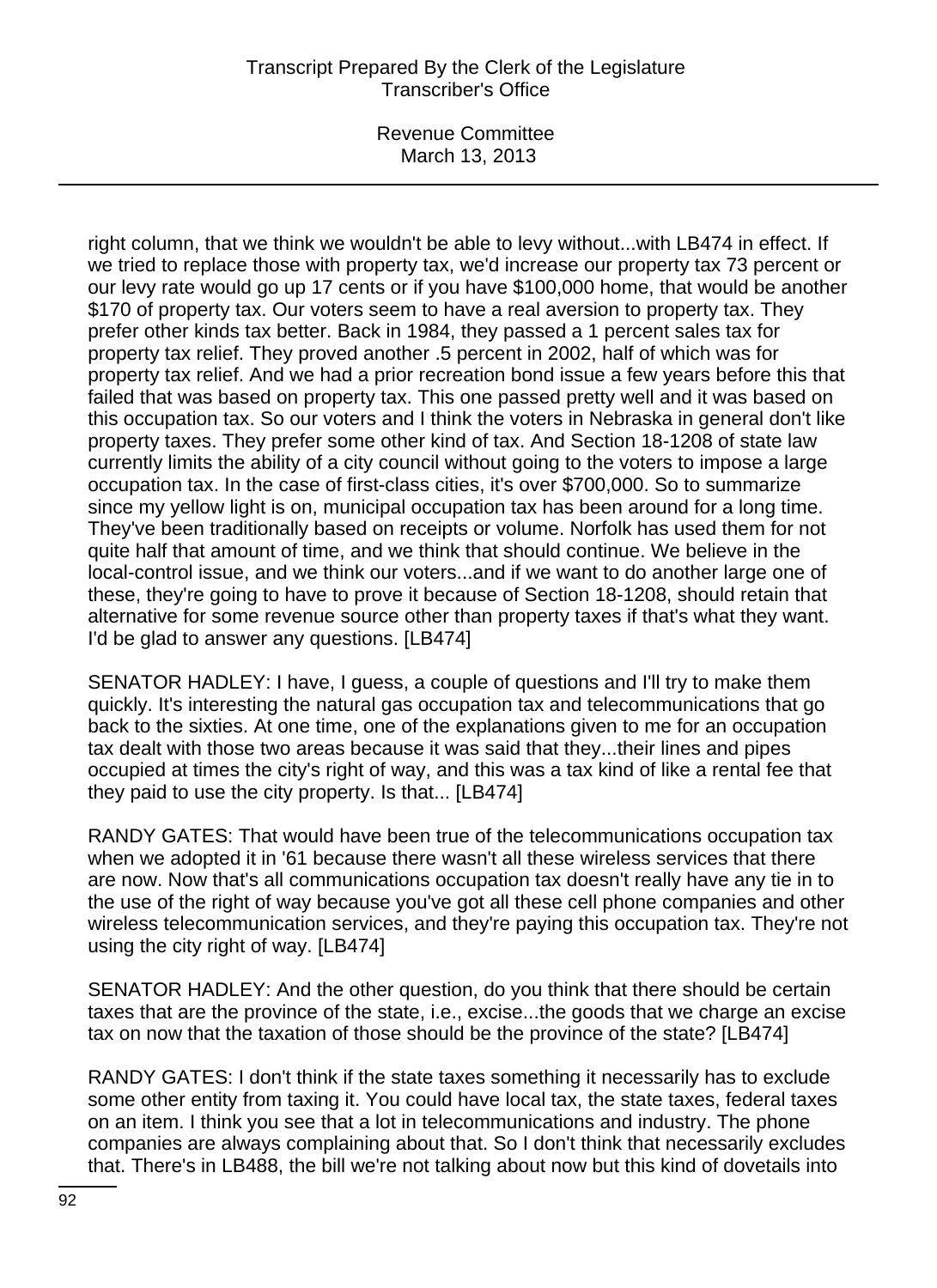Revenue Committee March 13, 2013

right column, that we think we wouldn't be able to levy without...with LB474 in effect. If we tried to replace those with property tax, we'd increase our property tax 73 percent or our levy rate would go up 17 cents or if you have \$100,000 home, that would be another \$170 of property tax. Our voters seem to have a real aversion to property tax. They prefer other kinds tax better. Back in 1984, they passed a 1 percent sales tax for property tax relief. They proved another .5 percent in 2002, half of which was for property tax relief. And we had a prior recreation bond issue a few years before this that failed that was based on property tax. This one passed pretty well and it was based on this occupation tax. So our voters and I think the voters in Nebraska in general don't like property taxes. They prefer some other kind of tax. And Section 18-1208 of state law currently limits the ability of a city council without going to the voters to impose a large occupation tax. In the case of first-class cities, it's over \$700,000. So to summarize since my yellow light is on, municipal occupation tax has been around for a long time. They've been traditionally based on receipts or volume. Norfolk has used them for not quite half that amount of time, and we think that should continue. We believe in the local-control issue, and we think our voters...and if we want to do another large one of these, they're going to have to prove it because of Section 18-1208, should retain that alternative for some revenue source other than property taxes if that's what they want. I'd be glad to answer any questions. [LB474]

SENATOR HADLEY: I have, I guess, a couple of questions and I'll try to make them quickly. It's interesting the natural gas occupation tax and telecommunications that go back to the sixties. At one time, one of the explanations given to me for an occupation tax dealt with those two areas because it was said that they...their lines and pipes occupied at times the city's right of way, and this was a tax kind of like a rental fee that they paid to use the city property. Is that... [LB474]

RANDY GATES: That would have been true of the telecommunications occupation tax when we adopted it in '61 because there wasn't all these wireless services that there are now. Now that's all communications occupation tax doesn't really have any tie in to the use of the right of way because you've got all these cell phone companies and other wireless telecommunication services, and they're paying this occupation tax. They're not using the city right of way. [LB474]

SENATOR HADLEY: And the other question, do you think that there should be certain taxes that are the province of the state, i.e., excise...the goods that we charge an excise tax on now that the taxation of those should be the province of the state? [LB474]

RANDY GATES: I don't think if the state taxes something it necessarily has to exclude some other entity from taxing it. You could have local tax, the state taxes, federal taxes on an item. I think you see that a lot in telecommunications and industry. The phone companies are always complaining about that. So I don't think that necessarily excludes that. There's in LB488, the bill we're not talking about now but this kind of dovetails into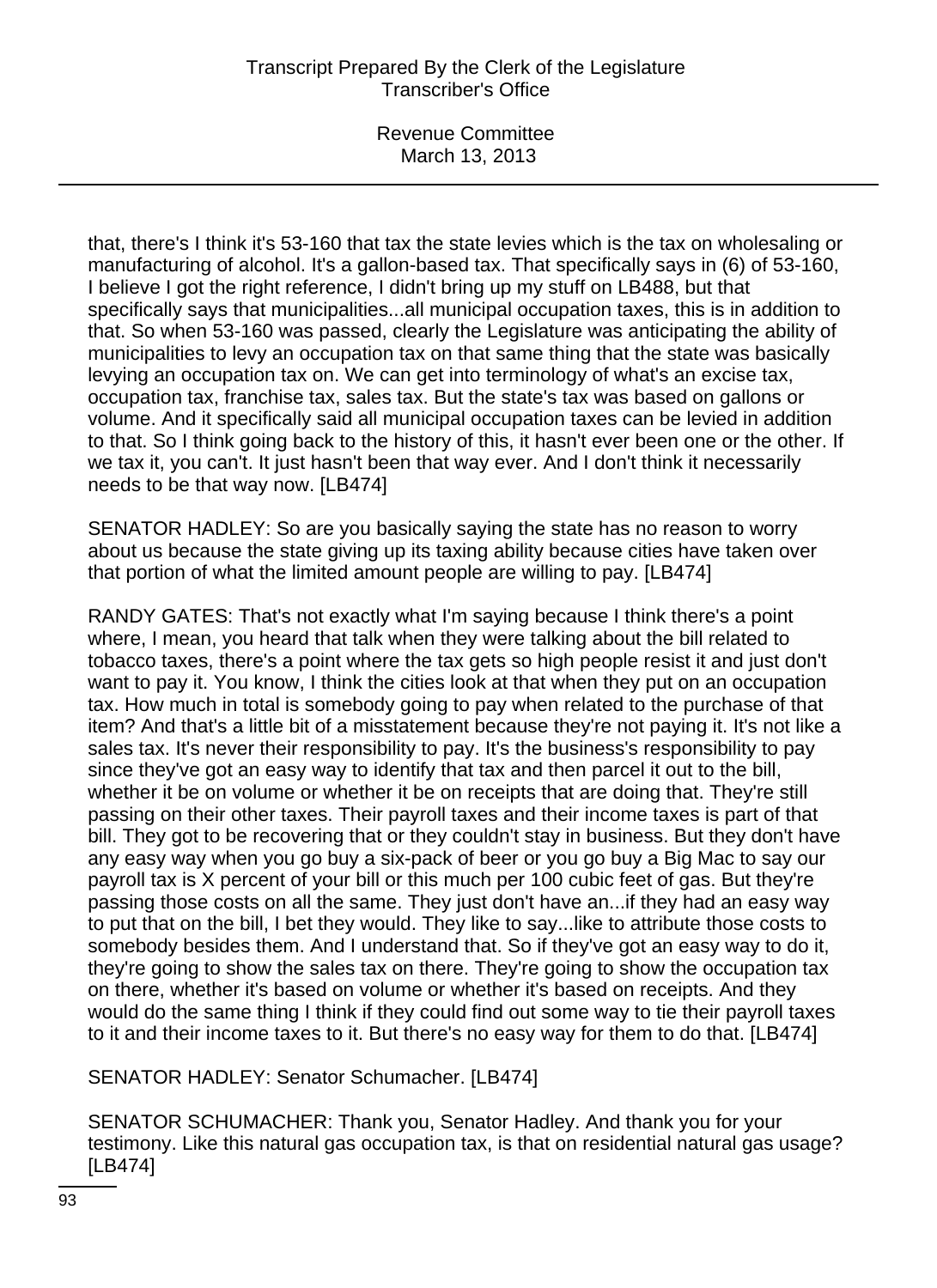Revenue Committee March 13, 2013

that, there's I think it's 53-160 that tax the state levies which is the tax on wholesaling or manufacturing of alcohol. It's a gallon-based tax. That specifically says in (6) of 53-160, I believe I got the right reference, I didn't bring up my stuff on LB488, but that specifically says that municipalities...all municipal occupation taxes, this is in addition to that. So when 53-160 was passed, clearly the Legislature was anticipating the ability of municipalities to levy an occupation tax on that same thing that the state was basically levying an occupation tax on. We can get into terminology of what's an excise tax, occupation tax, franchise tax, sales tax. But the state's tax was based on gallons or volume. And it specifically said all municipal occupation taxes can be levied in addition to that. So I think going back to the history of this, it hasn't ever been one or the other. If we tax it, you can't. It just hasn't been that way ever. And I don't think it necessarily needs to be that way now. [LB474]

SENATOR HADLEY: So are you basically saying the state has no reason to worry about us because the state giving up its taxing ability because cities have taken over that portion of what the limited amount people are willing to pay. [LB474]

RANDY GATES: That's not exactly what I'm saying because I think there's a point where, I mean, you heard that talk when they were talking about the bill related to tobacco taxes, there's a point where the tax gets so high people resist it and just don't want to pay it. You know, I think the cities look at that when they put on an occupation tax. How much in total is somebody going to pay when related to the purchase of that item? And that's a little bit of a misstatement because they're not paying it. It's not like a sales tax. It's never their responsibility to pay. It's the business's responsibility to pay since they've got an easy way to identify that tax and then parcel it out to the bill, whether it be on volume or whether it be on receipts that are doing that. They're still passing on their other taxes. Their payroll taxes and their income taxes is part of that bill. They got to be recovering that or they couldn't stay in business. But they don't have any easy way when you go buy a six-pack of beer or you go buy a Big Mac to say our payroll tax is X percent of your bill or this much per 100 cubic feet of gas. But they're passing those costs on all the same. They just don't have an...if they had an easy way to put that on the bill, I bet they would. They like to say...like to attribute those costs to somebody besides them. And I understand that. So if they've got an easy way to do it, they're going to show the sales tax on there. They're going to show the occupation tax on there, whether it's based on volume or whether it's based on receipts. And they would do the same thing I think if they could find out some way to tie their payroll taxes to it and their income taxes to it. But there's no easy way for them to do that. [LB474]

SENATOR HADLEY: Senator Schumacher. [LB474]

SENATOR SCHUMACHER: Thank you, Senator Hadley. And thank you for your testimony. Like this natural gas occupation tax, is that on residential natural gas usage? [LB474]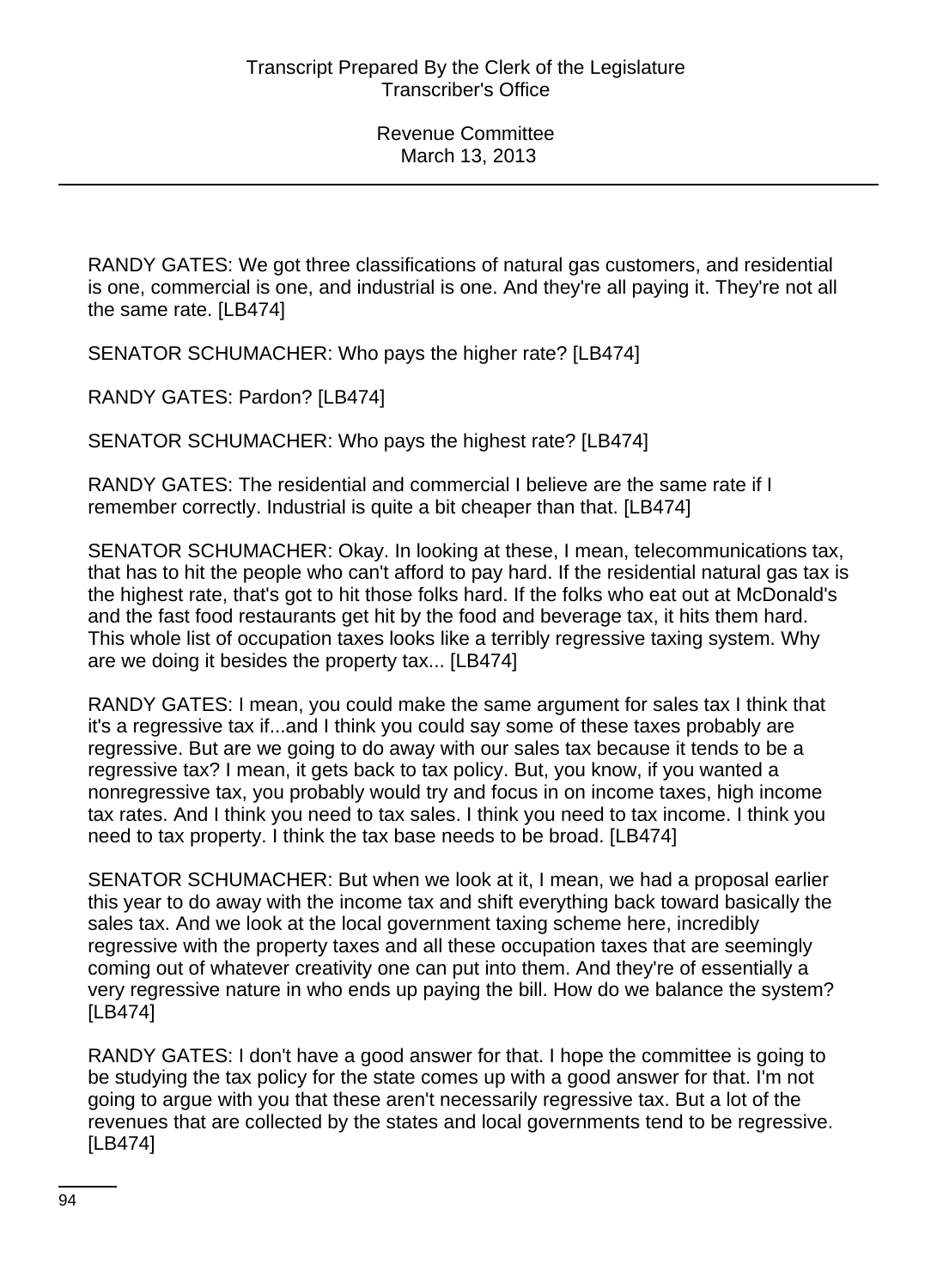RANDY GATES: We got three classifications of natural gas customers, and residential is one, commercial is one, and industrial is one. And they're all paying it. They're not all the same rate. [LB474]

SENATOR SCHUMACHER: Who pays the higher rate? [LB474]

RANDY GATES: Pardon? [LB474]

SENATOR SCHUMACHER: Who pays the highest rate? [LB474]

RANDY GATES: The residential and commercial I believe are the same rate if I remember correctly. Industrial is quite a bit cheaper than that. [LB474]

SENATOR SCHUMACHER: Okay. In looking at these, I mean, telecommunications tax, that has to hit the people who can't afford to pay hard. If the residential natural gas tax is the highest rate, that's got to hit those folks hard. If the folks who eat out at McDonald's and the fast food restaurants get hit by the food and beverage tax, it hits them hard. This whole list of occupation taxes looks like a terribly regressive taxing system. Why are we doing it besides the property tax... [LB474]

RANDY GATES: I mean, you could make the same argument for sales tax I think that it's a regressive tax if...and I think you could say some of these taxes probably are regressive. But are we going to do away with our sales tax because it tends to be a regressive tax? I mean, it gets back to tax policy. But, you know, if you wanted a nonregressive tax, you probably would try and focus in on income taxes, high income tax rates. And I think you need to tax sales. I think you need to tax income. I think you need to tax property. I think the tax base needs to be broad. [LB474]

SENATOR SCHUMACHER: But when we look at it, I mean, we had a proposal earlier this year to do away with the income tax and shift everything back toward basically the sales tax. And we look at the local government taxing scheme here, incredibly regressive with the property taxes and all these occupation taxes that are seemingly coming out of whatever creativity one can put into them. And they're of essentially a very regressive nature in who ends up paying the bill. How do we balance the system? [LB474]

RANDY GATES: I don't have a good answer for that. I hope the committee is going to be studying the tax policy for the state comes up with a good answer for that. I'm not going to argue with you that these aren't necessarily regressive tax. But a lot of the revenues that are collected by the states and local governments tend to be regressive. [LB474]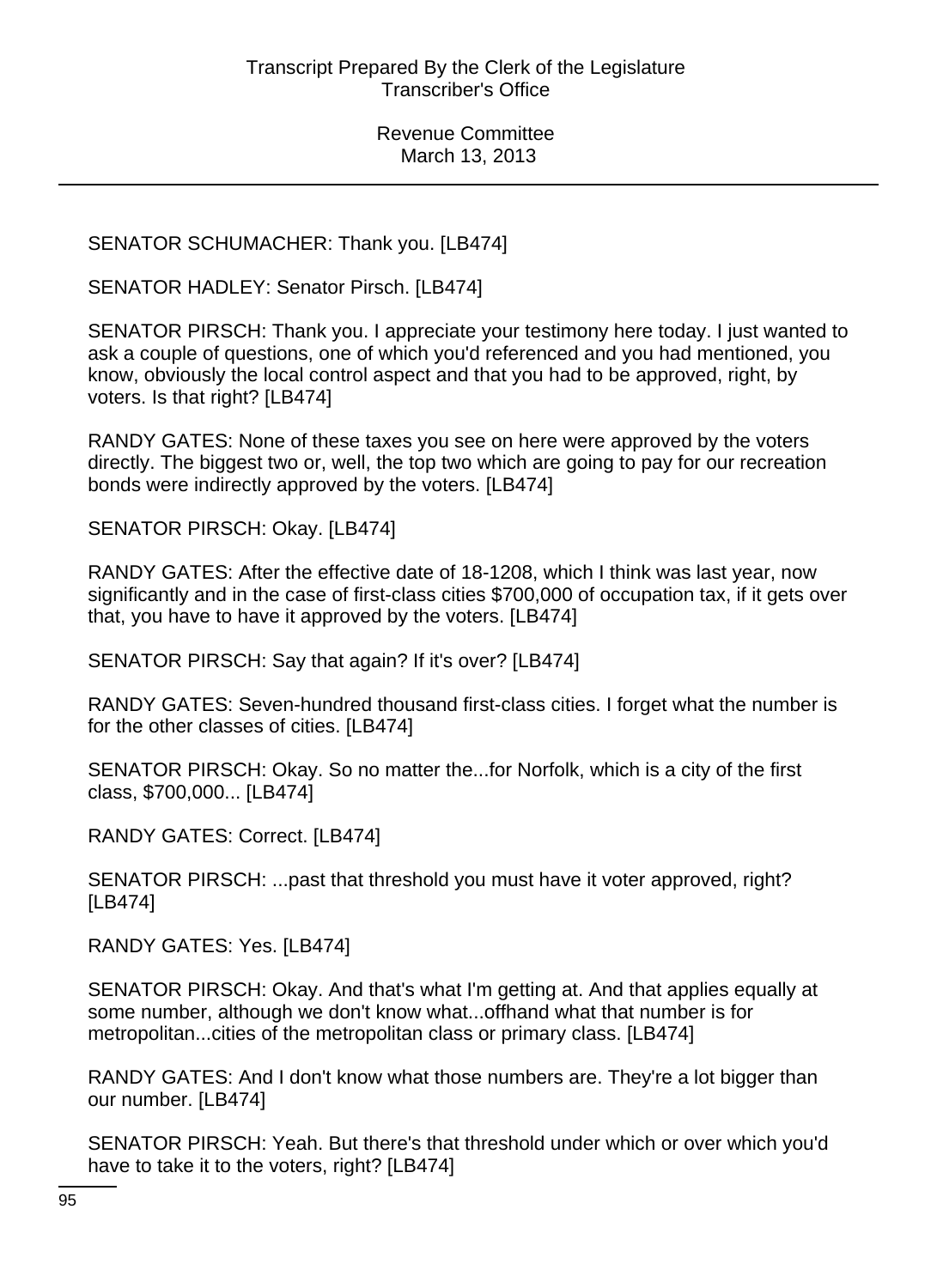SENATOR SCHUMACHER: Thank you. [LB474]

SENATOR HADLEY: Senator Pirsch. [LB474]

SENATOR PIRSCH: Thank you. I appreciate your testimony here today. I just wanted to ask a couple of questions, one of which you'd referenced and you had mentioned, you know, obviously the local control aspect and that you had to be approved, right, by voters. Is that right? [LB474]

RANDY GATES: None of these taxes you see on here were approved by the voters directly. The biggest two or, well, the top two which are going to pay for our recreation bonds were indirectly approved by the voters. [LB474]

SENATOR PIRSCH: Okay. [LB474]

RANDY GATES: After the effective date of 18-1208, which I think was last year, now significantly and in the case of first-class cities \$700,000 of occupation tax, if it gets over that, you have to have it approved by the voters. [LB474]

SENATOR PIRSCH: Say that again? If it's over? [LB474]

RANDY GATES: Seven-hundred thousand first-class cities. I forget what the number is for the other classes of cities. [LB474]

SENATOR PIRSCH: Okay. So no matter the...for Norfolk, which is a city of the first class, \$700,000... [LB474]

RANDY GATES: Correct. [LB474]

SENATOR PIRSCH: ...past that threshold you must have it voter approved, right? [LB474]

RANDY GATES: Yes. [LB474]

SENATOR PIRSCH: Okay. And that's what I'm getting at. And that applies equally at some number, although we don't know what...offhand what that number is for metropolitan...cities of the metropolitan class or primary class. [LB474]

RANDY GATES: And I don't know what those numbers are. They're a lot bigger than our number. [LB474]

SENATOR PIRSCH: Yeah. But there's that threshold under which or over which you'd have to take it to the voters, right? [LB474]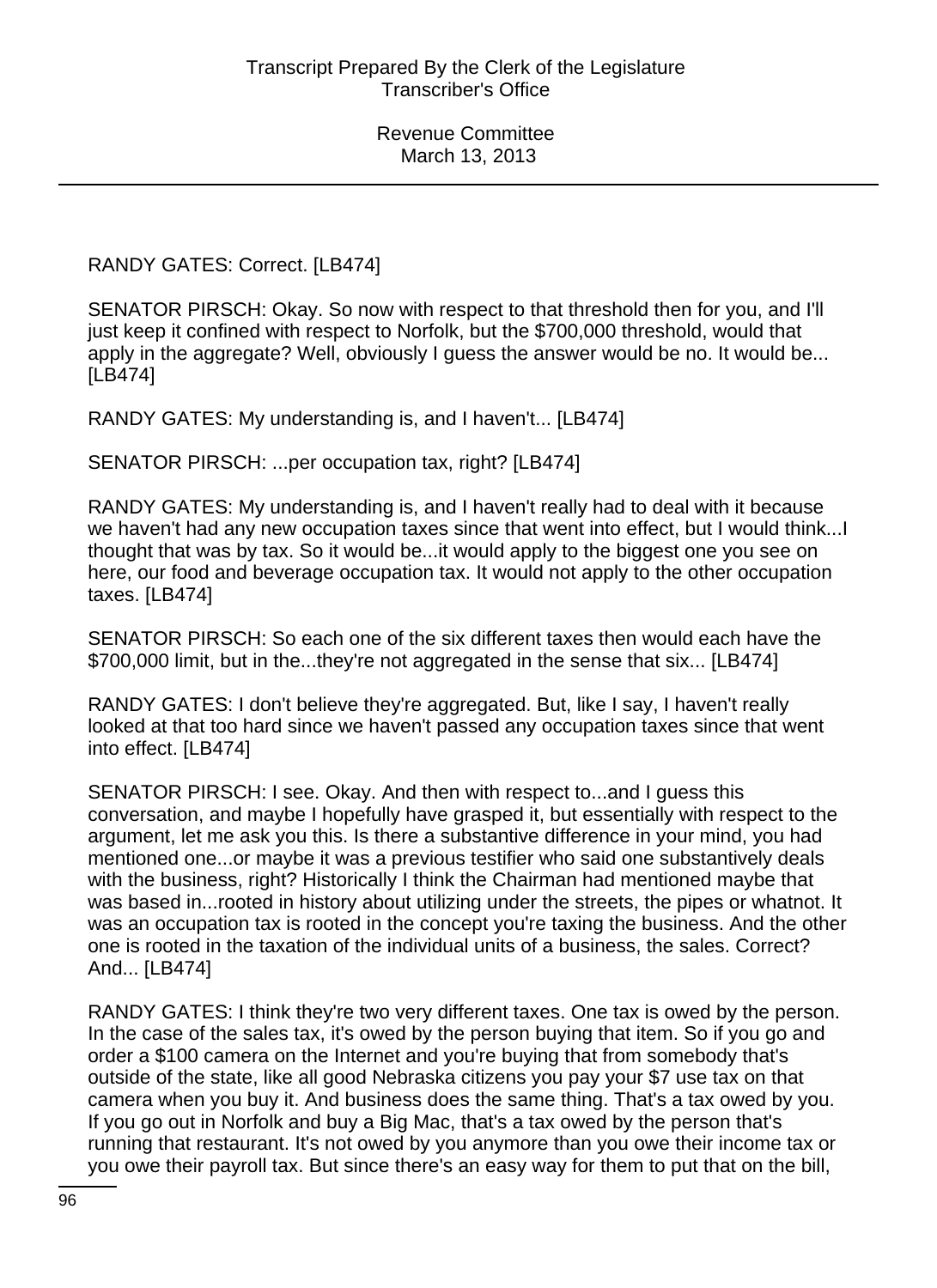RANDY GATES: Correct. [LB474]

SENATOR PIRSCH: Okay. So now with respect to that threshold then for you, and I'll just keep it confined with respect to Norfolk, but the \$700,000 threshold, would that apply in the aggregate? Well, obviously I guess the answer would be no. It would be... [LB474]

RANDY GATES: My understanding is, and I haven't... [LB474]

SENATOR PIRSCH: ...per occupation tax, right? [LB474]

RANDY GATES: My understanding is, and I haven't really had to deal with it because we haven't had any new occupation taxes since that went into effect, but I would think...I thought that was by tax. So it would be...it would apply to the biggest one you see on here, our food and beverage occupation tax. It would not apply to the other occupation taxes. [LB474]

SENATOR PIRSCH: So each one of the six different taxes then would each have the \$700,000 limit, but in the...they're not aggregated in the sense that six... [LB474]

RANDY GATES: I don't believe they're aggregated. But, like I say, I haven't really looked at that too hard since we haven't passed any occupation taxes since that went into effect. [LB474]

SENATOR PIRSCH: I see. Okay. And then with respect to...and I guess this conversation, and maybe I hopefully have grasped it, but essentially with respect to the argument, let me ask you this. Is there a substantive difference in your mind, you had mentioned one...or maybe it was a previous testifier who said one substantively deals with the business, right? Historically I think the Chairman had mentioned maybe that was based in...rooted in history about utilizing under the streets, the pipes or whatnot. It was an occupation tax is rooted in the concept you're taxing the business. And the other one is rooted in the taxation of the individual units of a business, the sales. Correct? And... [LB474]

RANDY GATES: I think they're two very different taxes. One tax is owed by the person. In the case of the sales tax, it's owed by the person buying that item. So if you go and order a \$100 camera on the Internet and you're buying that from somebody that's outside of the state, like all good Nebraska citizens you pay your \$7 use tax on that camera when you buy it. And business does the same thing. That's a tax owed by you. If you go out in Norfolk and buy a Big Mac, that's a tax owed by the person that's running that restaurant. It's not owed by you anymore than you owe their income tax or you owe their payroll tax. But since there's an easy way for them to put that on the bill,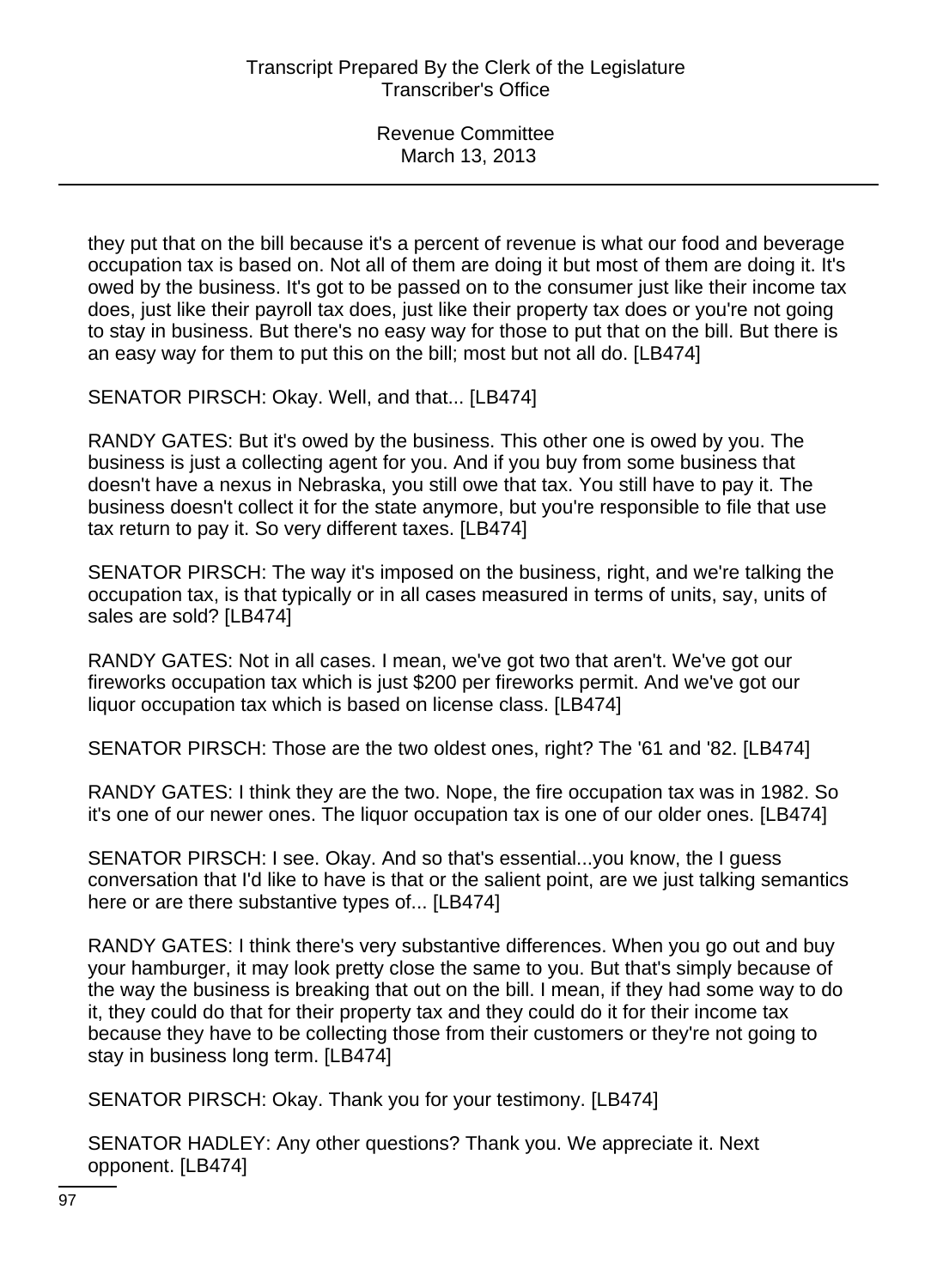they put that on the bill because it's a percent of revenue is what our food and beverage occupation tax is based on. Not all of them are doing it but most of them are doing it. It's owed by the business. It's got to be passed on to the consumer just like their income tax does, just like their payroll tax does, just like their property tax does or you're not going to stay in business. But there's no easy way for those to put that on the bill. But there is an easy way for them to put this on the bill; most but not all do. [LB474]

SENATOR PIRSCH: Okay. Well, and that... [LB474]

RANDY GATES: But it's owed by the business. This other one is owed by you. The business is just a collecting agent for you. And if you buy from some business that doesn't have a nexus in Nebraska, you still owe that tax. You still have to pay it. The business doesn't collect it for the state anymore, but you're responsible to file that use tax return to pay it. So very different taxes. [LB474]

SENATOR PIRSCH: The way it's imposed on the business, right, and we're talking the occupation tax, is that typically or in all cases measured in terms of units, say, units of sales are sold? [LB474]

RANDY GATES: Not in all cases. I mean, we've got two that aren't. We've got our fireworks occupation tax which is just \$200 per fireworks permit. And we've got our liquor occupation tax which is based on license class. [LB474]

SENATOR PIRSCH: Those are the two oldest ones, right? The '61 and '82. [LB474]

RANDY GATES: I think they are the two. Nope, the fire occupation tax was in 1982. So it's one of our newer ones. The liquor occupation tax is one of our older ones. [LB474]

SENATOR PIRSCH: I see. Okay. And so that's essential...you know, the I guess conversation that I'd like to have is that or the salient point, are we just talking semantics here or are there substantive types of... [LB474]

RANDY GATES: I think there's very substantive differences. When you go out and buy your hamburger, it may look pretty close the same to you. But that's simply because of the way the business is breaking that out on the bill. I mean, if they had some way to do it, they could do that for their property tax and they could do it for their income tax because they have to be collecting those from their customers or they're not going to stay in business long term. [LB474]

SENATOR PIRSCH: Okay. Thank you for your testimony. [LB474]

SENATOR HADLEY: Any other questions? Thank you. We appreciate it. Next opponent. [LB474]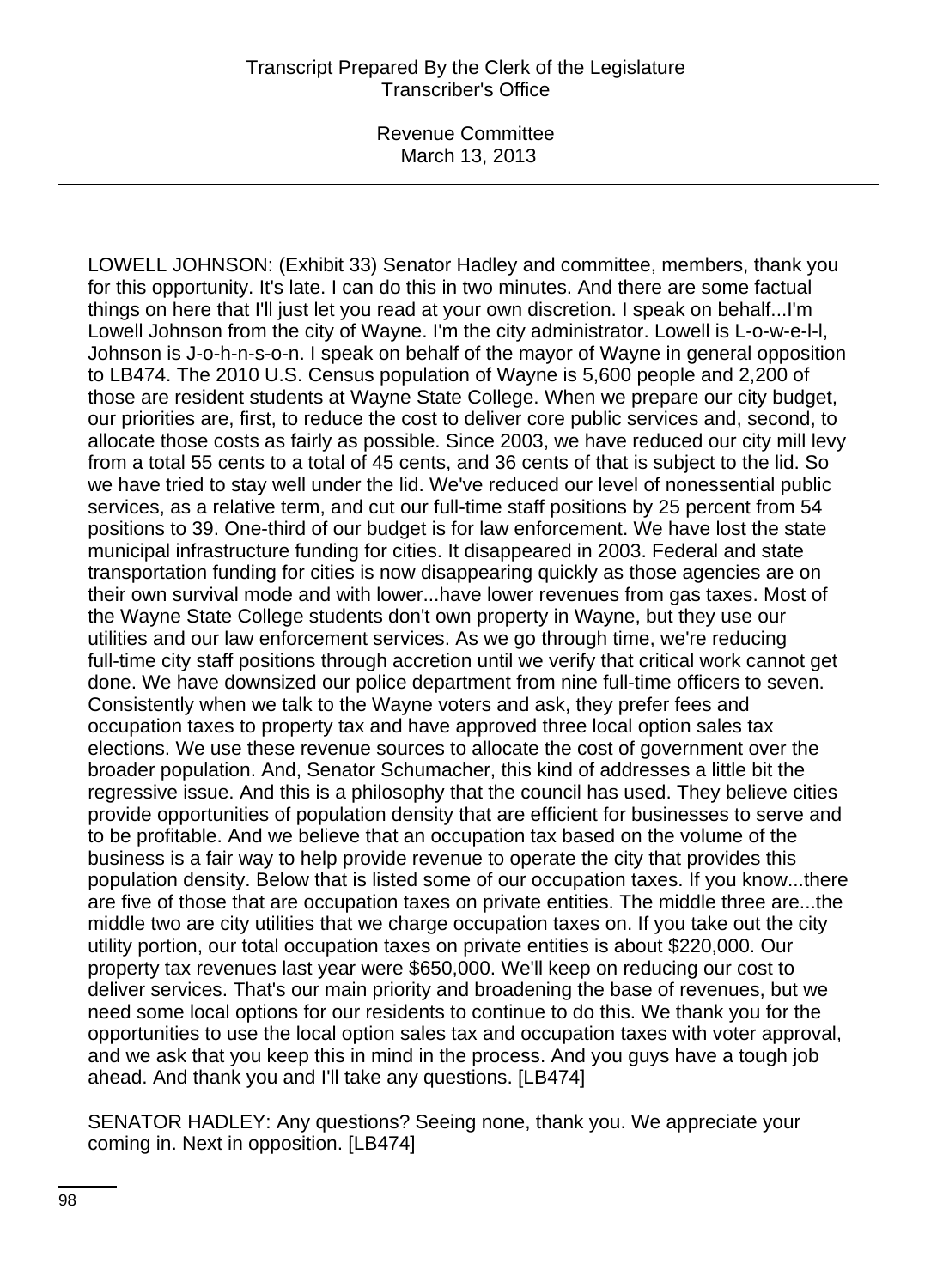LOWELL JOHNSON: (Exhibit 33) Senator Hadley and committee, members, thank you for this opportunity. It's late. I can do this in two minutes. And there are some factual things on here that I'll just let you read at your own discretion. I speak on behalf...I'm Lowell Johnson from the city of Wayne. I'm the city administrator. Lowell is L-o-w-e-l-l, Johnson is J-o-h-n-s-o-n. I speak on behalf of the mayor of Wayne in general opposition to LB474. The 2010 U.S. Census population of Wayne is 5,600 people and 2,200 of those are resident students at Wayne State College. When we prepare our city budget, our priorities are, first, to reduce the cost to deliver core public services and, second, to allocate those costs as fairly as possible. Since 2003, we have reduced our city mill levy from a total 55 cents to a total of 45 cents, and 36 cents of that is subject to the lid. So we have tried to stay well under the lid. We've reduced our level of nonessential public services, as a relative term, and cut our full-time staff positions by 25 percent from 54 positions to 39. One-third of our budget is for law enforcement. We have lost the state municipal infrastructure funding for cities. It disappeared in 2003. Federal and state transportation funding for cities is now disappearing quickly as those agencies are on their own survival mode and with lower...have lower revenues from gas taxes. Most of the Wayne State College students don't own property in Wayne, but they use our utilities and our law enforcement services. As we go through time, we're reducing full-time city staff positions through accretion until we verify that critical work cannot get done. We have downsized our police department from nine full-time officers to seven. Consistently when we talk to the Wayne voters and ask, they prefer fees and occupation taxes to property tax and have approved three local option sales tax elections. We use these revenue sources to allocate the cost of government over the broader population. And, Senator Schumacher, this kind of addresses a little bit the regressive issue. And this is a philosophy that the council has used. They believe cities provide opportunities of population density that are efficient for businesses to serve and to be profitable. And we believe that an occupation tax based on the volume of the business is a fair way to help provide revenue to operate the city that provides this population density. Below that is listed some of our occupation taxes. If you know...there are five of those that are occupation taxes on private entities. The middle three are...the middle two are city utilities that we charge occupation taxes on. If you take out the city utility portion, our total occupation taxes on private entities is about \$220,000. Our property tax revenues last year were \$650,000. We'll keep on reducing our cost to deliver services. That's our main priority and broadening the base of revenues, but we need some local options for our residents to continue to do this. We thank you for the opportunities to use the local option sales tax and occupation taxes with voter approval, and we ask that you keep this in mind in the process. And you guys have a tough job ahead. And thank you and I'll take any questions. [LB474]

SENATOR HADLEY: Any questions? Seeing none, thank you. We appreciate your coming in. Next in opposition. [LB474]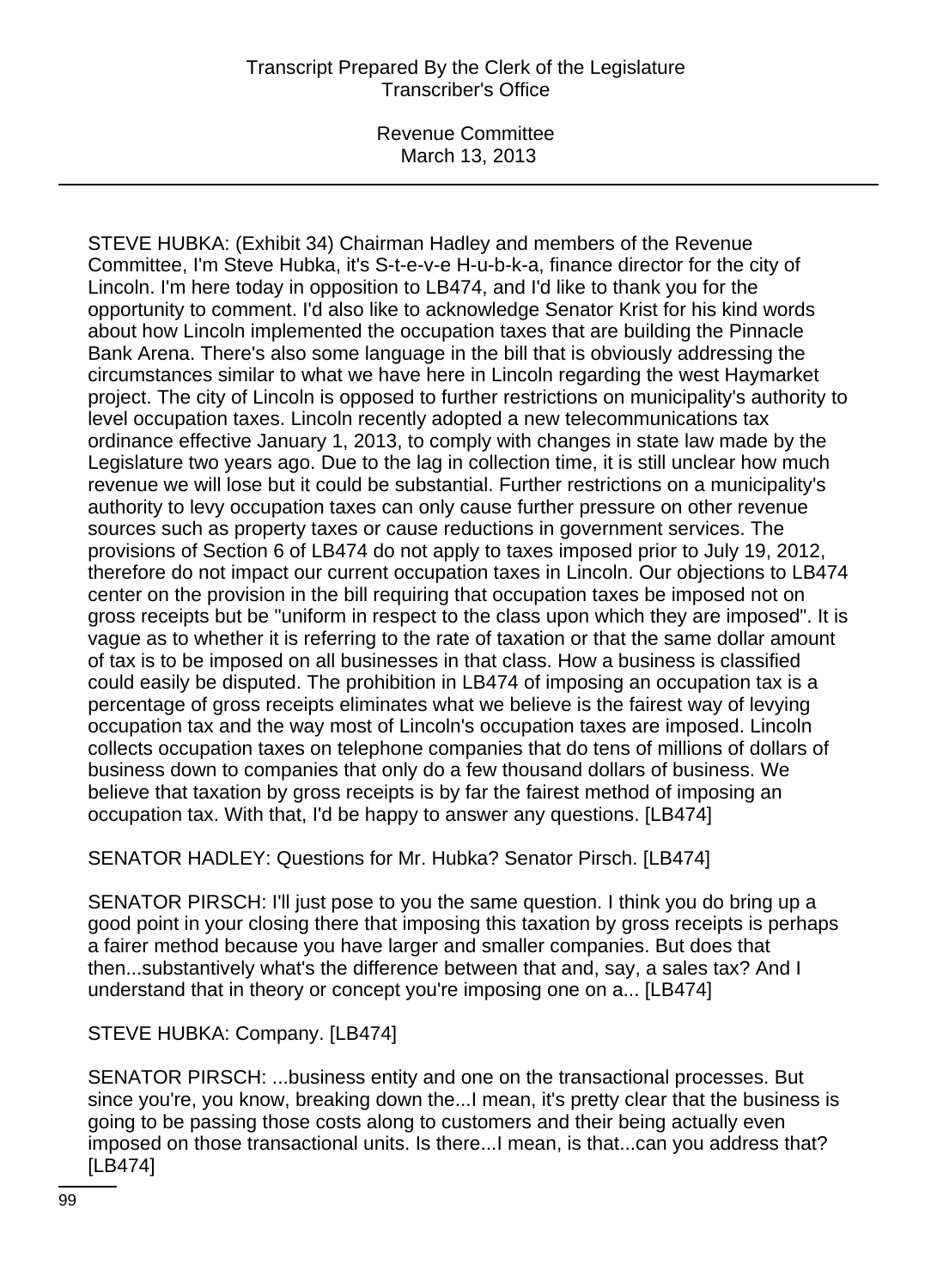Revenue Committee March 13, 2013

STEVE HUBKA: (Exhibit 34) Chairman Hadley and members of the Revenue Committee, I'm Steve Hubka, it's S-t-e-v-e H-u-b-k-a, finance director for the city of Lincoln. I'm here today in opposition to LB474, and I'd like to thank you for the opportunity to comment. I'd also like to acknowledge Senator Krist for his kind words about how Lincoln implemented the occupation taxes that are building the Pinnacle Bank Arena. There's also some language in the bill that is obviously addressing the circumstances similar to what we have here in Lincoln regarding the west Haymarket project. The city of Lincoln is opposed to further restrictions on municipality's authority to level occupation taxes. Lincoln recently adopted a new telecommunications tax ordinance effective January 1, 2013, to comply with changes in state law made by the Legislature two years ago. Due to the lag in collection time, it is still unclear how much revenue we will lose but it could be substantial. Further restrictions on a municipality's authority to levy occupation taxes can only cause further pressure on other revenue sources such as property taxes or cause reductions in government services. The provisions of Section 6 of LB474 do not apply to taxes imposed prior to July 19, 2012, therefore do not impact our current occupation taxes in Lincoln. Our objections to LB474 center on the provision in the bill requiring that occupation taxes be imposed not on gross receipts but be "uniform in respect to the class upon which they are imposed". It is vague as to whether it is referring to the rate of taxation or that the same dollar amount of tax is to be imposed on all businesses in that class. How a business is classified could easily be disputed. The prohibition in LB474 of imposing an occupation tax is a percentage of gross receipts eliminates what we believe is the fairest way of levying occupation tax and the way most of Lincoln's occupation taxes are imposed. Lincoln collects occupation taxes on telephone companies that do tens of millions of dollars of business down to companies that only do a few thousand dollars of business. We believe that taxation by gross receipts is by far the fairest method of imposing an occupation tax. With that, I'd be happy to answer any questions. [LB474]

SENATOR HADLEY: Questions for Mr. Hubka? Senator Pirsch. [LB474]

SENATOR PIRSCH: I'll just pose to you the same question. I think you do bring up a good point in your closing there that imposing this taxation by gross receipts is perhaps a fairer method because you have larger and smaller companies. But does that then...substantively what's the difference between that and, say, a sales tax? And I understand that in theory or concept you're imposing one on a... [LB474]

STEVE HUBKA: Company. [LB474]

SENATOR PIRSCH: ...business entity and one on the transactional processes. But since you're, you know, breaking down the...I mean, it's pretty clear that the business is going to be passing those costs along to customers and their being actually even imposed on those transactional units. Is there...I mean, is that...can you address that? [LB474]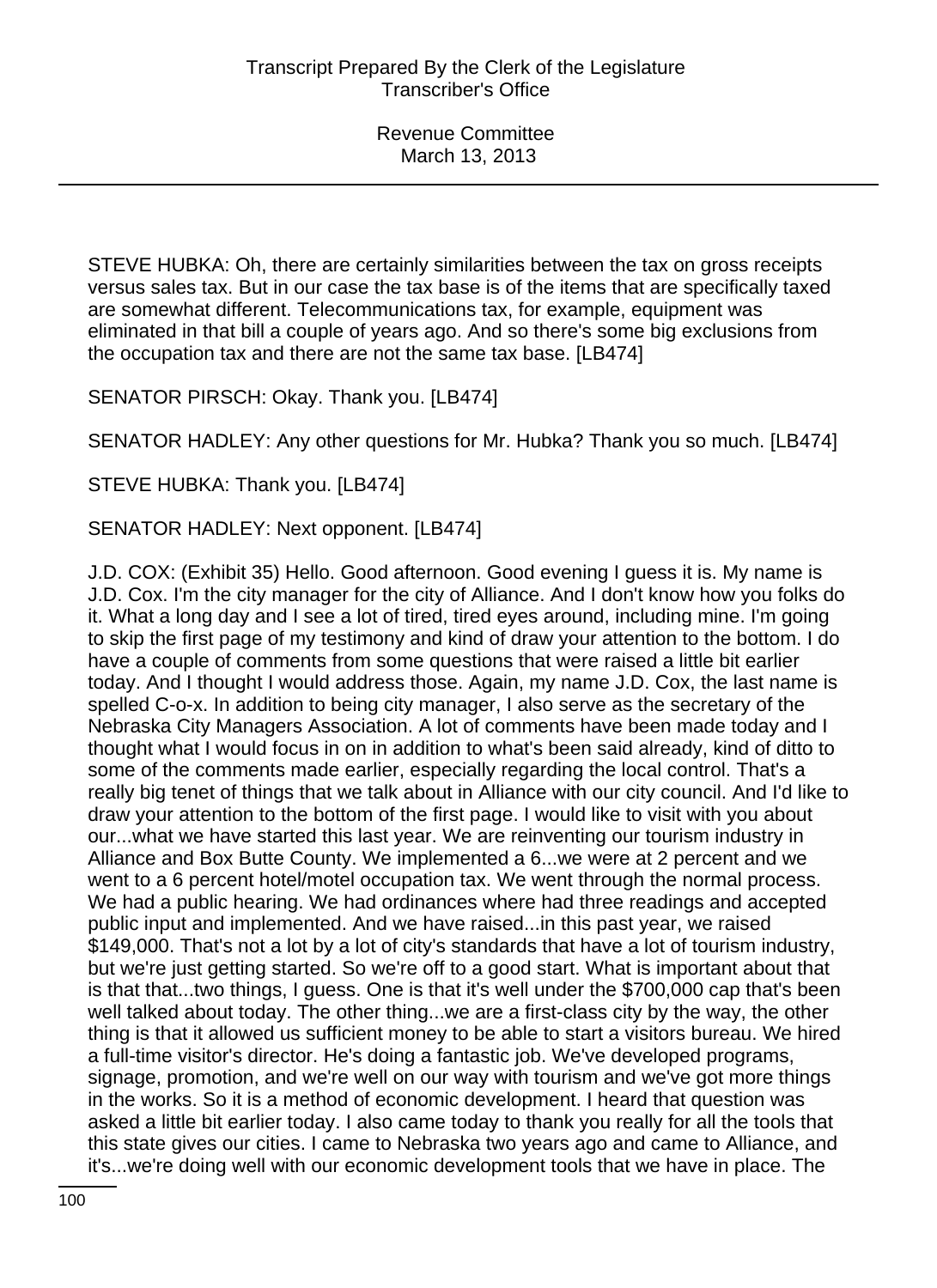STEVE HUBKA: Oh, there are certainly similarities between the tax on gross receipts versus sales tax. But in our case the tax base is of the items that are specifically taxed are somewhat different. Telecommunications tax, for example, equipment was eliminated in that bill a couple of years ago. And so there's some big exclusions from the occupation tax and there are not the same tax base. [LB474]

SENATOR PIRSCH: Okay. Thank you. [LB474]

SENATOR HADLEY: Any other questions for Mr. Hubka? Thank you so much. [LB474]

STEVE HUBKA: Thank you. [LB474]

SENATOR HADLEY: Next opponent. [LB474]

J.D. COX: (Exhibit 35) Hello. Good afternoon. Good evening I guess it is. My name is J.D. Cox. I'm the city manager for the city of Alliance. And I don't know how you folks do it. What a long day and I see a lot of tired, tired eyes around, including mine. I'm going to skip the first page of my testimony and kind of draw your attention to the bottom. I do have a couple of comments from some questions that were raised a little bit earlier today. And I thought I would address those. Again, my name J.D. Cox, the last name is spelled C-o-x. In addition to being city manager, I also serve as the secretary of the Nebraska City Managers Association. A lot of comments have been made today and I thought what I would focus in on in addition to what's been said already, kind of ditto to some of the comments made earlier, especially regarding the local control. That's a really big tenet of things that we talk about in Alliance with our city council. And I'd like to draw your attention to the bottom of the first page. I would like to visit with you about our...what we have started this last year. We are reinventing our tourism industry in Alliance and Box Butte County. We implemented a 6...we were at 2 percent and we went to a 6 percent hotel/motel occupation tax. We went through the normal process. We had a public hearing. We had ordinances where had three readings and accepted public input and implemented. And we have raised...in this past year, we raised \$149,000. That's not a lot by a lot of city's standards that have a lot of tourism industry, but we're just getting started. So we're off to a good start. What is important about that is that that...two things, I guess. One is that it's well under the \$700,000 cap that's been well talked about today. The other thing...we are a first-class city by the way, the other thing is that it allowed us sufficient money to be able to start a visitors bureau. We hired a full-time visitor's director. He's doing a fantastic job. We've developed programs, signage, promotion, and we're well on our way with tourism and we've got more things in the works. So it is a method of economic development. I heard that question was asked a little bit earlier today. I also came today to thank you really for all the tools that this state gives our cities. I came to Nebraska two years ago and came to Alliance, and it's...we're doing well with our economic development tools that we have in place. The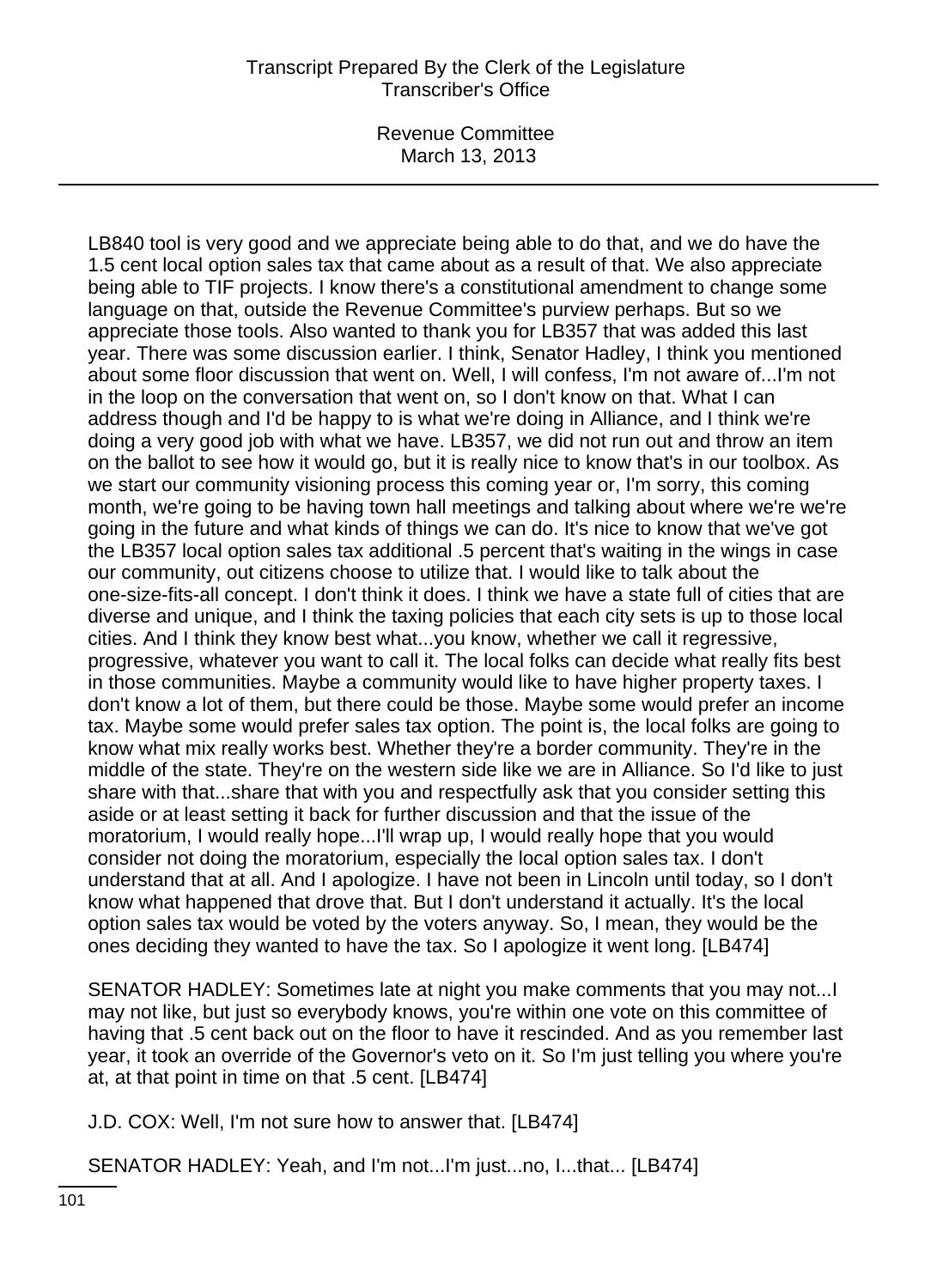Revenue Committee March 13, 2013

LB840 tool is very good and we appreciate being able to do that, and we do have the 1.5 cent local option sales tax that came about as a result of that. We also appreciate being able to TIF projects. I know there's a constitutional amendment to change some language on that, outside the Revenue Committee's purview perhaps. But so we appreciate those tools. Also wanted to thank you for LB357 that was added this last year. There was some discussion earlier. I think, Senator Hadley, I think you mentioned about some floor discussion that went on. Well, I will confess, I'm not aware of...I'm not in the loop on the conversation that went on, so I don't know on that. What I can address though and I'd be happy to is what we're doing in Alliance, and I think we're doing a very good job with what we have. LB357, we did not run out and throw an item on the ballot to see how it would go, but it is really nice to know that's in our toolbox. As we start our community visioning process this coming year or, I'm sorry, this coming month, we're going to be having town hall meetings and talking about where we're we're going in the future and what kinds of things we can do. It's nice to know that we've got the LB357 local option sales tax additional .5 percent that's waiting in the wings in case our community, out citizens choose to utilize that. I would like to talk about the one-size-fits-all concept. I don't think it does. I think we have a state full of cities that are diverse and unique, and I think the taxing policies that each city sets is up to those local cities. And I think they know best what...you know, whether we call it regressive, progressive, whatever you want to call it. The local folks can decide what really fits best in those communities. Maybe a community would like to have higher property taxes. I don't know a lot of them, but there could be those. Maybe some would prefer an income tax. Maybe some would prefer sales tax option. The point is, the local folks are going to know what mix really works best. Whether they're a border community. They're in the middle of the state. They're on the western side like we are in Alliance. So I'd like to just share with that...share that with you and respectfully ask that you consider setting this aside or at least setting it back for further discussion and that the issue of the moratorium, I would really hope...I'll wrap up, I would really hope that you would consider not doing the moratorium, especially the local option sales tax. I don't understand that at all. And I apologize. I have not been in Lincoln until today, so I don't know what happened that drove that. But I don't understand it actually. It's the local option sales tax would be voted by the voters anyway. So, I mean, they would be the ones deciding they wanted to have the tax. So I apologize it went long. [LB474]

SENATOR HADLEY: Sometimes late at night you make comments that you may not...I may not like, but just so everybody knows, you're within one vote on this committee of having that .5 cent back out on the floor to have it rescinded. And as you remember last year, it took an override of the Governor's veto on it. So I'm just telling you where you're at, at that point in time on that .5 cent. [LB474]

J.D. COX: Well, I'm not sure how to answer that. [LB474]

SENATOR HADLEY: Yeah, and I'm not...I'm just...no, I...that... [LB474]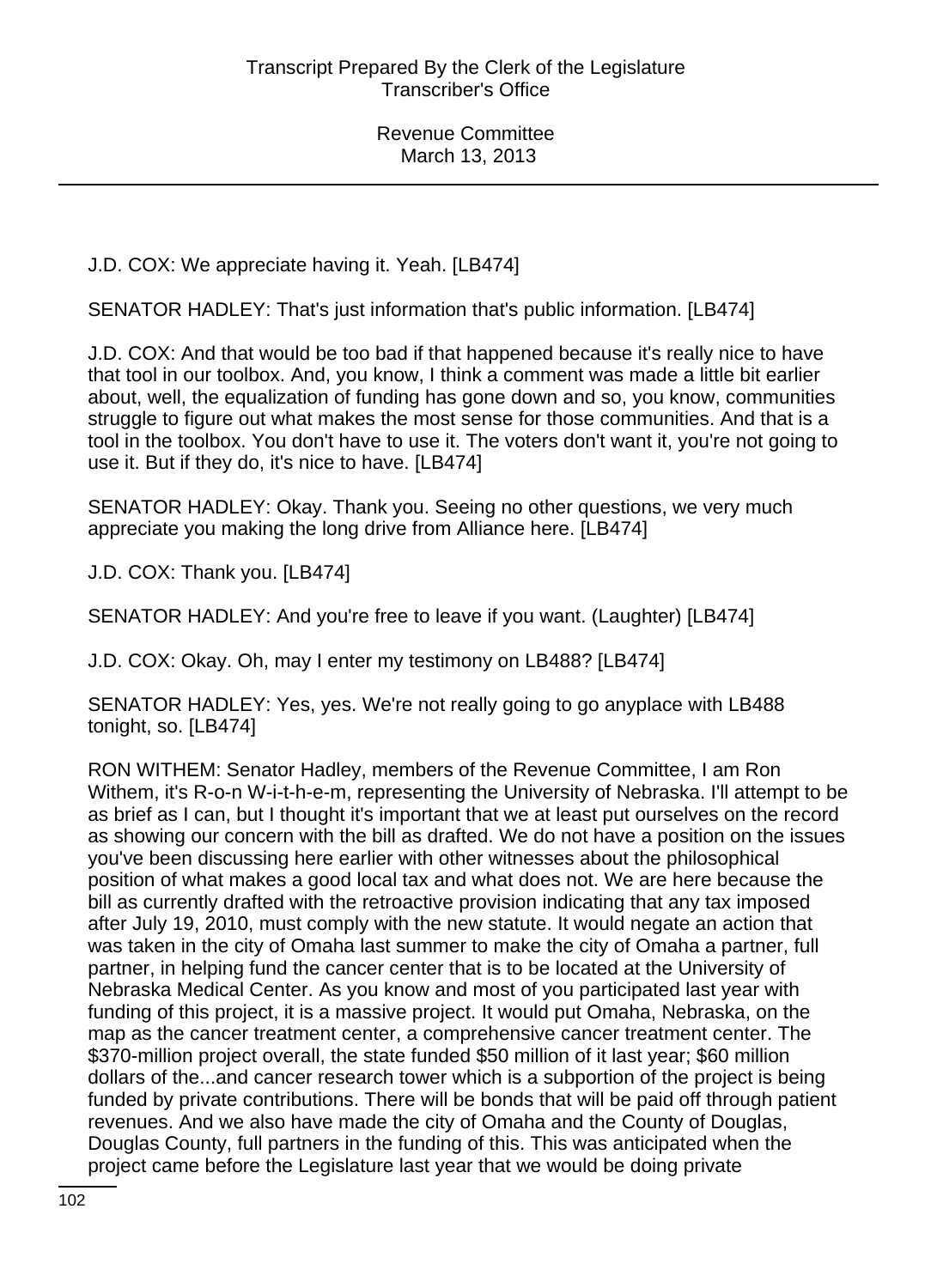J.D. COX: We appreciate having it. Yeah. [LB474]

SENATOR HADLEY: That's just information that's public information. [LB474]

J.D. COX: And that would be too bad if that happened because it's really nice to have that tool in our toolbox. And, you know, I think a comment was made a little bit earlier about, well, the equalization of funding has gone down and so, you know, communities struggle to figure out what makes the most sense for those communities. And that is a tool in the toolbox. You don't have to use it. The voters don't want it, you're not going to use it. But if they do, it's nice to have. [LB474]

SENATOR HADLEY: Okay. Thank you. Seeing no other questions, we very much appreciate you making the long drive from Alliance here. [LB474]

J.D. COX: Thank you. [LB474]

SENATOR HADLEY: And you're free to leave if you want. (Laughter) [LB474]

J.D. COX: Okay. Oh, may I enter my testimony on LB488? [LB474]

SENATOR HADLEY: Yes, yes. We're not really going to go anyplace with LB488 tonight, so. [LB474]

RON WITHEM: Senator Hadley, members of the Revenue Committee, I am Ron Withem, it's R-o-n W-i-t-h-e-m, representing the University of Nebraska. I'll attempt to be as brief as I can, but I thought it's important that we at least put ourselves on the record as showing our concern with the bill as drafted. We do not have a position on the issues you've been discussing here earlier with other witnesses about the philosophical position of what makes a good local tax and what does not. We are here because the bill as currently drafted with the retroactive provision indicating that any tax imposed after July 19, 2010, must comply with the new statute. It would negate an action that was taken in the city of Omaha last summer to make the city of Omaha a partner, full partner, in helping fund the cancer center that is to be located at the University of Nebraska Medical Center. As you know and most of you participated last year with funding of this project, it is a massive project. It would put Omaha, Nebraska, on the map as the cancer treatment center, a comprehensive cancer treatment center. The \$370-million project overall, the state funded \$50 million of it last year; \$60 million dollars of the...and cancer research tower which is a subportion of the project is being funded by private contributions. There will be bonds that will be paid off through patient revenues. And we also have made the city of Omaha and the County of Douglas, Douglas County, full partners in the funding of this. This was anticipated when the project came before the Legislature last year that we would be doing private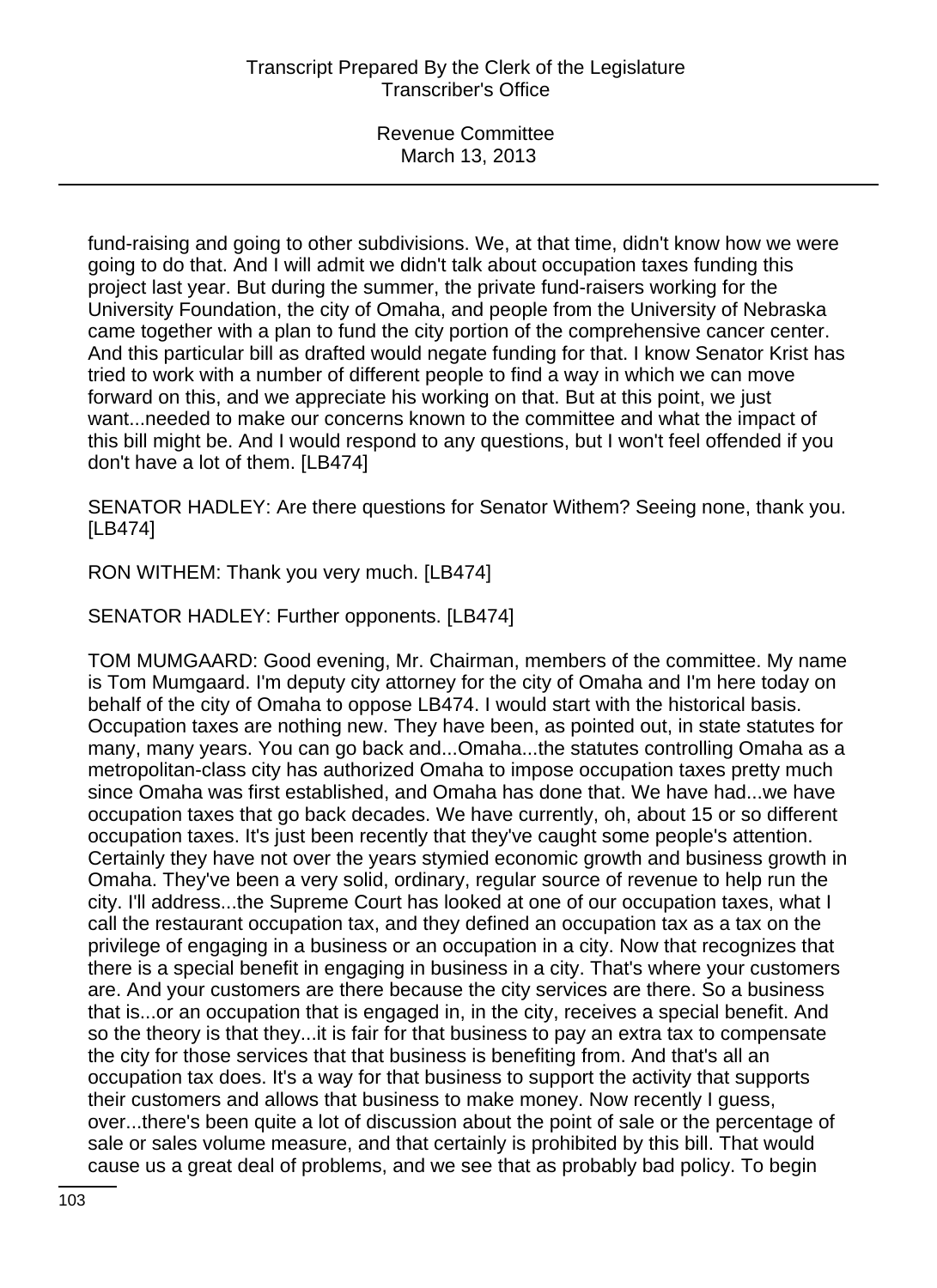fund-raising and going to other subdivisions. We, at that time, didn't know how we were going to do that. And I will admit we didn't talk about occupation taxes funding this project last year. But during the summer, the private fund-raisers working for the University Foundation, the city of Omaha, and people from the University of Nebraska came together with a plan to fund the city portion of the comprehensive cancer center. And this particular bill as drafted would negate funding for that. I know Senator Krist has tried to work with a number of different people to find a way in which we can move forward on this, and we appreciate his working on that. But at this point, we just want...needed to make our concerns known to the committee and what the impact of this bill might be. And I would respond to any questions, but I won't feel offended if you don't have a lot of them. [LB474]

SENATOR HADLEY: Are there questions for Senator Withem? Seeing none, thank you. [LB474]

RON WITHEM: Thank you very much. [LB474]

SENATOR HADLEY: Further opponents. [LB474]

TOM MUMGAARD: Good evening, Mr. Chairman, members of the committee. My name is Tom Mumgaard. I'm deputy city attorney for the city of Omaha and I'm here today on behalf of the city of Omaha to oppose LB474. I would start with the historical basis. Occupation taxes are nothing new. They have been, as pointed out, in state statutes for many, many years. You can go back and...Omaha...the statutes controlling Omaha as a metropolitan-class city has authorized Omaha to impose occupation taxes pretty much since Omaha was first established, and Omaha has done that. We have had...we have occupation taxes that go back decades. We have currently, oh, about 15 or so different occupation taxes. It's just been recently that they've caught some people's attention. Certainly they have not over the years stymied economic growth and business growth in Omaha. They've been a very solid, ordinary, regular source of revenue to help run the city. I'll address...the Supreme Court has looked at one of our occupation taxes, what I call the restaurant occupation tax, and they defined an occupation tax as a tax on the privilege of engaging in a business or an occupation in a city. Now that recognizes that there is a special benefit in engaging in business in a city. That's where your customers are. And your customers are there because the city services are there. So a business that is...or an occupation that is engaged in, in the city, receives a special benefit. And so the theory is that they...it is fair for that business to pay an extra tax to compensate the city for those services that that business is benefiting from. And that's all an occupation tax does. It's a way for that business to support the activity that supports their customers and allows that business to make money. Now recently I guess, over...there's been quite a lot of discussion about the point of sale or the percentage of sale or sales volume measure, and that certainly is prohibited by this bill. That would cause us a great deal of problems, and we see that as probably bad policy. To begin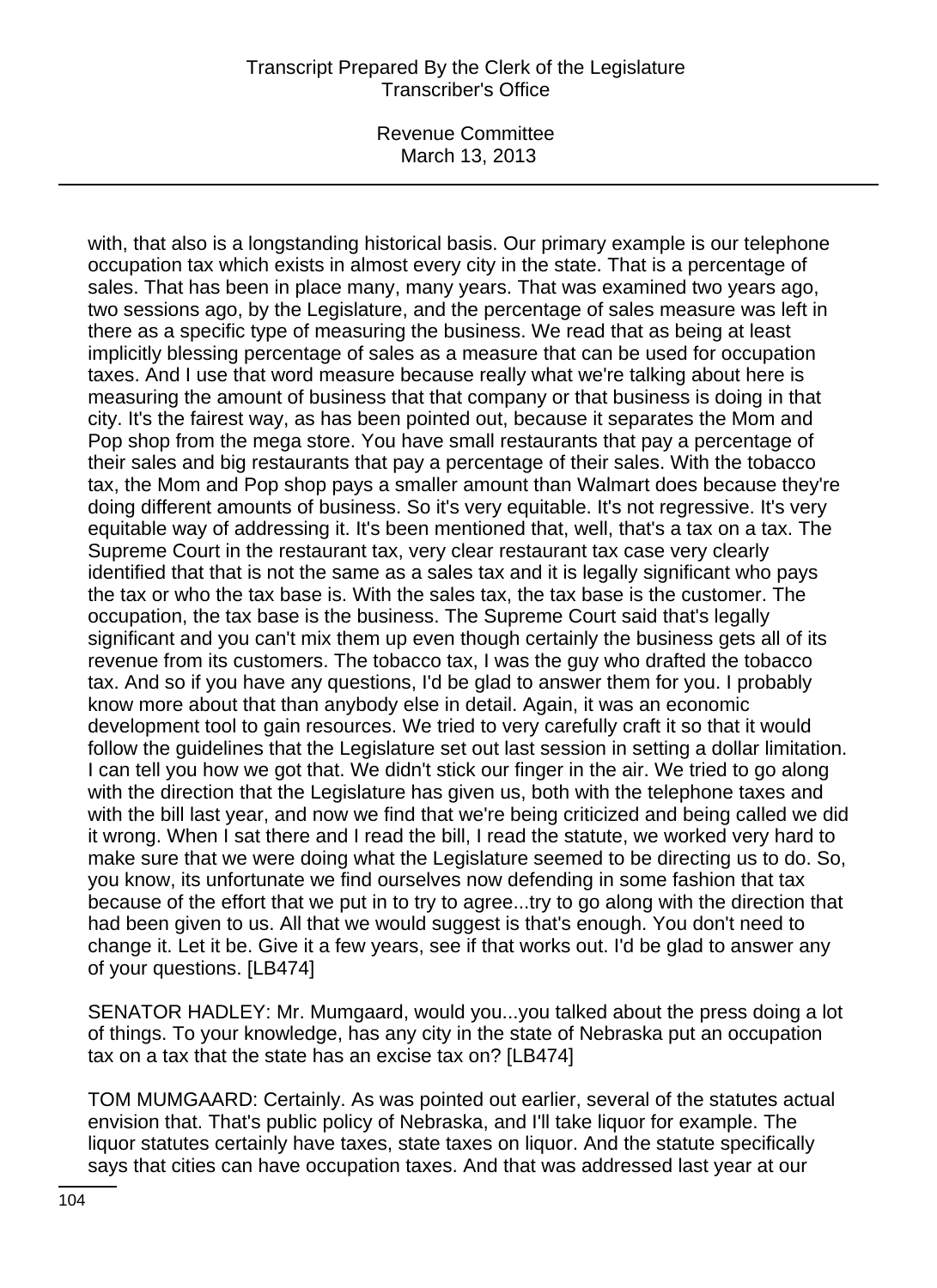Revenue Committee March 13, 2013

with, that also is a longstanding historical basis. Our primary example is our telephone occupation tax which exists in almost every city in the state. That is a percentage of sales. That has been in place many, many years. That was examined two years ago, two sessions ago, by the Legislature, and the percentage of sales measure was left in there as a specific type of measuring the business. We read that as being at least implicitly blessing percentage of sales as a measure that can be used for occupation taxes. And I use that word measure because really what we're talking about here is measuring the amount of business that that company or that business is doing in that city. It's the fairest way, as has been pointed out, because it separates the Mom and Pop shop from the mega store. You have small restaurants that pay a percentage of their sales and big restaurants that pay a percentage of their sales. With the tobacco tax, the Mom and Pop shop pays a smaller amount than Walmart does because they're doing different amounts of business. So it's very equitable. It's not regressive. It's very equitable way of addressing it. It's been mentioned that, well, that's a tax on a tax. The Supreme Court in the restaurant tax, very clear restaurant tax case very clearly identified that that is not the same as a sales tax and it is legally significant who pays the tax or who the tax base is. With the sales tax, the tax base is the customer. The occupation, the tax base is the business. The Supreme Court said that's legally significant and you can't mix them up even though certainly the business gets all of its revenue from its customers. The tobacco tax, I was the guy who drafted the tobacco tax. And so if you have any questions, I'd be glad to answer them for you. I probably know more about that than anybody else in detail. Again, it was an economic development tool to gain resources. We tried to very carefully craft it so that it would follow the guidelines that the Legislature set out last session in setting a dollar limitation. I can tell you how we got that. We didn't stick our finger in the air. We tried to go along with the direction that the Legislature has given us, both with the telephone taxes and with the bill last year, and now we find that we're being criticized and being called we did it wrong. When I sat there and I read the bill, I read the statute, we worked very hard to make sure that we were doing what the Legislature seemed to be directing us to do. So, you know, its unfortunate we find ourselves now defending in some fashion that tax because of the effort that we put in to try to agree...try to go along with the direction that had been given to us. All that we would suggest is that's enough. You don't need to change it. Let it be. Give it a few years, see if that works out. I'd be glad to answer any of your questions. [LB474]

SENATOR HADLEY: Mr. Mumgaard, would you...you talked about the press doing a lot of things. To your knowledge, has any city in the state of Nebraska put an occupation tax on a tax that the state has an excise tax on? [LB474]

TOM MUMGAARD: Certainly. As was pointed out earlier, several of the statutes actual envision that. That's public policy of Nebraska, and I'll take liquor for example. The liquor statutes certainly have taxes, state taxes on liquor. And the statute specifically says that cities can have occupation taxes. And that was addressed last year at our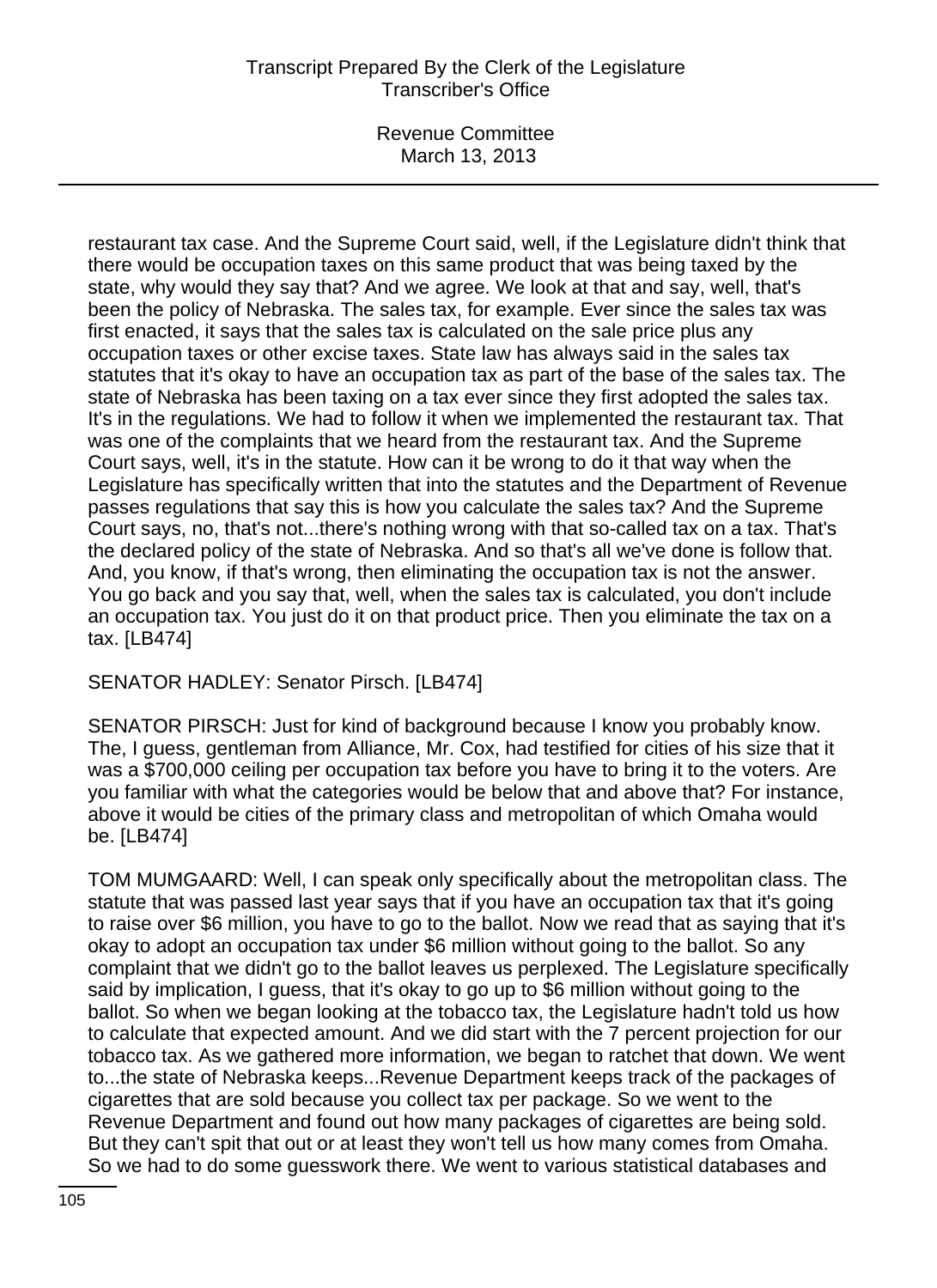Revenue Committee March 13, 2013

restaurant tax case. And the Supreme Court said, well, if the Legislature didn't think that there would be occupation taxes on this same product that was being taxed by the state, why would they say that? And we agree. We look at that and say, well, that's been the policy of Nebraska. The sales tax, for example. Ever since the sales tax was first enacted, it says that the sales tax is calculated on the sale price plus any occupation taxes or other excise taxes. State law has always said in the sales tax statutes that it's okay to have an occupation tax as part of the base of the sales tax. The state of Nebraska has been taxing on a tax ever since they first adopted the sales tax. It's in the regulations. We had to follow it when we implemented the restaurant tax. That was one of the complaints that we heard from the restaurant tax. And the Supreme Court says, well, it's in the statute. How can it be wrong to do it that way when the Legislature has specifically written that into the statutes and the Department of Revenue passes regulations that say this is how you calculate the sales tax? And the Supreme Court says, no, that's not...there's nothing wrong with that so-called tax on a tax. That's the declared policy of the state of Nebraska. And so that's all we've done is follow that. And, you know, if that's wrong, then eliminating the occupation tax is not the answer. You go back and you say that, well, when the sales tax is calculated, you don't include an occupation tax. You just do it on that product price. Then you eliminate the tax on a tax. [LB474]

SENATOR HADLEY: Senator Pirsch. [LB474]

SENATOR PIRSCH: Just for kind of background because I know you probably know. The, I guess, gentleman from Alliance, Mr. Cox, had testified for cities of his size that it was a \$700,000 ceiling per occupation tax before you have to bring it to the voters. Are you familiar with what the categories would be below that and above that? For instance, above it would be cities of the primary class and metropolitan of which Omaha would be. [LB474]

TOM MUMGAARD: Well, I can speak only specifically about the metropolitan class. The statute that was passed last year says that if you have an occupation tax that it's going to raise over \$6 million, you have to go to the ballot. Now we read that as saying that it's okay to adopt an occupation tax under \$6 million without going to the ballot. So any complaint that we didn't go to the ballot leaves us perplexed. The Legislature specifically said by implication, I guess, that it's okay to go up to \$6 million without going to the ballot. So when we began looking at the tobacco tax, the Legislature hadn't told us how to calculate that expected amount. And we did start with the 7 percent projection for our tobacco tax. As we gathered more information, we began to ratchet that down. We went to...the state of Nebraska keeps...Revenue Department keeps track of the packages of cigarettes that are sold because you collect tax per package. So we went to the Revenue Department and found out how many packages of cigarettes are being sold. But they can't spit that out or at least they won't tell us how many comes from Omaha. So we had to do some guesswork there. We went to various statistical databases and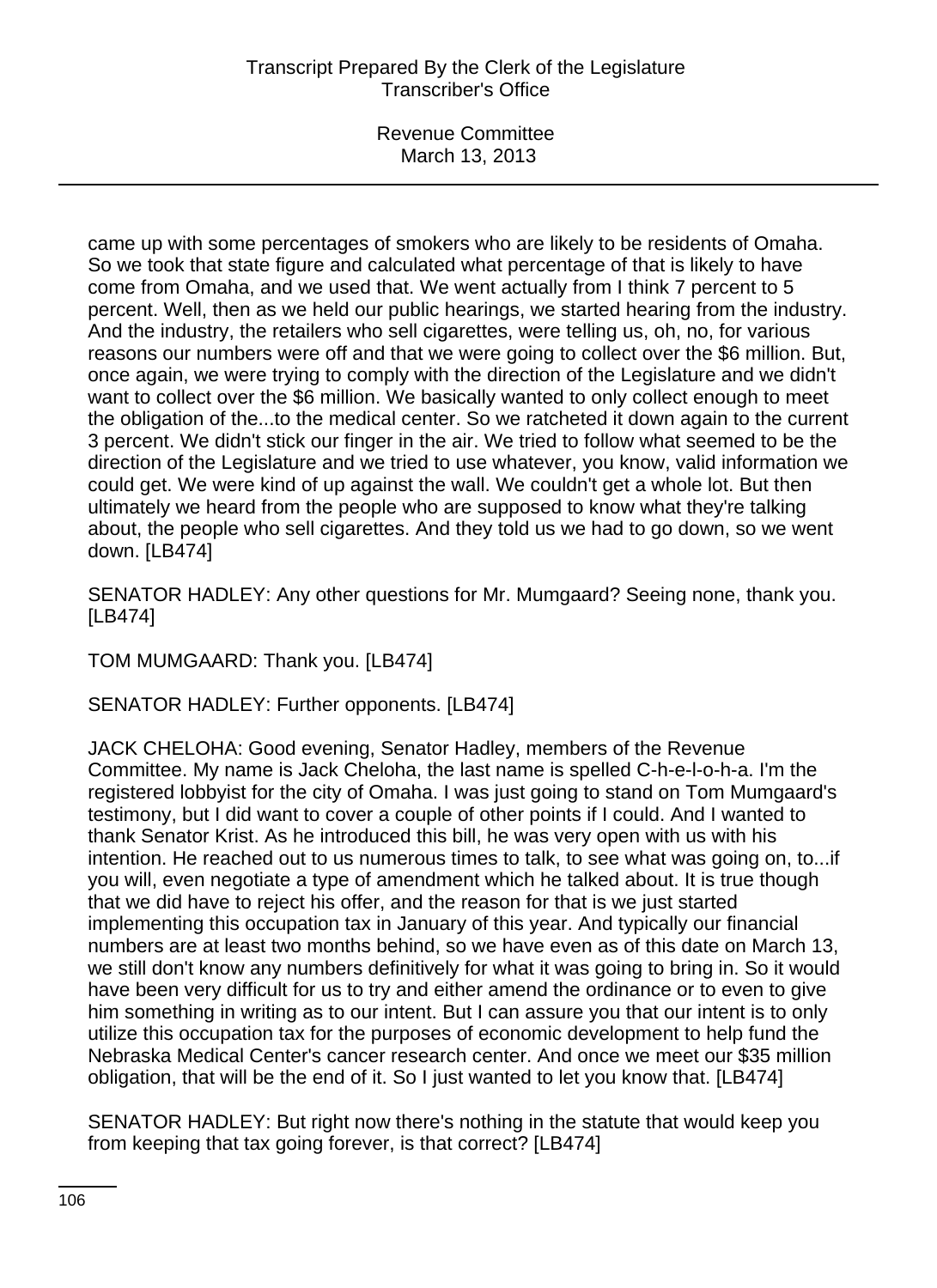Revenue Committee March 13, 2013

came up with some percentages of smokers who are likely to be residents of Omaha. So we took that state figure and calculated what percentage of that is likely to have come from Omaha, and we used that. We went actually from I think 7 percent to 5 percent. Well, then as we held our public hearings, we started hearing from the industry. And the industry, the retailers who sell cigarettes, were telling us, oh, no, for various reasons our numbers were off and that we were going to collect over the \$6 million. But, once again, we were trying to comply with the direction of the Legislature and we didn't want to collect over the \$6 million. We basically wanted to only collect enough to meet the obligation of the...to the medical center. So we ratcheted it down again to the current 3 percent. We didn't stick our finger in the air. We tried to follow what seemed to be the direction of the Legislature and we tried to use whatever, you know, valid information we could get. We were kind of up against the wall. We couldn't get a whole lot. But then ultimately we heard from the people who are supposed to know what they're talking about, the people who sell cigarettes. And they told us we had to go down, so we went down. [LB474]

SENATOR HADLEY: Any other questions for Mr. Mumgaard? Seeing none, thank you. [LB474]

TOM MUMGAARD: Thank you. [LB474]

SENATOR HADLEY: Further opponents. [LB474]

JACK CHELOHA: Good evening, Senator Hadley, members of the Revenue Committee. My name is Jack Cheloha, the last name is spelled C-h-e-l-o-h-a. I'm the registered lobbyist for the city of Omaha. I was just going to stand on Tom Mumgaard's testimony, but I did want to cover a couple of other points if I could. And I wanted to thank Senator Krist. As he introduced this bill, he was very open with us with his intention. He reached out to us numerous times to talk, to see what was going on, to...if you will, even negotiate a type of amendment which he talked about. It is true though that we did have to reject his offer, and the reason for that is we just started implementing this occupation tax in January of this year. And typically our financial numbers are at least two months behind, so we have even as of this date on March 13, we still don't know any numbers definitively for what it was going to bring in. So it would have been very difficult for us to try and either amend the ordinance or to even to give him something in writing as to our intent. But I can assure you that our intent is to only utilize this occupation tax for the purposes of economic development to help fund the Nebraska Medical Center's cancer research center. And once we meet our \$35 million obligation, that will be the end of it. So I just wanted to let you know that. [LB474]

SENATOR HADLEY: But right now there's nothing in the statute that would keep you from keeping that tax going forever, is that correct? [LB474]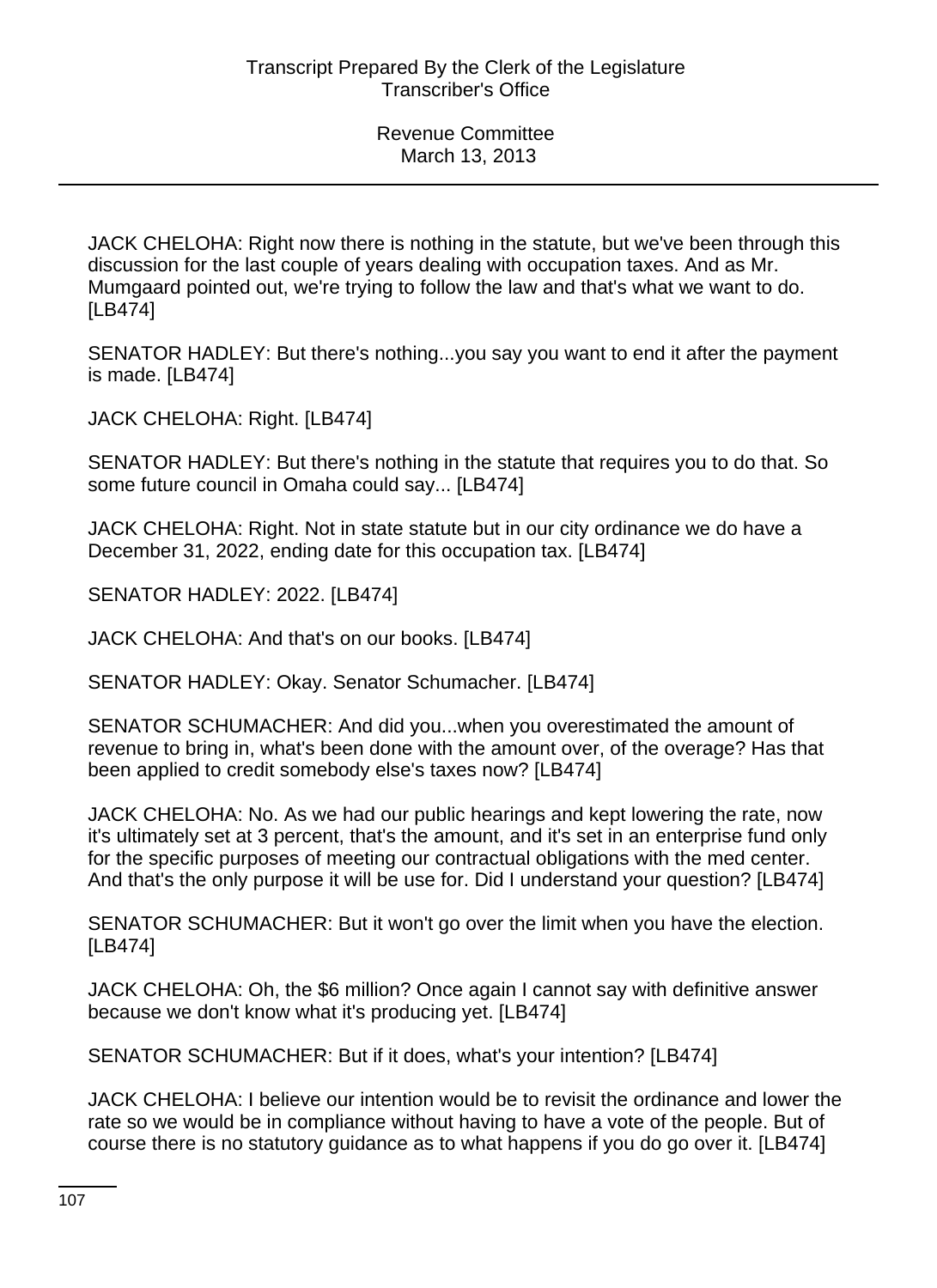JACK CHELOHA: Right now there is nothing in the statute, but we've been through this discussion for the last couple of years dealing with occupation taxes. And as Mr. Mumgaard pointed out, we're trying to follow the law and that's what we want to do. [LB474]

SENATOR HADLEY: But there's nothing...you say you want to end it after the payment is made. [LB474]

JACK CHELOHA: Right. [LB474]

SENATOR HADLEY: But there's nothing in the statute that requires you to do that. So some future council in Omaha could say... [LB474]

JACK CHELOHA: Right. Not in state statute but in our city ordinance we do have a December 31, 2022, ending date for this occupation tax. [LB474]

SENATOR HADLEY: 2022. [LB474]

JACK CHELOHA: And that's on our books. [LB474]

SENATOR HADLEY: Okay. Senator Schumacher. [LB474]

SENATOR SCHUMACHER: And did you...when you overestimated the amount of revenue to bring in, what's been done with the amount over, of the overage? Has that been applied to credit somebody else's taxes now? [LB474]

JACK CHELOHA: No. As we had our public hearings and kept lowering the rate, now it's ultimately set at 3 percent, that's the amount, and it's set in an enterprise fund only for the specific purposes of meeting our contractual obligations with the med center. And that's the only purpose it will be use for. Did I understand your question? [LB474]

SENATOR SCHUMACHER: But it won't go over the limit when you have the election. [LB474]

JACK CHELOHA: Oh, the \$6 million? Once again I cannot say with definitive answer because we don't know what it's producing yet. [LB474]

SENATOR SCHUMACHER: But if it does, what's your intention? [LB474]

JACK CHELOHA: I believe our intention would be to revisit the ordinance and lower the rate so we would be in compliance without having to have a vote of the people. But of course there is no statutory guidance as to what happens if you do go over it. [LB474]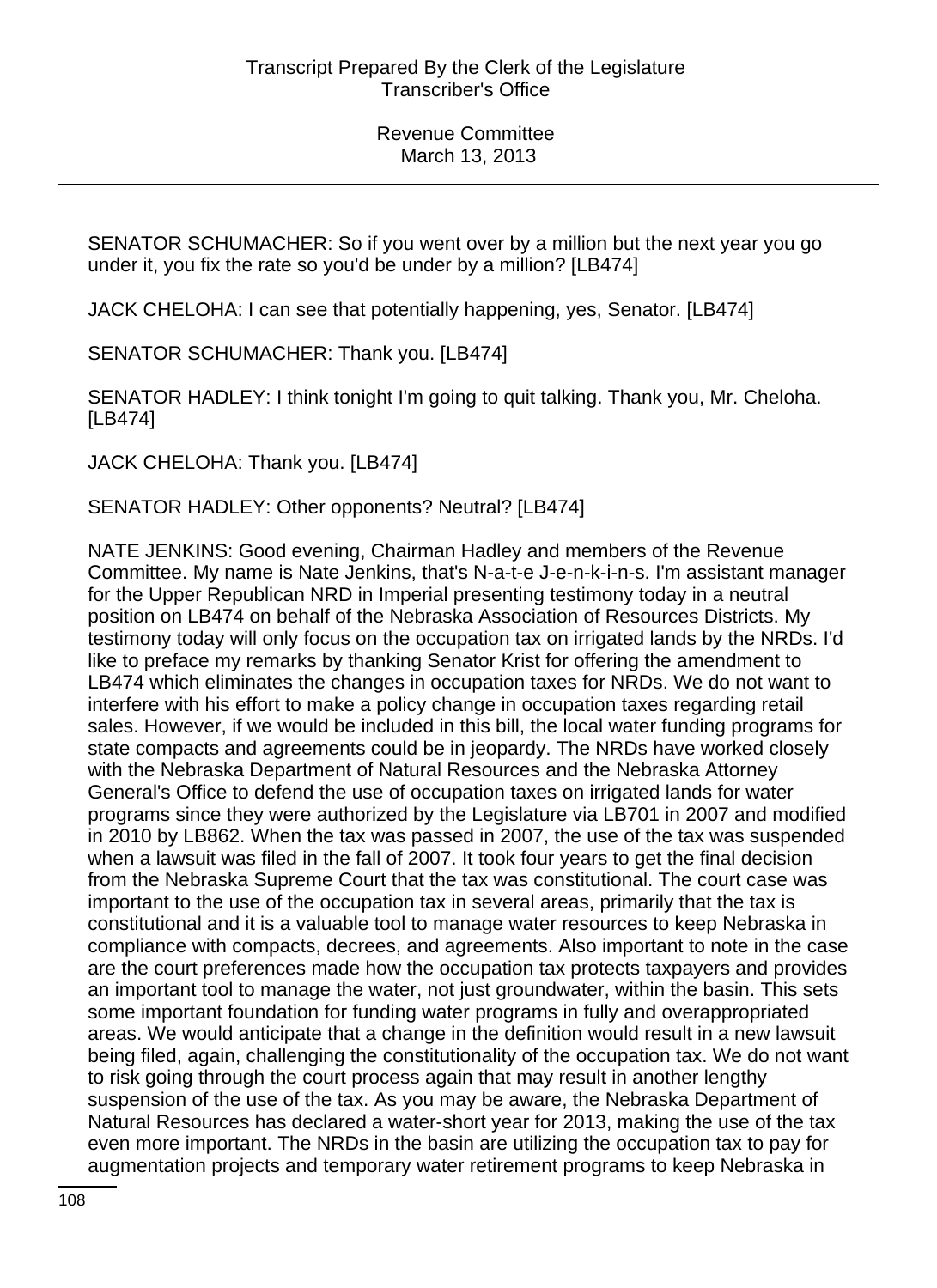SENATOR SCHUMACHER: So if you went over by a million but the next year you go under it, you fix the rate so you'd be under by a million? [LB474]

JACK CHELOHA: I can see that potentially happening, yes, Senator. [LB474]

SENATOR SCHUMACHER: Thank you. [LB474]

SENATOR HADLEY: I think tonight I'm going to quit talking. Thank you, Mr. Cheloha. [LB474]

JACK CHELOHA: Thank you. [LB474]

SENATOR HADLEY: Other opponents? Neutral? [LB474]

NATE JENKINS: Good evening, Chairman Hadley and members of the Revenue Committee. My name is Nate Jenkins, that's N-a-t-e J-e-n-k-i-n-s. I'm assistant manager for the Upper Republican NRD in Imperial presenting testimony today in a neutral position on LB474 on behalf of the Nebraska Association of Resources Districts. My testimony today will only focus on the occupation tax on irrigated lands by the NRDs. I'd like to preface my remarks by thanking Senator Krist for offering the amendment to LB474 which eliminates the changes in occupation taxes for NRDs. We do not want to interfere with his effort to make a policy change in occupation taxes regarding retail sales. However, if we would be included in this bill, the local water funding programs for state compacts and agreements could be in jeopardy. The NRDs have worked closely with the Nebraska Department of Natural Resources and the Nebraska Attorney General's Office to defend the use of occupation taxes on irrigated lands for water programs since they were authorized by the Legislature via LB701 in 2007 and modified in 2010 by LB862. When the tax was passed in 2007, the use of the tax was suspended when a lawsuit was filed in the fall of 2007. It took four years to get the final decision from the Nebraska Supreme Court that the tax was constitutional. The court case was important to the use of the occupation tax in several areas, primarily that the tax is constitutional and it is a valuable tool to manage water resources to keep Nebraska in compliance with compacts, decrees, and agreements. Also important to note in the case are the court preferences made how the occupation tax protects taxpayers and provides an important tool to manage the water, not just groundwater, within the basin. This sets some important foundation for funding water programs in fully and overappropriated areas. We would anticipate that a change in the definition would result in a new lawsuit being filed, again, challenging the constitutionality of the occupation tax. We do not want to risk going through the court process again that may result in another lengthy suspension of the use of the tax. As you may be aware, the Nebraska Department of Natural Resources has declared a water-short year for 2013, making the use of the tax even more important. The NRDs in the basin are utilizing the occupation tax to pay for augmentation projects and temporary water retirement programs to keep Nebraska in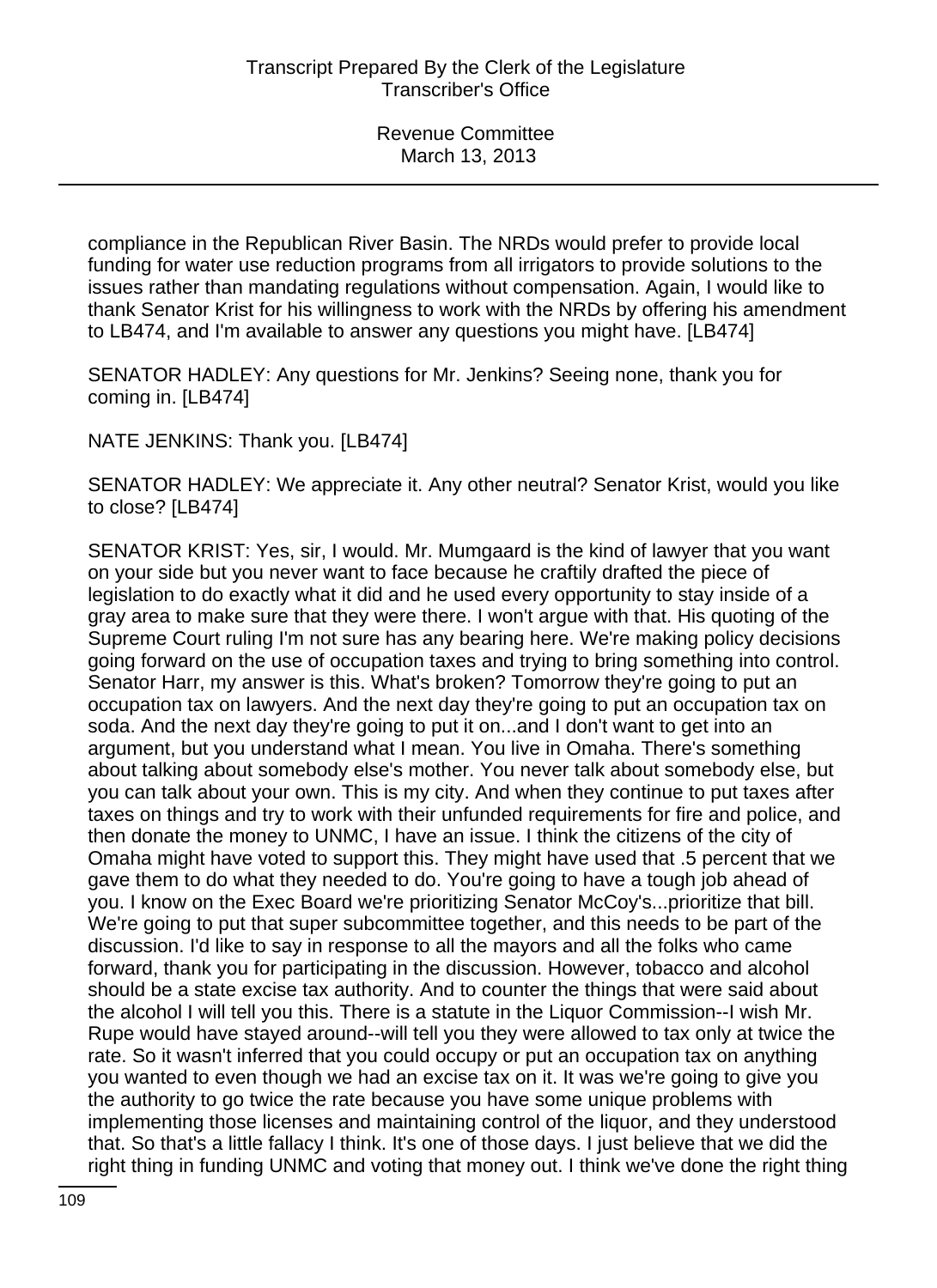compliance in the Republican River Basin. The NRDs would prefer to provide local funding for water use reduction programs from all irrigators to provide solutions to the issues rather than mandating regulations without compensation. Again, I would like to thank Senator Krist for his willingness to work with the NRDs by offering his amendment to LB474, and I'm available to answer any questions you might have. [LB474]

SENATOR HADLEY: Any questions for Mr. Jenkins? Seeing none, thank you for coming in. [LB474]

NATE JENKINS: Thank you. [LB474]

SENATOR HADLEY: We appreciate it. Any other neutral? Senator Krist, would you like to close? [LB474]

SENATOR KRIST: Yes, sir, I would. Mr. Mumgaard is the kind of lawyer that you want on your side but you never want to face because he craftily drafted the piece of legislation to do exactly what it did and he used every opportunity to stay inside of a gray area to make sure that they were there. I won't argue with that. His quoting of the Supreme Court ruling I'm not sure has any bearing here. We're making policy decisions going forward on the use of occupation taxes and trying to bring something into control. Senator Harr, my answer is this. What's broken? Tomorrow they're going to put an occupation tax on lawyers. And the next day they're going to put an occupation tax on soda. And the next day they're going to put it on...and I don't want to get into an argument, but you understand what I mean. You live in Omaha. There's something about talking about somebody else's mother. You never talk about somebody else, but you can talk about your own. This is my city. And when they continue to put taxes after taxes on things and try to work with their unfunded requirements for fire and police, and then donate the money to UNMC, I have an issue. I think the citizens of the city of Omaha might have voted to support this. They might have used that .5 percent that we gave them to do what they needed to do. You're going to have a tough job ahead of you. I know on the Exec Board we're prioritizing Senator McCoy's...prioritize that bill. We're going to put that super subcommittee together, and this needs to be part of the discussion. I'd like to say in response to all the mayors and all the folks who came forward, thank you for participating in the discussion. However, tobacco and alcohol should be a state excise tax authority. And to counter the things that were said about the alcohol I will tell you this. There is a statute in the Liquor Commission--I wish Mr. Rupe would have stayed around--will tell you they were allowed to tax only at twice the rate. So it wasn't inferred that you could occupy or put an occupation tax on anything you wanted to even though we had an excise tax on it. It was we're going to give you the authority to go twice the rate because you have some unique problems with implementing those licenses and maintaining control of the liquor, and they understood that. So that's a little fallacy I think. It's one of those days. I just believe that we did the right thing in funding UNMC and voting that money out. I think we've done the right thing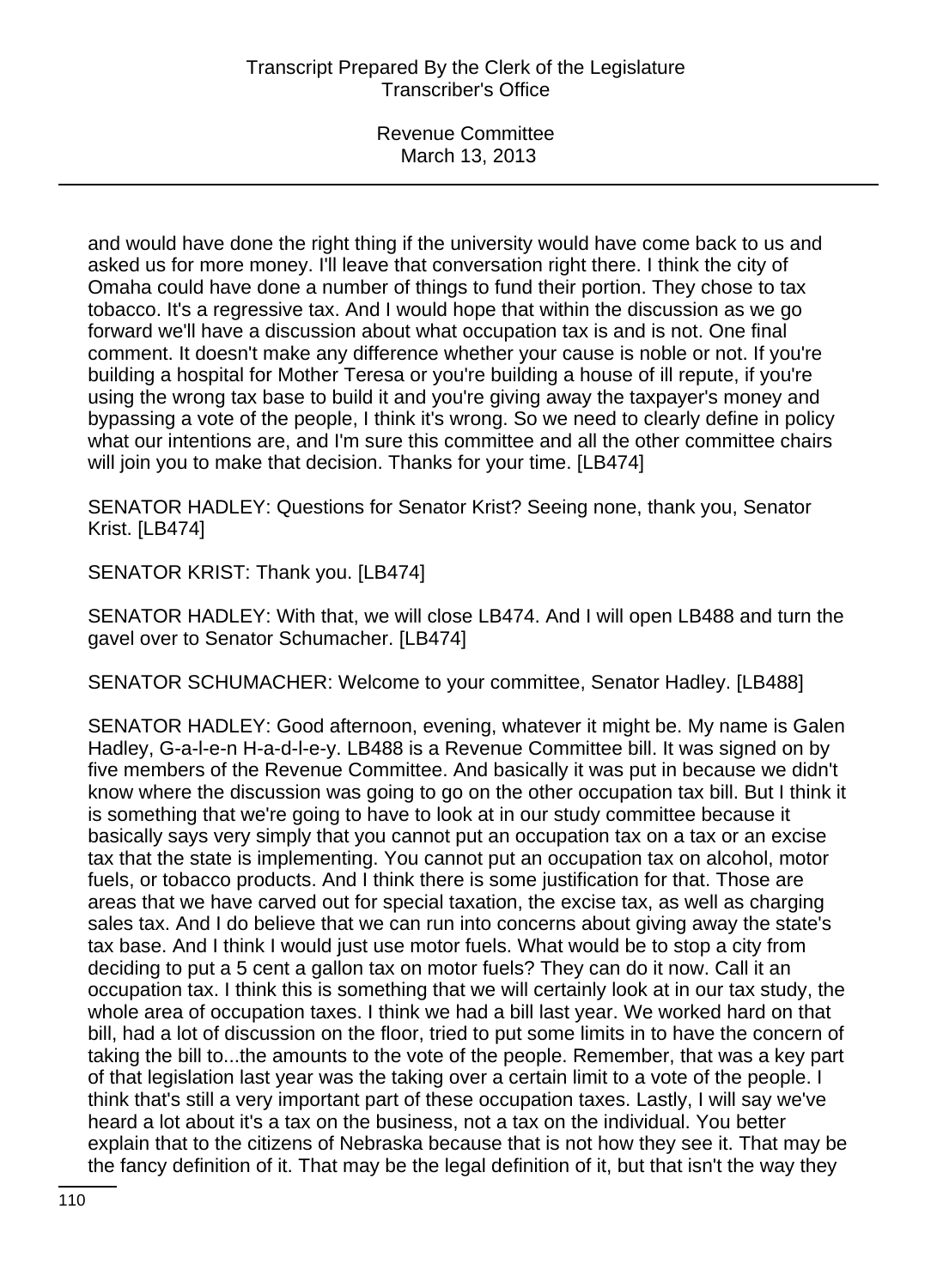and would have done the right thing if the university would have come back to us and asked us for more money. I'll leave that conversation right there. I think the city of Omaha could have done a number of things to fund their portion. They chose to tax tobacco. It's a regressive tax. And I would hope that within the discussion as we go forward we'll have a discussion about what occupation tax is and is not. One final comment. It doesn't make any difference whether your cause is noble or not. If you're building a hospital for Mother Teresa or you're building a house of ill repute, if you're using the wrong tax base to build it and you're giving away the taxpayer's money and bypassing a vote of the people, I think it's wrong. So we need to clearly define in policy what our intentions are, and I'm sure this committee and all the other committee chairs will join you to make that decision. Thanks for your time. [LB474]

SENATOR HADLEY: Questions for Senator Krist? Seeing none, thank you, Senator Krist. [LB474]

SENATOR KRIST: Thank you. [LB474]

SENATOR HADLEY: With that, we will close LB474. And I will open LB488 and turn the gavel over to Senator Schumacher. [LB474]

SENATOR SCHUMACHER: Welcome to your committee, Senator Hadley. [LB488]

SENATOR HADLEY: Good afternoon, evening, whatever it might be. My name is Galen Hadley, G-a-l-e-n H-a-d-l-e-y. LB488 is a Revenue Committee bill. It was signed on by five members of the Revenue Committee. And basically it was put in because we didn't know where the discussion was going to go on the other occupation tax bill. But I think it is something that we're going to have to look at in our study committee because it basically says very simply that you cannot put an occupation tax on a tax or an excise tax that the state is implementing. You cannot put an occupation tax on alcohol, motor fuels, or tobacco products. And I think there is some justification for that. Those are areas that we have carved out for special taxation, the excise tax, as well as charging sales tax. And I do believe that we can run into concerns about giving away the state's tax base. And I think I would just use motor fuels. What would be to stop a city from deciding to put a 5 cent a gallon tax on motor fuels? They can do it now. Call it an occupation tax. I think this is something that we will certainly look at in our tax study, the whole area of occupation taxes. I think we had a bill last year. We worked hard on that bill, had a lot of discussion on the floor, tried to put some limits in to have the concern of taking the bill to...the amounts to the vote of the people. Remember, that was a key part of that legislation last year was the taking over a certain limit to a vote of the people. I think that's still a very important part of these occupation taxes. Lastly, I will say we've heard a lot about it's a tax on the business, not a tax on the individual. You better explain that to the citizens of Nebraska because that is not how they see it. That may be the fancy definition of it. That may be the legal definition of it, but that isn't the way they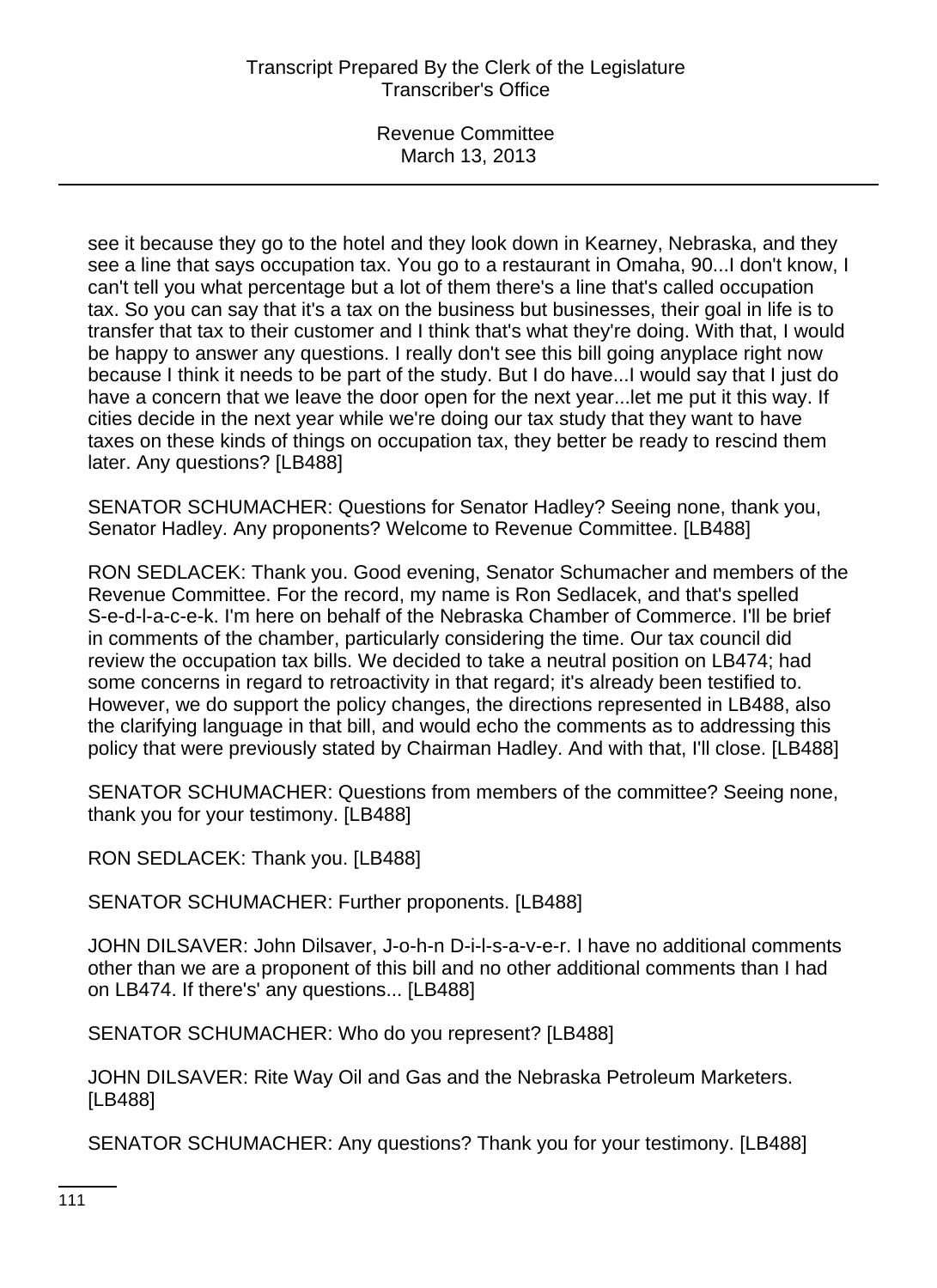see it because they go to the hotel and they look down in Kearney, Nebraska, and they see a line that says occupation tax. You go to a restaurant in Omaha, 90...I don't know, I can't tell you what percentage but a lot of them there's a line that's called occupation tax. So you can say that it's a tax on the business but businesses, their goal in life is to transfer that tax to their customer and I think that's what they're doing. With that, I would be happy to answer any questions. I really don't see this bill going anyplace right now because I think it needs to be part of the study. But I do have...I would say that I just do have a concern that we leave the door open for the next year...let me put it this way. If cities decide in the next year while we're doing our tax study that they want to have taxes on these kinds of things on occupation tax, they better be ready to rescind them later. Any questions? [LB488]

SENATOR SCHUMACHER: Questions for Senator Hadley? Seeing none, thank you, Senator Hadley. Any proponents? Welcome to Revenue Committee. [LB488]

RON SEDLACEK: Thank you. Good evening, Senator Schumacher and members of the Revenue Committee. For the record, my name is Ron Sedlacek, and that's spelled S-e-d-l-a-c-e-k. I'm here on behalf of the Nebraska Chamber of Commerce. I'll be brief in comments of the chamber, particularly considering the time. Our tax council did review the occupation tax bills. We decided to take a neutral position on LB474; had some concerns in regard to retroactivity in that regard; it's already been testified to. However, we do support the policy changes, the directions represented in LB488, also the clarifying language in that bill, and would echo the comments as to addressing this policy that were previously stated by Chairman Hadley. And with that, I'll close. [LB488]

SENATOR SCHUMACHER: Questions from members of the committee? Seeing none, thank you for your testimony. [LB488]

RON SEDLACEK: Thank you. [LB488]

SENATOR SCHUMACHER: Further proponents. [LB488]

JOHN DILSAVER: John Dilsaver, J-o-h-n D-i-l-s-a-v-e-r. I have no additional comments other than we are a proponent of this bill and no other additional comments than I had on LB474. If there's' any questions... [LB488]

SENATOR SCHUMACHER: Who do you represent? [LB488]

JOHN DILSAVER: Rite Way Oil and Gas and the Nebraska Petroleum Marketers. [LB488]

SENATOR SCHUMACHER: Any questions? Thank you for your testimony. [LB488]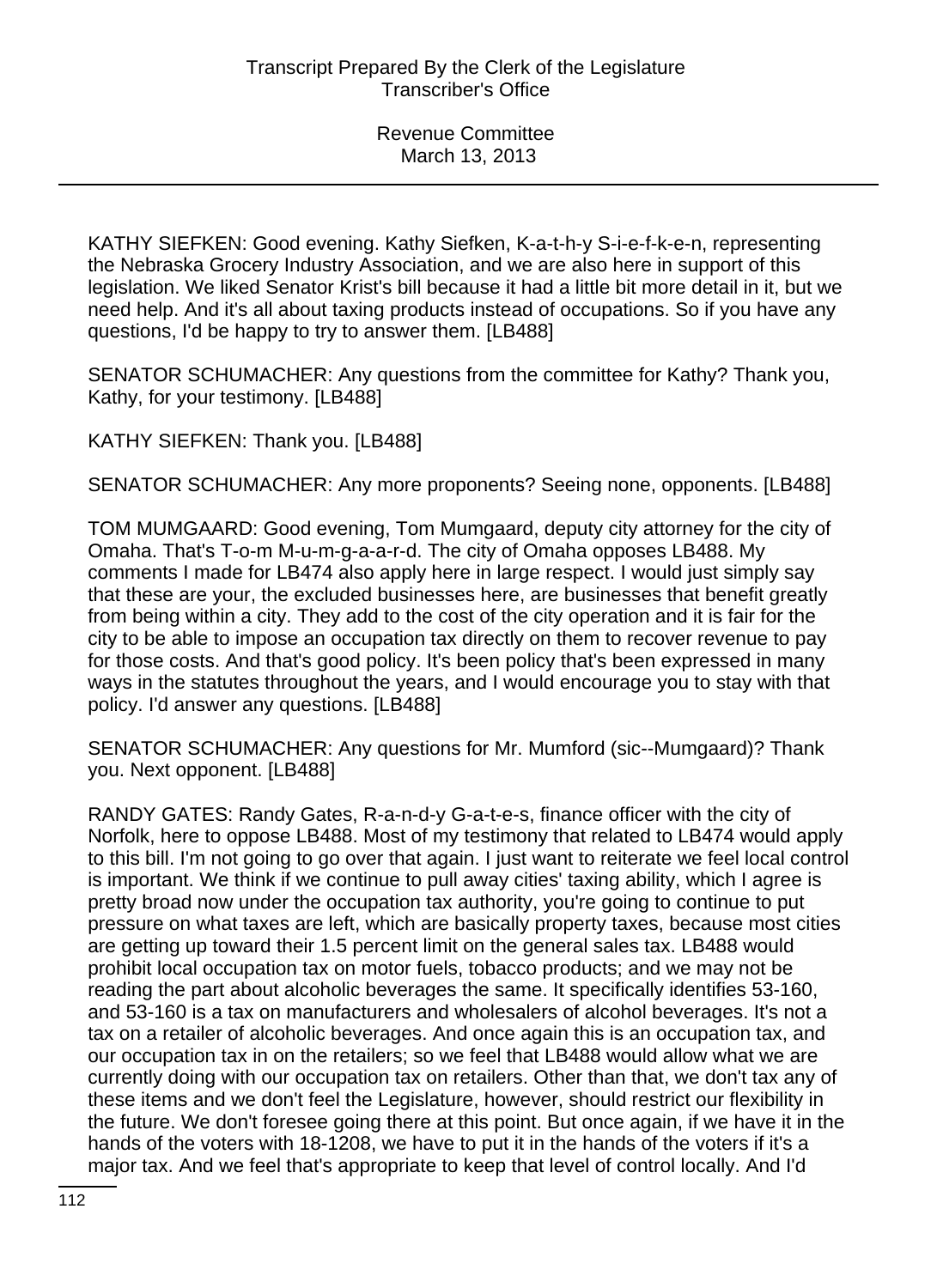KATHY SIEFKEN: Good evening. Kathy Siefken, K-a-t-h-y S-i-e-f-k-e-n, representing the Nebraska Grocery Industry Association, and we are also here in support of this legislation. We liked Senator Krist's bill because it had a little bit more detail in it, but we need help. And it's all about taxing products instead of occupations. So if you have any questions, I'd be happy to try to answer them. [LB488]

SENATOR SCHUMACHER: Any questions from the committee for Kathy? Thank you, Kathy, for your testimony. [LB488]

KATHY SIEFKEN: Thank you. [LB488]

SENATOR SCHUMACHER: Any more proponents? Seeing none, opponents. [LB488]

TOM MUMGAARD: Good evening, Tom Mumgaard, deputy city attorney for the city of Omaha. That's T-o-m M-u-m-g-a-a-r-d. The city of Omaha opposes LB488. My comments I made for LB474 also apply here in large respect. I would just simply say that these are your, the excluded businesses here, are businesses that benefit greatly from being within a city. They add to the cost of the city operation and it is fair for the city to be able to impose an occupation tax directly on them to recover revenue to pay for those costs. And that's good policy. It's been policy that's been expressed in many ways in the statutes throughout the years, and I would encourage you to stay with that policy. I'd answer any questions. [LB488]

SENATOR SCHUMACHER: Any questions for Mr. Mumford (sic--Mumgaard)? Thank you. Next opponent. [LB488]

RANDY GATES: Randy Gates, R-a-n-d-y G-a-t-e-s, finance officer with the city of Norfolk, here to oppose LB488. Most of my testimony that related to LB474 would apply to this bill. I'm not going to go over that again. I just want to reiterate we feel local control is important. We think if we continue to pull away cities' taxing ability, which I agree is pretty broad now under the occupation tax authority, you're going to continue to put pressure on what taxes are left, which are basically property taxes, because most cities are getting up toward their 1.5 percent limit on the general sales tax. LB488 would prohibit local occupation tax on motor fuels, tobacco products; and we may not be reading the part about alcoholic beverages the same. It specifically identifies 53-160, and 53-160 is a tax on manufacturers and wholesalers of alcohol beverages. It's not a tax on a retailer of alcoholic beverages. And once again this is an occupation tax, and our occupation tax in on the retailers; so we feel that LB488 would allow what we are currently doing with our occupation tax on retailers. Other than that, we don't tax any of these items and we don't feel the Legislature, however, should restrict our flexibility in the future. We don't foresee going there at this point. But once again, if we have it in the hands of the voters with 18-1208, we have to put it in the hands of the voters if it's a major tax. And we feel that's appropriate to keep that level of control locally. And I'd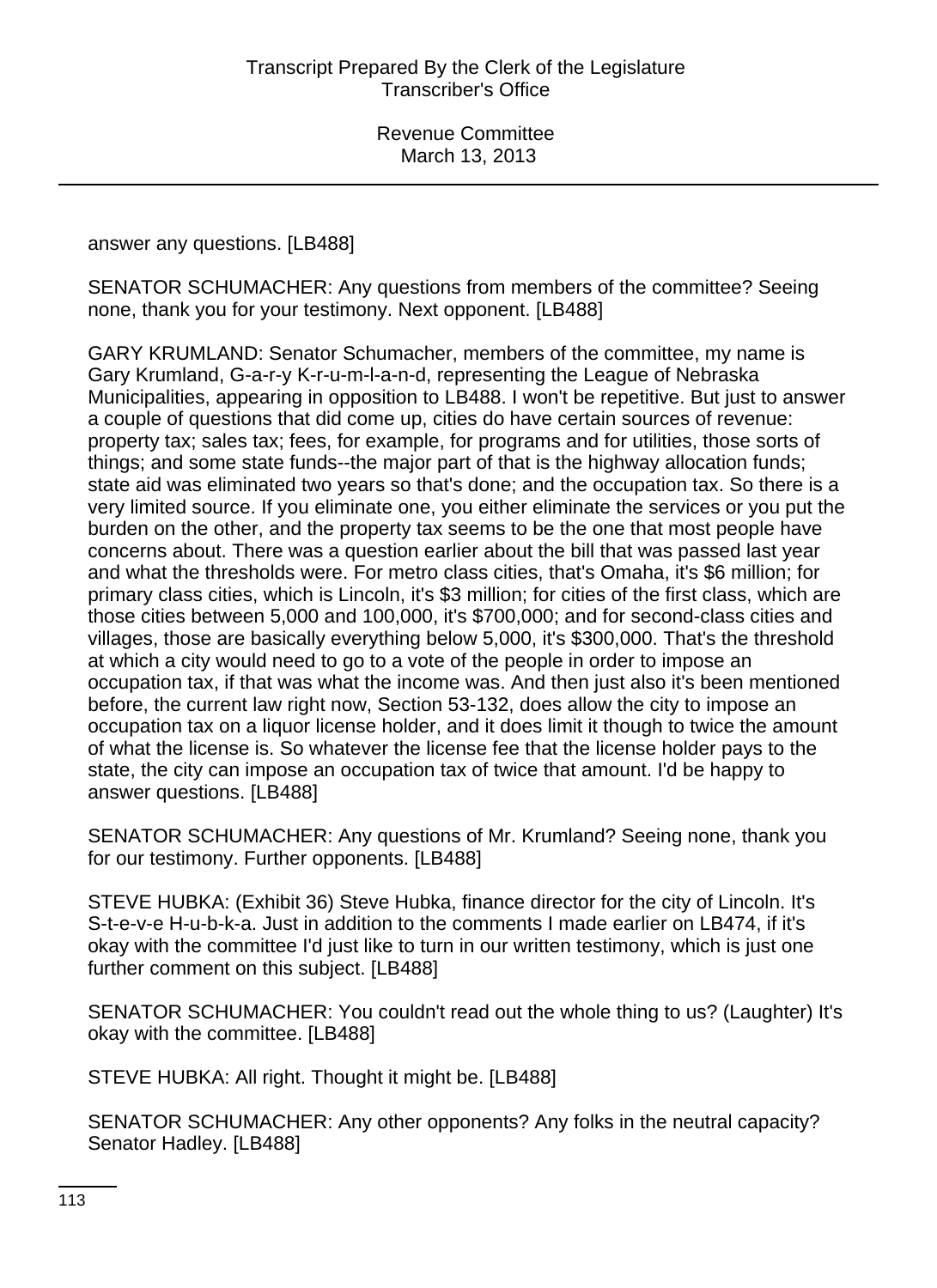#### answer any questions. [LB488]

SENATOR SCHUMACHER: Any questions from members of the committee? Seeing none, thank you for your testimony. Next opponent. [LB488]

GARY KRUMLAND: Senator Schumacher, members of the committee, my name is Gary Krumland, G-a-r-y K-r-u-m-l-a-n-d, representing the League of Nebraska Municipalities, appearing in opposition to LB488. I won't be repetitive. But just to answer a couple of questions that did come up, cities do have certain sources of revenue: property tax; sales tax; fees, for example, for programs and for utilities, those sorts of things; and some state funds--the major part of that is the highway allocation funds; state aid was eliminated two years so that's done; and the occupation tax. So there is a very limited source. If you eliminate one, you either eliminate the services or you put the burden on the other, and the property tax seems to be the one that most people have concerns about. There was a question earlier about the bill that was passed last year and what the thresholds were. For metro class cities, that's Omaha, it's \$6 million; for primary class cities, which is Lincoln, it's \$3 million; for cities of the first class, which are those cities between 5,000 and 100,000, it's \$700,000; and for second-class cities and villages, those are basically everything below 5,000, it's \$300,000. That's the threshold at which a city would need to go to a vote of the people in order to impose an occupation tax, if that was what the income was. And then just also it's been mentioned before, the current law right now, Section 53-132, does allow the city to impose an occupation tax on a liquor license holder, and it does limit it though to twice the amount of what the license is. So whatever the license fee that the license holder pays to the state, the city can impose an occupation tax of twice that amount. I'd be happy to answer questions. [LB488]

SENATOR SCHUMACHER: Any questions of Mr. Krumland? Seeing none, thank you for our testimony. Further opponents. [LB488]

STEVE HUBKA: (Exhibit 36) Steve Hubka, finance director for the city of Lincoln. It's S-t-e-v-e H-u-b-k-a. Just in addition to the comments I made earlier on LB474, if it's okay with the committee I'd just like to turn in our written testimony, which is just one further comment on this subject. [LB488]

SENATOR SCHUMACHER: You couldn't read out the whole thing to us? (Laughter) It's okay with the committee. [LB488]

STEVE HUBKA: All right. Thought it might be. [LB488]

SENATOR SCHUMACHER: Any other opponents? Any folks in the neutral capacity? Senator Hadley. [LB488]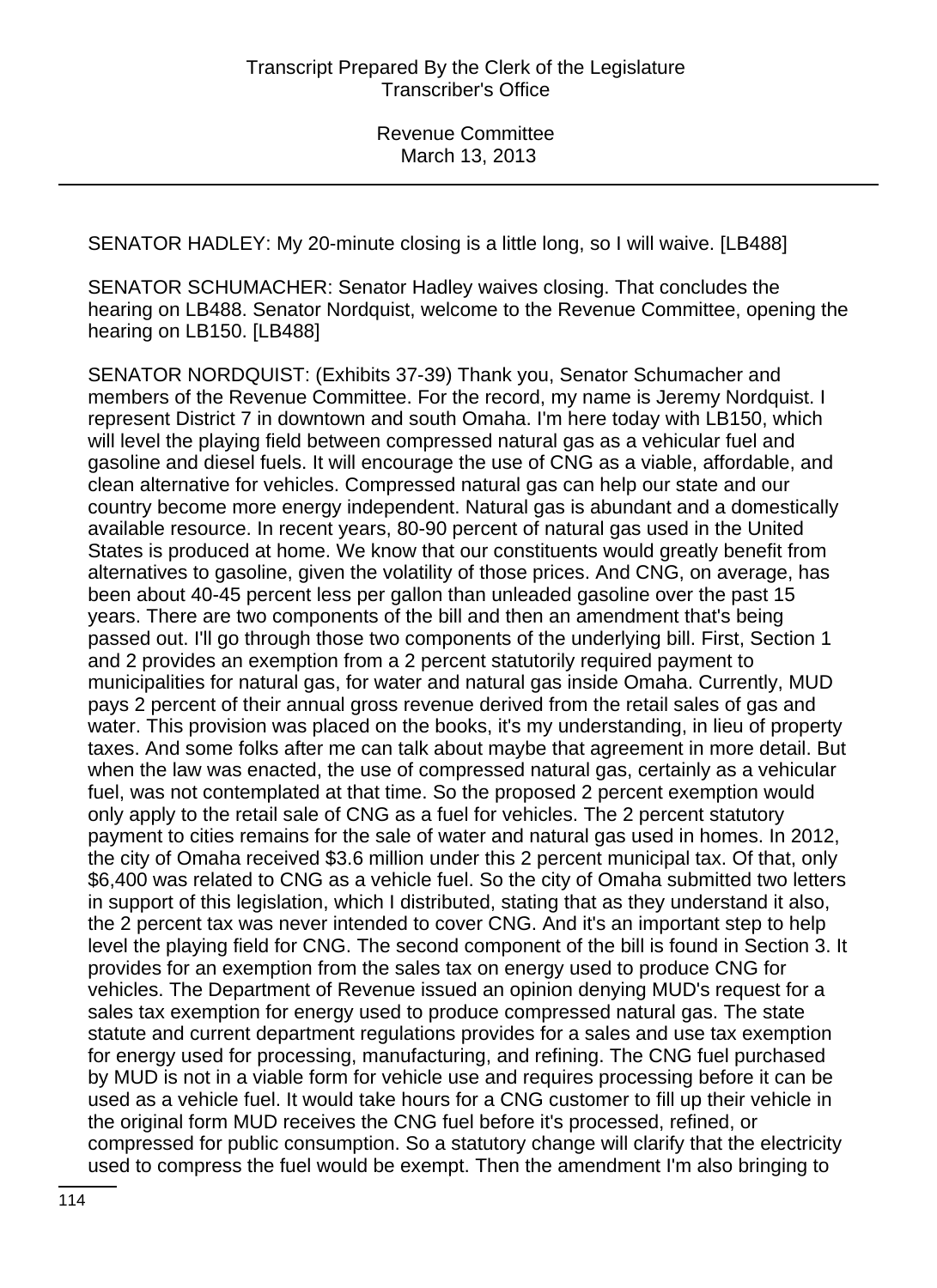SENATOR HADLEY: My 20-minute closing is a little long, so I will waive. [LB488]

SENATOR SCHUMACHER: Senator Hadley waives closing. That concludes the hearing on LB488. Senator Nordquist, welcome to the Revenue Committee, opening the hearing on LB150. [LB488]

SENATOR NORDQUIST: (Exhibits 37-39) Thank you, Senator Schumacher and members of the Revenue Committee. For the record, my name is Jeremy Nordquist. I represent District 7 in downtown and south Omaha. I'm here today with LB150, which will level the playing field between compressed natural gas as a vehicular fuel and gasoline and diesel fuels. It will encourage the use of CNG as a viable, affordable, and clean alternative for vehicles. Compressed natural gas can help our state and our country become more energy independent. Natural gas is abundant and a domestically available resource. In recent years, 80-90 percent of natural gas used in the United States is produced at home. We know that our constituents would greatly benefit from alternatives to gasoline, given the volatility of those prices. And CNG, on average, has been about 40-45 percent less per gallon than unleaded gasoline over the past 15 years. There are two components of the bill and then an amendment that's being passed out. I'll go through those two components of the underlying bill. First, Section 1 and 2 provides an exemption from a 2 percent statutorily required payment to municipalities for natural gas, for water and natural gas inside Omaha. Currently, MUD pays 2 percent of their annual gross revenue derived from the retail sales of gas and water. This provision was placed on the books, it's my understanding, in lieu of property taxes. And some folks after me can talk about maybe that agreement in more detail. But when the law was enacted, the use of compressed natural gas, certainly as a vehicular fuel, was not contemplated at that time. So the proposed 2 percent exemption would only apply to the retail sale of CNG as a fuel for vehicles. The 2 percent statutory payment to cities remains for the sale of water and natural gas used in homes. In 2012, the city of Omaha received \$3.6 million under this 2 percent municipal tax. Of that, only \$6,400 was related to CNG as a vehicle fuel. So the city of Omaha submitted two letters in support of this legislation, which I distributed, stating that as they understand it also, the 2 percent tax was never intended to cover CNG. And it's an important step to help level the playing field for CNG. The second component of the bill is found in Section 3. It provides for an exemption from the sales tax on energy used to produce CNG for vehicles. The Department of Revenue issued an opinion denying MUD's request for a sales tax exemption for energy used to produce compressed natural gas. The state statute and current department regulations provides for a sales and use tax exemption for energy used for processing, manufacturing, and refining. The CNG fuel purchased by MUD is not in a viable form for vehicle use and requires processing before it can be used as a vehicle fuel. It would take hours for a CNG customer to fill up their vehicle in the original form MUD receives the CNG fuel before it's processed, refined, or compressed for public consumption. So a statutory change will clarify that the electricity used to compress the fuel would be exempt. Then the amendment I'm also bringing to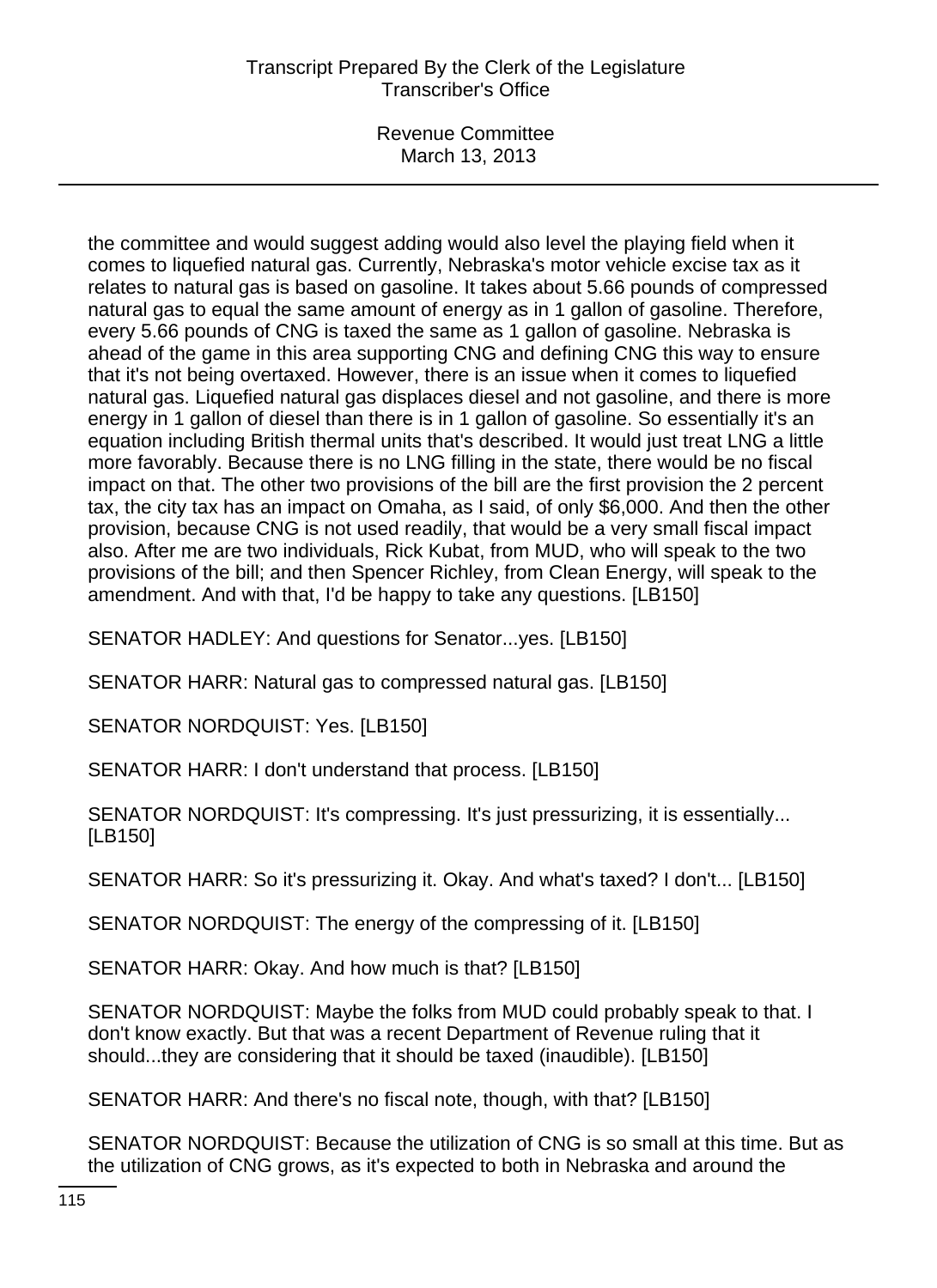# Transcript Prepared By the Clerk of the Legislature Transcriber's Office

Revenue Committee March 13, 2013

the committee and would suggest adding would also level the playing field when it comes to liquefied natural gas. Currently, Nebraska's motor vehicle excise tax as it relates to natural gas is based on gasoline. It takes about 5.66 pounds of compressed natural gas to equal the same amount of energy as in 1 gallon of gasoline. Therefore, every 5.66 pounds of CNG is taxed the same as 1 gallon of gasoline. Nebraska is ahead of the game in this area supporting CNG and defining CNG this way to ensure that it's not being overtaxed. However, there is an issue when it comes to liquefied natural gas. Liquefied natural gas displaces diesel and not gasoline, and there is more energy in 1 gallon of diesel than there is in 1 gallon of gasoline. So essentially it's an equation including British thermal units that's described. It would just treat LNG a little more favorably. Because there is no LNG filling in the state, there would be no fiscal impact on that. The other two provisions of the bill are the first provision the 2 percent tax, the city tax has an impact on Omaha, as I said, of only \$6,000. And then the other provision, because CNG is not used readily, that would be a very small fiscal impact also. After me are two individuals, Rick Kubat, from MUD, who will speak to the two provisions of the bill; and then Spencer Richley, from Clean Energy, will speak to the amendment. And with that, I'd be happy to take any questions. [LB150]

SENATOR HADLEY: And questions for Senator...yes. [LB150]

SENATOR HARR: Natural gas to compressed natural gas. [LB150]

SENATOR NORDQUIST: Yes. [LB150]

SENATOR HARR: I don't understand that process. [LB150]

SENATOR NORDQUIST: It's compressing. It's just pressurizing, it is essentially... [LB150]

SENATOR HARR: So it's pressurizing it. Okay. And what's taxed? I don't... [LB150]

SENATOR NORDQUIST: The energy of the compressing of it. [LB150]

SENATOR HARR: Okay. And how much is that? [LB150]

SENATOR NORDQUIST: Maybe the folks from MUD could probably speak to that. I don't know exactly. But that was a recent Department of Revenue ruling that it should...they are considering that it should be taxed (inaudible). [LB150]

SENATOR HARR: And there's no fiscal note, though, with that? [LB150]

SENATOR NORDQUIST: Because the utilization of CNG is so small at this time. But as the utilization of CNG grows, as it's expected to both in Nebraska and around the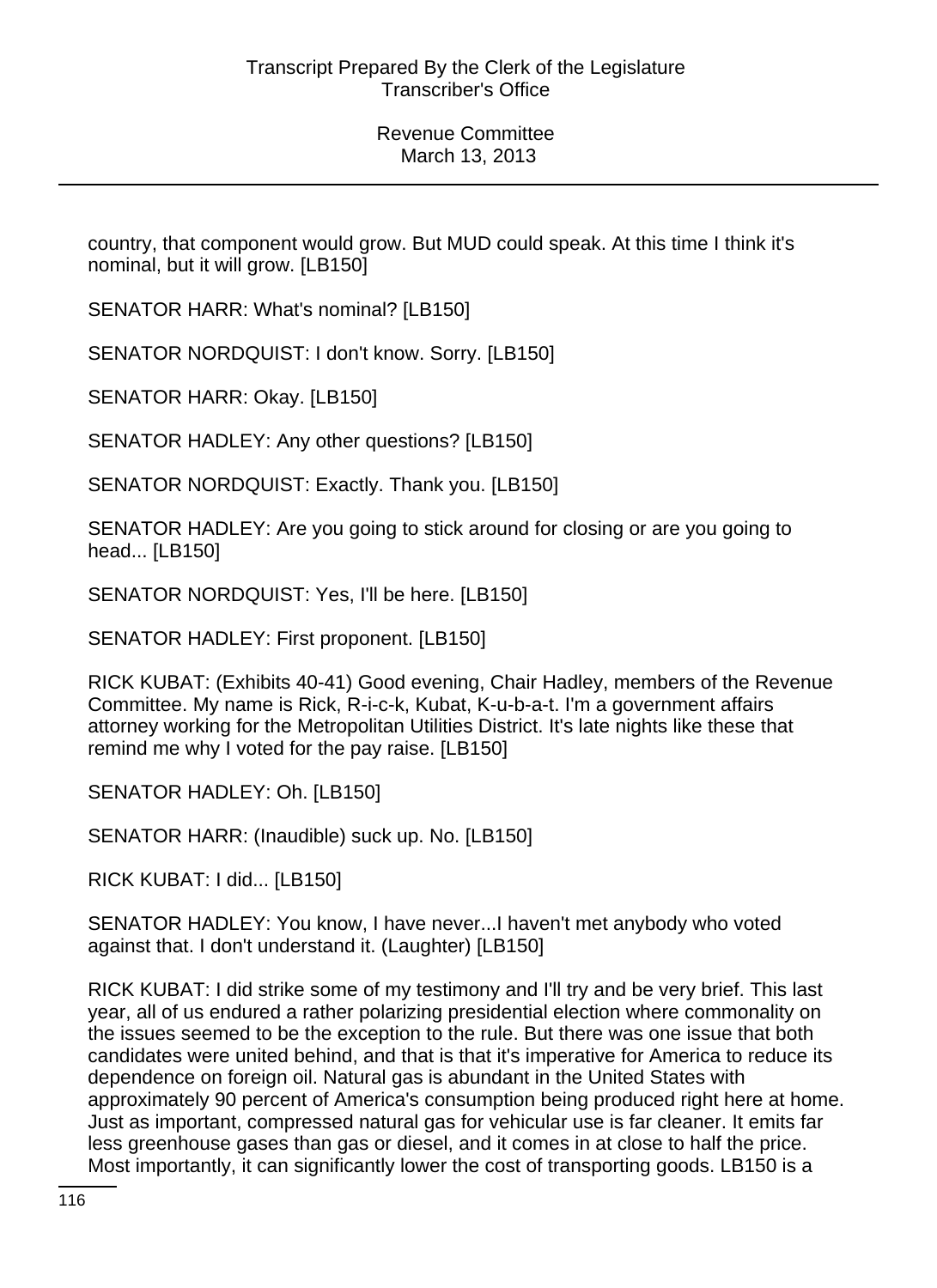country, that component would grow. But MUD could speak. At this time I think it's nominal, but it will grow. [LB150]

SENATOR HARR: What's nominal? [LB150]

SENATOR NORDQUIST: I don't know. Sorry. [LB150]

SENATOR HARR: Okay. [LB150]

SENATOR HADLEY: Any other questions? [LB150]

SENATOR NORDQUIST: Exactly. Thank you. [LB150]

SENATOR HADLEY: Are you going to stick around for closing or are you going to head... [LB150]

SENATOR NORDQUIST: Yes, I'll be here. [LB150]

SENATOR HADLEY: First proponent. [LB150]

RICK KUBAT: (Exhibits 40-41) Good evening, Chair Hadley, members of the Revenue Committee. My name is Rick, R-i-c-k, Kubat, K-u-b-a-t. I'm a government affairs attorney working for the Metropolitan Utilities District. It's late nights like these that remind me why I voted for the pay raise. [LB150]

SENATOR HADLEY: Oh. [LB150]

SENATOR HARR: (Inaudible) suck up. No. [LB150]

RICK KUBAT: I did... [LB150]

SENATOR HADLEY: You know, I have never...I haven't met anybody who voted against that. I don't understand it. (Laughter) [LB150]

RICK KUBAT: I did strike some of my testimony and I'll try and be very brief. This last year, all of us endured a rather polarizing presidential election where commonality on the issues seemed to be the exception to the rule. But there was one issue that both candidates were united behind, and that is that it's imperative for America to reduce its dependence on foreign oil. Natural gas is abundant in the United States with approximately 90 percent of America's consumption being produced right here at home. Just as important, compressed natural gas for vehicular use is far cleaner. It emits far less greenhouse gases than gas or diesel, and it comes in at close to half the price. Most importantly, it can significantly lower the cost of transporting goods. LB150 is a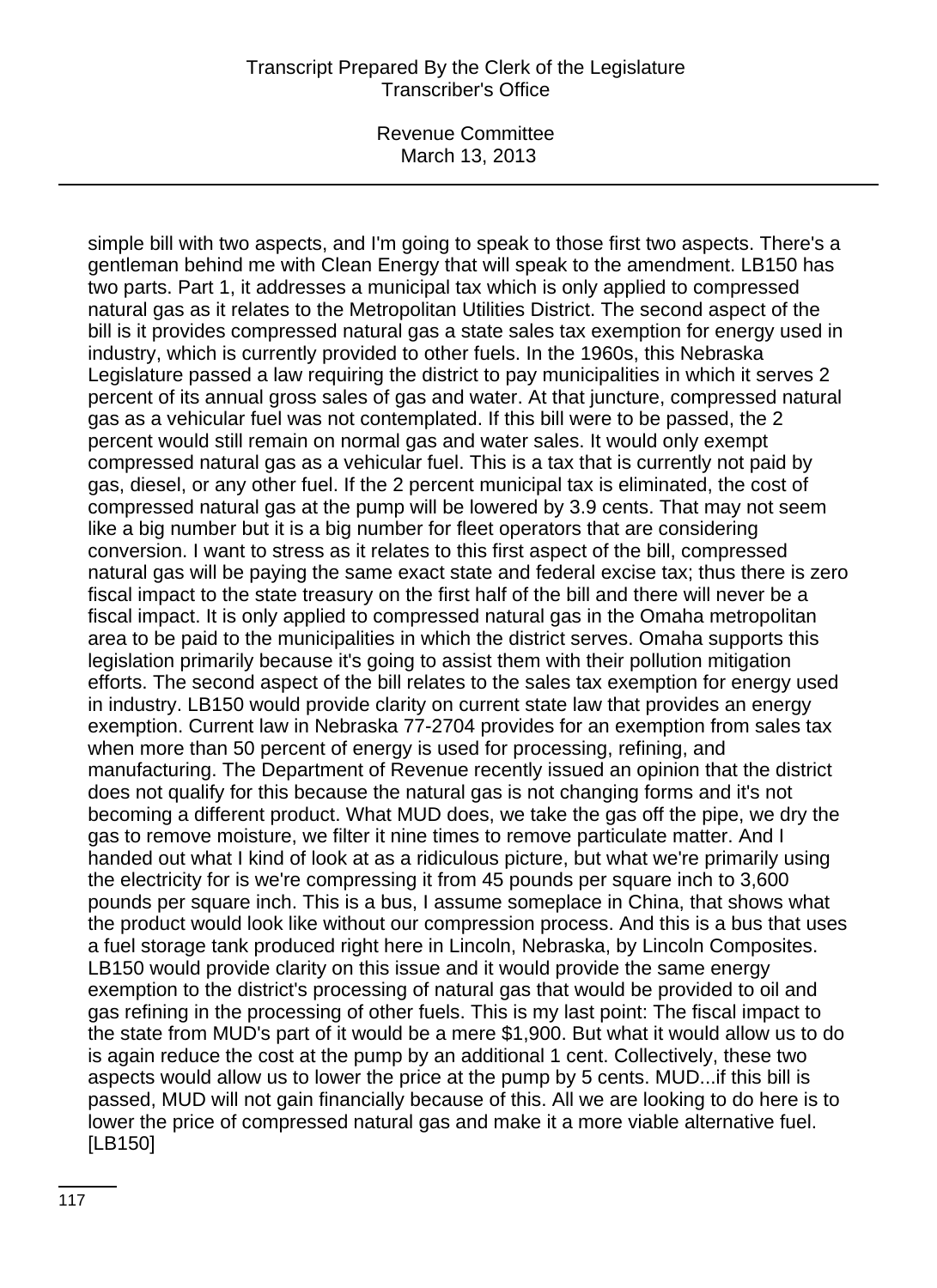## Transcript Prepared By the Clerk of the Legislature Transcriber's Office

Revenue Committee March 13, 2013

simple bill with two aspects, and I'm going to speak to those first two aspects. There's a gentleman behind me with Clean Energy that will speak to the amendment. LB150 has two parts. Part 1, it addresses a municipal tax which is only applied to compressed natural gas as it relates to the Metropolitan Utilities District. The second aspect of the bill is it provides compressed natural gas a state sales tax exemption for energy used in industry, which is currently provided to other fuels. In the 1960s, this Nebraska Legislature passed a law requiring the district to pay municipalities in which it serves 2 percent of its annual gross sales of gas and water. At that juncture, compressed natural gas as a vehicular fuel was not contemplated. If this bill were to be passed, the 2 percent would still remain on normal gas and water sales. It would only exempt compressed natural gas as a vehicular fuel. This is a tax that is currently not paid by gas, diesel, or any other fuel. If the 2 percent municipal tax is eliminated, the cost of compressed natural gas at the pump will be lowered by 3.9 cents. That may not seem like a big number but it is a big number for fleet operators that are considering conversion. I want to stress as it relates to this first aspect of the bill, compressed natural gas will be paying the same exact state and federal excise tax; thus there is zero fiscal impact to the state treasury on the first half of the bill and there will never be a fiscal impact. It is only applied to compressed natural gas in the Omaha metropolitan area to be paid to the municipalities in which the district serves. Omaha supports this legislation primarily because it's going to assist them with their pollution mitigation efforts. The second aspect of the bill relates to the sales tax exemption for energy used in industry. LB150 would provide clarity on current state law that provides an energy exemption. Current law in Nebraska 77-2704 provides for an exemption from sales tax when more than 50 percent of energy is used for processing, refining, and manufacturing. The Department of Revenue recently issued an opinion that the district does not qualify for this because the natural gas is not changing forms and it's not becoming a different product. What MUD does, we take the gas off the pipe, we dry the gas to remove moisture, we filter it nine times to remove particulate matter. And I handed out what I kind of look at as a ridiculous picture, but what we're primarily using the electricity for is we're compressing it from 45 pounds per square inch to 3,600 pounds per square inch. This is a bus, I assume someplace in China, that shows what the product would look like without our compression process. And this is a bus that uses a fuel storage tank produced right here in Lincoln, Nebraska, by Lincoln Composites. LB150 would provide clarity on this issue and it would provide the same energy exemption to the district's processing of natural gas that would be provided to oil and gas refining in the processing of other fuels. This is my last point: The fiscal impact to the state from MUD's part of it would be a mere \$1,900. But what it would allow us to do is again reduce the cost at the pump by an additional 1 cent. Collectively, these two aspects would allow us to lower the price at the pump by 5 cents. MUD...if this bill is passed, MUD will not gain financially because of this. All we are looking to do here is to lower the price of compressed natural gas and make it a more viable alternative fuel. [LB150]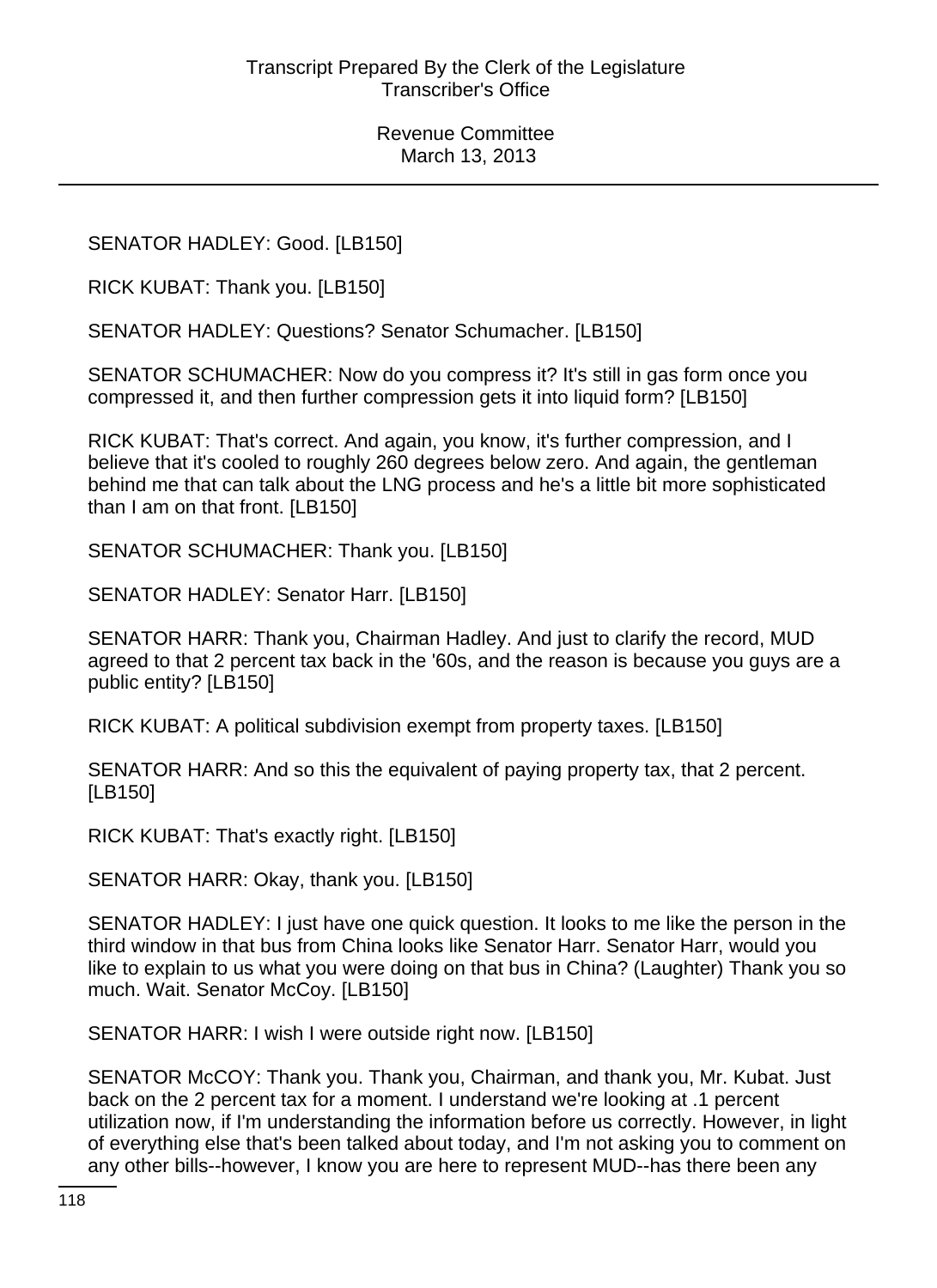SENATOR HADLEY: Good. [LB150]

RICK KUBAT: Thank you. [LB150]

SENATOR HADLEY: Questions? Senator Schumacher. [LB150]

SENATOR SCHUMACHER: Now do you compress it? It's still in gas form once you compressed it, and then further compression gets it into liquid form? [LB150]

RICK KUBAT: That's correct. And again, you know, it's further compression, and I believe that it's cooled to roughly 260 degrees below zero. And again, the gentleman behind me that can talk about the LNG process and he's a little bit more sophisticated than I am on that front. [LB150]

SENATOR SCHUMACHER: Thank you. [LB150]

SENATOR HADLEY: Senator Harr. [LB150]

SENATOR HARR: Thank you, Chairman Hadley. And just to clarify the record, MUD agreed to that 2 percent tax back in the '60s, and the reason is because you guys are a public entity? [LB150]

RICK KUBAT: A political subdivision exempt from property taxes. [LB150]

SENATOR HARR: And so this the equivalent of paying property tax, that 2 percent. [LB150]

RICK KUBAT: That's exactly right. [LB150]

SENATOR HARR: Okay, thank you. [LB150]

SENATOR HADLEY: I just have one quick question. It looks to me like the person in the third window in that bus from China looks like Senator Harr. Senator Harr, would you like to explain to us what you were doing on that bus in China? (Laughter) Thank you so much. Wait. Senator McCoy. [LB150]

SENATOR HARR: I wish I were outside right now. [LB150]

SENATOR McCOY: Thank you. Thank you, Chairman, and thank you, Mr. Kubat. Just back on the 2 percent tax for a moment. I understand we're looking at .1 percent utilization now, if I'm understanding the information before us correctly. However, in light of everything else that's been talked about today, and I'm not asking you to comment on any other bills--however, I know you are here to represent MUD--has there been any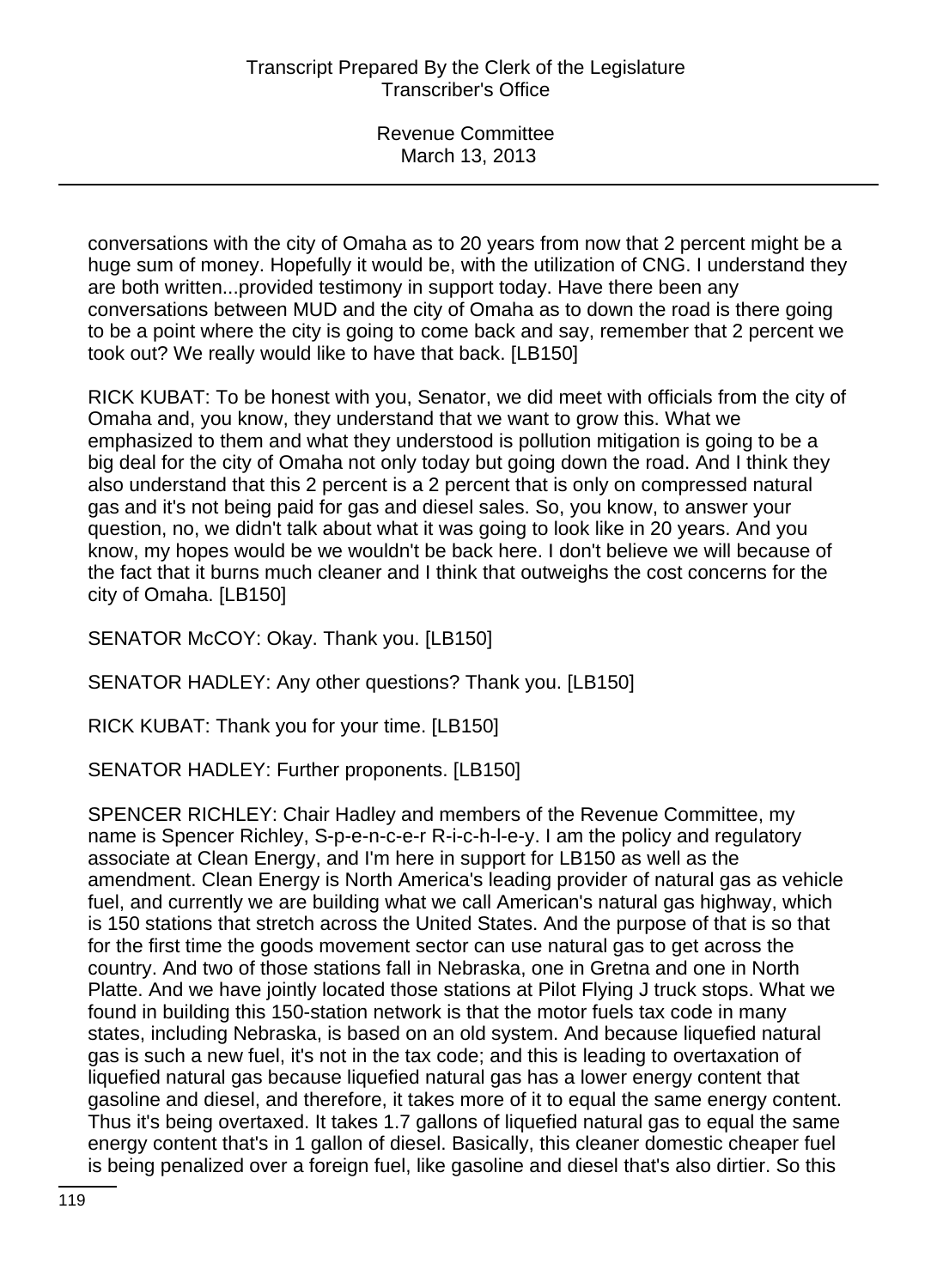conversations with the city of Omaha as to 20 years from now that 2 percent might be a huge sum of money. Hopefully it would be, with the utilization of CNG. I understand they are both written...provided testimony in support today. Have there been any conversations between MUD and the city of Omaha as to down the road is there going to be a point where the city is going to come back and say, remember that 2 percent we took out? We really would like to have that back. [LB150]

RICK KUBAT: To be honest with you, Senator, we did meet with officials from the city of Omaha and, you know, they understand that we want to grow this. What we emphasized to them and what they understood is pollution mitigation is going to be a big deal for the city of Omaha not only today but going down the road. And I think they also understand that this 2 percent is a 2 percent that is only on compressed natural gas and it's not being paid for gas and diesel sales. So, you know, to answer your question, no, we didn't talk about what it was going to look like in 20 years. And you know, my hopes would be we wouldn't be back here. I don't believe we will because of the fact that it burns much cleaner and I think that outweighs the cost concerns for the city of Omaha. [LB150]

SENATOR McCOY: Okay. Thank you. [LB150]

SENATOR HADLEY: Any other questions? Thank you. [LB150]

RICK KUBAT: Thank you for your time. [LB150]

SENATOR HADLEY: Further proponents. [LB150]

SPENCER RICHLEY: Chair Hadley and members of the Revenue Committee, my name is Spencer Richley, S-p-e-n-c-e-r R-i-c-h-l-e-y. I am the policy and regulatory associate at Clean Energy, and I'm here in support for LB150 as well as the amendment. Clean Energy is North America's leading provider of natural gas as vehicle fuel, and currently we are building what we call American's natural gas highway, which is 150 stations that stretch across the United States. And the purpose of that is so that for the first time the goods movement sector can use natural gas to get across the country. And two of those stations fall in Nebraska, one in Gretna and one in North Platte. And we have jointly located those stations at Pilot Flying J truck stops. What we found in building this 150-station network is that the motor fuels tax code in many states, including Nebraska, is based on an old system. And because liquefied natural gas is such a new fuel, it's not in the tax code; and this is leading to overtaxation of liquefied natural gas because liquefied natural gas has a lower energy content that gasoline and diesel, and therefore, it takes more of it to equal the same energy content. Thus it's being overtaxed. It takes 1.7 gallons of liquefied natural gas to equal the same energy content that's in 1 gallon of diesel. Basically, this cleaner domestic cheaper fuel is being penalized over a foreign fuel, like gasoline and diesel that's also dirtier. So this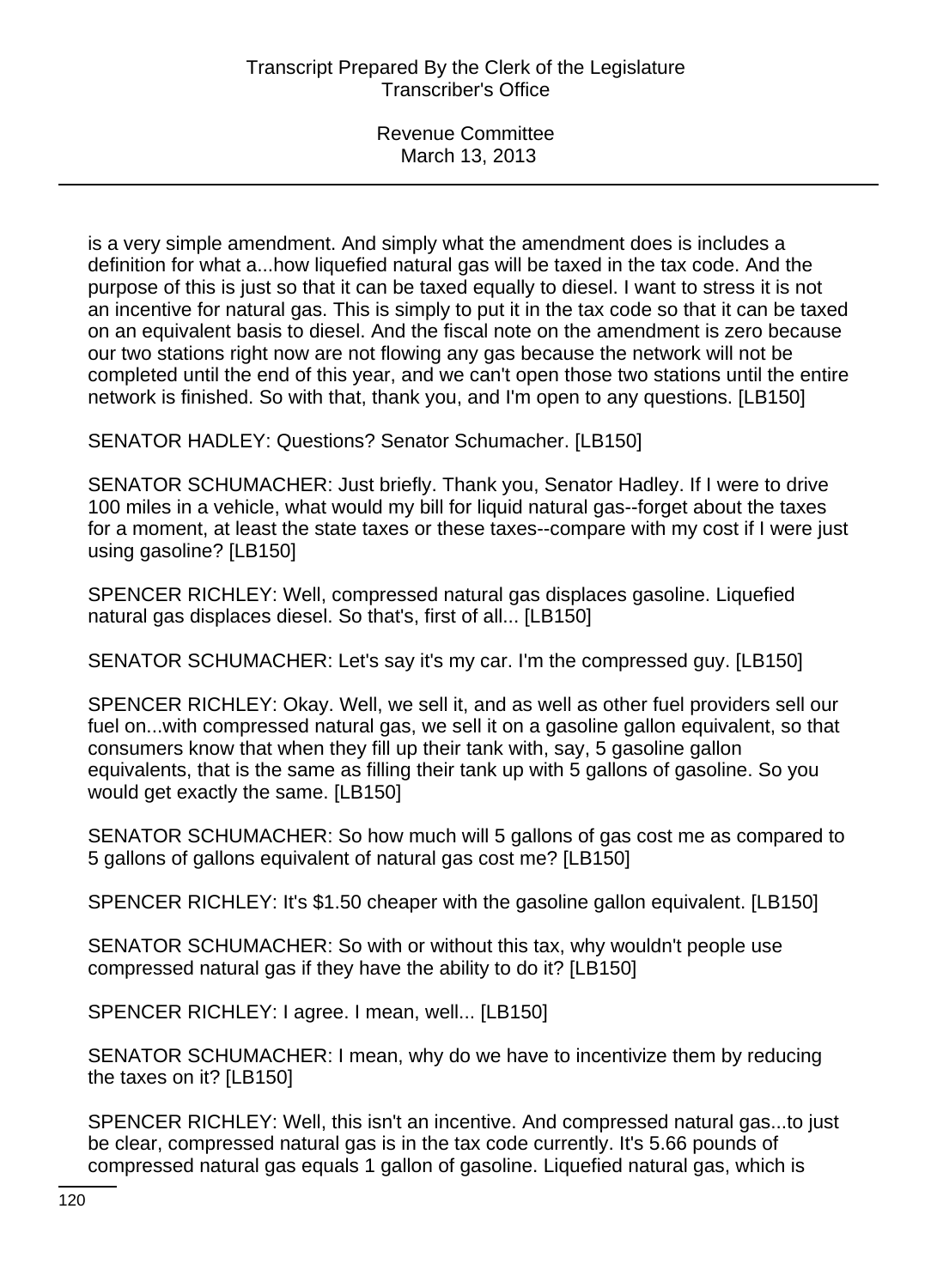is a very simple amendment. And simply what the amendment does is includes a definition for what a...how liquefied natural gas will be taxed in the tax code. And the purpose of this is just so that it can be taxed equally to diesel. I want to stress it is not an incentive for natural gas. This is simply to put it in the tax code so that it can be taxed on an equivalent basis to diesel. And the fiscal note on the amendment is zero because our two stations right now are not flowing any gas because the network will not be completed until the end of this year, and we can't open those two stations until the entire network is finished. So with that, thank you, and I'm open to any questions. [LB150]

SENATOR HADLEY: Questions? Senator Schumacher. [LB150]

SENATOR SCHUMACHER: Just briefly. Thank you, Senator Hadley. If I were to drive 100 miles in a vehicle, what would my bill for liquid natural gas--forget about the taxes for a moment, at least the state taxes or these taxes--compare with my cost if I were just using gasoline? [LB150]

SPENCER RICHLEY: Well, compressed natural gas displaces gasoline. Liquefied natural gas displaces diesel. So that's, first of all... [LB150]

SENATOR SCHUMACHER: Let's say it's my car. I'm the compressed guy. [LB150]

SPENCER RICHLEY: Okay. Well, we sell it, and as well as other fuel providers sell our fuel on...with compressed natural gas, we sell it on a gasoline gallon equivalent, so that consumers know that when they fill up their tank with, say, 5 gasoline gallon equivalents, that is the same as filling their tank up with 5 gallons of gasoline. So you would get exactly the same. [LB150]

SENATOR SCHUMACHER: So how much will 5 gallons of gas cost me as compared to 5 gallons of gallons equivalent of natural gas cost me? [LB150]

SPENCER RICHLEY: It's \$1.50 cheaper with the gasoline gallon equivalent. [LB150]

SENATOR SCHUMACHER: So with or without this tax, why wouldn't people use compressed natural gas if they have the ability to do it? [LB150]

SPENCER RICHLEY: I agree. I mean, well... [LB150]

SENATOR SCHUMACHER: I mean, why do we have to incentivize them by reducing the taxes on it? [LB150]

SPENCER RICHLEY: Well, this isn't an incentive. And compressed natural gas...to just be clear, compressed natural gas is in the tax code currently. It's 5.66 pounds of compressed natural gas equals 1 gallon of gasoline. Liquefied natural gas, which is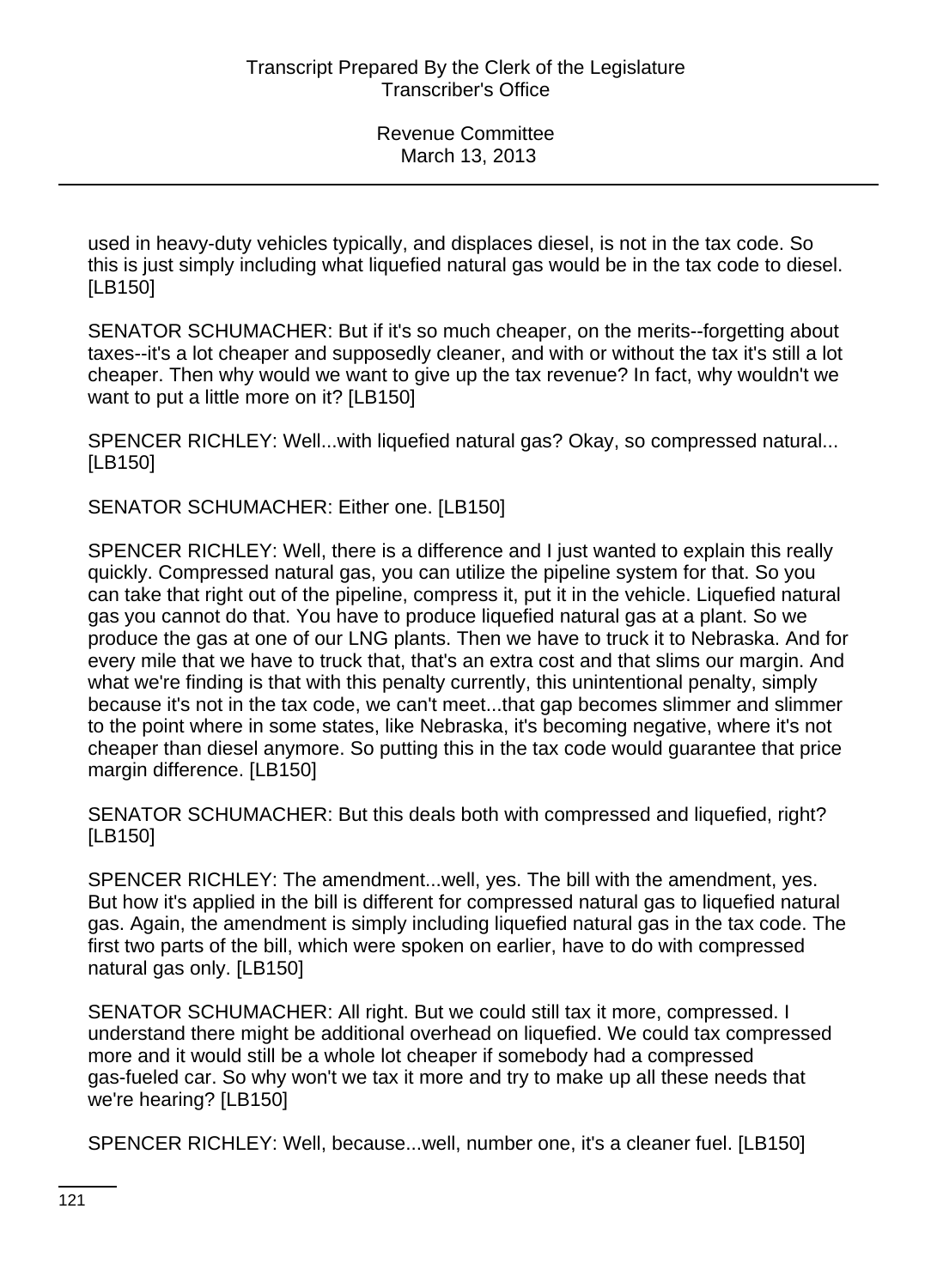used in heavy-duty vehicles typically, and displaces diesel, is not in the tax code. So this is just simply including what liquefied natural gas would be in the tax code to diesel. [LB150]

SENATOR SCHUMACHER: But if it's so much cheaper, on the merits--forgetting about taxes--it's a lot cheaper and supposedly cleaner, and with or without the tax it's still a lot cheaper. Then why would we want to give up the tax revenue? In fact, why wouldn't we want to put a little more on it? [LB150]

SPENCER RICHLEY: Well...with liquefied natural gas? Okay, so compressed natural... [LB150]

SENATOR SCHUMACHER: Either one. [LB150]

SPENCER RICHLEY: Well, there is a difference and I just wanted to explain this really quickly. Compressed natural gas, you can utilize the pipeline system for that. So you can take that right out of the pipeline, compress it, put it in the vehicle. Liquefied natural gas you cannot do that. You have to produce liquefied natural gas at a plant. So we produce the gas at one of our LNG plants. Then we have to truck it to Nebraska. And for every mile that we have to truck that, that's an extra cost and that slims our margin. And what we're finding is that with this penalty currently, this unintentional penalty, simply because it's not in the tax code, we can't meet...that gap becomes slimmer and slimmer to the point where in some states, like Nebraska, it's becoming negative, where it's not cheaper than diesel anymore. So putting this in the tax code would guarantee that price margin difference. [LB150]

SENATOR SCHUMACHER: But this deals both with compressed and liquefied, right? [LB150]

SPENCER RICHLEY: The amendment...well, yes. The bill with the amendment, yes. But how it's applied in the bill is different for compressed natural gas to liquefied natural gas. Again, the amendment is simply including liquefied natural gas in the tax code. The first two parts of the bill, which were spoken on earlier, have to do with compressed natural gas only. [LB150]

SENATOR SCHUMACHER: All right. But we could still tax it more, compressed. I understand there might be additional overhead on liquefied. We could tax compressed more and it would still be a whole lot cheaper if somebody had a compressed gas-fueled car. So why won't we tax it more and try to make up all these needs that we're hearing? [LB150]

SPENCER RICHLEY: Well, because...well, number one, it's a cleaner fuel. [LB150]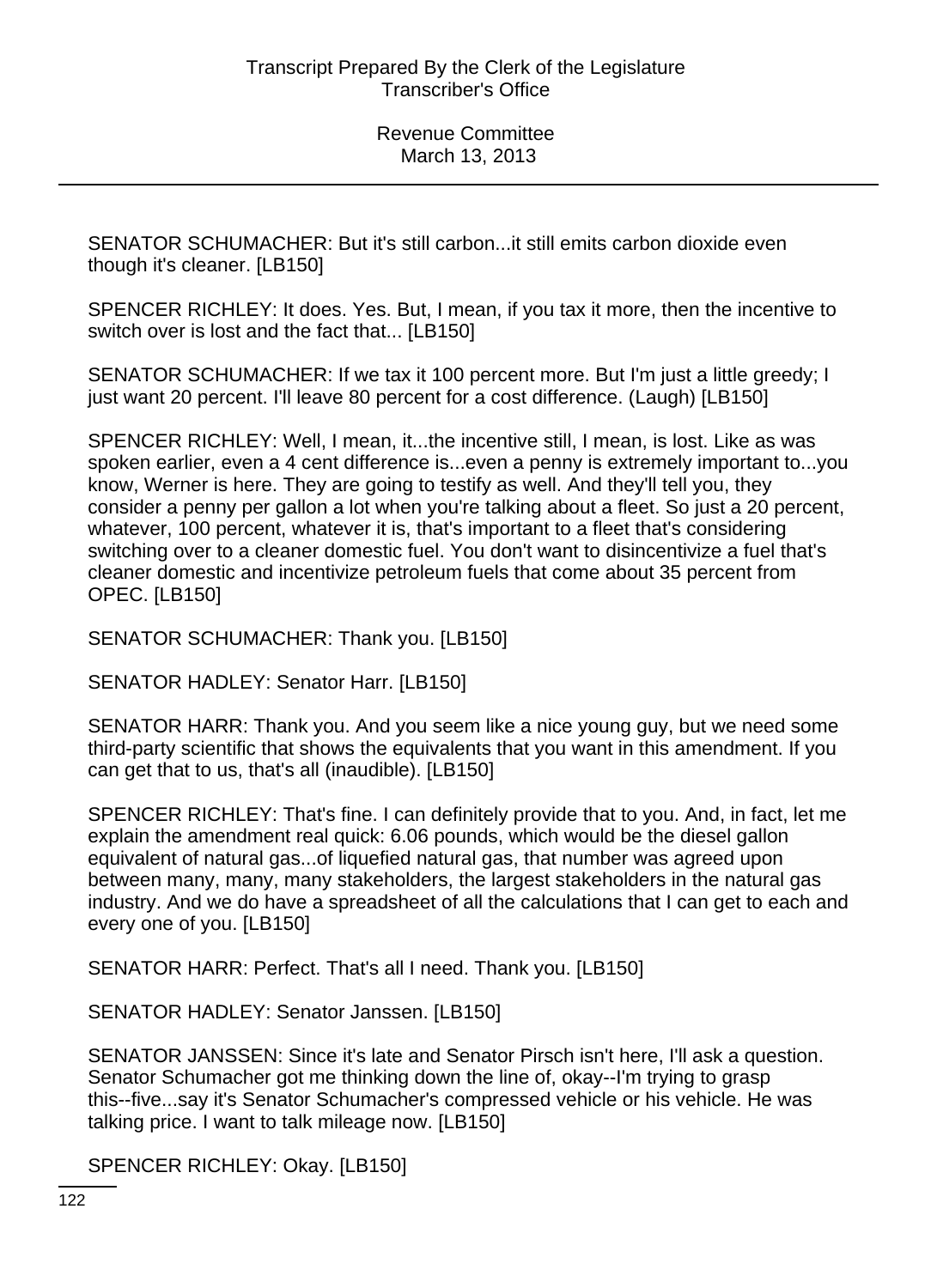SENATOR SCHUMACHER: But it's still carbon...it still emits carbon dioxide even though it's cleaner. [LB150]

SPENCER RICHLEY: It does. Yes. But, I mean, if you tax it more, then the incentive to switch over is lost and the fact that... [LB150]

SENATOR SCHUMACHER: If we tax it 100 percent more. But I'm just a little greedy; I just want 20 percent. I'll leave 80 percent for a cost difference. (Laugh) [LB150]

SPENCER RICHLEY: Well, I mean, it...the incentive still, I mean, is lost. Like as was spoken earlier, even a 4 cent difference is...even a penny is extremely important to...you know, Werner is here. They are going to testify as well. And they'll tell you, they consider a penny per gallon a lot when you're talking about a fleet. So just a 20 percent, whatever, 100 percent, whatever it is, that's important to a fleet that's considering switching over to a cleaner domestic fuel. You don't want to disincentivize a fuel that's cleaner domestic and incentivize petroleum fuels that come about 35 percent from OPEC. [LB150]

SENATOR SCHUMACHER: Thank you. [LB150]

SENATOR HADLEY: Senator Harr. [LB150]

SENATOR HARR: Thank you. And you seem like a nice young guy, but we need some third-party scientific that shows the equivalents that you want in this amendment. If you can get that to us, that's all (inaudible). [LB150]

SPENCER RICHLEY: That's fine. I can definitely provide that to you. And, in fact, let me explain the amendment real quick: 6.06 pounds, which would be the diesel gallon equivalent of natural gas...of liquefied natural gas, that number was agreed upon between many, many, many stakeholders, the largest stakeholders in the natural gas industry. And we do have a spreadsheet of all the calculations that I can get to each and every one of you. [LB150]

SENATOR HARR: Perfect. That's all I need. Thank you. [LB150]

SENATOR HADLEY: Senator Janssen. [LB150]

SENATOR JANSSEN: Since it's late and Senator Pirsch isn't here, I'll ask a question. Senator Schumacher got me thinking down the line of, okay--I'm trying to grasp this--five...say it's Senator Schumacher's compressed vehicle or his vehicle. He was talking price. I want to talk mileage now. [LB150]

SPENCER RICHLEY: Okay. [LB150]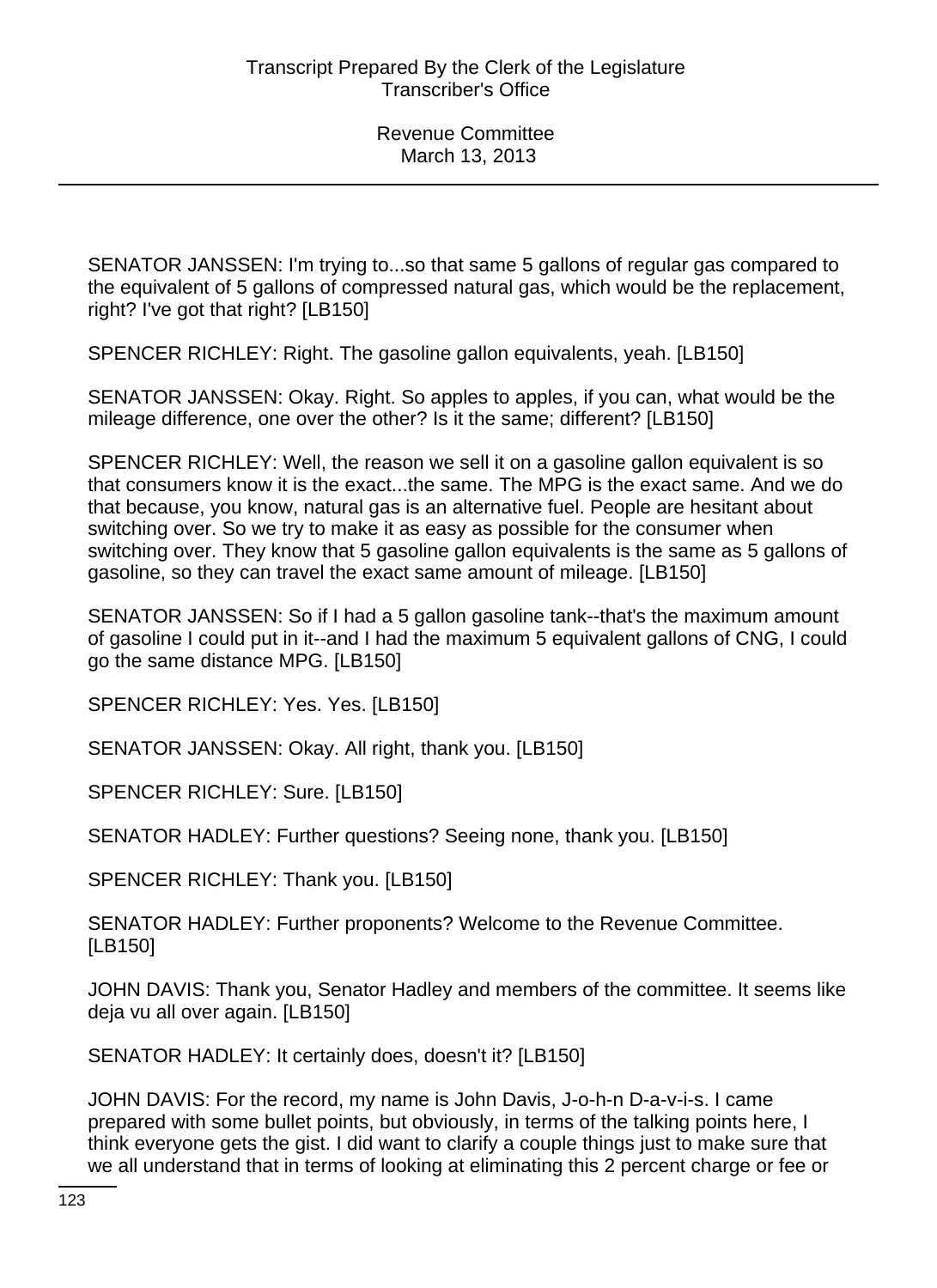SENATOR JANSSEN: I'm trying to...so that same 5 gallons of regular gas compared to the equivalent of 5 gallons of compressed natural gas, which would be the replacement, right? I've got that right? [LB150]

SPENCER RICHLEY: Right. The gasoline gallon equivalents, yeah. [LB150]

SENATOR JANSSEN: Okay. Right. So apples to apples, if you can, what would be the mileage difference, one over the other? Is it the same; different? [LB150]

SPENCER RICHLEY: Well, the reason we sell it on a gasoline gallon equivalent is so that consumers know it is the exact...the same. The MPG is the exact same. And we do that because, you know, natural gas is an alternative fuel. People are hesitant about switching over. So we try to make it as easy as possible for the consumer when switching over. They know that 5 gasoline gallon equivalents is the same as 5 gallons of gasoline, so they can travel the exact same amount of mileage. [LB150]

SENATOR JANSSEN: So if I had a 5 gallon gasoline tank--that's the maximum amount of gasoline I could put in it--and I had the maximum 5 equivalent gallons of CNG, I could go the same distance MPG. [LB150]

SPENCER RICHLEY: Yes. Yes. [LB150]

SENATOR JANSSEN: Okay. All right, thank you. [LB150]

SPENCER RICHLEY: Sure. [LB150]

SENATOR HADLEY: Further questions? Seeing none, thank you. [LB150]

SPENCER RICHLEY: Thank you. [LB150]

SENATOR HADLEY: Further proponents? Welcome to the Revenue Committee. [LB150]

JOHN DAVIS: Thank you, Senator Hadley and members of the committee. It seems like deja vu all over again. [LB150]

SENATOR HADLEY: It certainly does, doesn't it? [LB150]

JOHN DAVIS: For the record, my name is John Davis, J-o-h-n D-a-v-i-s. I came prepared with some bullet points, but obviously, in terms of the talking points here, I think everyone gets the gist. I did want to clarify a couple things just to make sure that we all understand that in terms of looking at eliminating this 2 percent charge or fee or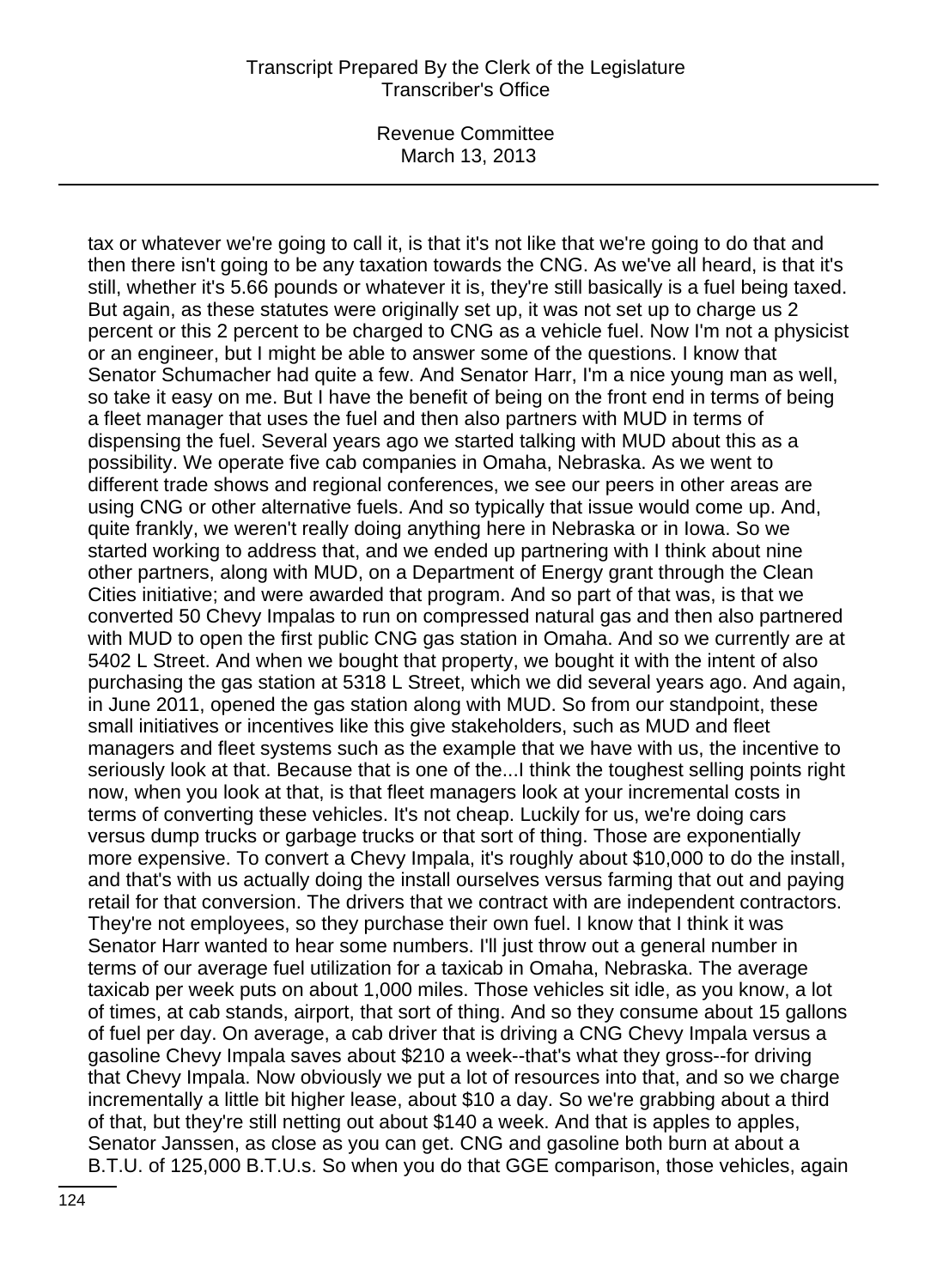## Transcript Prepared By the Clerk of the Legislature Transcriber's Office

Revenue Committee March 13, 2013

tax or whatever we're going to call it, is that it's not like that we're going to do that and then there isn't going to be any taxation towards the CNG. As we've all heard, is that it's still, whether it's 5.66 pounds or whatever it is, they're still basically is a fuel being taxed. But again, as these statutes were originally set up, it was not set up to charge us 2 percent or this 2 percent to be charged to CNG as a vehicle fuel. Now I'm not a physicist or an engineer, but I might be able to answer some of the questions. I know that Senator Schumacher had quite a few. And Senator Harr, I'm a nice young man as well, so take it easy on me. But I have the benefit of being on the front end in terms of being a fleet manager that uses the fuel and then also partners with MUD in terms of dispensing the fuel. Several years ago we started talking with MUD about this as a possibility. We operate five cab companies in Omaha, Nebraska. As we went to different trade shows and regional conferences, we see our peers in other areas are using CNG or other alternative fuels. And so typically that issue would come up. And, quite frankly, we weren't really doing anything here in Nebraska or in Iowa. So we started working to address that, and we ended up partnering with I think about nine other partners, along with MUD, on a Department of Energy grant through the Clean Cities initiative; and were awarded that program. And so part of that was, is that we converted 50 Chevy Impalas to run on compressed natural gas and then also partnered with MUD to open the first public CNG gas station in Omaha. And so we currently are at 5402 L Street. And when we bought that property, we bought it with the intent of also purchasing the gas station at 5318 L Street, which we did several years ago. And again, in June 2011, opened the gas station along with MUD. So from our standpoint, these small initiatives or incentives like this give stakeholders, such as MUD and fleet managers and fleet systems such as the example that we have with us, the incentive to seriously look at that. Because that is one of the...I think the toughest selling points right now, when you look at that, is that fleet managers look at your incremental costs in terms of converting these vehicles. It's not cheap. Luckily for us, we're doing cars versus dump trucks or garbage trucks or that sort of thing. Those are exponentially more expensive. To convert a Chevy Impala, it's roughly about \$10,000 to do the install, and that's with us actually doing the install ourselves versus farming that out and paying retail for that conversion. The drivers that we contract with are independent contractors. They're not employees, so they purchase their own fuel. I know that I think it was Senator Harr wanted to hear some numbers. I'll just throw out a general number in terms of our average fuel utilization for a taxicab in Omaha, Nebraska. The average taxicab per week puts on about 1,000 miles. Those vehicles sit idle, as you know, a lot of times, at cab stands, airport, that sort of thing. And so they consume about 15 gallons of fuel per day. On average, a cab driver that is driving a CNG Chevy Impala versus a gasoline Chevy Impala saves about \$210 a week--that's what they gross--for driving that Chevy Impala. Now obviously we put a lot of resources into that, and so we charge incrementally a little bit higher lease, about \$10 a day. So we're grabbing about a third of that, but they're still netting out about \$140 a week. And that is apples to apples, Senator Janssen, as close as you can get. CNG and gasoline both burn at about a B.T.U. of 125,000 B.T.U.s. So when you do that GGE comparison, those vehicles, again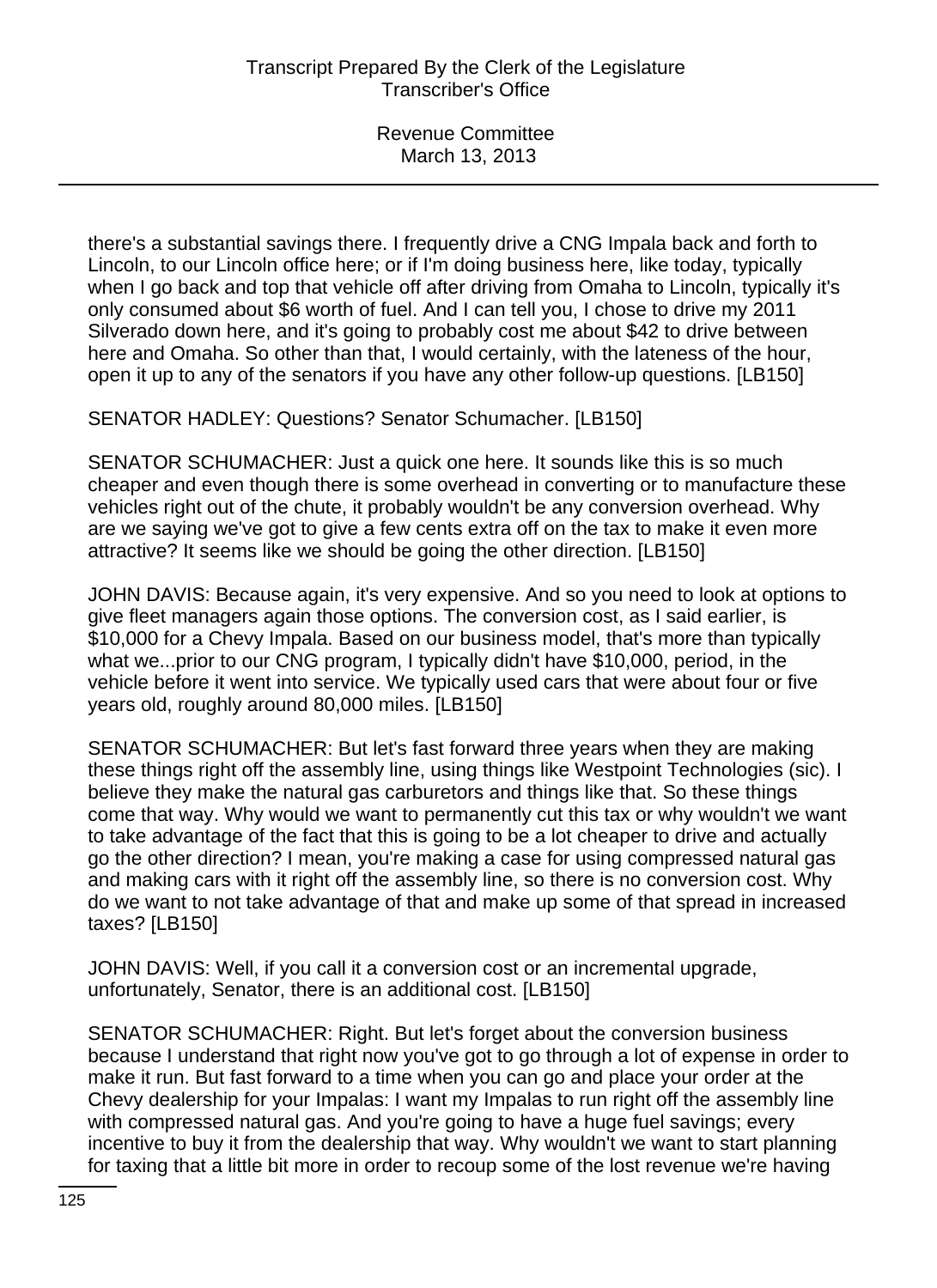there's a substantial savings there. I frequently drive a CNG Impala back and forth to Lincoln, to our Lincoln office here; or if I'm doing business here, like today, typically when I go back and top that vehicle off after driving from Omaha to Lincoln, typically it's only consumed about \$6 worth of fuel. And I can tell you, I chose to drive my 2011 Silverado down here, and it's going to probably cost me about \$42 to drive between here and Omaha. So other than that, I would certainly, with the lateness of the hour, open it up to any of the senators if you have any other follow-up questions. [LB150]

SENATOR HADLEY: Questions? Senator Schumacher. [LB150]

SENATOR SCHUMACHER: Just a quick one here. It sounds like this is so much cheaper and even though there is some overhead in converting or to manufacture these vehicles right out of the chute, it probably wouldn't be any conversion overhead. Why are we saying we've got to give a few cents extra off on the tax to make it even more attractive? It seems like we should be going the other direction. [LB150]

JOHN DAVIS: Because again, it's very expensive. And so you need to look at options to give fleet managers again those options. The conversion cost, as I said earlier, is \$10,000 for a Chevy Impala. Based on our business model, that's more than typically what we...prior to our CNG program, I typically didn't have \$10,000, period, in the vehicle before it went into service. We typically used cars that were about four or five years old, roughly around 80,000 miles. [LB150]

SENATOR SCHUMACHER: But let's fast forward three years when they are making these things right off the assembly line, using things like Westpoint Technologies (sic). I believe they make the natural gas carburetors and things like that. So these things come that way. Why would we want to permanently cut this tax or why wouldn't we want to take advantage of the fact that this is going to be a lot cheaper to drive and actually go the other direction? I mean, you're making a case for using compressed natural gas and making cars with it right off the assembly line, so there is no conversion cost. Why do we want to not take advantage of that and make up some of that spread in increased taxes? [LB150]

JOHN DAVIS: Well, if you call it a conversion cost or an incremental upgrade, unfortunately, Senator, there is an additional cost. [LB150]

SENATOR SCHUMACHER: Right. But let's forget about the conversion business because I understand that right now you've got to go through a lot of expense in order to make it run. But fast forward to a time when you can go and place your order at the Chevy dealership for your Impalas: I want my Impalas to run right off the assembly line with compressed natural gas. And you're going to have a huge fuel savings; every incentive to buy it from the dealership that way. Why wouldn't we want to start planning for taxing that a little bit more in order to recoup some of the lost revenue we're having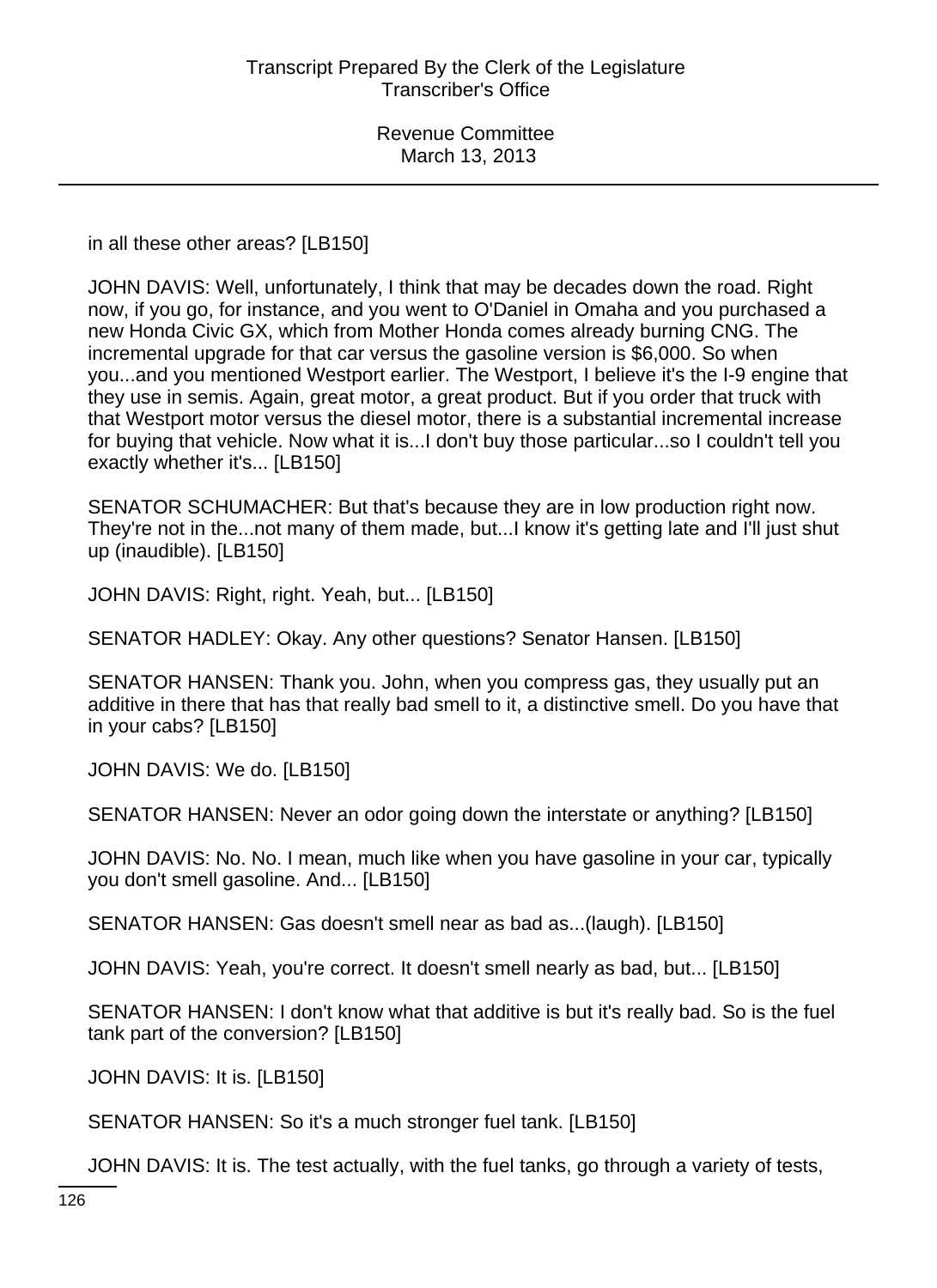in all these other areas? [LB150]

JOHN DAVIS: Well, unfortunately, I think that may be decades down the road. Right now, if you go, for instance, and you went to O'Daniel in Omaha and you purchased a new Honda Civic GX, which from Mother Honda comes already burning CNG. The incremental upgrade for that car versus the gasoline version is \$6,000. So when you...and you mentioned Westport earlier. The Westport, I believe it's the I-9 engine that they use in semis. Again, great motor, a great product. But if you order that truck with that Westport motor versus the diesel motor, there is a substantial incremental increase for buying that vehicle. Now what it is...I don't buy those particular...so I couldn't tell you exactly whether it's... [LB150]

SENATOR SCHUMACHER: But that's because they are in low production right now. They're not in the...not many of them made, but...I know it's getting late and I'll just shut up (inaudible). [LB150]

JOHN DAVIS: Right, right. Yeah, but... [LB150]

SENATOR HADLEY: Okay. Any other questions? Senator Hansen. [LB150]

SENATOR HANSEN: Thank you. John, when you compress gas, they usually put an additive in there that has that really bad smell to it, a distinctive smell. Do you have that in your cabs? [LB150]

JOHN DAVIS: We do. [LB150]

SENATOR HANSEN: Never an odor going down the interstate or anything? [LB150]

JOHN DAVIS: No. No. I mean, much like when you have gasoline in your car, typically you don't smell gasoline. And... [LB150]

SENATOR HANSEN: Gas doesn't smell near as bad as...(laugh). [LB150]

JOHN DAVIS: Yeah, you're correct. It doesn't smell nearly as bad, but... [LB150]

SENATOR HANSEN: I don't know what that additive is but it's really bad. So is the fuel tank part of the conversion? [LB150]

JOHN DAVIS: It is. [LB150]

SENATOR HANSEN: So it's a much stronger fuel tank. [LB150]

JOHN DAVIS: It is. The test actually, with the fuel tanks, go through a variety of tests,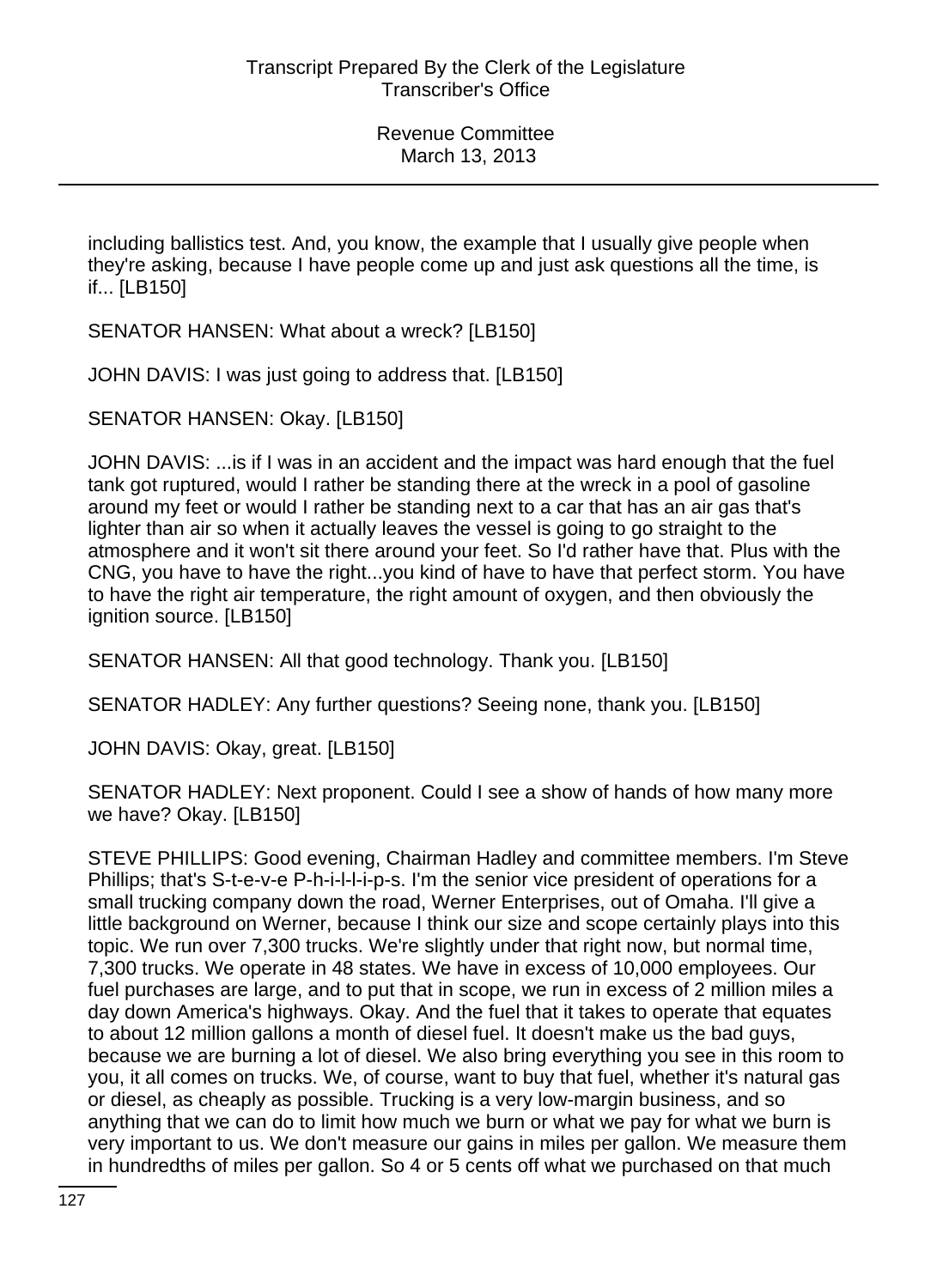including ballistics test. And, you know, the example that I usually give people when they're asking, because I have people come up and just ask questions all the time, is if... [LB150]

SENATOR HANSEN: What about a wreck? [LB150]

JOHN DAVIS: I was just going to address that. [LB150]

SENATOR HANSEN: Okay. [LB150]

JOHN DAVIS: ...is if I was in an accident and the impact was hard enough that the fuel tank got ruptured, would I rather be standing there at the wreck in a pool of gasoline around my feet or would I rather be standing next to a car that has an air gas that's lighter than air so when it actually leaves the vessel is going to go straight to the atmosphere and it won't sit there around your feet. So I'd rather have that. Plus with the CNG, you have to have the right...you kind of have to have that perfect storm. You have to have the right air temperature, the right amount of oxygen, and then obviously the ignition source. [LB150]

SENATOR HANSEN: All that good technology. Thank you. [LB150]

SENATOR HADLEY: Any further questions? Seeing none, thank you. [LB150]

JOHN DAVIS: Okay, great. [LB150]

SENATOR HADLEY: Next proponent. Could I see a show of hands of how many more we have? Okay. [LB150]

STEVE PHILLIPS: Good evening, Chairman Hadley and committee members. I'm Steve Phillips; that's S-t-e-v-e P-h-i-l-l-i-p-s. I'm the senior vice president of operations for a small trucking company down the road, Werner Enterprises, out of Omaha. I'll give a little background on Werner, because I think our size and scope certainly plays into this topic. We run over 7,300 trucks. We're slightly under that right now, but normal time, 7,300 trucks. We operate in 48 states. We have in excess of 10,000 employees. Our fuel purchases are large, and to put that in scope, we run in excess of 2 million miles a day down America's highways. Okay. And the fuel that it takes to operate that equates to about 12 million gallons a month of diesel fuel. It doesn't make us the bad guys, because we are burning a lot of diesel. We also bring everything you see in this room to you, it all comes on trucks. We, of course, want to buy that fuel, whether it's natural gas or diesel, as cheaply as possible. Trucking is a very low-margin business, and so anything that we can do to limit how much we burn or what we pay for what we burn is very important to us. We don't measure our gains in miles per gallon. We measure them in hundredths of miles per gallon. So 4 or 5 cents off what we purchased on that much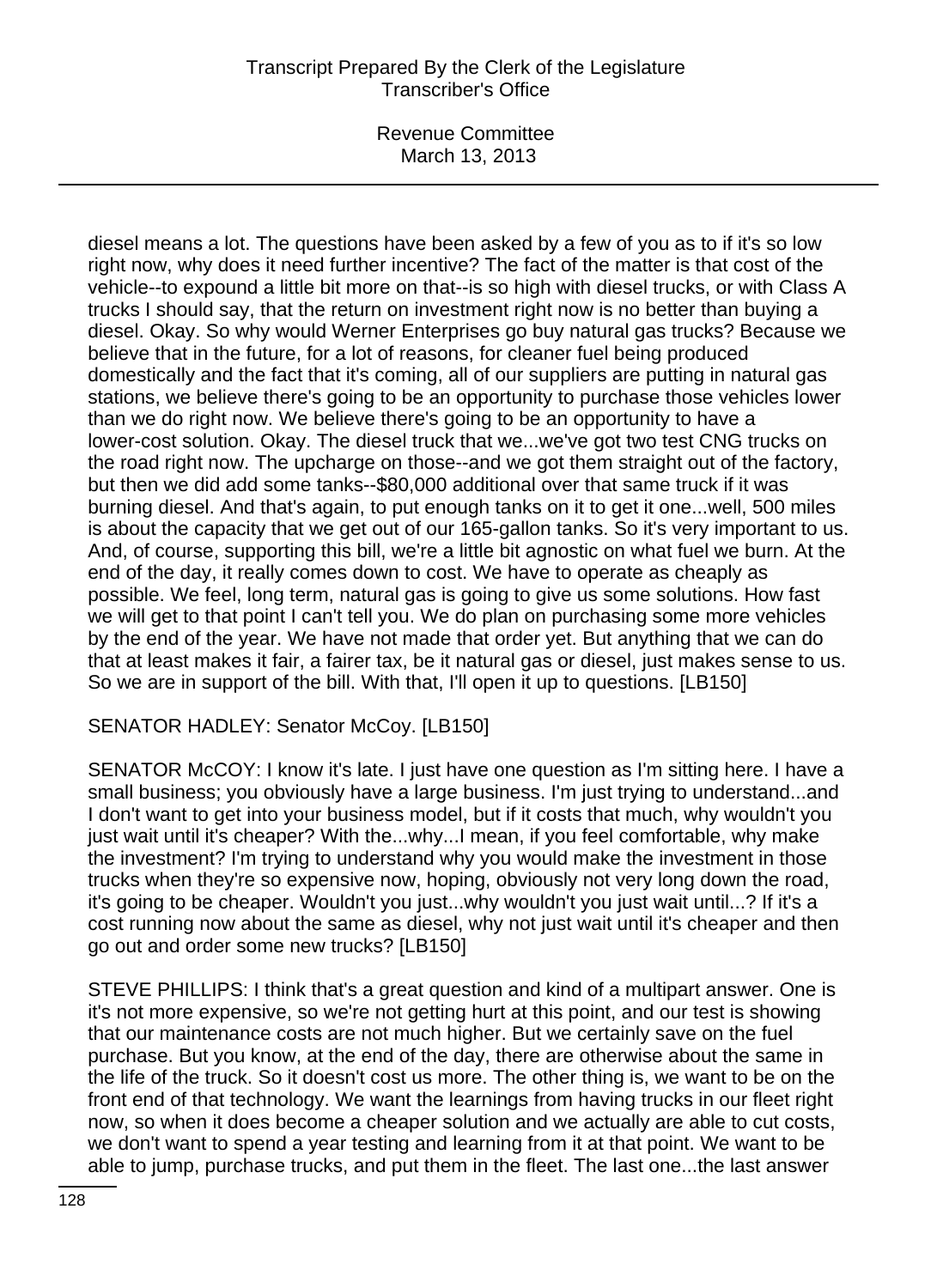# Transcript Prepared By the Clerk of the Legislature Transcriber's Office

Revenue Committee March 13, 2013

diesel means a lot. The questions have been asked by a few of you as to if it's so low right now, why does it need further incentive? The fact of the matter is that cost of the vehicle--to expound a little bit more on that--is so high with diesel trucks, or with Class A trucks I should say, that the return on investment right now is no better than buying a diesel. Okay. So why would Werner Enterprises go buy natural gas trucks? Because we believe that in the future, for a lot of reasons, for cleaner fuel being produced domestically and the fact that it's coming, all of our suppliers are putting in natural gas stations, we believe there's going to be an opportunity to purchase those vehicles lower than we do right now. We believe there's going to be an opportunity to have a lower-cost solution. Okay. The diesel truck that we...we've got two test CNG trucks on the road right now. The upcharge on those--and we got them straight out of the factory, but then we did add some tanks--\$80,000 additional over that same truck if it was burning diesel. And that's again, to put enough tanks on it to get it one...well, 500 miles is about the capacity that we get out of our 165-gallon tanks. So it's very important to us. And, of course, supporting this bill, we're a little bit agnostic on what fuel we burn. At the end of the day, it really comes down to cost. We have to operate as cheaply as possible. We feel, long term, natural gas is going to give us some solutions. How fast we will get to that point I can't tell you. We do plan on purchasing some more vehicles by the end of the year. We have not made that order yet. But anything that we can do that at least makes it fair, a fairer tax, be it natural gas or diesel, just makes sense to us. So we are in support of the bill. With that, I'll open it up to questions. [LB150]

SENATOR HADLEY: Senator McCoy. [LB150]

SENATOR McCOY: I know it's late. I just have one question as I'm sitting here. I have a small business; you obviously have a large business. I'm just trying to understand...and I don't want to get into your business model, but if it costs that much, why wouldn't you just wait until it's cheaper? With the...why...I mean, if you feel comfortable, why make the investment? I'm trying to understand why you would make the investment in those trucks when they're so expensive now, hoping, obviously not very long down the road, it's going to be cheaper. Wouldn't you just...why wouldn't you just wait until...? If it's a cost running now about the same as diesel, why not just wait until it's cheaper and then go out and order some new trucks? [LB150]

STEVE PHILLIPS: I think that's a great question and kind of a multipart answer. One is it's not more expensive, so we're not getting hurt at this point, and our test is showing that our maintenance costs are not much higher. But we certainly save on the fuel purchase. But you know, at the end of the day, there are otherwise about the same in the life of the truck. So it doesn't cost us more. The other thing is, we want to be on the front end of that technology. We want the learnings from having trucks in our fleet right now, so when it does become a cheaper solution and we actually are able to cut costs, we don't want to spend a year testing and learning from it at that point. We want to be able to jump, purchase trucks, and put them in the fleet. The last one...the last answer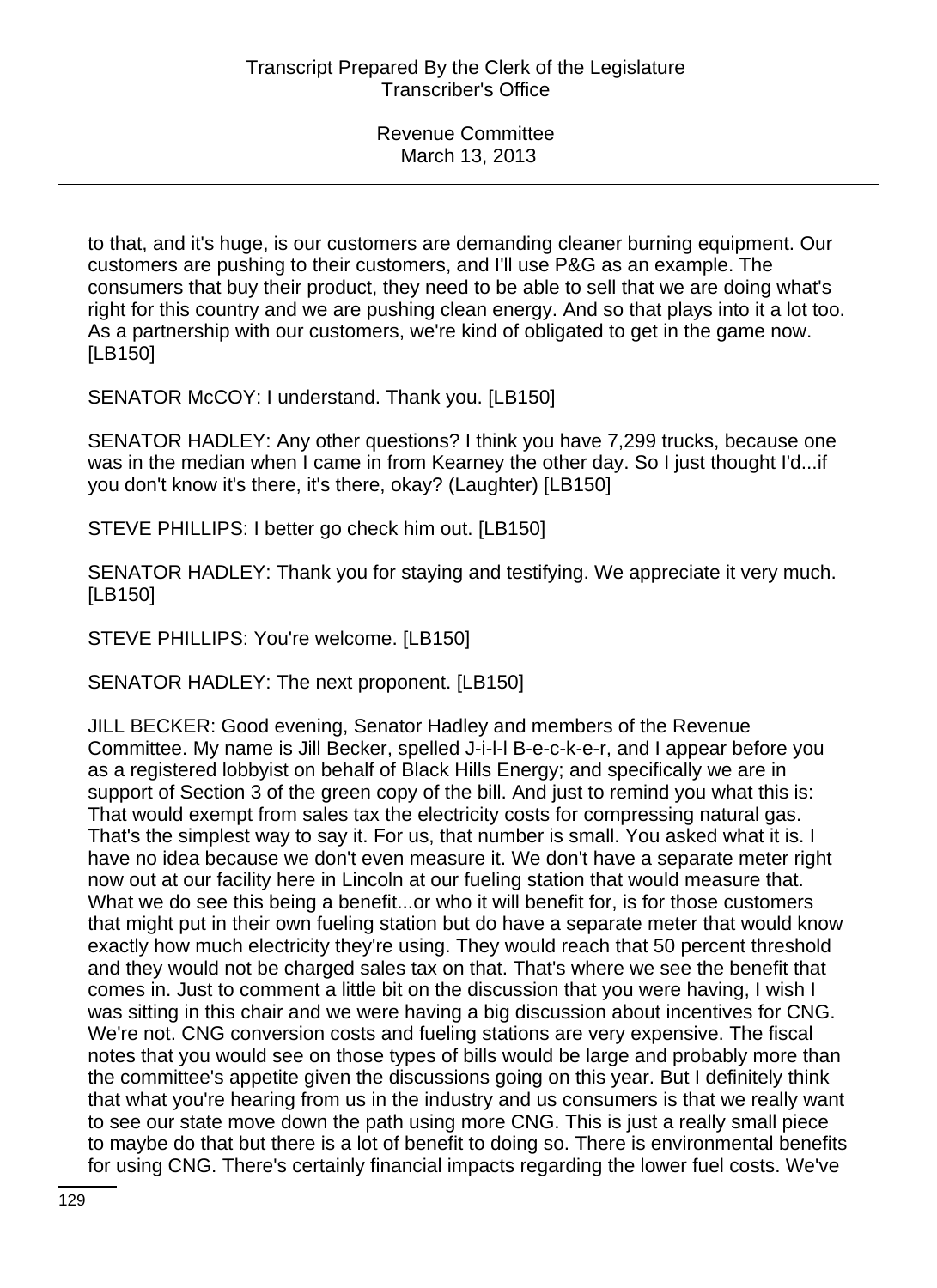to that, and it's huge, is our customers are demanding cleaner burning equipment. Our customers are pushing to their customers, and I'll use P&G as an example. The consumers that buy their product, they need to be able to sell that we are doing what's right for this country and we are pushing clean energy. And so that plays into it a lot too. As a partnership with our customers, we're kind of obligated to get in the game now. [LB150]

SENATOR McCOY: I understand. Thank you. [LB150]

SENATOR HADLEY: Any other questions? I think you have 7,299 trucks, because one was in the median when I came in from Kearney the other day. So I just thought I'd...if you don't know it's there, it's there, okay? (Laughter) [LB150]

STEVE PHILLIPS: I better go check him out. [LB150]

SENATOR HADLEY: Thank you for staying and testifying. We appreciate it very much. [LB150]

STEVE PHILLIPS: You're welcome. [LB150]

SENATOR HADLEY: The next proponent. [LB150]

JILL BECKER: Good evening, Senator Hadley and members of the Revenue Committee. My name is Jill Becker, spelled J-i-l-l B-e-c-k-e-r, and I appear before you as a registered lobbyist on behalf of Black Hills Energy; and specifically we are in support of Section 3 of the green copy of the bill. And just to remind you what this is: That would exempt from sales tax the electricity costs for compressing natural gas. That's the simplest way to say it. For us, that number is small. You asked what it is. I have no idea because we don't even measure it. We don't have a separate meter right now out at our facility here in Lincoln at our fueling station that would measure that. What we do see this being a benefit...or who it will benefit for, is for those customers that might put in their own fueling station but do have a separate meter that would know exactly how much electricity they're using. They would reach that 50 percent threshold and they would not be charged sales tax on that. That's where we see the benefit that comes in. Just to comment a little bit on the discussion that you were having, I wish I was sitting in this chair and we were having a big discussion about incentives for CNG. We're not. CNG conversion costs and fueling stations are very expensive. The fiscal notes that you would see on those types of bills would be large and probably more than the committee's appetite given the discussions going on this year. But I definitely think that what you're hearing from us in the industry and us consumers is that we really want to see our state move down the path using more CNG. This is just a really small piece to maybe do that but there is a lot of benefit to doing so. There is environmental benefits for using CNG. There's certainly financial impacts regarding the lower fuel costs. We've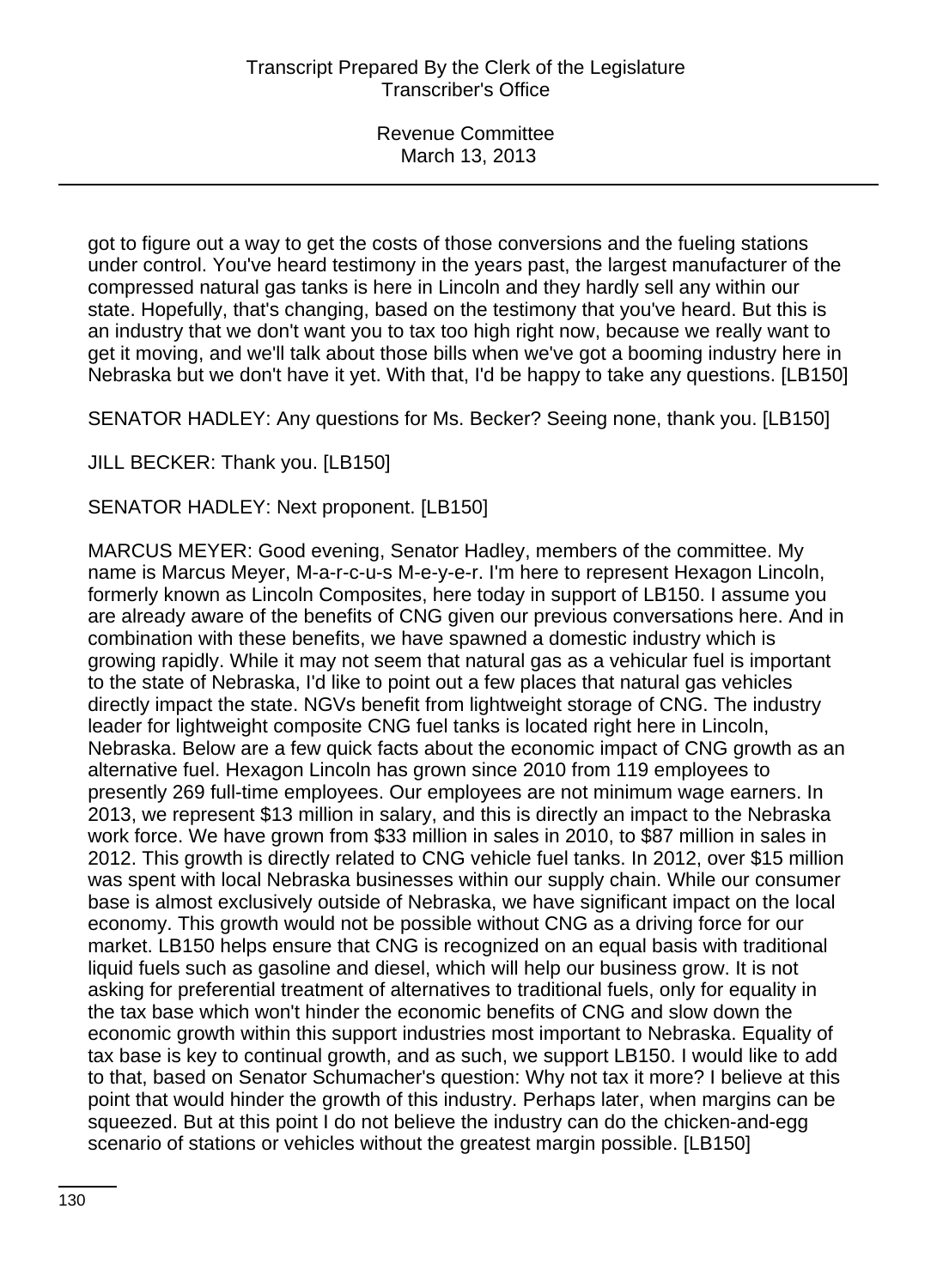got to figure out a way to get the costs of those conversions and the fueling stations under control. You've heard testimony in the years past, the largest manufacturer of the compressed natural gas tanks is here in Lincoln and they hardly sell any within our state. Hopefully, that's changing, based on the testimony that you've heard. But this is an industry that we don't want you to tax too high right now, because we really want to get it moving, and we'll talk about those bills when we've got a booming industry here in Nebraska but we don't have it yet. With that, I'd be happy to take any questions. [LB150]

SENATOR HADLEY: Any questions for Ms. Becker? Seeing none, thank you. [LB150]

JILL BECKER: Thank you. [LB150]

SENATOR HADLEY: Next proponent. [LB150]

MARCUS MEYER: Good evening, Senator Hadley, members of the committee. My name is Marcus Meyer, M-a-r-c-u-s M-e-y-e-r. I'm here to represent Hexagon Lincoln, formerly known as Lincoln Composites, here today in support of LB150. I assume you are already aware of the benefits of CNG given our previous conversations here. And in combination with these benefits, we have spawned a domestic industry which is growing rapidly. While it may not seem that natural gas as a vehicular fuel is important to the state of Nebraska, I'd like to point out a few places that natural gas vehicles directly impact the state. NGVs benefit from lightweight storage of CNG. The industry leader for lightweight composite CNG fuel tanks is located right here in Lincoln, Nebraska. Below are a few quick facts about the economic impact of CNG growth as an alternative fuel. Hexagon Lincoln has grown since 2010 from 119 employees to presently 269 full-time employees. Our employees are not minimum wage earners. In 2013, we represent \$13 million in salary, and this is directly an impact to the Nebraska work force. We have grown from \$33 million in sales in 2010, to \$87 million in sales in 2012. This growth is directly related to CNG vehicle fuel tanks. In 2012, over \$15 million was spent with local Nebraska businesses within our supply chain. While our consumer base is almost exclusively outside of Nebraska, we have significant impact on the local economy. This growth would not be possible without CNG as a driving force for our market. LB150 helps ensure that CNG is recognized on an equal basis with traditional liquid fuels such as gasoline and diesel, which will help our business grow. It is not asking for preferential treatment of alternatives to traditional fuels, only for equality in the tax base which won't hinder the economic benefits of CNG and slow down the economic growth within this support industries most important to Nebraska. Equality of tax base is key to continual growth, and as such, we support LB150. I would like to add to that, based on Senator Schumacher's question: Why not tax it more? I believe at this point that would hinder the growth of this industry. Perhaps later, when margins can be squeezed. But at this point I do not believe the industry can do the chicken-and-egg scenario of stations or vehicles without the greatest margin possible. [LB150]